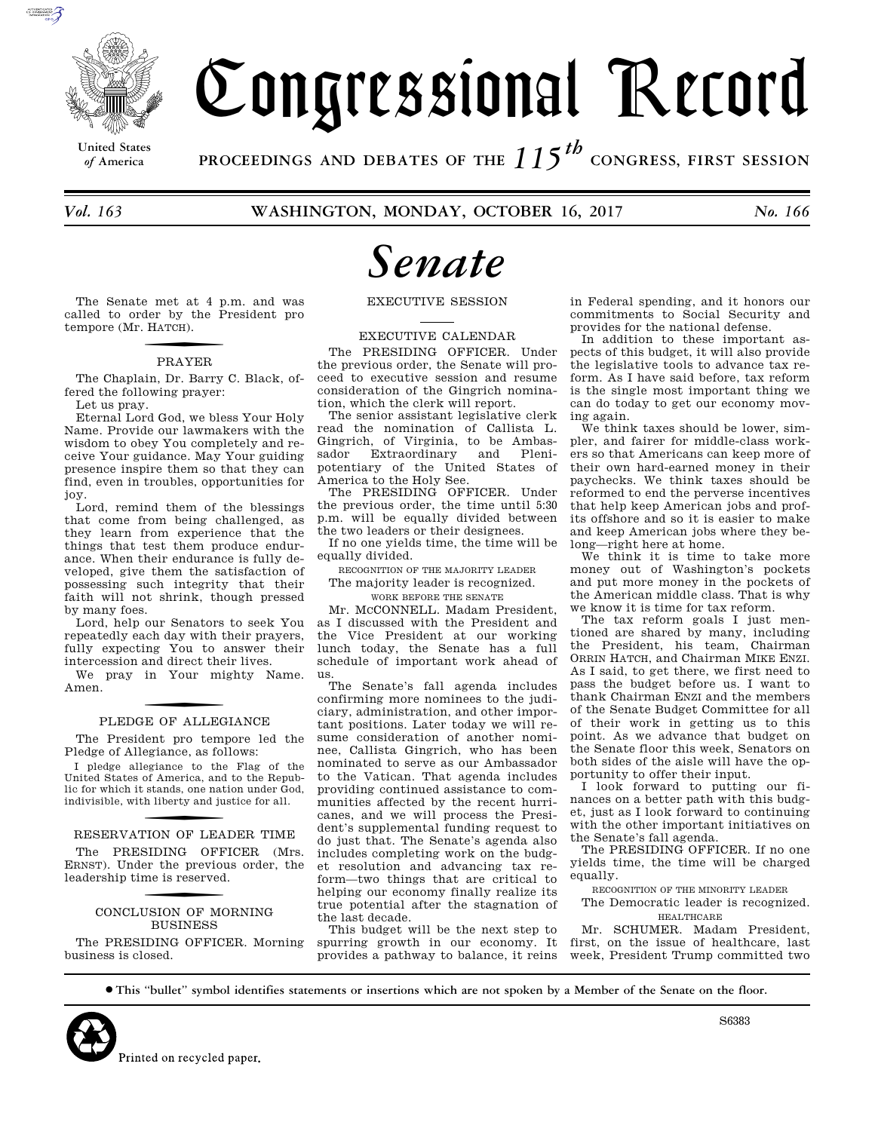

# Congressional Record

**United States**

*of* **America PROCEEDINGS AND DEBATES OF THE** *115th*  **CONGRESS, FIRST SESSION**

*Vol. 163* **WASHINGTON, MONDAY, OCTOBER 16, 2017** *No. 166* 

# *Senate*

The Senate met at 4 p.m. and was called to order by the President pro tempore (Mr. H ATCH).

# f PRAYER

The Chaplain, Dr. Barry C. Black, offered the following prayer:

Let us pray. Eternal Lord God, we bless Your Holy

Name. Provide our lawmakers with the wisdom to obey You completely and receive Your guidance. May Your guiding presence inspire them so that they can find, even in troubles, opportunities for joy.

Lord, remind them of the blessings that come from being challenged, as they learn from experience that the things that test them produce endurance. When their endurance is fully developed, give them the satisfaction of possessing such integrity that their faith will not shrink, though pressed by many foes.

Lord, help our Senators to seek You repeatedly each day with their prayers, fully expecting You to answer their intercession and direct their lives.

We pray in Your mighty Name. Amen.

# PLEDGE OF ALLEGIANCE

The President pro tempore led the Pledge of Allegiance, as follows:

I pledge allegiance to the Flag of the United States of America, and to the Republic for which it stands, one nation under God, indivisible, with liberty and justice for all.

# RESERVATION OF LEADER TIME

The PRESIDING OFFICER (Mrs. ERNST). Under the previous order, the leadership time is reserved.

### CONCLUSION OF MORNING **BUSINESS**

The PRESIDING OFFICER. Morning business is closed.

EXECUTIVE SESSION

EXECUTIVE CALENDAR

The PRESIDING OFFICER. Under the previous order, the Senate will proceed to executive session and resume consideration of the Gingrich nomination, which the clerk will report.

The senior assistant legislative clerk read the nomination of Callista L. Gingrich, of Virginia, to be Ambas-<br>sador Extraordinary and Plenisador Extraordinary and Plenipotentiary of the United States of America to the Holy See.

The PRESIDING OFFICER. Under the previous order, the time until 5:30 p.m. will be equally divided between the two leaders or their designees.

If no one yields time, the time will be equally divided.

RECOGNITION OF THE MAJORITY LEADER The majority leader is recognized.

WORK BEFORE THE SENATE

Mr. MCCONNELL. Madam President,

as I discussed with the President and the Vice President at our working lunch today, the Senate has a full schedule of important work ahead of us.

The Senate's fall agenda includes confirming more nominees to the judiciary, administration, and other important positions. Later today we will resume consideration of another nominee, Callista Gingrich, who has been nominated to serve as our Ambassador to the Vatican. That agenda includes providing continued assistance to communities affected by the recent hurricanes, and we will process the President's supplemental funding request to do just that. The Senate's agenda also includes completing work on the budget resolution and advancing tax reform—two things that are critical to helping our economy finally realize its true potential after the stagnation of the last decade.

This budget will be the next step to spurring growth in our economy. It provides a pathway to balance, it reins in Federal spending, and it honors our commitments to Social Security and provides for the national defense.

In addition to these important aspects of this budget, it will also provide the legislative tools to advance tax reform. As I have said before, tax reform is the single most important thing we can do today to get our economy moving again.

We think taxes should be lower, simpler, and fairer for middle-class workers so that Americans can keep more of their own hard-earned money in their paychecks. We think taxes should be reformed to end the perverse incentives that help keep American jobs and profits offshore and so it is easier to make and keep American jobs where they belong—right here at home.

We think it is time to take more money out of Washington's pockets and put more money in the pockets of the American middle class. That is why we know it is time for tax reform.

The tax reform goals I just mentioned are shared by many, including the President, his team, Chairman ORRIN HATCH, and Chairman MIKE ENZI. As I said, to get there, we first need to pass the budget before us. I want to thank Chairman ENZI and the members of the Senate Budget Committee for all of their work in getting us to this point. As we advance that budget on the Senate floor this week, Senators on both sides of the aisle will have the opportunity to offer their input.

I look forward to putting our finances on a better path with this budget, just as I look forward to continuing with the other important initiatives on the Senate's fall agenda.

The PRESIDING OFFICER. If no one yields time, the time will be charged equally.

RECOGNITION OF THE MINORITY LEADER

The Democratic leader is recognized. HEALTHCARE

Mr. SCHUMER. Madam President, first, on the issue of healthcare, last week, President Trump committed two

∑ **This ''bullet'' symbol identifies statements or insertions which are not spoken by a Member of the Senate on the floor.**



S6383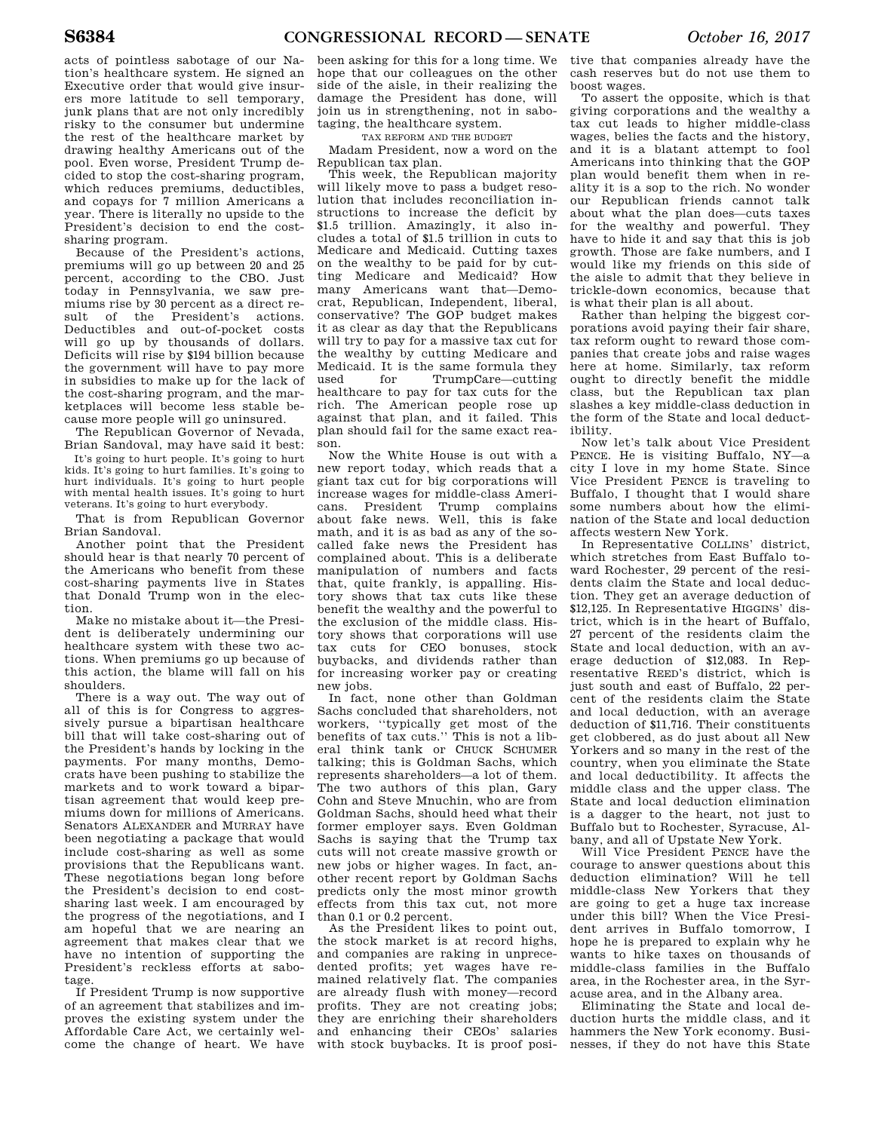acts of pointless sabotage of our Nation's healthcare system. He signed an Executive order that would give insurers more latitude to sell temporary, junk plans that are not only incredibly risky to the consumer but undermine the rest of the healthcare market by drawing healthy Americans out of the pool. Even worse, President Trump decided to stop the cost-sharing program, which reduces premiums, deductibles, and copays for 7 million Americans a year. There is literally no upside to the President's decision to end the costsharing program.

Because of the President's actions, premiums will go up between 20 and 25 percent, according to the CBO. Just today in Pennsylvania, we saw premiums rise by 30 percent as a direct result of the President's actions. Deductibles and out-of-pocket costs will go up by thousands of dollars. Deficits will rise by \$194 billion because the government will have to pay more in subsidies to make up for the lack of the cost-sharing program, and the marketplaces will become less stable because more people will go uninsured.

The Republican Governor of Nevada, Brian Sandoval, may have said it best:

It's going to hurt people. It's going to hurt kids. It's going to hurt families. It's going to hurt individuals. It's going to hurt people with mental health issues. It's going to hurt veterans. It's going to hurt everybody.

That is from Republican Governor Brian Sandoval.

Another point that the President should hear is that nearly 70 percent of the Americans who benefit from these cost-sharing payments live in States that Donald Trump won in the election.

Make no mistake about it—the President is deliberately undermining our healthcare system with these two actions. When premiums go up because of this action, the blame will fall on his shoulders.

There is a way out. The way out of all of this is for Congress to aggressively pursue a bipartisan healthcare bill that will take cost-sharing out of the President's hands by locking in the payments. For many months, Democrats have been pushing to stabilize the markets and to work toward a bipartisan agreement that would keep premiums down for millions of Americans. Senators ALEXANDER and MURRAY have been negotiating a package that would include cost-sharing as well as some provisions that the Republicans want. These negotiations began long before the President's decision to end costsharing last week. I am encouraged by the progress of the negotiations, and I am hopeful that we are nearing an agreement that makes clear that we have no intention of supporting the President's reckless efforts at sabotage.

If President Trump is now supportive of an agreement that stabilizes and improves the existing system under the Affordable Care Act, we certainly welcome the change of heart. We have

been asking for this for a long time. We hope that our colleagues on the other side of the aisle, in their realizing the damage the President has done, will join us in strengthening, not in sabotaging, the healthcare system.

TAX REFORM AND THE BUDGET

Madam President, now a word on the Republican tax plan.

This week, the Republican majority will likely move to pass a budget resolution that includes reconciliation instructions to increase the deficit by \$1.5 trillion. Amazingly, it also includes a total of \$1.5 trillion in cuts to Medicare and Medicaid. Cutting taxes on the wealthy to be paid for by cutting Medicare and Medicaid? How many Americans want that—Democrat, Republican, Independent, liberal, conservative? The GOP budget makes it as clear as day that the Republicans will try to pay for a massive tax cut for the wealthy by cutting Medicare and Medicaid. It is the same formula they used for TrumpCare—cutting healthcare to pay for tax cuts for the rich. The American people rose up against that plan, and it failed. This plan should fail for the same exact reason.

Now the White House is out with a new report today, which reads that a giant tax cut for big corporations will increase wages for middle-class Americans. President Trump complains about fake news. Well, this is fake math, and it is as bad as any of the socalled fake news the President has complained about. This is a deliberate manipulation of numbers and facts that, quite frankly, is appalling. History shows that tax cuts like these benefit the wealthy and the powerful to the exclusion of the middle class. History shows that corporations will use tax cuts for CEO bonuses, stock buybacks, and dividends rather than for increasing worker pay or creating new jobs.

In fact, none other than Goldman Sachs concluded that shareholders, not workers, ''typically get most of the benefits of tax cuts.'' This is not a liberal think tank or CHUCK SCHUMER talking; this is Goldman Sachs, which represents shareholders—a lot of them. The two authors of this plan, Gary Cohn and Steve Mnuchin, who are from Goldman Sachs, should heed what their former employer says. Even Goldman Sachs is saying that the Trump tax cuts will not create massive growth or new jobs or higher wages. In fact, another recent report by Goldman Sachs predicts only the most minor growth effects from this tax cut, not more than 0.1 or 0.2 percent.

As the President likes to point out, the stock market is at record highs, and companies are raking in unprecedented profits; yet wages have remained relatively flat. The companies are already flush with money—record profits. They are not creating jobs; they are enriching their shareholders and enhancing their CEOs' salaries with stock buybacks. It is proof posi-

tive that companies already have the cash reserves but do not use them to boost wages.

To assert the opposite, which is that giving corporations and the wealthy a tax cut leads to higher middle-class wages, belies the facts and the history, and it is a blatant attempt to fool Americans into thinking that the GOP plan would benefit them when in reality it is a sop to the rich. No wonder our Republican friends cannot talk about what the plan does—cuts taxes for the wealthy and powerful. They have to hide it and say that this is job growth. Those are fake numbers, and I would like my friends on this side of the aisle to admit that they believe in trickle-down economics, because that is what their plan is all about.

Rather than helping the biggest corporations avoid paying their fair share, tax reform ought to reward those companies that create jobs and raise wages here at home. Similarly, tax reform ought to directly benefit the middle class, but the Republican tax plan slashes a key middle-class deduction in the form of the State and local deductibility.

Now let's talk about Vice President PENCE. He is visiting Buffalo, NY—a city I love in my home State. Since Vice President PENCE is traveling to Buffalo, I thought that I would share some numbers about how the elimination of the State and local deduction affects western New York.

In Representative COLLINS' district, which stretches from East Buffalo toward Rochester, 29 percent of the residents claim the State and local deduction. They get an average deduction of \$12,125. In Representative HIGGINS' district, which is in the heart of Buffalo, 27 percent of the residents claim the State and local deduction, with an average deduction of \$12,083. In Representative REED's district, which is just south and east of Buffalo, 22 percent of the residents claim the State and local deduction, with an average deduction of \$11,716. Their constituents get clobbered, as do just about all New Yorkers and so many in the rest of the country, when you eliminate the State and local deductibility. It affects the middle class and the upper class. The State and local deduction elimination is a dagger to the heart, not just to Buffalo but to Rochester, Syracuse, Albany, and all of Upstate New York.

Will Vice President PENCE have the courage to answer questions about this deduction elimination? Will he tell middle-class New Yorkers that they are going to get a huge tax increase under this bill? When the Vice President arrives in Buffalo tomorrow, I hope he is prepared to explain why he wants to hike taxes on thousands of middle-class families in the Buffalo area, in the Rochester area, in the Syracuse area, and in the Albany area.

Eliminating the State and local deduction hurts the middle class, and it hammers the New York economy. Businesses, if they do not have this State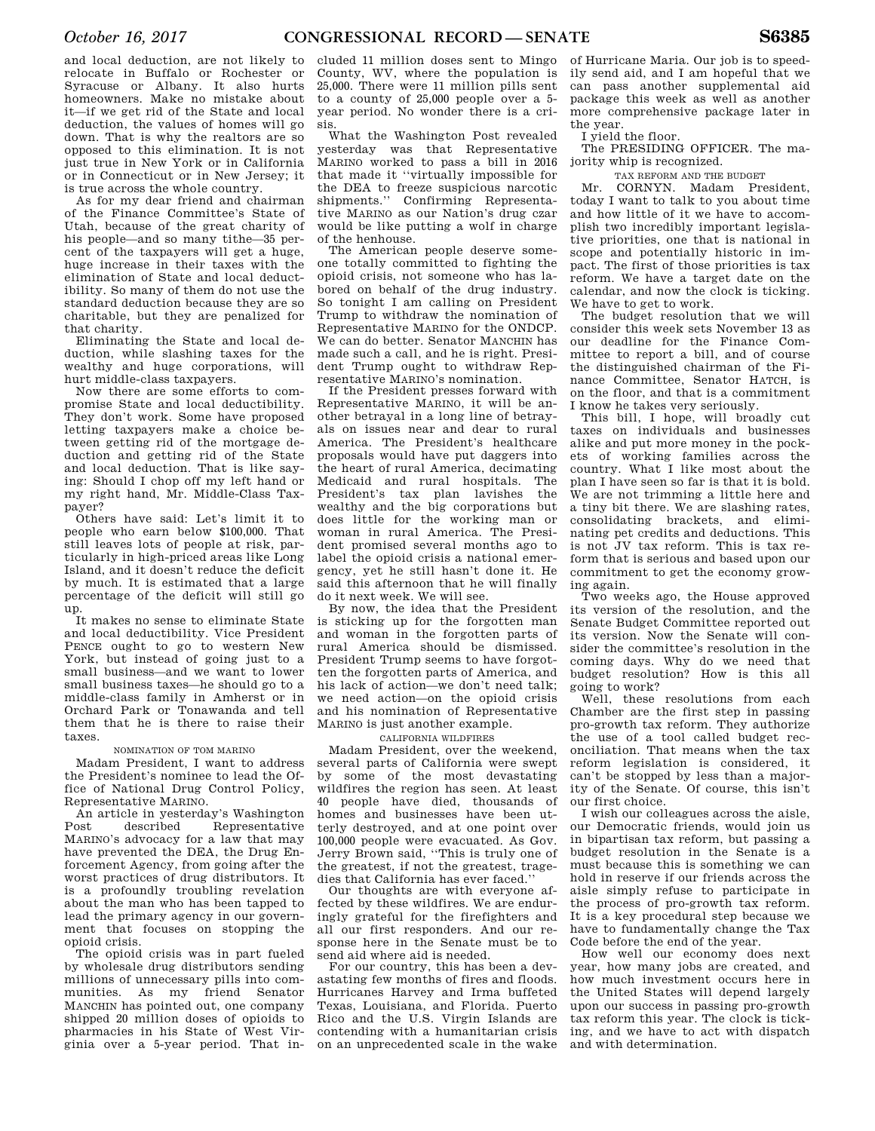and local deduction, are not likely to relocate in Buffalo or Rochester or Syracuse or Albany. It also hurts homeowners. Make no mistake about it—if we get rid of the State and local deduction, the values of homes will go down. That is why the realtors are so opposed to this elimination. It is not just true in New York or in California or in Connecticut or in New Jersey; it is true across the whole country.

As for my dear friend and chairman of the Finance Committee's State of Utah, because of the great charity of his people—and so many tithe—35 percent of the taxpayers will get a huge, huge increase in their taxes with the elimination of State and local deductibility. So many of them do not use the standard deduction because they are so charitable, but they are penalized for that charity.

Eliminating the State and local deduction, while slashing taxes for the wealthy and huge corporations, will hurt middle-class taxpayers.

Now there are some efforts to compromise State and local deductibility. They don't work. Some have proposed letting taxpayers make a choice between getting rid of the mortgage deduction and getting rid of the State and local deduction. That is like saying: Should I chop off my left hand or my right hand, Mr. Middle-Class Taxpayer?

Others have said: Let's limit it to people who earn below \$100,000. That still leaves lots of people at risk, particularly in high-priced areas like Long Island, and it doesn't reduce the deficit by much. It is estimated that a large percentage of the deficit will still go up.

It makes no sense to eliminate State and local deductibility. Vice President PENCE ought to go to western New York, but instead of going just to a small business—and we want to lower small business taxes—he should go to a middle-class family in Amherst or in Orchard Park or Tonawanda and tell them that he is there to raise their taxes.

### NOMINATION OF TOM MARINO

Madam President, I want to address the President's nominee to lead the Office of National Drug Control Policy, Representative MARINO.

An article in yesterday's Washington<br>Post described Representative described Representative MARINO's advocacy for a law that may have prevented the DEA, the Drug Enforcement Agency, from going after the worst practices of drug distributors. It is a profoundly troubling revelation about the man who has been tapped to lead the primary agency in our government that focuses on stopping the opioid crisis.

The opioid crisis was in part fueled by wholesale drug distributors sending millions of unnecessary pills into communities. As my friend Senator MANCHIN has pointed out, one company shipped 20 million doses of opioids to pharmacies in his State of West Virginia over a 5-year period. That in-

cluded 11 million doses sent to Mingo County, WV, where the population is 25,000. There were 11 million pills sent to a county of 25,000 people over a 5 year period. No wonder there is a crisis.

What the Washington Post revealed yesterday was that Representative MARINO worked to pass a bill in 2016 that made it ''virtually impossible for the DEA to freeze suspicious narcotic shipments.'' Confirming Representative MARINO as our Nation's drug czar would be like putting a wolf in charge of the henhouse.

The American people deserve someone totally committed to fighting the opioid crisis, not someone who has labored on behalf of the drug industry. So tonight I am calling on President Trump to withdraw the nomination of Representative MARINO for the ONDCP. We can do better. Senator MANCHIN has made such a call, and he is right. President Trump ought to withdraw Representative MARINO's nomination.

If the President presses forward with Representative MARINO, it will be another betrayal in a long line of betrayals on issues near and dear to rural America. The President's healthcare proposals would have put daggers into the heart of rural America, decimating Medicaid and rural hospitals. The President's tax plan lavishes the wealthy and the big corporations but does little for the working man or woman in rural America. The President promised several months ago to label the opioid crisis a national emergency, yet he still hasn't done it. He said this afternoon that he will finally do it next week. We will see.

By now, the idea that the President is sticking up for the forgotten man and woman in the forgotten parts of rural America should be dismissed. President Trump seems to have forgotten the forgotten parts of America, and his lack of action—we don't need talk; we need action—on the opioid crisis and his nomination of Representative MARINO is just another example.

### CALIFORNIA WILDFIRES

Madam President, over the weekend, several parts of California were swept by some of the most devastating wildfires the region has seen. At least 40 people have died, thousands of homes and businesses have been utterly destroyed, and at one point over 100,000 people were evacuated. As Gov. Jerry Brown said, ''This is truly one of the greatest, if not the greatest, tragedies that California has ever faced.''

Our thoughts are with everyone affected by these wildfires. We are enduringly grateful for the firefighters and all our first responders. And our response here in the Senate must be to send aid where aid is needed.

For our country, this has been a devastating few months of fires and floods. Hurricanes Harvey and Irma buffeted Texas, Louisiana, and Florida. Puerto Rico and the U.S. Virgin Islands are contending with a humanitarian crisis on an unprecedented scale in the wake

of Hurricane Maria. Our job is to speedily send aid, and I am hopeful that we can pass another supplemental aid package this week as well as another more comprehensive package later in the year.

I yield the floor.

The PRESIDING OFFICER. The majority whip is recognized.

### TAX REFORM AND THE BUDGET

Mr. CORNYN. Madam President, today I want to talk to you about time and how little of it we have to accomplish two incredibly important legislative priorities, one that is national in scope and potentially historic in impact. The first of those priorities is tax reform. We have a target date on the calendar, and now the clock is ticking. We have to get to work.

The budget resolution that we will consider this week sets November 13 as our deadline for the Finance Committee to report a bill, and of course the distinguished chairman of the Finance Committee, Senator HATCH, is on the floor, and that is a commitment I know he takes very seriously.

This bill, I hope, will broadly cut taxes on individuals and businesses alike and put more money in the pockets of working families across the country. What I like most about the plan I have seen so far is that it is bold. We are not trimming a little here and a tiny bit there. We are slashing rates, consolidating brackets, and eliminating pet credits and deductions. This is not JV tax reform. This is tax reform that is serious and based upon our commitment to get the economy growing again.

Two weeks ago, the House approved its version of the resolution, and the Senate Budget Committee reported out its version. Now the Senate will consider the committee's resolution in the coming days. Why do we need that budget resolution? How is this all going to work?

Well, these resolutions from each Chamber are the first step in passing pro-growth tax reform. They authorize the use of a tool called budget reconciliation. That means when the tax reform legislation is considered, it can't be stopped by less than a majority of the Senate. Of course, this isn't our first choice.

I wish our colleagues across the aisle, our Democratic friends, would join us in bipartisan tax reform, but passing a budget resolution in the Senate is a must because this is something we can hold in reserve if our friends across the aisle simply refuse to participate in the process of pro-growth tax reform. It is a key procedural step because we have to fundamentally change the Tax Code before the end of the year.

How well our economy does next year, how many jobs are created, and how much investment occurs here in the United States will depend largely upon our success in passing pro-growth tax reform this year. The clock is ticking, and we have to act with dispatch and with determination.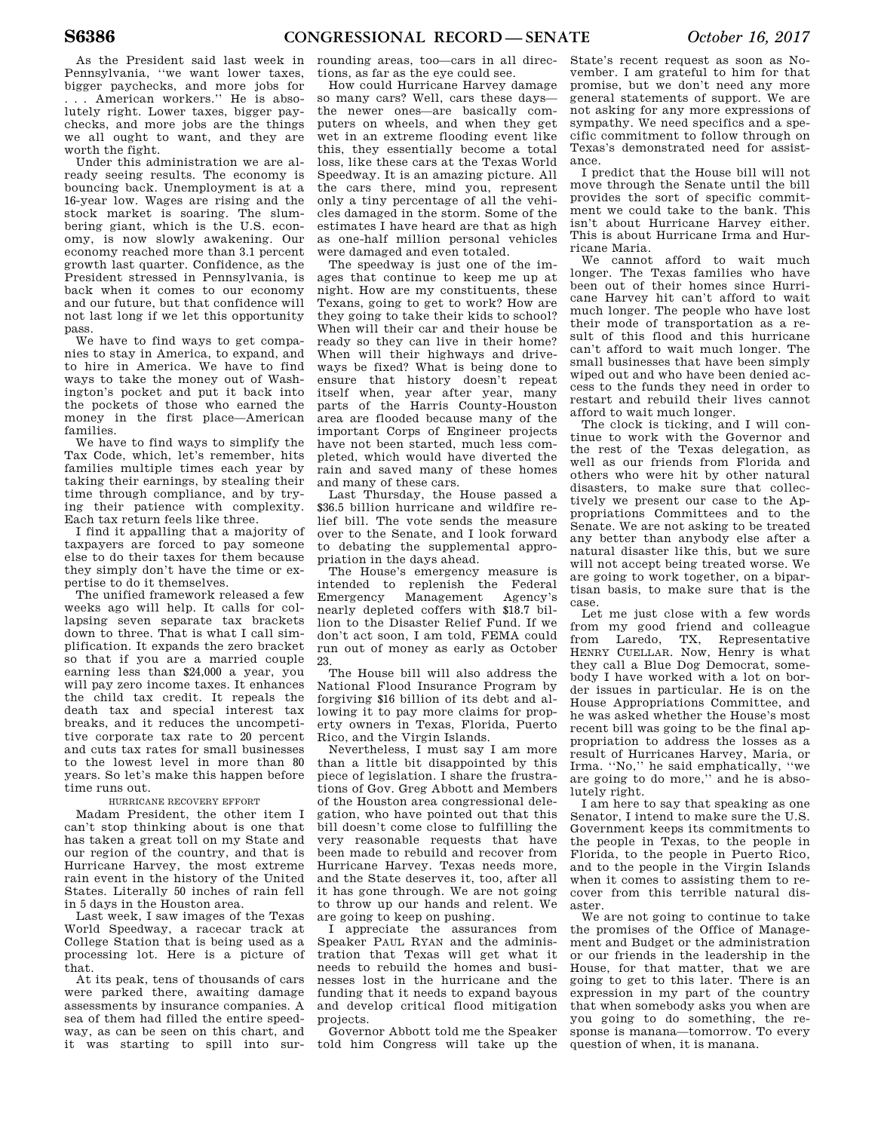As the President said last week in Pennsylvania, ''we want lower taxes, bigger paychecks, and more jobs for . . . American workers.'' He is absolutely right. Lower taxes, bigger paychecks, and more jobs are the things we all ought to want, and they are worth the fight.

Under this administration we are already seeing results. The economy is bouncing back. Unemployment is at a 16-year low. Wages are rising and the stock market is soaring. The slumbering giant, which is the U.S. economy, is now slowly awakening. Our economy reached more than 3.1 percent growth last quarter. Confidence, as the President stressed in Pennsylvania, is back when it comes to our economy and our future, but that confidence will not last long if we let this opportunity pass.

We have to find ways to get companies to stay in America, to expand, and to hire in America. We have to find ways to take the money out of Washington's pocket and put it back into the pockets of those who earned the money in the first place—American families.

We have to find ways to simplify the Tax Code, which, let's remember, hits families multiple times each year by taking their earnings, by stealing their time through compliance, and by trying their patience with complexity. Each tax return feels like three.

I find it appalling that a majority of taxpayers are forced to pay someone else to do their taxes for them because they simply don't have the time or expertise to do it themselves.

The unified framework released a few weeks ago will help. It calls for collapsing seven separate tax brackets down to three. That is what I call simplification. It expands the zero bracket so that if you are a married couple earning less than \$24,000 a year, you will pay zero income taxes. It enhances the child tax credit. It repeals the death tax and special interest tax breaks, and it reduces the uncompetitive corporate tax rate to 20 percent and cuts tax rates for small businesses to the lowest level in more than 80 years. So let's make this happen before time runs out.

### HURRICANE RECOVERY EFFORT

Madam President, the other item I can't stop thinking about is one that has taken a great toll on my State and our region of the country, and that is Hurricane Harvey, the most extreme rain event in the history of the United States. Literally 50 inches of rain fell in 5 days in the Houston area.

Last week, I saw images of the Texas World Speedway, a racecar track at College Station that is being used as a processing lot. Here is a picture of that.

At its peak, tens of thousands of cars were parked there, awaiting damage assessments by insurance companies. A sea of them had filled the entire speedway, as can be seen on this chart, and it was starting to spill into sur-

rounding areas, too—cars in all directions, as far as the eye could see.

How could Hurricane Harvey damage so many cars? Well, cars these days the newer ones—are basically computers on wheels, and when they get wet in an extreme flooding event like this, they essentially become a total loss, like these cars at the Texas World Speedway. It is an amazing picture. All the cars there, mind you, represent only a tiny percentage of all the vehicles damaged in the storm. Some of the estimates I have heard are that as high as one-half million personal vehicles were damaged and even totaled.

The speedway is just one of the images that continue to keep me up at night. How are my constituents, these Texans, going to get to work? How are they going to take their kids to school? When will their car and their house be ready so they can live in their home? When will their highways and driveways be fixed? What is being done to ensure that history doesn't repeat itself when, year after year, many parts of the Harris County-Houston area are flooded because many of the important Corps of Engineer projects have not been started, much less completed, which would have diverted the rain and saved many of these homes and many of these cars.

Last Thursday, the House passed a \$36.5 billion hurricane and wildfire relief bill. The vote sends the measure over to the Senate, and I look forward to debating the supplemental appropriation in the days ahead.

The House's emergency measure is intended to replenish the Federal Management Agency's nearly depleted coffers with \$18.7 billion to the Disaster Relief Fund. If we don't act soon, I am told, FEMA could run out of money as early as October 23.

The House bill will also address the National Flood Insurance Program by forgiving \$16 billion of its debt and allowing it to pay more claims for property owners in Texas, Florida, Puerto Rico, and the Virgin Islands.

Nevertheless, I must say I am more than a little bit disappointed by this piece of legislation. I share the frustrations of Gov. Greg Abbott and Members of the Houston area congressional delegation, who have pointed out that this bill doesn't come close to fulfilling the very reasonable requests that have been made to rebuild and recover from Hurricane Harvey. Texas needs more, and the State deserves it, too, after all it has gone through. We are not going to throw up our hands and relent. We are going to keep on pushing.

I appreciate the assurances from Speaker PAUL RYAN and the administration that Texas will get what it needs to rebuild the homes and businesses lost in the hurricane and the funding that it needs to expand bayous and develop critical flood mitigation projects.

Governor Abbott told me the Speaker told him Congress will take up the

State's recent request as soon as November. I am grateful to him for that promise, but we don't need any more general statements of support. We are not asking for any more expressions of sympathy. We need specifics and a specific commitment to follow through on Texas's demonstrated need for assistance.

I predict that the House bill will not move through the Senate until the bill provides the sort of specific commitment we could take to the bank. This isn't about Hurricane Harvey either. This is about Hurricane Irma and Hurricane Maria.

We cannot afford to wait much longer. The Texas families who have been out of their homes since Hurricane Harvey hit can't afford to wait much longer. The people who have lost their mode of transportation as a result of this flood and this hurricane can't afford to wait much longer. The small businesses that have been simply wiped out and who have been denied access to the funds they need in order to restart and rebuild their lives cannot afford to wait much longer.

The clock is ticking, and I will continue to work with the Governor and the rest of the Texas delegation, as well as our friends from Florida and others who were hit by other natural disasters, to make sure that collectively we present our case to the Appropriations Committees and to the Senate. We are not asking to be treated any better than anybody else after a natural disaster like this, but we sure will not accept being treated worse. We are going to work together, on a bipartisan basis, to make sure that is the case.

Let me just close with a few words from my good friend and colleague from Laredo, TX, Representative HENRY CUELLAR. Now, Henry is what they call a Blue Dog Democrat, somebody I have worked with a lot on border issues in particular. He is on the House Appropriations Committee, and he was asked whether the House's most recent bill was going to be the final appropriation to address the losses as a result of Hurricanes Harvey, Maria, or<br>Irma "No" he said emphatically, "we Irma. "No," he said emphatically, are going to do more,'' and he is absolutely right.

I am here to say that speaking as one Senator, I intend to make sure the U.S. Government keeps its commitments to the people in Texas, to the people in Florida, to the people in Puerto Rico, and to the people in the Virgin Islands when it comes to assisting them to recover from this terrible natural disaster.

We are not going to continue to take the promises of the Office of Management and Budget or the administration or our friends in the leadership in the House, for that matter, that we are going to get to this later. There is an expression in my part of the country that when somebody asks you when are you going to do something, the response is manana—tomorrow. To every question of when, it is manana.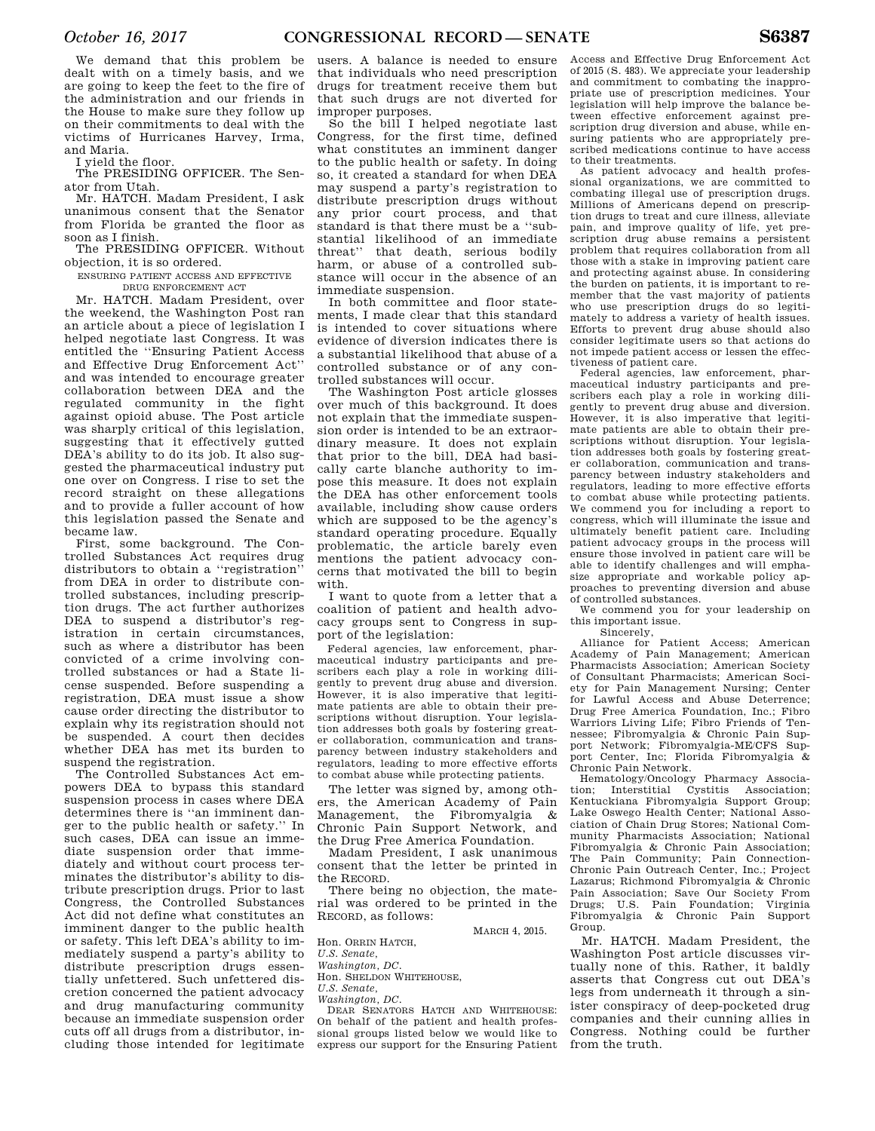We demand that this problem be dealt with on a timely basis, and we are going to keep the feet to the fire of the administration and our friends in the House to make sure they follow up on their commitments to deal with the victims of Hurricanes Harvey, Irma, and Maria.

I yield the floor.

The PRESIDING OFFICER. The Senator from Utah.

Mr. HATCH. Madam President, I ask unanimous consent that the Senator from Florida be granted the floor as soon as I finish.

The PRESIDING OFFICER. Without objection, it is so ordered.

ENSURING PATIENT ACCESS AND EFFECTIVE

DRUG ENFORCEMENT ACT

Mr. HATCH. Madam President, over the weekend, the Washington Post ran an article about a piece of legislation I helped negotiate last Congress. It was entitled the ''Ensuring Patient Access and Effective Drug Enforcement Act'' and was intended to encourage greater collaboration between DEA and the regulated community in the fight against opioid abuse. The Post article was sharply critical of this legislation, suggesting that it effectively gutted DEA's ability to do its job. It also suggested the pharmaceutical industry put one over on Congress. I rise to set the record straight on these allegations and to provide a fuller account of how this legislation passed the Senate and became law.

First, some background. The Controlled Substances Act requires drug distributors to obtain a ''registration'' from DEA in order to distribute controlled substances, including prescription drugs. The act further authorizes DEA to suspend a distributor's registration in certain circumstances, such as where a distributor has been convicted of a crime involving controlled substances or had a State license suspended. Before suspending a registration, DEA must issue a show cause order directing the distributor to explain why its registration should not be suspended. A court then decides whether DEA has met its burden to suspend the registration.

The Controlled Substances Act empowers DEA to bypass this standard suspension process in cases where DEA determines there is ''an imminent danger to the public health or safety.'' In such cases, DEA can issue an immediate suspension order that immediately and without court process terminates the distributor's ability to distribute prescription drugs. Prior to last Congress, the Controlled Substances Act did not define what constitutes an imminent danger to the public health or safety. This left DEA's ability to immediately suspend a party's ability to distribute prescription drugs essentially unfettered. Such unfettered discretion concerned the patient advocacy and drug manufacturing community because an immediate suspension order cuts off all drugs from a distributor, including those intended for legitimate

users. A balance is needed to ensure that individuals who need prescription drugs for treatment receive them but that such drugs are not diverted for improper purposes.

So the bill I helped negotiate last Congress, for the first time, defined what constitutes an imminent danger to the public health or safety. In doing so, it created a standard for when DEA may suspend a party's registration to distribute prescription drugs without any prior court process, and that standard is that there must be a ''substantial likelihood of an immediate threat'' that death, serious bodily harm, or abuse of a controlled substance will occur in the absence of an immediate suspension.

In both committee and floor statements, I made clear that this standard is intended to cover situations where evidence of diversion indicates there is a substantial likelihood that abuse of a controlled substance or of any controlled substances will occur.

The Washington Post article glosses over much of this background. It does not explain that the immediate suspension order is intended to be an extraordinary measure. It does not explain that prior to the bill, DEA had basically carte blanche authority to impose this measure. It does not explain the DEA has other enforcement tools available, including show cause orders which are supposed to be the agency's standard operating procedure. Equally problematic, the article barely even mentions the patient advocacy concerns that motivated the bill to begin with.

I want to quote from a letter that a coalition of patient and health advocacy groups sent to Congress in support of the legislation:

Federal agencies, law enforcement, pharmaceutical industry participants and prescribers each play a role in working diligently to prevent drug abuse and diversion. However, it is also imperative that legitimate patients are able to obtain their prescriptions without disruption. Your legislation addresses both goals by fostering greater collaboration, communication and transparency between industry stakeholders and regulators, leading to more effective efforts to combat abuse while protecting patients.

The letter was signed by, among others, the American Academy of Pain Management, the Fibromyalgia & Chronic Pain Support Network, and the Drug Free America Foundation.

Madam President, I ask unanimous consent that the letter be printed in the RECORD.

There being no objection, the material was ordered to be printed in the RECORD, as follows:

MARCH 4, 2015.

Mr. HATCH. Madam President, the Washington Post article discusses virtually none of this. Rather, it baldly asserts that Congress cut out DEA's legs from underneath it through a sinister conspiracy of deep-pocketed drug companies and their cunning allies in Congress. Nothing could be further from the truth.

of 2015 (S. 483). We appreciate your leadership and commitment to combating the inappropriate use of prescription medicines. Your legislation will help improve the balance between effective enforcement against prescription drug diversion and abuse, while ensuring patients who are appropriately prescribed medications continue to have access to their treatments.

Access and Effective Drug Enforcement Act

As patient advocacy and health professional organizations, we are committed to combating illegal use of prescription drugs. Millions of Americans depend on prescription drugs to treat and cure illness, alleviate pain, and improve quality of life, yet prescription drug abuse remains a persistent problem that requires collaboration from all those with a stake in improving patient care and protecting against abuse. In considering the burden on patients, it is important to remember that the vast majority of patients who use prescription drugs do so legitimately to address a variety of health issues. Efforts to prevent drug abuse should also consider legitimate users so that actions do not impede patient access or lessen the effectiveness of patient care.

Federal agencies, law enforcement, pharmaceutical industry participants and prescribers each play a role in working diligently to prevent drug abuse and diversion. However, it is also imperative that legitimate patients are able to obtain their prescriptions without disruption. Your legislation addresses both goals by fostering greater collaboration, communication and transparency between industry stakeholders and regulators, leading to more effective efforts to combat abuse while protecting patients. We commend you for including a report to congress, which will illuminate the issue and ultimately benefit patient care. Including patient advocacy groups in the process will ensure those involved in patient care will be able to identify challenges and will emphasize appropriate and workable policy approaches to preventing diversion and abuse of controlled substances.

We commend you for your leadership on this important issue.

Sincerely, Alliance for Patient Access; American Academy of Pain Management; American Pharmacists Association; American Society of Consultant Pharmacists; American Society for Pain Management Nursing; Center for Lawful Access and Abuse Deterrence; Drug Free America Foundation, Inc.; Fibro Warriors Living Life; Fibro Friends of Tennessee; Fibromyalgia & Chronic Pain Support Network; Fibromyalgia-ME/CFS Support Center, Inc; Florida Fibromyalgia & Chronic Pain Network.

Hematology/Oncology Pharmacy Associa-<br>tion: Interstitial Cystitis Association: Interstitial Cystitis Association: Kentuckiana Fibromyalgia Support Group; Lake Oswego Health Center; National Association of Chain Drug Stores; National Community Pharmacists Association; National Fibromyalgia & Chronic Pain Association; The Pain Community; Pain Connection-Chronic Pain Outreach Center, Inc.; Project Lazarus; Richmond Fibromyalgia & Chronic Pain Association; Save Our Society From Drugs; U.S. Pain Foundation; Virginia Fibromyalgia & Chronic Pain Support Group.

Hon. ORRIN HATCH,

*U.S. Senate,* 

*Washington, DC.*  Hon. SHELDON WHITEHOUSE,

*U.S. Senate,* 

*Washington, DC.* 

DEAR SENATORS HATCH AND WHITEHOUSE: On behalf of the patient and health professional groups listed below we would like to express our support for the Ensuring Patient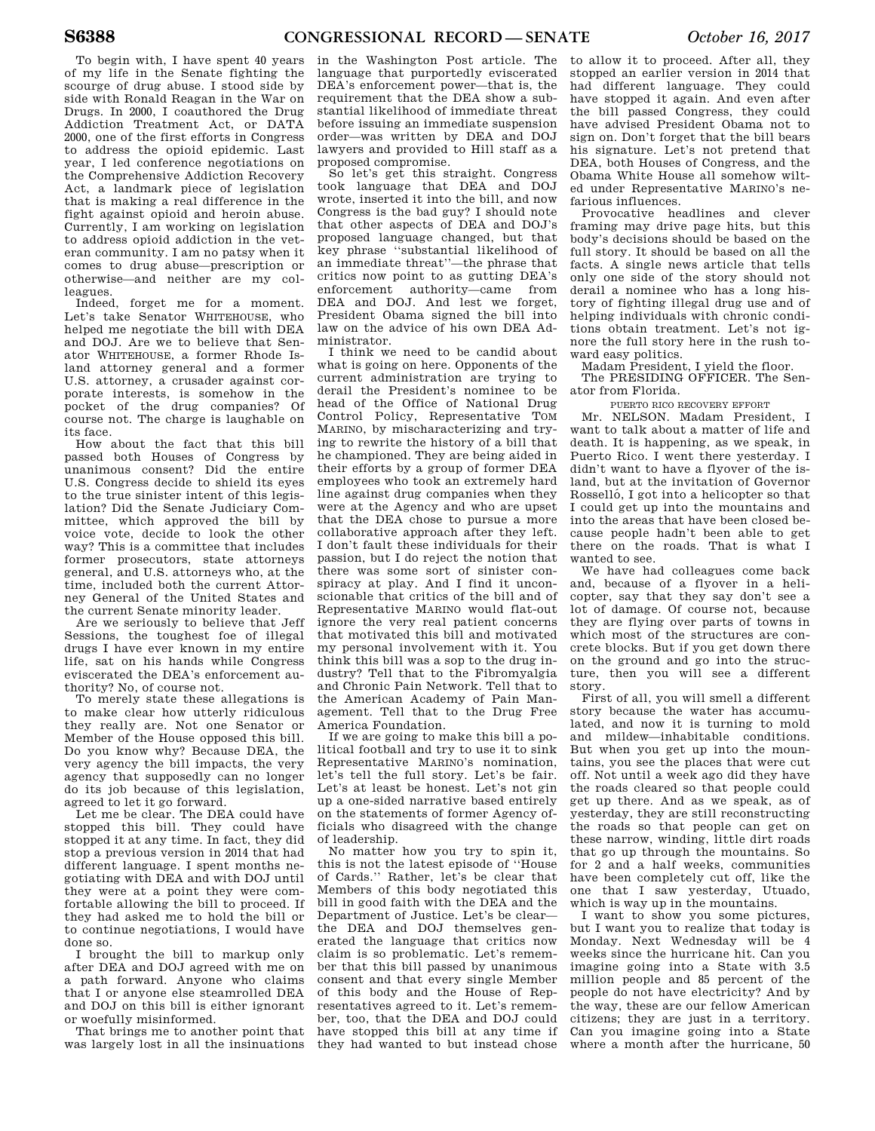To begin with, I have spent 40 years of my life in the Senate fighting the scourge of drug abuse. I stood side by side with Ronald Reagan in the War on Drugs. In 2000, I coauthored the Drug Addiction Treatment Act, or DATA 2000, one of the first efforts in Congress to address the opioid epidemic. Last year, I led conference negotiations on the Comprehensive Addiction Recovery Act, a landmark piece of legislation that is making a real difference in the fight against opioid and heroin abuse. Currently, I am working on legislation to address opioid addiction in the veteran community. I am no patsy when it comes to drug abuse—prescription or otherwise—and neither are my colleagues.

Indeed, forget me for a moment. Let's take Senator WHITEHOUSE, who helped me negotiate the bill with DEA and DOJ. Are we to believe that Senator WHITEHOUSE, a former Rhode Island attorney general and a former U.S. attorney, a crusader against corporate interests, is somehow in the pocket of the drug companies? Of course not. The charge is laughable on its face.

How about the fact that this bill passed both Houses of Congress by unanimous consent? Did the entire U.S. Congress decide to shield its eyes to the true sinister intent of this legislation? Did the Senate Judiciary Committee, which approved the bill by voice vote, decide to look the other way? This is a committee that includes former prosecutors, state attorneys general, and U.S. attorneys who, at the time, included both the current Attorney General of the United States and the current Senate minority leader.

Are we seriously to believe that Jeff Sessions, the toughest foe of illegal drugs I have ever known in my entire life, sat on his hands while Congress eviscerated the DEA's enforcement authority? No, of course not.

To merely state these allegations is to make clear how utterly ridiculous they really are. Not one Senator or Member of the House opposed this bill. Do you know why? Because DEA, the very agency the bill impacts, the very agency that supposedly can no longer do its job because of this legislation, agreed to let it go forward.

Let me be clear. The DEA could have stopped this bill. They could have stopped it at any time. In fact, they did stop a previous version in 2014 that had different language. I spent months negotiating with DEA and with DOJ until they were at a point they were comfortable allowing the bill to proceed. If they had asked me to hold the bill or to continue negotiations, I would have done so.

I brought the bill to markup only after DEA and DOJ agreed with me on a path forward. Anyone who claims that I or anyone else steamrolled DEA and DOJ on this bill is either ignorant or woefully misinformed.

That brings me to another point that was largely lost in all the insinuations

in the Washington Post article. The language that purportedly eviscerated DEA's enforcement power—that is, the requirement that the DEA show a substantial likelihood of immediate threat before issuing an immediate suspension order—was written by DEA and DOJ lawyers and provided to Hill staff as a proposed compromise.

So let's get this straight. Congress took language that DEA and DOJ wrote, inserted it into the bill, and now Congress is the bad guy? I should note that other aspects of DEA and DOJ's proposed language changed, but that key phrase ''substantial likelihood of an immediate threat''—the phrase that critics now point to as gutting DEA's enforcement authority—came from DEA and DOJ. And lest we forget, President Obama signed the bill into law on the advice of his own DEA Administrator.

I think we need to be candid about what is going on here. Opponents of the current administration are trying to derail the President's nominee to be head of the Office of National Drug Control Policy, Representative TOM MARINO, by mischaracterizing and trying to rewrite the history of a bill that he championed. They are being aided in their efforts by a group of former DEA employees who took an extremely hard line against drug companies when they were at the Agency and who are upset that the DEA chose to pursue a more collaborative approach after they left. I don't fault these individuals for their passion, but I do reject the notion that there was some sort of sinister conspiracy at play. And I find it unconscionable that critics of the bill and of Representative MARINO would flat-out ignore the very real patient concerns that motivated this bill and motivated my personal involvement with it. You think this bill was a sop to the drug industry? Tell that to the Fibromyalgia and Chronic Pain Network. Tell that to the American Academy of Pain Management. Tell that to the Drug Free America Foundation.

If we are going to make this bill a political football and try to use it to sink Representative MARINO's nomination, let's tell the full story. Let's be fair. Let's at least be honest. Let's not gin up a one-sided narrative based entirely on the statements of former Agency officials who disagreed with the change of leadership.

No matter how you try to spin it, this is not the latest episode of ''House of Cards.'' Rather, let's be clear that Members of this body negotiated this bill in good faith with the DEA and the Department of Justice. Let's be clear the DEA and DOJ themselves generated the language that critics now claim is so problematic. Let's remember that this bill passed by unanimous consent and that every single Member of this body and the House of Representatives agreed to it. Let's remember, too, that the DEA and DOJ could have stopped this bill at any time if they had wanted to but instead chose

to allow it to proceed. After all, they stopped an earlier version in 2014 that had different language. They could have stopped it again. And even after the bill passed Congress, they could have advised President Obama not to sign on. Don't forget that the bill bears his signature. Let's not pretend that DEA, both Houses of Congress, and the Obama White House all somehow wilted under Representative MARINO's nefarious influences.

Provocative headlines and clever framing may drive page hits, but this body's decisions should be based on the full story. It should be based on all the facts. A single news article that tells only one side of the story should not derail a nominee who has a long history of fighting illegal drug use and of helping individuals with chronic conditions obtain treatment. Let's not ignore the full story here in the rush toward easy politics.

Madam President, I yield the floor.

The PRESIDING OFFICER. The Senator from Florida.

PUERTO RICO RECOVERY EFFORT

Mr. NELSON. Madam President, I want to talk about a matter of life and death. It is happening, as we speak, in Puerto Rico. I went there yesterday. I didn't want to have a flyover of the island, but at the invitation of Governor Rosselló, I got into a helicopter so that I could get up into the mountains and into the areas that have been closed because people hadn't been able to get there on the roads. That is what I wanted to see.

We have had colleagues come back and, because of a flyover in a helicopter, say that they say don't see a lot of damage. Of course not, because they are flying over parts of towns in which most of the structures are concrete blocks. But if you get down there on the ground and go into the structure, then you will see a different story.

First of all, you will smell a different story because the water has accumulated, and now it is turning to mold and mildew—inhabitable conditions. But when you get up into the mountains, you see the places that were cut off. Not until a week ago did they have the roads cleared so that people could get up there. And as we speak, as of yesterday, they are still reconstructing the roads so that people can get on these narrow, winding, little dirt roads that go up through the mountains. So for 2 and a half weeks, communities have been completely cut off, like the one that I saw yesterday, Utuado, which is way up in the mountains.

I want to show you some pictures, but I want you to realize that today is Monday. Next Wednesday will be 4 weeks since the hurricane hit. Can you imagine going into a State with 3.5 million people and 85 percent of the people do not have electricity? And by the way, these are our fellow American citizens; they are just in a territory. Can you imagine going into a State where a month after the hurricane, 50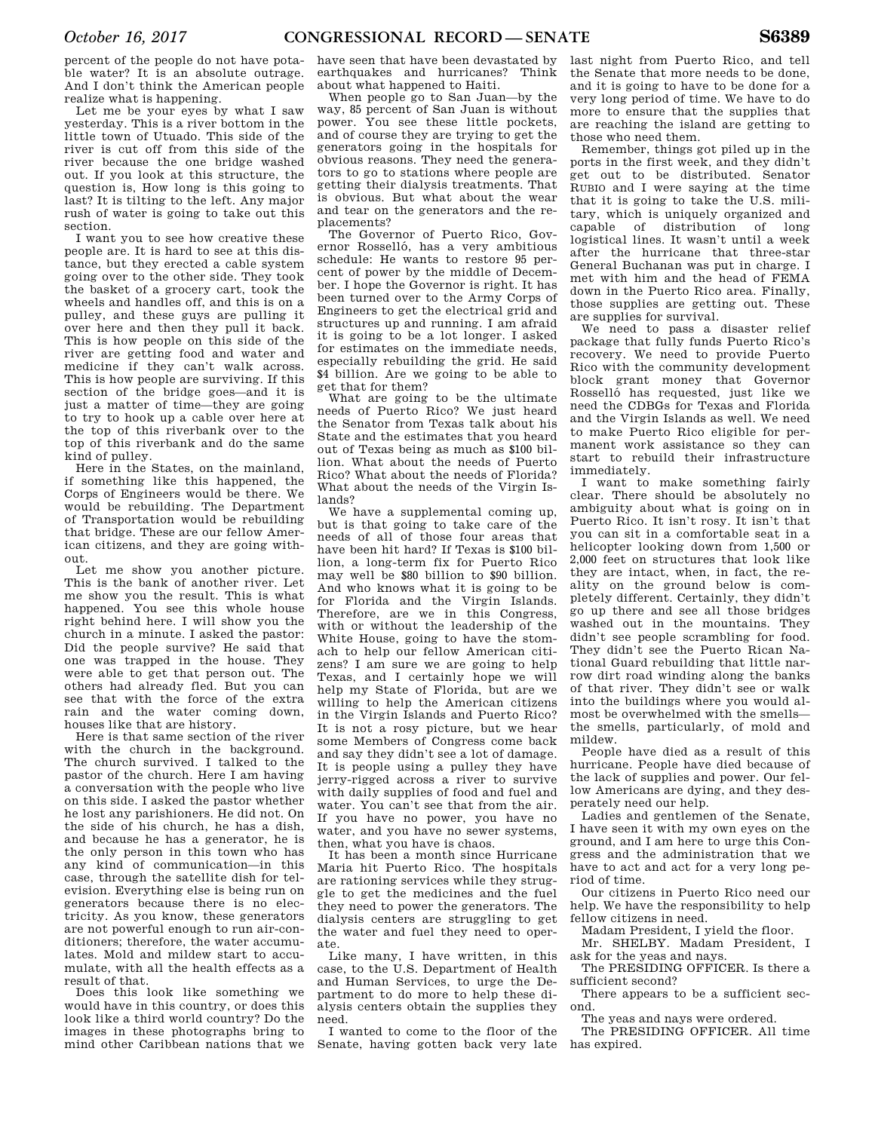percent of the people do not have potable water? It is an absolute outrage. And I don't think the American people realize what is happening.

Let me be your eyes by what I saw yesterday. This is a river bottom in the little town of Utuado. This side of the river is cut off from this side of the river because the one bridge washed out. If you look at this structure, the question is, How long is this going to last? It is tilting to the left. Any major rush of water is going to take out this section.

I want you to see how creative these people are. It is hard to see at this distance, but they erected a cable system going over to the other side. They took the basket of a grocery cart, took the wheels and handles off, and this is on a pulley, and these guys are pulling it over here and then they pull it back. This is how people on this side of the river are getting food and water and medicine if they can't walk across. This is how people are surviving. If this section of the bridge goes—and it is just a matter of time—they are going to try to hook up a cable over here at the top of this riverbank over to the top of this riverbank and do the same kind of pulley.

Here in the States, on the mainland, if something like this happened, the Corps of Engineers would be there. We would be rebuilding. The Department of Transportation would be rebuilding that bridge. These are our fellow American citizens, and they are going without.

Let me show you another picture. This is the bank of another river. Let me show you the result. This is what happened. You see this whole house right behind here. I will show you the church in a minute. I asked the pastor: Did the people survive? He said that one was trapped in the house. They were able to get that person out. The others had already fled. But you can see that with the force of the extra rain and the water coming down, houses like that are history.

Here is that same section of the river with the church in the background. The church survived. I talked to the pastor of the church. Here I am having a conversation with the people who live on this side. I asked the pastor whether he lost any parishioners. He did not. On the side of his church, he has a dish, and because he has a generator, he is the only person in this town who has any kind of communication—in this case, through the satellite dish for television. Everything else is being run on generators because there is no electricity. As you know, these generators are not powerful enough to run air-conditioners; therefore, the water accumulates. Mold and mildew start to accumulate, with all the health effects as a result of that.

Does this look like something we would have in this country, or does this look like a third world country? Do the images in these photographs bring to mind other Caribbean nations that we

have seen that have been devastated by earthquakes and hurricanes? Think about what happened to Haiti.

When people go to San Juan—by the way, 85 percent of San Juan is without power. You see these little pockets, and of course they are trying to get the generators going in the hospitals for obvious reasons. They need the generators to go to stations where people are getting their dialysis treatments. That is obvious. But what about the wear and tear on the generators and the replacements?

The Governor of Puerto Rico, Governor Rosselló, has a very ambitious schedule: He wants to restore 95 percent of power by the middle of December. I hope the Governor is right. It has been turned over to the Army Corps of Engineers to get the electrical grid and structures up and running. I am afraid it is going to be a lot longer. I asked for estimates on the immediate needs, especially rebuilding the grid. He said \$4 billion. Are we going to be able to get that for them?

What are going to be the ultimate needs of Puerto Rico? We just heard the Senator from Texas talk about his State and the estimates that you heard out of Texas being as much as \$100 billion. What about the needs of Puerto Rico? What about the needs of Florida? What about the needs of the Virgin Islands?

We have a supplemental coming up, but is that going to take care of the needs of all of those four areas that have been hit hard? If Texas is \$100 billion, a long-term fix for Puerto Rico may well be \$80 billion to \$90 billion. And who knows what it is going to be for Florida and the Virgin Islands. Therefore, are we in this Congress, with or without the leadership of the White House, going to have the stomach to help our fellow American citizens? I am sure we are going to help Texas, and I certainly hope we will help my State of Florida, but are we willing to help the American citizens in the Virgin Islands and Puerto Rico? It is not a rosy picture, but we hear some Members of Congress come back and say they didn't see a lot of damage. It is people using a pulley they have jerry-rigged across a river to survive with daily supplies of food and fuel and water. You can't see that from the air. If you have no power, you have no water, and you have no sewer systems, then, what you have is chaos.

It has been a month since Hurricane Maria hit Puerto Rico. The hospitals are rationing services while they struggle to get the medicines and the fuel they need to power the generators. The dialysis centers are struggling to get the water and fuel they need to operate.

Like many, I have written, in this case, to the U.S. Department of Health and Human Services, to urge the Department to do more to help these dialysis centers obtain the supplies they need.

I wanted to come to the floor of the Senate, having gotten back very late last night from Puerto Rico, and tell the Senate that more needs to be done, and it is going to have to be done for a very long period of time. We have to do more to ensure that the supplies that are reaching the island are getting to those who need them.

Remember, things got piled up in the ports in the first week, and they didn't get out to be distributed. Senator RUBIO and I were saying at the time that it is going to take the U.S. military, which is uniquely organized and capable of distribution of long logistical lines. It wasn't until a week after the hurricane that three-star General Buchanan was put in charge. I met with him and the head of FEMA down in the Puerto Rico area. Finally, those supplies are getting out. These are supplies for survival.

We need to pass a disaster relief package that fully funds Puerto Rico's recovery. We need to provide Puerto Rico with the community development block grant money that Governor Rosselló has requested, just like we need the CDBGs for Texas and Florida and the Virgin Islands as well. We need to make Puerto Rico eligible for permanent work assistance so they can start to rebuild their infrastructure immediately.

I want to make something fairly clear. There should be absolutely no ambiguity about what is going on in Puerto Rico. It isn't rosy. It isn't that you can sit in a comfortable seat in a helicopter looking down from 1,500 or 2,000 feet on structures that look like they are intact, when, in fact, the reality on the ground below is completely different. Certainly, they didn't go up there and see all those bridges washed out in the mountains. They didn't see people scrambling for food. They didn't see the Puerto Rican National Guard rebuilding that little narrow dirt road winding along the banks of that river. They didn't see or walk into the buildings where you would almost be overwhelmed with the smells the smells, particularly, of mold and mildew.

People have died as a result of this hurricane. People have died because of the lack of supplies and power. Our fellow Americans are dying, and they desperately need our help.

Ladies and gentlemen of the Senate, I have seen it with my own eyes on the ground, and I am here to urge this Congress and the administration that we have to act and act for a very long period of time.

Our citizens in Puerto Rico need our help. We have the responsibility to help fellow citizens in need.

Madam President, I yield the floor.

Mr. SHELBY. Madam President, I ask for the yeas and nays.

The PRESIDING OFFICER. Is there a sufficient second?

There appears to be a sufficient second.

The yeas and nays were ordered.

The PRESIDING OFFICER. All time has expired.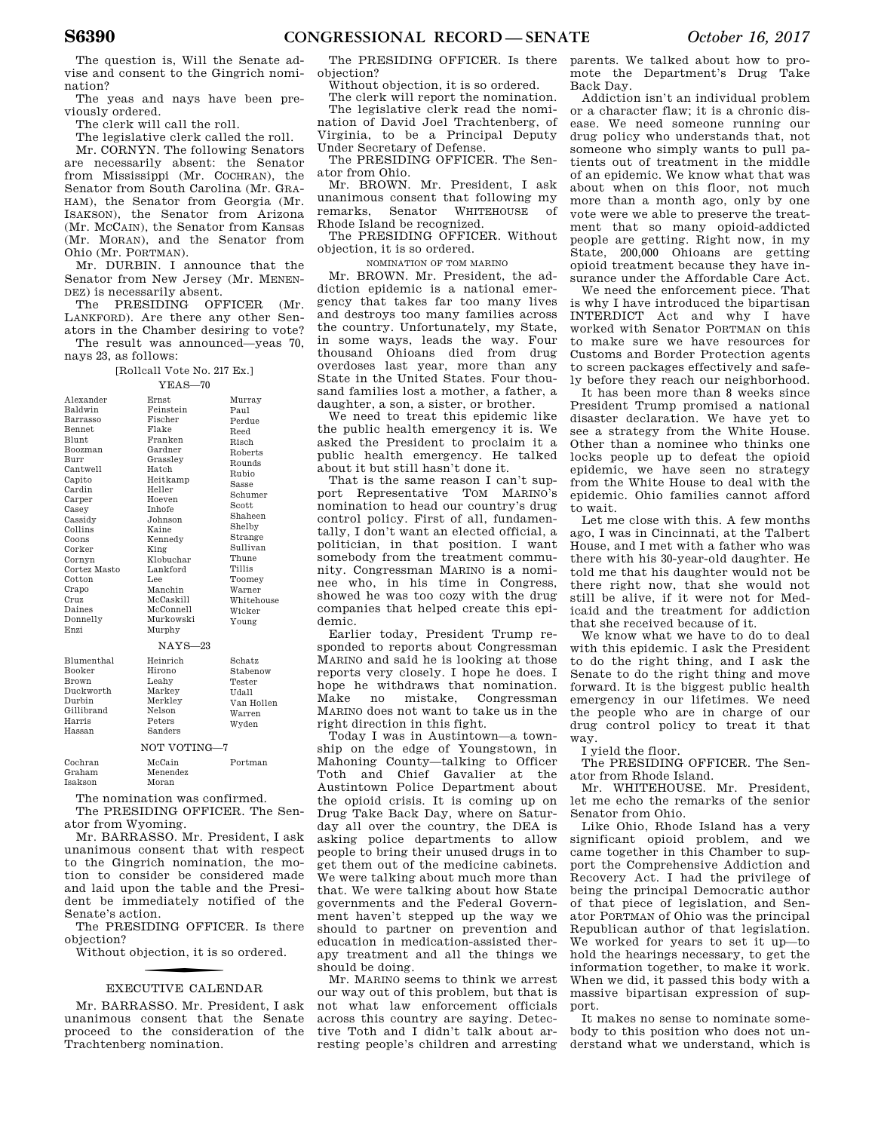The question is, Will the Senate advise and consent to the Gingrich nomination?

The yeas and nays have been previously ordered.

The clerk will call the roll.

The legislative clerk called the roll.

Mr. CORNYN. The following Senators are necessarily absent: the Senator from Mississippi (Mr. COCHRAN), the Senator from South Carolina (Mr. GRA-HAM), the Senator from Georgia (Mr. ISAKSON), the Senator from Arizona (Mr. MCCAIN), the Senator from Kansas (Mr. MORAN), and the Senator from Ohio (Mr. PORTMAN).

Mr. DURBIN. I announce that the Senator from New Jersey (Mr. MENEN-DEZ) is necessarily absent.

The PRESIDING OFFICER (Mr. LANKFORD). Are there any other Senators in the Chamber desiring to vote?

The result was announced—yeas 70, nays 23, as follows:

[Rollcall Vote No. 217 Ex.]

| Alexander         | Ernst        | Murray                                |
|-------------------|--------------|---------------------------------------|
| Baldwin           | Feinstein    | Paul                                  |
| Barrasso          | Fischer      | Perdue                                |
| <b>Bennet</b>     | Flake        | Reed                                  |
| <b>Blunt</b>      | Franken      | Risch                                 |
| Boozman           | Gardner      | Roberts                               |
| Burr              | Grasslev     | Rounds                                |
| Cantwell          | Hatch        | Rubio                                 |
| Capito            | Heitkamp     | <b>Sasse</b>                          |
| Cardin            | Heller       | Schumer                               |
| Carper            | Hoeven       | Scott                                 |
| Casey             | Inhofe       | Shaheen                               |
| Cassidy           | Johnson      | Shelby                                |
| Collins           | Kaine        |                                       |
| Coons             | Kennedy      | Strange<br>Sullivan                   |
| Corker            | King         |                                       |
| Cornvn            | Klobuchar    | Thune                                 |
| Cortez Masto      | Lankford     | <b>Tillis</b>                         |
| Cotton            | Lee          | Toomey                                |
| Crapo             | Manchin      | Warner                                |
| Cruz              | McCaskill    | Whitehouse                            |
| Daines            | McConnell    | Wicker                                |
| Donnelly          | Murkowski    | Young                                 |
| Enzi              | Murphy       |                                       |
|                   | $NAYS-23$    |                                       |
| <b>Blumenthal</b> | Heinrich     | Schatz                                |
| <b>Booker</b>     | Hirono       | Stabenow                              |
| Brown             | Leahv        | Tester                                |
| Duckworth         | Markey       | Udall                                 |
| Durbin            | Merkley      | Van Hollen                            |
| Gillibrand        | Nelson       | Warren                                |
| Harris            | Peters       | Wyden                                 |
| Hassan            | Sanders      |                                       |
|                   | NOT VOTING-7 |                                       |
| 000               | MoCoin       | $D$ <sub>o</sub> $#$ m <sub>o</sub> n |

| Cochran | McCain   | Portman |
|---------|----------|---------|
| Graham  | Menendez |         |
| Isakson | Moran    |         |
|         |          |         |

The nomination was confirmed. The PRESIDING OFFICER. The Sen-

ator from Wyoming. Mr. BARRASSO. Mr. President, I ask unanimous consent that with respect to the Gingrich nomination, the mo-

tion to consider be considered made and laid upon the table and the President be immediately notified of the Senate's action.

The PRESIDING OFFICER. Is there objection?

Without objection, it is so ordered.

# f EXECUTIVE CALENDAR

Mr. BARRASSO. Mr. President, I ask unanimous consent that the Senate proceed to the consideration of the Trachtenberg nomination.

The PRESIDING OFFICER. Is there objection?

Without objection, it is so ordered.

The clerk will report the nomination. The legislative clerk read the nomination of David Joel Trachtenberg, of Virginia, to be a Principal Deputy Under Secretary of Defense.

The PRESIDING OFFICER. The Senator from Ohio.

Mr. BROWN. Mr. President, I ask unanimous consent that following my remarks, Senator WHITEHOUSE of Rhode Island be recognized.

The PRESIDING OFFICER. Without objection, it is so ordered.

NOMINATION OF TOM MARINO

Mr. BROWN. Mr. President, the addiction epidemic is a national emergency that takes far too many lives and destroys too many families across the country. Unfortunately, my State, in some ways, leads the way. Four thousand Ohioans died from drug overdoses last year, more than any State in the United States. Four thousand families lost a mother, a father, a daughter, a son, a sister, or brother.

We need to treat this epidemic like the public health emergency it is. We asked the President to proclaim it a public health emergency. He talked about it but still hasn't done it.

That is the same reason I can't support Representative TOM MARINO's nomination to head our country's drug control policy. First of all, fundamentally, I don't want an elected official, a politician, in that position. I want somebody from the treatment community. Congressman MARINO is a nominee who, in his time in Congress, showed he was too cozy with the drug companies that helped create this epidemic.

Earlier today, President Trump responded to reports about Congressman MARINO and said he is looking at those reports very closely. I hope he does. I hope he withdraws that nomination. Make no mistake, Congressman MARINO does not want to take us in the right direction in this fight.

Today I was in Austintown—a township on the edge of Youngstown, in Mahoning County—talking to Officer Toth and Chief Gavalier at the Austintown Police Department about the opioid crisis. It is coming up on Drug Take Back Day, where on Saturday all over the country, the DEA is asking police departments to allow people to bring their unused drugs in to get them out of the medicine cabinets. We were talking about much more than that. We were talking about how State governments and the Federal Government haven't stepped up the way we should to partner on prevention and education in medication-assisted therapy treatment and all the things we should be doing.

Mr. MARINO seems to think we arrest our way out of this problem, but that is not what law enforcement officials across this country are saying. Detective Toth and I didn't talk about arresting people's children and arresting

parents. We talked about how to promote the Department's Drug Take Back Day.

Addiction isn't an individual problem or a character flaw; it is a chronic disease. We need someone running our drug policy who understands that, not someone who simply wants to pull patients out of treatment in the middle of an epidemic. We know what that was about when on this floor, not much more than a month ago, only by one vote were we able to preserve the treatment that so many opioid-addicted people are getting. Right now, in my State, 200,000 Ohioans are getting opioid treatment because they have insurance under the Affordable Care Act.

We need the enforcement piece. That is why I have introduced the bipartisan INTERDICT Act and why I have worked with Senator PORTMAN on this to make sure we have resources for Customs and Border Protection agents to screen packages effectively and safely before they reach our neighborhood.

It has been more than 8 weeks since President Trump promised a national disaster declaration. We have yet to see a strategy from the White House. Other than a nominee who thinks one locks people up to defeat the opioid epidemic, we have seen no strategy from the White House to deal with the epidemic. Ohio families cannot afford to wait.

Let me close with this. A few months ago, I was in Cincinnati, at the Talbert House, and I met with a father who was there with his 30-year-old daughter. He told me that his daughter would not be there right now, that she would not still be alive, if it were not for Medicaid and the treatment for addiction that she received because of it.

We know what we have to do to deal with this epidemic. I ask the President to do the right thing, and I ask the Senate to do the right thing and move forward. It is the biggest public health emergency in our lifetimes. We need the people who are in charge of our drug control policy to treat it that way.

I yield the floor.

The PRESIDING OFFICER. The Senator from Rhode Island.

Mr. WHITEHOUSE. Mr. President, let me echo the remarks of the senior Senator from Ohio.

Like Ohio, Rhode Island has a very significant opioid problem, and we came together in this Chamber to support the Comprehensive Addiction and Recovery Act. I had the privilege of being the principal Democratic author of that piece of legislation, and Senator PORTMAN of Ohio was the principal Republican author of that legislation. We worked for years to set it up—to hold the hearings necessary, to get the information together, to make it work. When we did, it passed this body with a massive bipartisan expression of support.

It makes no sense to nominate somebody to this position who does not understand what we understand, which is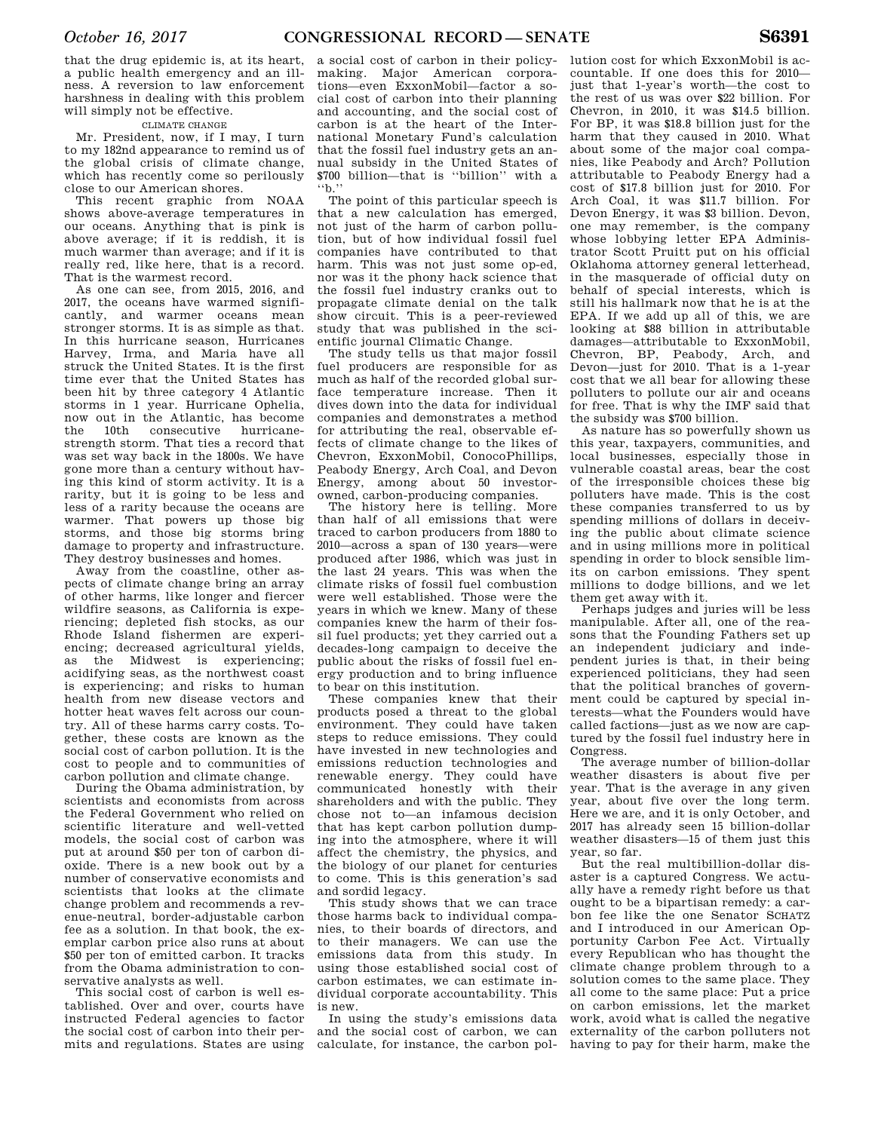that the drug epidemic is, at its heart, a public health emergency and an illness. A reversion to law enforcement harshness in dealing with this problem will simply not be effective.

### CLIMATE CHANGE

Mr. President, now, if I may, I turn to my 182nd appearance to remind us of the global crisis of climate change, which has recently come so perilously close to our American shores.

This recent graphic from NOAA shows above-average temperatures in our oceans. Anything that is pink is above average; if it is reddish, it is much warmer than average; and if it is really red, like here, that is a record. That is the warmest record.

As one can see, from 2015, 2016, and 2017, the oceans have warmed significantly, and warmer oceans mean stronger storms. It is as simple as that. In this hurricane season, Hurricanes Harvey, Irma, and Maria have all struck the United States. It is the first time ever that the United States has been hit by three category 4 Atlantic storms in 1 year. Hurricane Ophelia, now out in the Atlantic, has become the 10th consecutive hurricanestrength storm. That ties a record that was set way back in the 1800s. We have gone more than a century without having this kind of storm activity. It is a rarity, but it is going to be less and less of a rarity because the oceans are warmer. That powers up those big storms, and those big storms bring damage to property and infrastructure. They destroy businesses and homes.

Away from the coastline, other aspects of climate change bring an array of other harms, like longer and fiercer wildfire seasons, as California is experiencing; depleted fish stocks, as our Rhode Island fishermen are experiencing; decreased agricultural yields, as the Midwest is experiencing; acidifying seas, as the northwest coast is experiencing; and risks to human health from new disease vectors and hotter heat waves felt across our country. All of these harms carry costs. Together, these costs are known as the social cost of carbon pollution. It is the cost to people and to communities of carbon pollution and climate change.

During the Obama administration, by scientists and economists from across the Federal Government who relied on scientific literature and well-vetted models, the social cost of carbon was put at around \$50 per ton of carbon dioxide. There is a new book out by a number of conservative economists and scientists that looks at the climate change problem and recommends a revenue-neutral, border-adjustable carbon fee as a solution. In that book, the exemplar carbon price also runs at about \$50 per ton of emitted carbon. It tracks from the Obama administration to conservative analysts as well.

This social cost of carbon is well established. Over and over, courts have instructed Federal agencies to factor the social cost of carbon into their permits and regulations. States are using

a social cost of carbon in their policymaking. Major American corporations—even ExxonMobil—factor a social cost of carbon into their planning and accounting, and the social cost of carbon is at the heart of the International Monetary Fund's calculation that the fossil fuel industry gets an annual subsidy in the United States of \$700 billion—that is ''billion'' with a ''b.''

The point of this particular speech is that a new calculation has emerged, not just of the harm of carbon pollution, but of how individual fossil fuel companies have contributed to that harm. This was not just some op-ed, nor was it the phony hack science that the fossil fuel industry cranks out to propagate climate denial on the talk show circuit. This is a peer-reviewed study that was published in the scientific journal Climatic Change.

The study tells us that major fossil fuel producers are responsible for as much as half of the recorded global surface temperature increase. Then it dives down into the data for individual companies and demonstrates a method for attributing the real, observable effects of climate change to the likes of Chevron, ExxonMobil, ConocoPhillips, Peabody Energy, Arch Coal, and Devon Energy, among about 50 investorowned, carbon-producing companies.

The history here is telling. More than half of all emissions that were traced to carbon producers from 1880 to 2010—across a span of 130 years—were produced after 1986, which was just in the last 24 years. This was when the climate risks of fossil fuel combustion were well established. Those were the years in which we knew. Many of these companies knew the harm of their fossil fuel products; yet they carried out a decades-long campaign to deceive the public about the risks of fossil fuel energy production and to bring influence to bear on this institution.

These companies knew that their products posed a threat to the global environment. They could have taken steps to reduce emissions. They could have invested in new technologies and emissions reduction technologies and renewable energy. They could have communicated honestly with their shareholders and with the public. They chose not to—an infamous decision that has kept carbon pollution dumping into the atmosphere, where it will affect the chemistry, the physics, and the biology of our planet for centuries to come. This is this generation's sad and sordid legacy.

This study shows that we can trace those harms back to individual companies, to their boards of directors, and to their managers. We can use the emissions data from this study. In using those established social cost of carbon estimates, we can estimate individual corporate accountability. This is new.

In using the study's emissions data and the social cost of carbon, we can calculate, for instance, the carbon pol-

lution cost for which ExxonMobil is accountable. If one does this for 2010 just that 1-year's worth—the cost to the rest of us was over \$22 billion. For Chevron, in 2010, it was \$14.5 billion. For BP, it was \$18.8 billion just for the harm that they caused in 2010. What about some of the major coal companies, like Peabody and Arch? Pollution attributable to Peabody Energy had a cost of \$17.8 billion just for 2010. For Arch Coal, it was \$11.7 billion. For Devon Energy, it was \$3 billion. Devon, one may remember, is the company whose lobbying letter EPA Administrator Scott Pruitt put on his official Oklahoma attorney general letterhead, in the masquerade of official duty on behalf of special interests, which is still his hallmark now that he is at the EPA. If we add up all of this, we are looking at \$88 billion in attributable damages—attributable to ExxonMobil, Chevron, BP, Peabody, Arch, and Devon—just for 2010. That is a 1-year cost that we all bear for allowing these polluters to pollute our air and oceans for free. That is why the IMF said that the subsidy was \$700 billion.

As nature has so powerfully shown us this year, taxpayers, communities, and local businesses, especially those in vulnerable coastal areas, bear the cost of the irresponsible choices these big polluters have made. This is the cost these companies transferred to us by spending millions of dollars in deceiving the public about climate science and in using millions more in political spending in order to block sensible limits on carbon emissions. They spent millions to dodge billions, and we let them get away with it.

Perhaps judges and juries will be less manipulable. After all, one of the reasons that the Founding Fathers set up an independent judiciary and independent juries is that, in their being experienced politicians, they had seen that the political branches of government could be captured by special interests—what the Founders would have called factions—just as we now are captured by the fossil fuel industry here in Congress.

The average number of billion-dollar weather disasters is about five per year. That is the average in any given year, about five over the long term. Here we are, and it is only October, and 2017 has already seen 15 billion-dollar weather disasters—15 of them just this year, so far.

But the real multibillion-dollar disaster is a captured Congress. We actually have a remedy right before us that ought to be a bipartisan remedy: a carbon fee like the one Senator SCHATZ and I introduced in our American Opportunity Carbon Fee Act. Virtually every Republican who has thought the climate change problem through to a solution comes to the same place. They all come to the same place: Put a price on carbon emissions, let the market work, avoid what is called the negative externality of the carbon polluters not having to pay for their harm, make the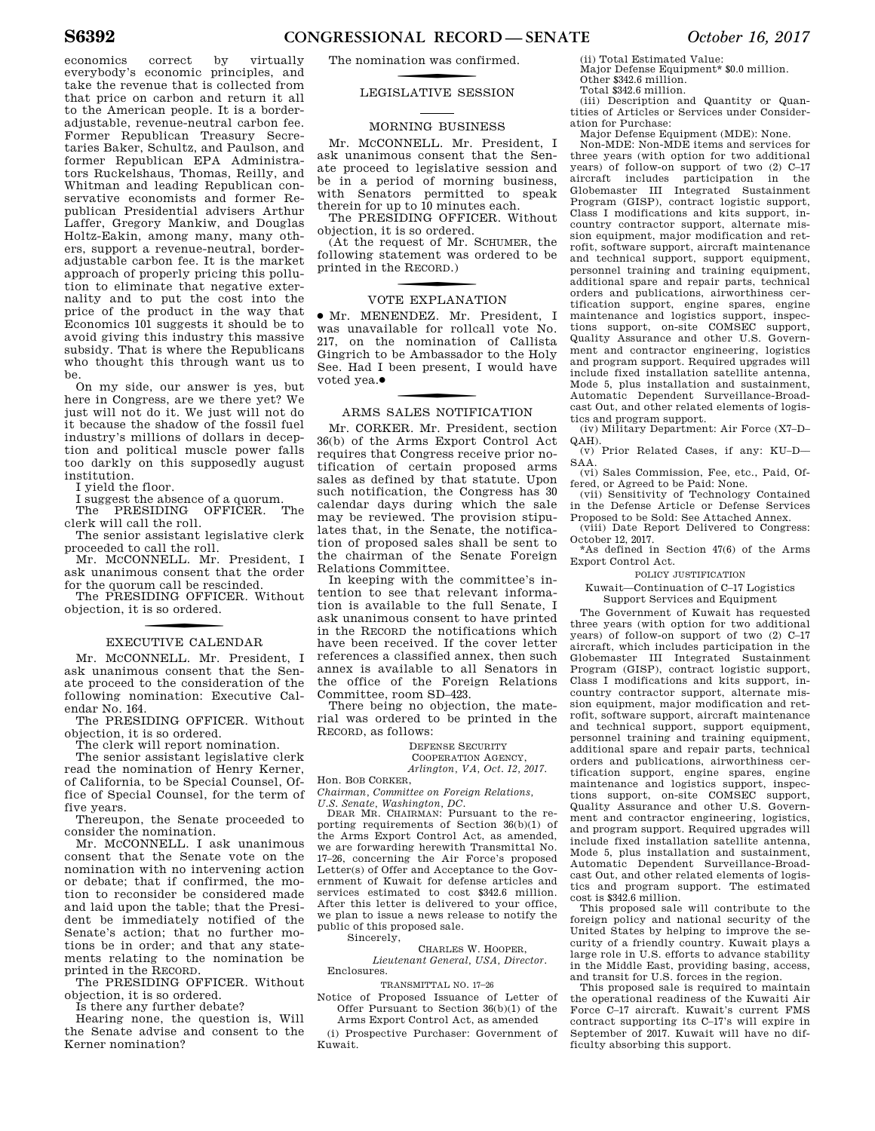economics correct by virtually everybody's economic principles, and take the revenue that is collected from that price on carbon and return it all to the American people. It is a borderadjustable, revenue-neutral carbon fee. Former Republican Treasury Secretaries Baker, Schultz, and Paulson, and former Republican EPA Administrators Ruckelshaus, Thomas, Reilly, and Whitman and leading Republican conservative economists and former Republican Presidential advisers Arthur Laffer, Gregory Mankiw, and Douglas Holtz-Eakin, among many, many others, support a revenue-neutral, borderadjustable carbon fee. It is the market approach of properly pricing this pollution to eliminate that negative externality and to put the cost into the price of the product in the way that Economics 101 suggests it should be to avoid giving this industry this massive subsidy. That is where the Republicans who thought this through want us to be.

On my side, our answer is yes, but here in Congress, are we there yet? We just will not do it. We just will not do it because the shadow of the fossil fuel industry's millions of dollars in deception and political muscle power falls too darkly on this supposedly august institution.

I yield the floor.

I suggest the absence of a quorum.

The PRESIDING OFFICER. The clerk will call the roll.

The senior assistant legislative clerk proceeded to call the roll.

Mr. McCONNELL. Mr. President. I ask unanimous consent that the order for the quorum call be rescinded.

The PRESIDING OFFICER. Without objection, it is so ordered.

### f EXECUTIVE CALENDAR

Mr. MCCONNELL. Mr. President, I ask unanimous consent that the Senate proceed to the consideration of the following nomination: Executive Calendar No. 164.

The PRESIDING OFFICER. Without objection, it is so ordered.

The clerk will report nomination.

The senior assistant legislative clerk read the nomination of Henry Kerner, of California, to be Special Counsel, Office of Special Counsel, for the term of five years.

Thereupon, the Senate proceeded to consider the nomination.

Mr. MCCONNELL. I ask unanimous consent that the Senate vote on the nomination with no intervening action or debate; that if confirmed, the motion to reconsider be considered made and laid upon the table; that the President be immediately notified of the Senate's action; that no further motions be in order; and that any statements relating to the nomination be printed in the RECORD.

The PRESIDING OFFICER. Without objection, it is so ordered.

Is there any further debate?

Hearing none, the question is, Will the Senate advise and consent to the Kerner nomination?

The nomination was confirmed.

### f LEGISLATIVE SESSION

### MORNING BUSINESS

Mr. MCCONNELL. Mr. President, I ask unanimous consent that the Senate proceed to legislative session and be in a period of morning business, with Senators permitted to speak therein for up to 10 minutes each.

The PRESIDING OFFICER. Without objection, it is so ordered.

(At the request of Mr. SCHUMER, the following statement was ordered to be printed in the R ECORD.)

### VOTE EXPLANATION

∑ Mr. MENENDEZ. Mr. President, I was unavailable for rollcall vote No. 217, on the nomination of Callista Gingrich to be Ambassador to the Holy See. Had I been present, I would have voted yea.∑

### f ARMS SALES NOTIFICATION

Mr. CORKER. Mr. President, section 36(b) of the Arms Export Control Act requires that Congress receive prior notification of certain proposed arms sales as defined by that statute. Upon such notification, the Congress has 30 calendar days during which the sale may be reviewed. The provision stipulates that, in the Senate, the notification of proposed sales shall be sent to the chairman of the Senate Foreign Relations Committee.

In keeping with the committee's intention to see that relevant information is available to the full Senate, I ask unanimous consent to have printed in the RECORD the notifications which have been received. If the cover letter references a classified annex, then such annex is available to all Senators in the office of the Foreign Relations Committee, room SD–423.

There being no objection, the material was ordered to be printed in the RECORD, as follows:

### DEFENSE SECURITY

#### COOPERATION AGENCY, *Arlington, VA, Oct. 12, 2017.*

Hon. BOB CORKER,

*Chairman, Committee on Foreign Relations, U.S. Senate, Washington, DC.* 

DEAR MR. CHAIRMAN: Pursuant to the reporting requirements of Section 36(b)(1) of the Arms Export Control Act, as amended, we are forwarding herewith Transmittal No. 17–26, concerning the Air Force's proposed Letter(s) of Offer and Acceptance to the Government of Kuwait for defense articles and services estimated to cost \$342.6 million. After this letter is delivered to your office, we plan to issue a news release to notify the public of this proposed sale.

Sincerely,

CHARLES W. HOOPER, *Lieutenant General, USA, Director.*  Enclosures.

TRANSMITTAL NO. 17–26

Notice of Proposed Issuance of Letter of Offer Pursuant to Section 36(b)(1) of the

Arms Export Control Act, as amended (i) Prospective Purchaser: Government of Kuwait.

(ii) Total Estimated Value: Major Defense Equipment\* \$0.0 million.

Other \$342.6 million. Total \$342.6 million.

(iii) Description and Quantity or Quantities of Articles or Services under Consideration for Purchase:

Major Defense Equipment (MDE): None. Non-MDE: Non-MDE items and services for three years (with option for two additional years) of follow-on support of two (2) C–17 aircraft includes participation in the Globemaster III Integrated Sustainment Program (GISP), contract logistic support, Class I modifications and kits support, incountry contractor support, alternate mission equipment, major modification and retrofit, software support, aircraft maintenance and technical support, support equipment, personnel training and training equipment, additional spare and repair parts, technical orders and publications, airworthiness certification support, engine spares, engine maintenance and logistics support, inspections support, on-site COMSEC support, Quality Assurance and other U.S. Government and contractor engineering, logistics and program support. Required upgrades will include fixed installation satellite antenna, Mode 5, plus installation and sustainment, Automatic Dependent Surveillance-Broadcast Out, and other related elements of logistics and program support.

(iv) Military Department: Air Force (X7–D– QAH).

(v) Prior Related Cases, if any: KU–D–– SAA.

(vi) Sales Commission, Fee, etc., Paid, Offered, or Agreed to be Paid: None.

(vii) Sensitivity of Technology Contained in the Defense Article or Defense Services Proposed to be Sold: See Attached Annex.

(viii) Date Report Delivered to Congress: October 12, 2017.

\*As defined in Section 47(6) of the Arms Export Control Act.

#### POLICY JUSTIFICATION

Kuwait—Continuation of C–17 Logistics Support Services and Equipment

The Government of Kuwait has requested three years (with option for two additional years) of follow-on support of two (2) C–17 aircraft, which includes participation in the Globemaster III Integrated Sustainment Program (GISP), contract logistic support, Class I modifications and kits support, incountry contractor support, alternate mission equipment, major modification and retrofit, software support, aircraft maintenance and technical support, support equipment, personnel training and training equipment, additional spare and repair parts, technical orders and publications, airworthiness certification support, engine spares, engine maintenance and logistics support, inspections support, on-site COMSEC support, Quality Assurance and other U.S. Government and contractor engineering, logistics, and program support. Required upgrades will include fixed installation satellite antenna, Mode 5, plus installation and sustainment, Automatic Dependent Surveillance-Broadcast Out, and other related elements of logistics and program support. The estimated cost is \$342.6 million.

This proposed sale will contribute to the foreign policy and national security of the United States by helping to improve the security of a friendly country. Kuwait plays a large role in U.S. efforts to advance stability in the Middle East, providing basing, access, and transit for U.S. forces in the region.

This proposed sale is required to maintain the operational readiness of the Kuwaiti Air Force C–17 aircraft. Kuwait's current FMS contract supporting its C–17's will expire in September of 2017. Kuwait will have no difficulty absorbing this support.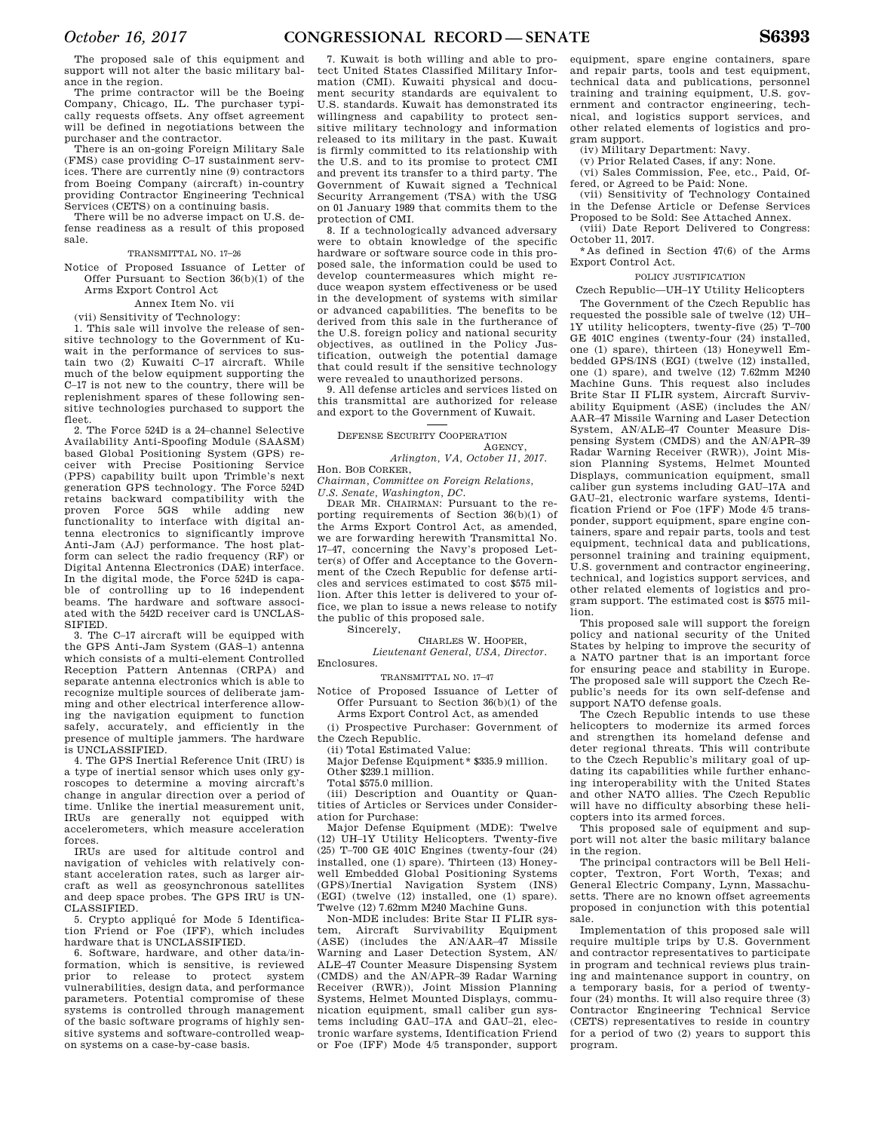The proposed sale of this equipment and support will not alter the basic military balance in the region.

The prime contractor will be the Boeing Company, Chicago, IL. The purchaser typically requests offsets. Any offset agreement will be defined in negotiations between the purchaser and the contractor.

There is an on-going Foreign Military Sale (FMS) case providing C–17 sustainment services. There are currently nine (9) contractors from Boeing Company (aircraft) in-country providing Contractor Engineering Technical Services (CETS) on a continuing basis.

There will be no adverse impact on U.S. defense readiness as a result of this proposed sale.

### TRANSMITTAL NO. 17–26

Notice of Proposed Issuance of Letter of Offer Pursuant to Section 36(b)(1) of the Arms Export Control Act

#### Annex Item No. vii

(vii) Sensitivity of Technology:

1. This sale will involve the release of sensitive technology to the Government of Kuwait in the performance of services to sustain two (2) Kuwaiti C–17 aircraft. While much of the below equipment supporting the C–17 is not new to the country, there will be replenishment spares of these following sensitive technologies purchased to support the fleet.

2. The Force 524D is a 24–channel Selective Availability Anti-Spoofing Module (SAASM) based Global Positioning System (GPS) receiver with Precise Positioning Service (PPS) capability built upon Trimble's next generation GPS technology. The Force 524D retains backward compatibility with the proven Force 5GS while adding new functionality to interface with digital antenna electronics to significantly improve Anti-Jam (AJ) performance. The host platform can select the radio frequency (RF) or Digital Antenna Electronics (DAE) interface. In the digital mode, the Force 524D is capable of controlling up to 16 independent beams. The hardware and software associated with the 542D receiver card is UNCLAS-SIFIED.

3. The C–17 aircraft will be equipped with the GPS Anti-Jam System (GAS–1) antenna which consists of a multi-element Controlled Reception Pattern Antennas (CRPA) and separate antenna electronics which is able to recognize multiple sources of deliberate jamming and other electrical interference allowing the navigation equipment to function safely, accurately, and efficiently in the presence of multiple jammers. The hardware is UNCLASSIFIED.

4. The GPS Inertial Reference Unit (IRU) is a type of inertial sensor which uses only gyroscopes to determine a moving aircraft's change in angular direction over a period of time. Unlike the inertial measurement unit, IRUs are generally not equipped with accelerometers, which measure acceleration forces.

IRUs are used for altitude control and navigation of vehicles with relatively constant acceleration rates, such as larger aircraft as well as geosynchronous satellites and deep space probes. The GPS IRU is UN-CLASSIFIED.

5. Crypto appliqué for Mode 5 Identification Friend or Foe (IFF), which includes hardware that is UNCLASSIFIED.

6. Software, hardware, and other data/information, which is sensitive, is reviewed<br>prior to release to protect system release to protect system vulnerabilities, design data, and performance parameters. Potential compromise of these systems is controlled through management of the basic software programs of highly sensitive systems and software-controlled weapon systems on a case-by-case basis.

7. Kuwait is both willing and able to protect United States Classified Military Information (CMI). Kuwaiti physical and document security standards are equivalent to U.S. standards. Kuwait has demonstrated its willingness and capability to protect sensitive military technology and information released to its military in the past. Kuwait is firmly committed to its relationship with the U.S. and to its promise to protect CMI and prevent its transfer to a third party. The Government of Kuwait signed a Technical Security Arrangement (TSA) with the USG on 01 January 1989 that commits them to the protection of CMI.

8. If a technologically advanced adversary were to obtain knowledge of the specific hardware or software source code in this proposed sale, the information could be used to develop countermeasures which might reduce weapon system effectiveness or be used in the development of systems with similar or advanced capabilities. The benefits to be derived from this sale in the furtherance of the U.S. foreign policy and national security objectives, as outlined in the Policy Justification, outweigh the potential damage that could result if the sensitive technology were revealed to unauthorized persons.

9. All defense articles and services listed on this transmittal are authorized for release and export to the Government of Kuwait.

DEFENSE SECURITY COOPERATION AGENCY,

### *Arlington, VA, October 11, 2017.*

Hon. BOB CORKER, *Chairman, Committee on Foreign Relations,* 

*U.S. Senate, Washington, DC.*  DEAR MR. CHAIRMAN: Pursuant to the reporting requirements of Section 36(b)(1) of the Arms Export Control Act, as amended, we are forwarding herewith Transmittal No. 17–47, concerning the Navy's proposed Letter(s) of Offer and Acceptance to the Government of the Czech Republic for defense articles and services estimated to cost \$575 million. After this letter is delivered to your office, we plan to issue a news release to notify the public of this proposed sale.

Sincerely,

CHARLES W. HOOPER, *Lieutenant General, USA, Director.*  Enclosures.

TRANSMITTAL NO. 17-47

Notice of Proposed Issuance of Letter of Offer Pursuant to Section 36(b)(1) of the Arms Export Control Act, as amended

(i) Prospective Purchaser: Government of the Czech Republic.

(ii) Total Estimated Value:

Major Defense Equipment\* \$335.9 million. Other \$239.1 million.

Total \$575.0 million.

(iii) Description and Ouantity or Quan-

tities of Articles or Services under Consideration for Purchase:

Major Defense Equipment (MDE): Twelve (12) UH–1Y Utility Helicopters. Twenty-five (25) T–700 GE 401C Engines (twenty-four (24) installed, one (1) spare). Thirteen (13) Honeywell Embedded Global Positioning Systems (GPS)/Inertial Navigation System (INS) (EGI) (twelve (12) installed, one (1) spare). Twelve (12) 7.62mm M240 Machine Guns.

Non-MDE includes: Brite Star II FLIR system, Aircraft Survivability Equipment (ASE) (includes the AN/AAR–47 Missile Warning and Laser Detection System, AN/ ALE–47 Counter Measure Dispensing System (CMDS) and the AN/APR–39 Radar Warning Receiver (RWR)), Joint Mission Planning Systems, Helmet Mounted Displays, communication equipment, small caliber gun systems including GAU–17A and GAU–21, electronic warfare systems, Identification Friend or Foe (IFF) Mode 4/5 transponder, support

equipment, spare engine containers, spare and repair parts, tools and test equipment, technical data and publications, personnel training and training equipment, U.S. government and contractor engineering, technical, and logistics support services, and other related elements of logistics and program support.

(iv) Military Department: Navy.

(v) Prior Related Cases, if any: None. (vi) Sales Commission, Fee, etc., Paid, Offered, or Agreed to be Paid: None.

(vii) Sensitivity of Technology Contained in the Defense Article or Defense Services Proposed to be Sold: See Attached Annex.

(viii) Date Report Delivered to Congress: October 11, 2017.

\*As defined in Section 47(6) of the Arms Export Control Act.

POLICY JUSTIFICATION

Czech Republic—UH–1Y Utility Helicopters The Government of the Czech Republic has requested the possible sale of twelve (12) UH– 1Y utility helicopters, twenty-five (25) T–700 GE 401C engines (twenty-four (24) installed, one (1) spare), thirteen (13) Honeywell Embedded GPS/INS (EGI) (twelve (12) installed, one (1) spare), and twelve (12) 7.62mm M240 Machine Guns. This request also includes Brite Star II FLIR system, Aircraft Survivability Equipment (ASE) (includes the AN/ AAR–47 Missile Warning and Laser Detection System, AN/ALE–47 Counter Measure Dispensing System (CMDS) and the AN/APR–39 Radar Warning Receiver (RWR)), Joint Mission Planning Systems, Helmet Mounted Displays, communication equipment, small caliber gun systems including GAU–17A and GAU–21, electronic warfare systems, Identification Friend or Foe (1FF) Mode 4/5 transponder, support equipment, spare engine containers, spare and repair parts, tools and test equipment, technical data and publications, personnel training and training equipment, U.S. government and contractor engineering, technical, and logistics support services, and other related elements of logistics and program support. The estimated cost is \$575 million.

This proposed sale will support the foreign policy and national security of the United States by helping to improve the security of a NATO partner that is an important force for ensuring peace and stability in Europe. The proposed sale will support the Czech Republic's needs for its own self-defense and support NATO defense goals.

The Czech Republic intends to use these helicopters to modernize its armed forces and strengthen its homeland defense and deter regional threats. This will contribute to the Czech Republic's military goal of updating its capabilities while further enhancing interoperability with the United States and other NATO allies. The Czech Republic will have no difficulty absorbing these helicopters into its armed forces.

This proposed sale of equipment and support will not alter the basic military balance in the region.

The principal contractors will be Bell Helicopter, Textron, Fort Worth, Texas; and General Electric Company, Lynn, Massachusetts. There are no known offset agreements proposed in conjunction with this potential sale.

Implementation of this proposed sale will require multiple trips by U.S. Government and contractor representatives to participate in program and technical reviews plus training and maintenance support in country, on a temporary basis, for a period of twentyfour (24) months. It will also require three (3) Contractor Engineering Technical Service (CETS) representatives to reside in country for a period of two (2) years to support this program.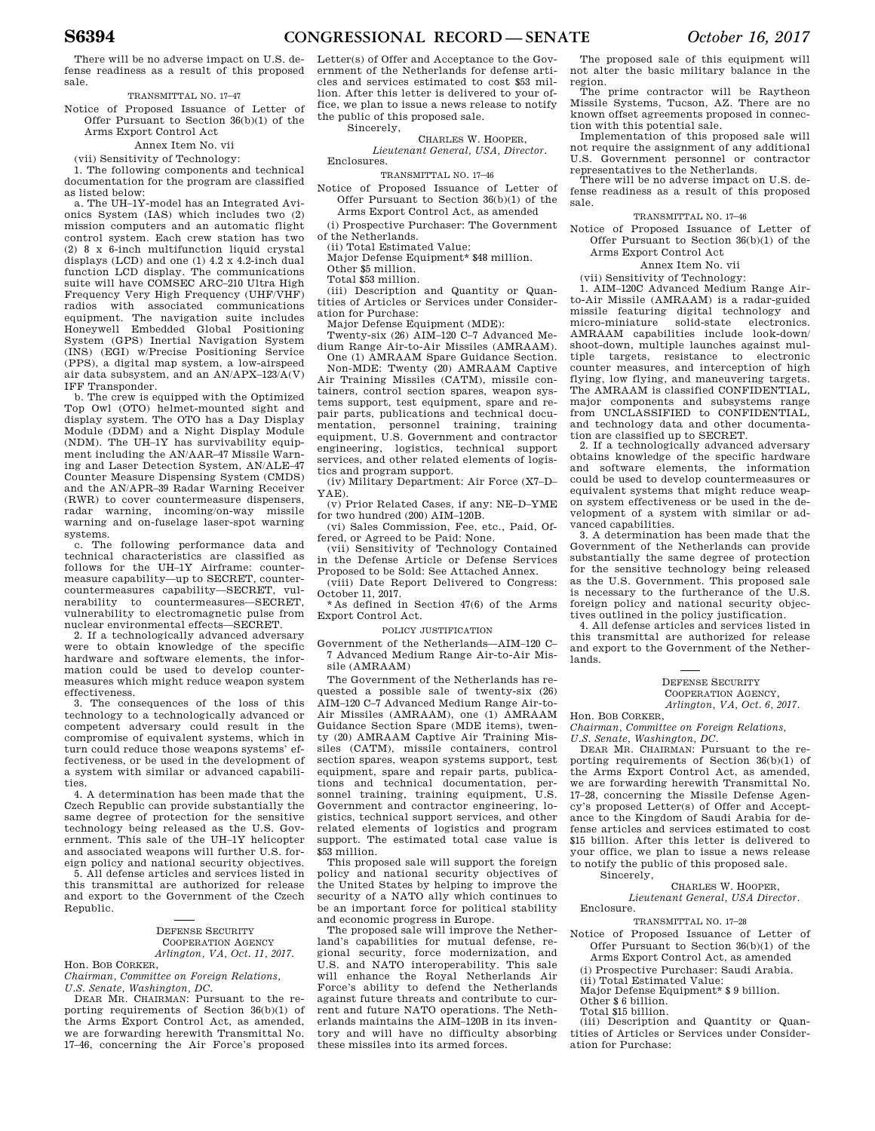There will be no adverse impact on U.S. defense readiness as a result of this proposed sale.

TRANSMITTAL NO. 17–47

Notice of Proposed Issuance of Letter of Offer Pursuant to Section 36(b)(1) of the Arms Export Control Act

Annex Item No. vii

(vii) Sensitivity of Technology:

1. The following components and technical documentation for the program are classified as listed below:

a. The UH–1Y-model has an Integrated Avionics System (IAS) which includes two (2) mission computers and an automatic flight control system. Each crew station has two (2) 8 x 6-inch multifunction liquid crystal displays (LCD) and one (1) 4.2 x 4.2-inch dual function LCD display. The communications suite will have COMSEC ARC–210 Ultra High Frequency Very High Frequency (UHF/VHF) radios with associated communications equipment. The navigation suite includes Honeywell Embedded Global Positioning System (GPS) Inertial Navigation System (INS) (EGI) w/Precise Positioning Service (PPS), a digital map system, a low-airspeed air data subsystem, and an AN/APX–123/A(V) IFF Transponder.

b. The crew is equipped with the Optimized Top Owl (OTO) helmet-mounted sight and display system. The OTO has a Day Display Module (DDM) and a Night Display Module (NDM). The UH–1Y has survivability equipment including the AN/AAR–47 Missile Warning and Laser Detection System, AN/ALE–47 Counter Measure Dispensing System (CMDS) and the AN/APR–39 Radar Warning Receiver (RWR) to cover countermeasure dispensers, radar warning, incoming/on-way missile warning and on-fuselage laser-spot warning systems.

c. The following performance data and technical characteristics are classified as follows for the UH–1Y Airframe: countermeasure capability—up to SECRET, countercountermeasures capability—SECRET, vulnerability to countermeasures—SECRET, vulnerability to electromagnetic pulse from nuclear environmental effects—SECRET.

2. If a technologically advanced adversary were to obtain knowledge of the specific hardware and software elements, the information could be used to develop countermeasures which might reduce weapon system effectiveness.

3. The consequences of the loss of this technology to a technologically advanced or competent adversary could result in the compromise of equivalent systems, which in turn could reduce those weapons systems' effectiveness, or be used in the development of a system with similar or advanced capabilities.

4. A determination has been made that the Czech Republic can provide substantially the same degree of protection for the sensitive technology being released as the U.S. Government. This sale of the UH–1Y helicopter and associated weapons will further U.S. foreign policy and national security objectives.

5. All defense articles and services listed in this transmittal are authorized for release and export to the Government of the Czech Republic.

### DEFENSE SECURITY COOPERATION AGENCY *Arlington, VA, Oct. 11, 2017.*

Hon. BOB CORKER,

*Chairman, Committee on Foreign Relations, U.S. Senate, Washington, DC.* 

DEAR MR. CHAIRMAN: Pursuant to the reporting requirements of Section 36(b)(1) of the Arms Export Control Act, as amended, we are forwarding herewith Transmittal No. 17–46, concerning the Air Force's proposed Letter(s) of Offer and Acceptance to the Government of the Netherlands for defense articles and services estimated to cost \$53 million. After this letter is delivered to your office, we plan to issue a news release to notify the public of this proposed sale.

Sincerely,

CHARLES W. HOOPER, *Lieutenant General, USA, Director.*  Enclosures.

TRANSMITTAL NO. 17–46

- Notice of Proposed Issuance of Letter of Offer Pursuant to Section 36(b)(1) of the
	- Arms Export Control Act, as amended

(i) Prospective Purchaser: The Government of the Netherlands.

(ii) Total Estimated Value:

Major Defense Equipment\* \$48 million.

Other \$5 million.

Total \$53 million.

(iii) Description and Quantity or Quantities of Articles or Services under Consideration for Purchase:

Major Defense Equipment (MDE):

Twenty-six (26) AIM–120 C–7 Advanced Medium Range Air-to-Air Missiles (AMRAAM).

One (1) AMRAAM Spare Guidance Section. Non-MDE: Twenty (20) AMRAAM Captive Air Training Missiles (CATM), missile containers, control section spares, weapon systems support, test equipment, spare and repair parts, publications and technical documentation, personnel training, training equipment, U.S. Government and contractor engineering, logistics, technical support services, and other related elements of logistics and program support.

(iv) Military Department: Air Force (X7–D– YAE).

(v) Prior Related Cases, if any: NE–D–YME for two hundred (200) AIM–120B.

(vi) Sales Commission, Fee, etc., Paid, Offered, or Agreed to be Paid: None.

(vii) Sensitivity of Technology Contained in the Defense Article or Defense Services Proposed to be Sold: See Attached Annex.

(viii) Date Report Delivered to Congress: October 11, 2017.

\*As defined in Section 47(6) of the Arms Export Control Act.

POLICY JUSTIFICATION

Government of the Netherlands—AIM–120 C– 7 Advanced Medium Range Air-to-Air Missile (AMRAAM)

The Government of the Netherlands has requested a possible sale of twenty-six (26) AIM–120 C–7 Advanced Medium Range Air-to-Air Missiles (AMRAAM), one (1) AMRAAM Guidance Section Spare (MDE items), twenty (20) AMRAAM Captive Air Training Missiles (CATM), missile containers, control section spares, weapon systems support, test equipment, spare and repair parts, publications and technical documentation, personnel training, training equipment, U.S. Government and contractor engineering, logistics, technical support services, and other related elements of logistics and program support. The estimated total case value is \$53 million.

This proposed sale will support the foreign policy and national security objectives of the United States by helping to improve the security of a NATO ally which continues to be an important force for political stability and economic progress in Europe.

The proposed sale will improve the Netherland's capabilities for mutual defense, regional security, force modernization, and U.S. and NATO interoperability. This sale will enhance the Royal Netherlands Air Force's ability to defend the Netherlands against future threats and contribute to current and future NATO operations. The Netherlands maintains the AIM–120B in its inventory and will have no difficulty absorbing these missiles into its armed forces.

The proposed sale of this equipment will not alter the basic military balance in the region.

The prime contractor will be Raytheon Missile Systems, Tucson, AZ. There are no known offset agreements proposed in connection with this potential sale.

Implementation of this proposed sale will not require the assignment of any additional U.S. Government personnel or contractor representatives to the Netherlands.

There will be no adverse impact on U.S. defense readiness as a result of this proposed sale.

#### TRANSMITTAL NO. 17–46

Notice of Proposed Issuance of Letter of Offer Pursuant to Section 36(b)(1) of the Arms Export Control Act

Annex Item No. vii

(vii) Sensitivity of Technology:

1. AIM–120C Advanced Medium Range Airto-Air Missile (AMRAAM) is a radar-guided missile featuring digital technology and micro-miniature solid-state electronics. AMRAAM capabilities include look-down/ shoot-down, multiple launches against multiple targets, resistance to electronic counter measures, and interception of high flying, low flying, and maneuvering targets. The AMRAAM is classified CONFIDENTIAL, major components and subsystems range from UNCLASSIFIED to CONFIDENTIAL. and technology data and other documentation are classified up to SECRET.

2. If a technologically advanced adversary obtains knowledge of the specific hardware and software elements, the information could be used to develop countermeasures or equivalent systems that might reduce weapon system effectiveness or be used in the development of a system with similar or advanced capabilities.

3. A determination has been made that the Government of the Netherlands can provide substantially the same degree of protection for the sensitive technology being released as the U.S. Government. This proposed sale is necessary to the furtherance of the U.S. foreign policy and national security objectives outlined in the policy justification.

4. All defense articles and services listed in this transmittal are authorized for release and export to the Government of the Netherlands.

> DEFENSE SECURITY COOPERATION AGENCY, *Arlington, VA, Oct. 6, 2017.*

Hon. BOB CORKER,

*Chairman, Committee on Foreign Relations, U.S. Senate, Washington, DC.* 

DEAR MR. CHAIRMAN: Pursuant to the reporting requirements of Section 36(b)(1) of the Arms Export Control Act, as amended, we are forwarding herewith Transmittal No. 17–28, concerning the Missile Defense Agency's proposed Letter(s) of Offer and Acceptance to the Kingdom of Saudi Arabia for defense articles and services estimated to cost \$15 billion. After this letter is delivered to your office, we plan to issue a news release to notify the public of this proposed sale. Sincerely,

### CHARLES W. HOOPER,

*Lieutenant General, USA Director.*  Enclosure.

### TRANSMITTAL NO. 17–28

Notice of Proposed Issuance of Letter of Offer Pursuant to Section 36(b)(1) of the Arms Export Control Act, as amended

(i) Prospective Purchaser: Saudi Arabia.

(ii) Total Estimated Value:

Major Defense Equipment\* \$ 9 billion.

Other \$ 6 billion.

Total \$15 billion.

(iii) Description and Quantity or Quantities of Articles or Services under Consideration for Purchase: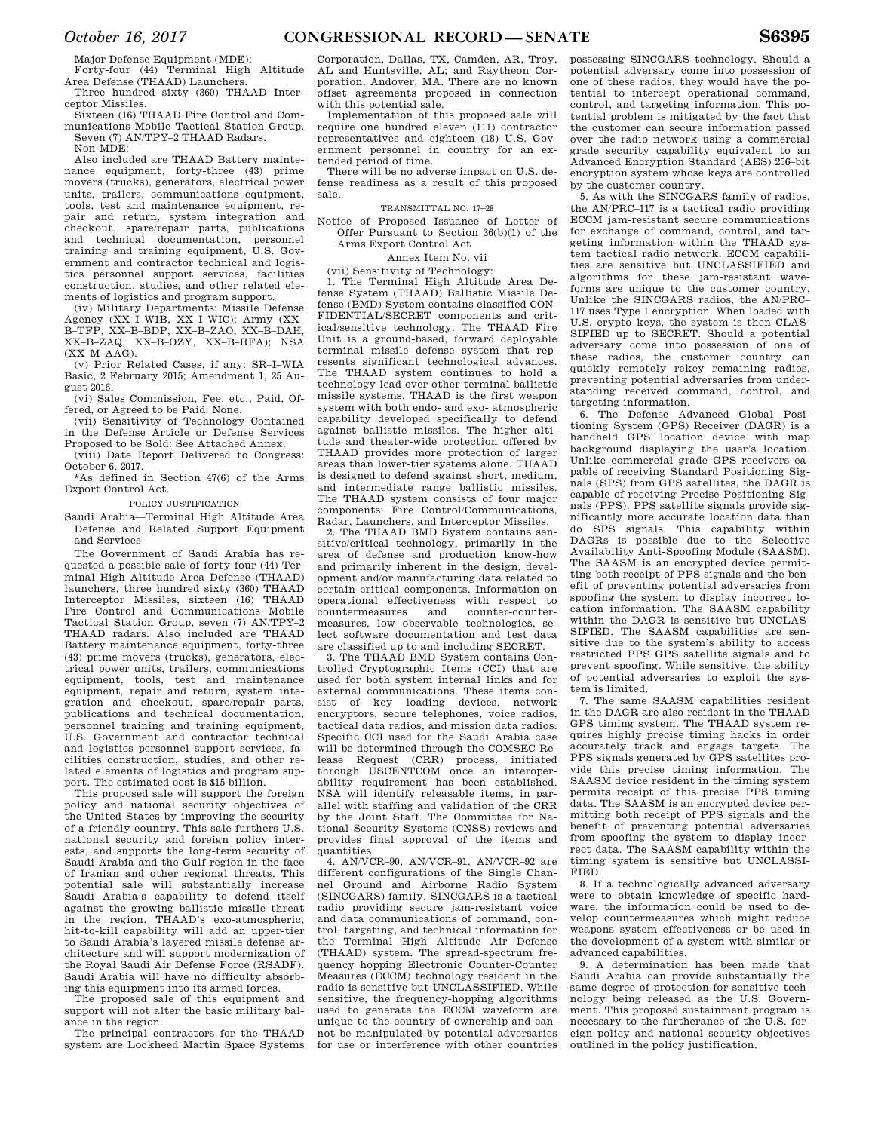Major Defense Equipment (MDE):

Forty-four (44) Terminal High Altitude Area Defense (THAAD) Launchers.

Three hundred sixty (360) THAAD Interceptor Missiles.

Sixteen (16) THAAD Fire Control and Communications Mobile Tactical Station Group. Seven (7) AN/TPY–2 THAAD Radars.

Non-MDE:

Also included are THAAD Battery maintenance equipment, forty-three (43) prime movers (trucks), generators, electrical power units, trailers, communications equipment, tools, test and maintenance equipment, repair and return, system integration and checkout, spare/repair parts, publications and technical documentation, personnel training and training equipment, U.S. Government and contractor technical and logistics personnel support services, facilities construction, studies, and other related elements of logistics and program support.

(iv) Military Departments: Missile Defense Agency (XX–I–W1B, XX–I–WIC); Army (XX– B–TFP, XX–B–BDP, XX–B–ZAO, XX–B–DAH, XX–B–ZAQ, XX–B–OZY, XX–B–HFA); NSA (XX–M–AAG).

(v) Prior Related Cases, if any: SR–I–WIA Basic, 2 February 2015; Amendment 1, 25 August 2016.

(vi) Sales Commission, Fee. etc., Paid, Offered, or Agreed to be Paid: None.

(vii) Sensitivity of Technology Contained in the Defense Article or Defense Services Proposed to be Sold: See Attached Annex.

(viii) Date Report Delivered to Congress: October 6, 2017.

\*As defined in Section 47(6) of the Arms Export Control Act.

### POLICY JUSTIFICATION

Saudi Arabia—Terminal High Altitude Area Defense and Related Support Equipment and Services

The Government of Saudi Arabia has requested a possible sale of forty-four (44) Terminal High Altitude Area Defense (THAAD) launchers, three hundred sixty (360) THAAD Interceptor Missiles, sixteen (16) THAAD Fire Control and Communications Mobile Tactical Station Group, seven (7) AN/TPY–2 THAAD radars. Also included are THAAD Battery maintenance equipment, forty-three (43) prime movers (trucks), generators, electrical power units, trailers, communications equipment, tools, test and maintenance equipment, repair and return, system integration and checkout, spare/repair parts, publications and technical documentation, personnel training and training equipment, U.S. Government and contractor technical and logistics personnel support services, facilities construction, studies, and other related elements of logistics and program support. The estimated cost is \$15 billion.

This proposed sale will support the foreign policy and national security objectives of the United States by improving the security of a friendly country. This sale furthers U.S. national security and foreign policy interests, and supports the long-term security of Saudi Arabia and the Gulf region in the face of Iranian and other regional threats. This potential sale will substantially increase Saudi Arabia's capability to defend itself against the growing ballistic missile threat in the region. THAAD's exo-atmospheric, hit-to-kill capability will add an upper-tier to Saudi Arabia's layered missile defense architecture and will support modernization of the Royal Saudi Air Defense Force (RSADF). Saudi Arabia will have no difficulty absorbing this equipment into its armed forces.

The proposed sale of this equipment and support will not alter the basic military balance in the region.

The principal contractors for the THAAD system are Lockheed Martin Space Systems Corporation, Dallas, TX, Camden, AR, Troy, AL and Huntsville, AL; and Raytheon Corporation, Andover, MA. There are no known offset agreements proposed in connection with this potential sale.

Implementation of this proposed sale will require one hundred eleven (111) contractor representatives and eighteen (18) U.S. Government personnel in country for an extended period of time.

There will be no adverse impact on U.S. defense readiness as a result of this proposed sale.

### TRANSMITTAL NO. 17–28

Notice of Proposed Issuance of Letter of Offer Pursuant to Section 36(b)(1) of the Arms Export Control Act

#### Annex Item No. vii

### (vii) Sensitivity of Technology:

1. The Terminal High Altitude Area Defense System (THAAD) Ballistic Missile Defense (BMD) System contains classified CON-FIDENTIAL/SECRET components and critical/sensitive technology. The THAAD Fire Unit is a ground-based, forward deployable terminal missile defense system that represents significant technological advances. The THAAD system continues to hold a technology lead over other terminal ballistic missile systems. THAAD is the first weapon system with both endo- and exo- atmospheric capability developed specifically to defend against ballistic missiles. The higher altitude and theater-wide protection offered by THAAD provides more protection of larger areas than lower-tier systems alone. THAAD is designed to defend against short, medium, and intermediate range ballistic missiles. The THAAD system consists of four major components: Fire Control/Communications, Radar, Launchers, and Interceptor Missiles.

2. The THAAD BMD System contains sensitive/critical technology, primarily in the area of defense and production know-how and primarily inherent in the design, development and/or manufacturing data related to certain critical components. Information on operational effectiveness with respect to countermeasures and counter-countermeasures, low observable technologies, select software documentation and test data are classified up to and including SECRET.

3. The THAAD BMD System contains Controlled Cryptographic Items (CCI) that are used for both system internal links and for external communications. These items consist of key loading devices, network encryptors, secure telephones, voice radios, tactical data radios, and mission data radios. Specific CCI used for the Saudi Arabia case will be determined through the COMSEC Release Request (CRR) process, initiated through USCENTCOM once an interoperability requirement has been established. NSA will identify releasable items, in parallel with staffing and validation of the CRR by the Joint Staff. The Committee for National Security Systems (CNSS) reviews and provides final approval of the items and quantities.

4. AN/VCR–90, AN/VCR–91, AN/VCR–92 are different configurations of the Single Channel Ground and Airborne Radio System (SINCGARS) family. SINCGARS is a tactical radio providing secure jam-resistant voice and data communications of command, control, targeting, and technical information for the Terminal High Altitude Air Defense (THAAD) system. The spread-spectrum frequency hopping Electronic Counter-Counter Measures (ECCM) technology resident in the radio is sensitive but UNCLASSIFIED. While sensitive, the frequency-hopping algorithms used to generate the ECCM waveform are unique to the country of ownership and cannot be manipulated by potential adversaries for use or interference with other countries possessing SINCGARS technology. Should a potential adversary come into possession of one of these radios, they would have the potential to intercept operational command, control, and targeting information. This potential problem is mitigated by the fact that the customer can secure information passed over the radio network using a commercial grade security capability equivalent to an Advanced Encryption Standard (AES) 256–bit encryption system whose keys are controlled by the customer country.

5. As with the SINCGARS family of radios, the AN/PRC–117 is a tactical radio providing ECCM jam-resistant secure communications for exchange of command, control, and targeting information within the THAAD system tactical radio network. ECCM capabilities are sensitive but UNCLASSIFIED and algorithms for these jam-resistant waveforms are unique to the customer country. Unlike the SINCGARS radios, the AN/PRC– 117 uses Type 1 encryption. When loaded with U.S. crypto keys, the system is then CLAS-SIFIED up to SECRET. Should a potential adversary come into possession of one of these radios, the customer country can quickly remotely rekey remaining radios, preventing potential adversaries from understanding received command, control, and targeting information.

6. The Defense Advanced Global Positioning System (GPS) Receiver (DAGR) is a handheld GPS location device with map background displaying the user's location. Unlike commercial grade GPS receivers capable of receiving Standard Positioning Signals (SPS) from GPS satellites, the DAGR is capable of receiving Precise Positioning Signals (PPS). PPS satellite signals provide significantly more accurate location data than do SPS signals. This capability within DAGRs is possible due to the Selective Availability Anti-Spoofing Module (SAASM). The SAASM is an encrypted device permitting both receipt of PPS signals and the benefit of preventing potential adversaries from spoofing the system to display incorrect location information. The SAASM capability within the DAGR is sensitive but IINCLAS-SIFIED. The SAASM capabilities are sensitive due to the system's ability to access restricted PPS GPS satellite signals and to prevent spoofing. While sensitive, the ability of potential adversaries to exploit the system is limited.

7. The same SAASM capabilities resident in the DAGR are also resident in the THAAD GPS timing system. The THAAD system requires highly precise timing hacks in order accurately track and engage targets. The PPS signals generated by GPS satellites provide this precise timing information. The SAASM device resident in the timing system permits receipt of this precise PPS timing data. The SAASM is an encrypted device permitting both receipt of PPS signals and the benefit of preventing potential adversaries from spoofing the system to display incorrect data. The SAASM capability within the timing system is sensitive but UNCLASSI-FIED.

8. If a technologically advanced adversary were to obtain knowledge of specific hardware, the information could be used to develop countermeasures which might reduce weapons system effectiveness or be used in the development of a system with similar or advanced capabilities.

9. A determination has been made that Saudi Arabia can provide substantially the same degree of protection for sensitive technology being released as the U.S. Government. This proposed sustainment program is necessary to the furtherance of the U.S. foreign policy and national security objectives outlined in the policy justification.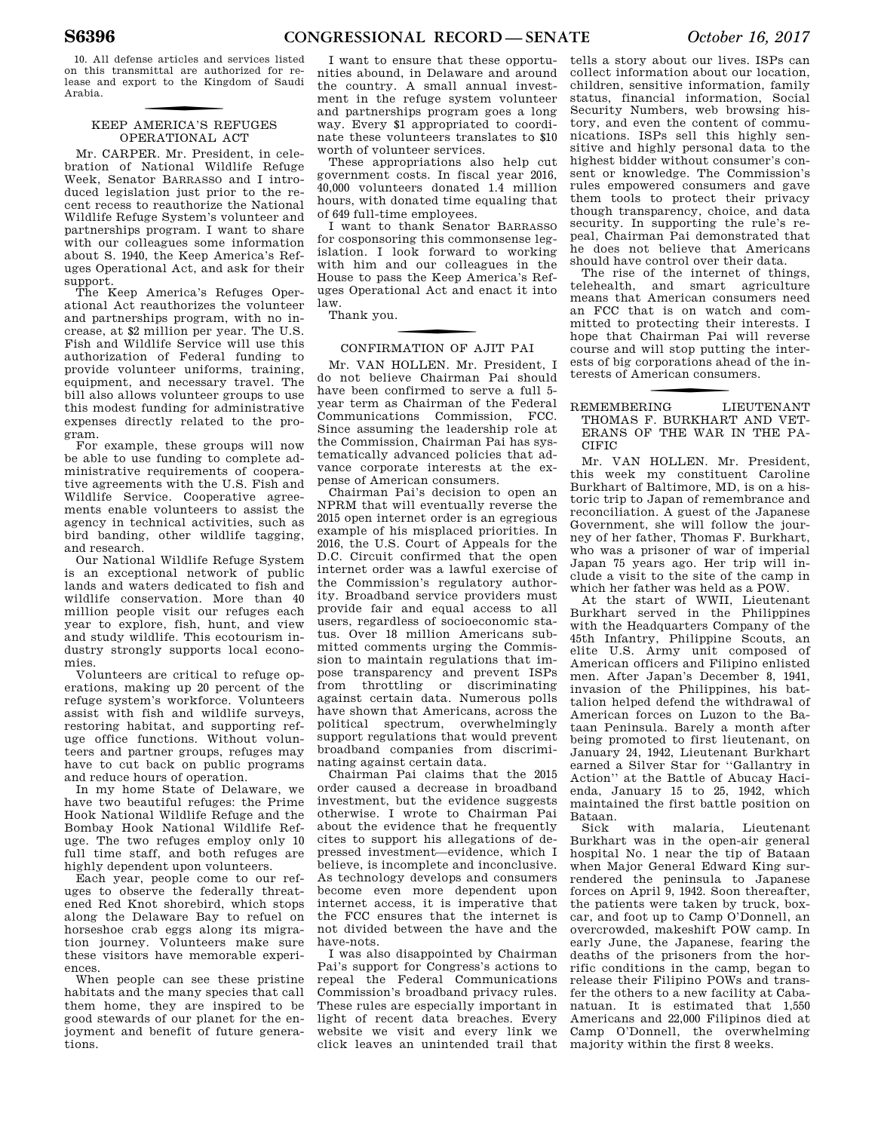10. All defense articles and services listed on this transmittal are authorized for release and export to the Kingdom of Saudi Arabia.

### f KEEP AMERICA'S REFUGES OPERATIONAL ACT

Mr. CARPER. Mr. President, in celebration of National Wildlife Refuge Week, Senator BARRASSO and I introduced legislation just prior to the recent recess to reauthorize the National Wildlife Refuge System's volunteer and partnerships program. I want to share with our colleagues some information about S. 1940, the Keep America's Refuges Operational Act, and ask for their support.

The Keep America's Refuges Operational Act reauthorizes the volunteer and partnerships program, with no increase, at \$2 million per year. The U.S. Fish and Wildlife Service will use this authorization of Federal funding to provide volunteer uniforms, training, equipment, and necessary travel. The bill also allows volunteer groups to use this modest funding for administrative expenses directly related to the program.

For example, these groups will now be able to use funding to complete administrative requirements of cooperative agreements with the U.S. Fish and Wildlife Service. Cooperative agreements enable volunteers to assist the agency in technical activities, such as bird banding, other wildlife tagging, and research.

Our National Wildlife Refuge System is an exceptional network of public lands and waters dedicated to fish and wildlife conservation. More than 40 million people visit our refuges each year to explore, fish, hunt, and view and study wildlife. This ecotourism industry strongly supports local economies.

Volunteers are critical to refuge operations, making up 20 percent of the refuge system's workforce. Volunteers assist with fish and wildlife surveys, restoring habitat, and supporting refuge office functions. Without volunteers and partner groups, refuges may have to cut back on public programs and reduce hours of operation.

In my home State of Delaware, we have two beautiful refuges: the Prime Hook National Wildlife Refuge and the Bombay Hook National Wildlife Refuge. The two refuges employ only 10 full time staff, and both refuges are highly dependent upon volunteers.

Each year, people come to our refuges to observe the federally threatened Red Knot shorebird, which stops along the Delaware Bay to refuel on horseshoe crab eggs along its migration journey. Volunteers make sure these visitors have memorable experiences.

When people can see these pristine habitats and the many species that call them home, they are inspired to be good stewards of our planet for the enjoyment and benefit of future generations.

I want to ensure that these opportunities abound, in Delaware and around the country. A small annual investment in the refuge system volunteer and partnerships program goes a long way. Every \$1 appropriated to coordinate these volunteers translates to \$10 worth of volunteer services.

These appropriations also help cut government costs. In fiscal year 2016, 40,000 volunteers donated 1.4 million hours, with donated time equaling that of 649 full-time employees.

I want to thank Senator BARRASSO for cosponsoring this commonsense legislation. I look forward to working with him and our colleagues in the House to pass the Keep America's Refuges Operational Act and enact it into law.

Thank you.

### CONFIRMATION OF AJIT PAI

Mr. VAN HOLLEN. Mr. President, I do not believe Chairman Pai should have been confirmed to serve a full 5 year term as Chairman of the Federal Communications Commission, FCC. Since assuming the leadership role at the Commission, Chairman Pai has systematically advanced policies that advance corporate interests at the expense of American consumers.

Chairman Pai's decision to open an NPRM that will eventually reverse the 2015 open internet order is an egregious example of his misplaced priorities. In 2016, the U.S. Court of Appeals for the D.C. Circuit confirmed that the open internet order was a lawful exercise of the Commission's regulatory authority. Broadband service providers must provide fair and equal access to all users, regardless of socioeconomic status. Over 18 million Americans submitted comments urging the Commission to maintain regulations that impose transparency and prevent ISPs from throttling or discriminating against certain data. Numerous polls have shown that Americans, across the political spectrum, overwhelmingly support regulations that would prevent broadband companies from discriminating against certain data.

Chairman Pai claims that the 2015 order caused a decrease in broadband investment, but the evidence suggests otherwise. I wrote to Chairman Pai about the evidence that he frequently cites to support his allegations of depressed investment—evidence, which I believe, is incomplete and inconclusive. As technology develops and consumers become even more dependent upon internet access, it is imperative that the FCC ensures that the internet is not divided between the have and the have-nots.

I was also disappointed by Chairman Pai's support for Congress's actions to repeal the Federal Communications Commission's broadband privacy rules. These rules are especially important in light of recent data breaches. Every website we visit and every link we click leaves an unintended trail that

tells a story about our lives. ISPs can collect information about our location, children, sensitive information, family status, financial information, Social Security Numbers, web browsing history, and even the content of communications. ISPs sell this highly sensitive and highly personal data to the highest bidder without consumer's consent or knowledge. The Commission's rules empowered consumers and gave them tools to protect their privacy though transparency, choice, and data security. In supporting the rule's repeal, Chairman Pai demonstrated that he does not believe that Americans should have control over their data.

The rise of the internet of things, telehealth, and smart agriculture means that American consumers need an FCC that is on watch and committed to protecting their interests. I hope that Chairman Pai will reverse course and will stop putting the interests of big corporations ahead of the interests of American consumers.

### f REMEMBERING LIEUTENANT THOMAS F. BURKHART AND VET-ERANS OF THE WAR IN THE PA-CIFIC

Mr. VAN HOLLEN. Mr. President, this week my constituent Caroline Burkhart of Baltimore, MD, is on a historic trip to Japan of remembrance and reconciliation. A guest of the Japanese Government, she will follow the journey of her father, Thomas F. Burkhart, who was a prisoner of war of imperial Japan 75 years ago. Her trip will include a visit to the site of the camp in which her father was held as a POW.

At the start of WWII, Lieutenant Burkhart served in the Philippines with the Headquarters Company of the 45th Infantry, Philippine Scouts, an elite U.S. Army unit composed of American officers and Filipino enlisted men. After Japan's December 8, 1941, invasion of the Philippines, his battalion helped defend the withdrawal of American forces on Luzon to the Bataan Peninsula. Barely a month after being promoted to first lieutenant, on January 24, 1942, Lieutenant Burkhart earned a Silver Star for ''Gallantry in Action'' at the Battle of Abucay Hacienda, January 15 to 25, 1942, which maintained the first battle position on Bataan.

Sick with malaria, Lieutenant Burkhart was in the open-air general hospital No. 1 near the tip of Bataan when Major General Edward King surrendered the peninsula to Japanese forces on April 9, 1942. Soon thereafter, the patients were taken by truck, boxcar, and foot up to Camp O'Donnell, an overcrowded, makeshift POW camp. In early June, the Japanese, fearing the deaths of the prisoners from the horrific conditions in the camp, began to release their Filipino POWs and transfer the others to a new facility at Cabanatuan. It is estimated that 1,550 Americans and 22,000 Filipinos died at Camp O'Donnell, the overwhelming majority within the first 8 weeks.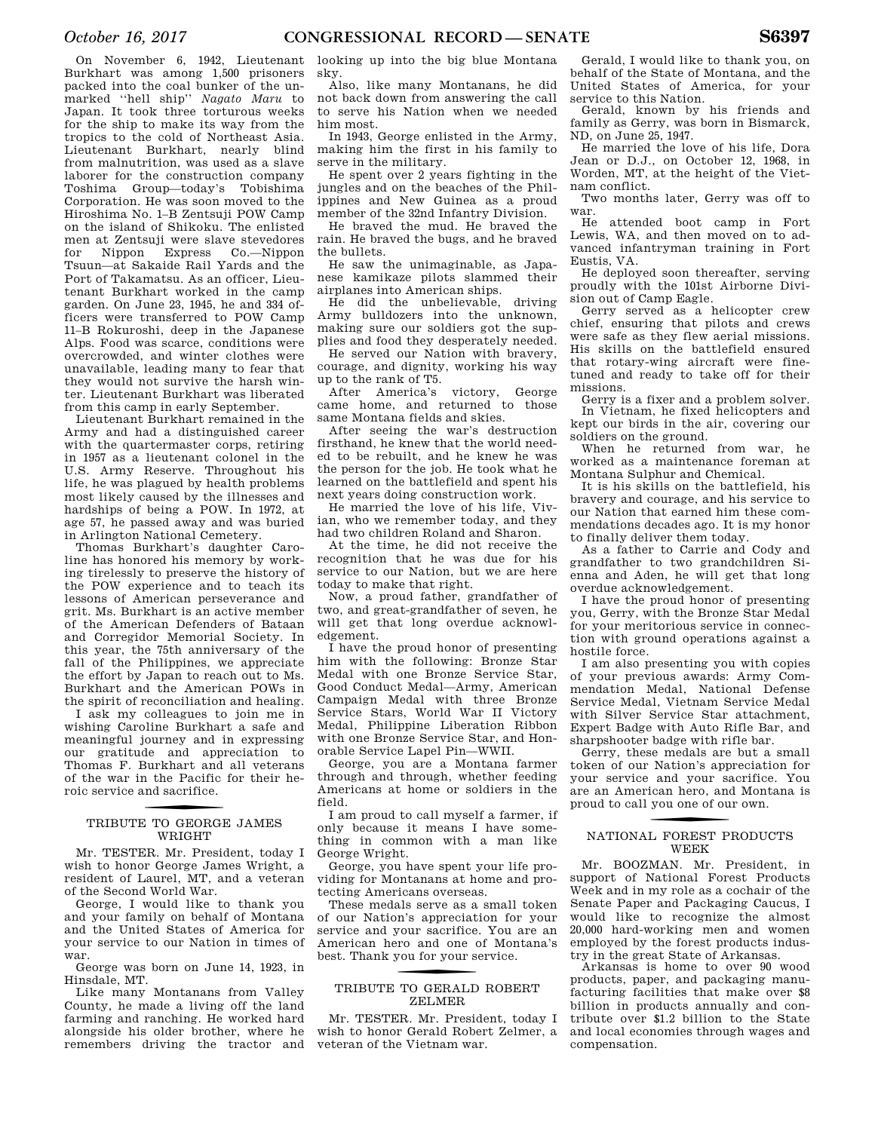On November 6, 1942, Lieutenant Burkhart was among 1,500 prisoners packed into the coal bunker of the unmarked ''hell ship'' *Nagato Maru* to Japan. It took three torturous weeks for the ship to make its way from the tropics to the cold of Northeast Asia. Lieutenant Burkhart, nearly blind from malnutrition, was used as a slave laborer for the construction company Toshima Group—today's Tobishima Corporation. He was soon moved to the Hiroshima No. 1–B Zentsuji POW Camp on the island of Shikoku. The enlisted men at Zentsuji were slave stevedores for Nippon Express Co.—Nippon Tsuun—at Sakaide Rail Yards and the Port of Takamatsu. As an officer, Lieutenant Burkhart worked in the camp garden. On June 23, 1945, he and 334 officers were transferred to POW Camp 11–B Rokuroshi, deep in the Japanese Alps. Food was scarce, conditions were overcrowded, and winter clothes were unavailable, leading many to fear that they would not survive the harsh winter. Lieutenant Burkhart was liberated from this camp in early September.

Lieutenant Burkhart remained in the Army and had a distinguished career with the quartermaster corps, retiring in 1957 as a lieutenant colonel in the U.S. Army Reserve. Throughout his life, he was plagued by health problems most likely caused by the illnesses and hardships of being a POW. In 1972, at age 57, he passed away and was buried in Arlington National Cemetery.

Thomas Burkhart's daughter Caroline has honored his memory by working tirelessly to preserve the history of the POW experience and to teach its lessons of American perseverance and grit. Ms. Burkhart is an active member of the American Defenders of Bataan and Corregidor Memorial Society. In this year, the 75th anniversary of the fall of the Philippines, we appreciate the effort by Japan to reach out to Ms. Burkhart and the American POWs in the spirit of reconciliation and healing. I ask my colleagues to join me in

wishing Caroline Burkhart a safe and meaningful journey and in expressing our gratitude and appreciation to Thomas F. Burkhart and all veterans of the war in the Pacific for their heroic service and sacrifice.

### f TRIBUTE TO GEORGE JAMES WRIGHT

Mr. TESTER. Mr. President, today I wish to honor George James Wright, a resident of Laurel, MT, and a veteran of the Second World War.

George, I would like to thank you and your family on behalf of Montana and the United States of America for your service to our Nation in times of war.

George was born on June 14, 1923, in Hinsdale, MT.

Like many Montanans from Valley County, he made a living off the land farming and ranching. He worked hard alongside his older brother, where he remembers driving the tractor and looking up into the big blue Montana sky.

Also, like many Montanans, he did not back down from answering the call to serve his Nation when we needed him most.

In 1943, George enlisted in the Army, making him the first in his family to serve in the military.

He spent over 2 years fighting in the jungles and on the beaches of the Philippines and New Guinea as a proud member of the 32nd Infantry Division.

He braved the mud. He braved the rain. He braved the bugs, and he braved the bullets.

He saw the unimaginable, as Japanese kamikaze pilots slammed their airplanes into American ships.

He did the unbelievable, driving Army bulldozers into the unknown, making sure our soldiers got the supplies and food they desperately needed.

He served our Nation with bravery, courage, and dignity, working his way up to the rank of T5.

After America's victory, George came home, and returned to those same Montana fields and skies.

After seeing the war's destruction firsthand, he knew that the world needed to be rebuilt, and he knew he was the person for the job. He took what he learned on the battlefield and spent his next years doing construction work.

He married the love of his life, Vivian, who we remember today, and they had two children Roland and Sharon.

At the time, he did not receive the recognition that he was due for his service to our Nation, but we are here today to make that right.

Now, a proud father, grandfather of two, and great-grandfather of seven, he will get that long overdue acknowledgement.

I have the proud honor of presenting him with the following: Bronze Star Medal with one Bronze Service Star, Good Conduct Medal—Army, American Campaign Medal with three Bronze Service Stars, World War II Victory Medal, Philippine Liberation Ribbon with one Bronze Service Star, and Honorable Service Lapel Pin—WWII.

George, you are a Montana farmer through and through, whether feeding Americans at home or soldiers in the field.

I am proud to call myself a farmer, if only because it means I have something in common with a man like George Wright.

George, you have spent your life providing for Montanans at home and protecting Americans overseas.

These medals serve as a small token of our Nation's appreciation for your service and your sacrifice. You are an American hero and one of Montana's best. Thank you for your service.

### f TRIBUTE TO GERALD ROBERT ZELMER

Mr. TESTER. Mr. President, today I wish to honor Gerald Robert Zelmer, a veteran of the Vietnam war.

Gerald, I would like to thank you, on behalf of the State of Montana, and the United States of America, for your service to this Nation.

Gerald, known by his friends and family as Gerry, was born in Bismarck, ND, on June 25, 1947.

He married the love of his life, Dora Jean or D.J., on October 12, 1968, in Worden, MT, at the height of the Vietnam conflict.

Two months later, Gerry was off to war.

He attended boot camp in Fort Lewis, WA, and then moved on to advanced infantryman training in Fort Eustis, VA.

He deployed soon thereafter, serving proudly with the 101st Airborne Division out of Camp Eagle.

Gerry served as a helicopter crew chief, ensuring that pilots and crews were safe as they flew aerial missions. His skills on the battlefield ensured that rotary-wing aircraft were finetuned and ready to take off for their missions.

Gerry is a fixer and a problem solver. In Vietnam, he fixed helicopters and kept our birds in the air, covering our soldiers on the ground.

When he returned from war, he worked as a maintenance foreman at Montana Sulphur and Chemical.

It is his skills on the battlefield, his bravery and courage, and his service to our Nation that earned him these commendations decades ago. It is my honor to finally deliver them today.

As a father to Carrie and Cody and grandfather to two grandchildren Sienna and Aden, he will get that long overdue acknowledgement.

I have the proud honor of presenting you, Gerry, with the Bronze Star Medal for your meritorious service in connection with ground operations against a hostile force.

I am also presenting you with copies of your previous awards: Army Commendation Medal, National Defense Service Medal, Vietnam Service Medal with Silver Service Star attachment, Expert Badge with Auto Rifle Bar, and sharpshooter badge with rifle bar.

Gerry, these medals are but a small token of our Nation's appreciation for your service and your sacrifice. You are an American hero, and Montana is proud to call you one of our own.

### f NATIONAL FOREST PRODUCTS WEEK

Mr. BOOZMAN. Mr. President, in support of National Forest Products Week and in my role as a cochair of the Senate Paper and Packaging Caucus, I would like to recognize the almost 20,000 hard-working men and women employed by the forest products industry in the great State of Arkansas.

Arkansas is home to over 90 wood products, paper, and packaging manufacturing facilities that make over \$8 billion in products annually and contribute over \$1.2 billion to the State and local economies through wages and compensation.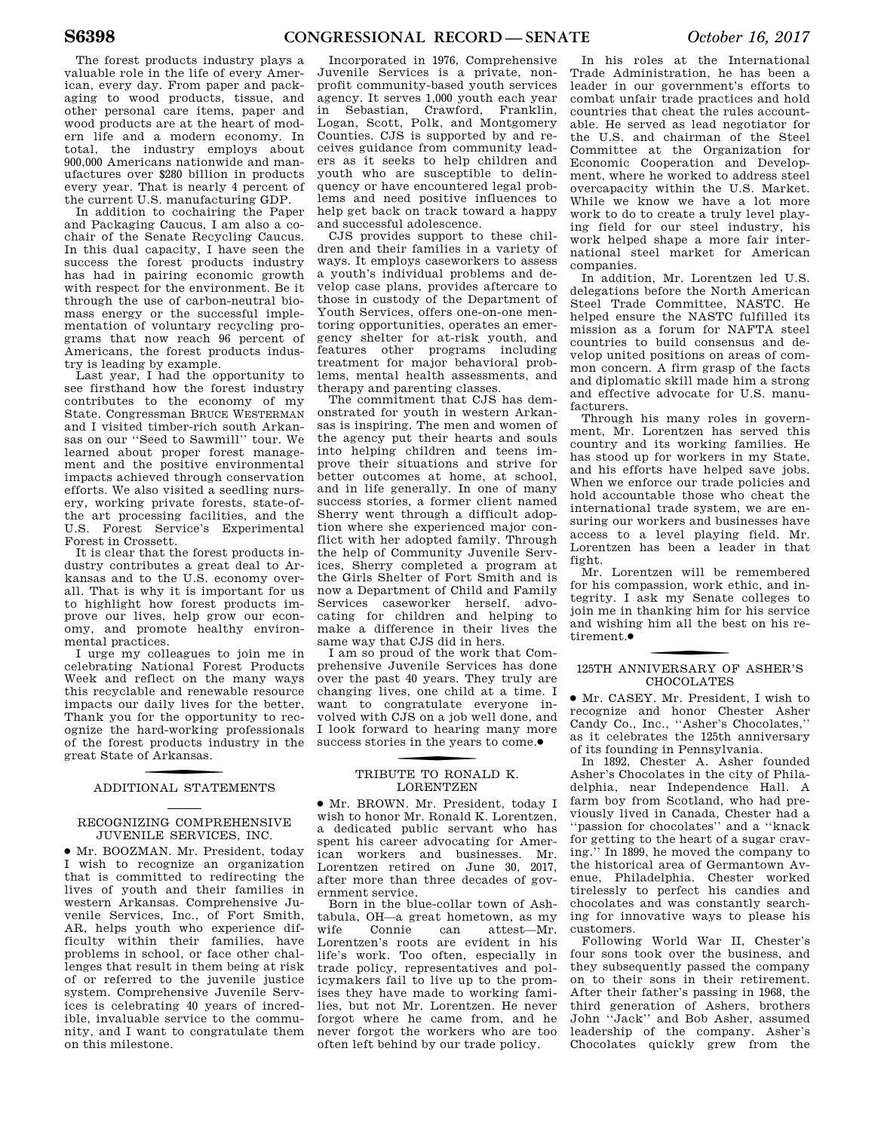The forest products industry plays a valuable role in the life of every American, every day. From paper and packaging to wood products, tissue, and other personal care items, paper and wood products are at the heart of modern life and a modern economy. In total, the industry employs about 900,000 Americans nationwide and manufactures over \$280 billion in products every year. That is nearly 4 percent of the current U.S. manufacturing GDP.

In addition to cochairing the Paper and Packaging Caucus, I am also a cochair of the Senate Recycling Caucus. In this dual capacity, I have seen the success the forest products industry has had in pairing economic growth with respect for the environment. Be it through the use of carbon-neutral biomass energy or the successful implementation of voluntary recycling programs that now reach 96 percent of Americans, the forest products industry is leading by example.

Last year, I had the opportunity to see firsthand how the forest industry contributes to the economy of my State. Congressman BRUCE WESTERMAN and I visited timber-rich south Arkansas on our ''Seed to Sawmill'' tour. We learned about proper forest management and the positive environmental impacts achieved through conservation efforts. We also visited a seedling nursery, working private forests, state-ofthe art processing facilities, and the U.S. Forest Service's Experimental Forest in Crossett.

It is clear that the forest products industry contributes a great deal to Arkansas and to the U.S. economy overall. That is why it is important for us to highlight how forest products improve our lives, help grow our economy, and promote healthy environmental practices.

I urge my colleagues to join me in celebrating National Forest Products Week and reflect on the many ways this recyclable and renewable resource impacts our daily lives for the better. Thank you for the opportunity to recognize the hard-working professionals of the forest products industry in the great State of Arkansas.

### f ADDITIONAL STATEMENTS

### RECOGNIZING COMPREHENSIVE JUVENILE SERVICES, INC.

∑ Mr. BOOZMAN. Mr. President, today I wish to recognize an organization that is committed to redirecting the lives of youth and their families in western Arkansas. Comprehensive Juvenile Services, Inc., of Fort Smith, AR, helps youth who experience difficulty within their families, have problems in school, or face other challenges that result in them being at risk of or referred to the juvenile justice system. Comprehensive Juvenile Services is celebrating 40 years of incredible, invaluable service to the community, and I want to congratulate them on this milestone.

Incorporated in 1976, Comprehensive Juvenile Services is a private, nonprofit community-based youth services agency. It serves 1,000 youth each year in Sebastian, Crawford, Franklin, Logan, Scott, Polk, and Montgomery Counties. CJS is supported by and receives guidance from community leaders as it seeks to help children and youth who are susceptible to delinquency or have encountered legal problems and need positive influences to help get back on track toward a happy and successful adolescence.

CJS provides support to these children and their families in a variety of ways. It employs caseworkers to assess a youth's individual problems and develop case plans, provides aftercare to those in custody of the Department of Youth Services, offers one-on-one mentoring opportunities, operates an emergency shelter for at-risk youth, and features other programs including treatment for major behavioral problems, mental health assessments, and therapy and parenting classes.

The commitment that CJS has demonstrated for youth in western Arkansas is inspiring. The men and women of the agency put their hearts and souls into helping children and teens improve their situations and strive for better outcomes at home, at school, and in life generally. In one of many success stories, a former client named Sherry went through a difficult adoption where she experienced major conflict with her adopted family. Through the help of Community Juvenile Services, Sherry completed a program at the Girls Shelter of Fort Smith and is now a Department of Child and Family Services caseworker herself, advocating for children and helping to make a difference in their lives the same way that CJS did in hers.

I am so proud of the work that Comprehensive Juvenile Services has done over the past 40 years. They truly are changing lives, one child at a time. I want to congratulate everyone involved with CJS on a job well done, and I look forward to hearing many more success stories in the years to come.●

### TRIBUTE TO RONALD K. LORENTZEN

∑ Mr. BROWN. Mr. President, today I wish to honor Mr. Ronald K. Lorentzen, a dedicated public servant who has spent his career advocating for American workers and businesses. Mr. Lorentzen retired on June 30, 2017, after more than three decades of government service.

Born in the blue-collar town of Ashtabula, OH—a great hometown, as my wife Connie can attest—Mr. Lorentzen's roots are evident in his life's work. Too often, especially in trade policy, representatives and policymakers fail to live up to the promises they have made to working families, but not Mr. Lorentzen. He never forgot where he came from, and he never forgot the workers who are too often left behind by our trade policy.

In his roles at the International Trade Administration, he has been a leader in our government's efforts to combat unfair trade practices and hold countries that cheat the rules accountable. He served as lead negotiator for the U.S. and chairman of the Steel Committee at the Organization for Economic Cooperation and Development, where he worked to address steel overcapacity within the U.S. Market. While we know we have a lot more work to do to create a truly level playing field for our steel industry, his work helped shape a more fair international steel market for American companies.

In addition, Mr. Lorentzen led U.S. delegations before the North American Steel Trade Committee, NASTC. He helped ensure the NASTC fulfilled its mission as a forum for NAFTA steel countries to build consensus and develop united positions on areas of common concern. A firm grasp of the facts and diplomatic skill made him a strong and effective advocate for U.S. manufacturers.

Through his many roles in government, Mr. Lorentzen has served this country and its working families. He has stood up for workers in my State, and his efforts have helped save jobs. When we enforce our trade policies and hold accountable those who cheat the international trade system, we are ensuring our workers and businesses have access to a level playing field. Mr. Lorentzen has been a leader in that fight.

Mr. Lorentzen will be remembered for his compassion, work ethic, and integrity. I ask my Senate colleges to join me in thanking him for his service and wishing him all the best on his retirement.∑

### 125TH ANNIVERSARY OF ASHER'S CHOCOLATES

∑ Mr. CASEY. Mr. President, I wish to recognize and honor Chester Asher Candy Co., Inc., ''Asher's Chocolates,'' as it celebrates the 125th anniversary of its founding in Pennsylvania.

In 1892, Chester A. Asher founded Asher's Chocolates in the city of Philadelphia, near Independence Hall. A farm boy from Scotland, who had previously lived in Canada, Chester had a ''passion for chocolates'' and a ''knack for getting to the heart of a sugar craving.'' In 1899, he moved the company to the historical area of Germantown Avenue, Philadelphia. Chester worked tirelessly to perfect his candies and chocolates and was constantly searching for innovative ways to please his customers.

Following World War II, Chester's four sons took over the business, and they subsequently passed the company on to their sons in their retirement. After their father's passing in 1968, the third generation of Ashers, brothers John ''Jack'' and Bob Asher, assumed leadership of the company. Asher's Chocolates quickly grew from the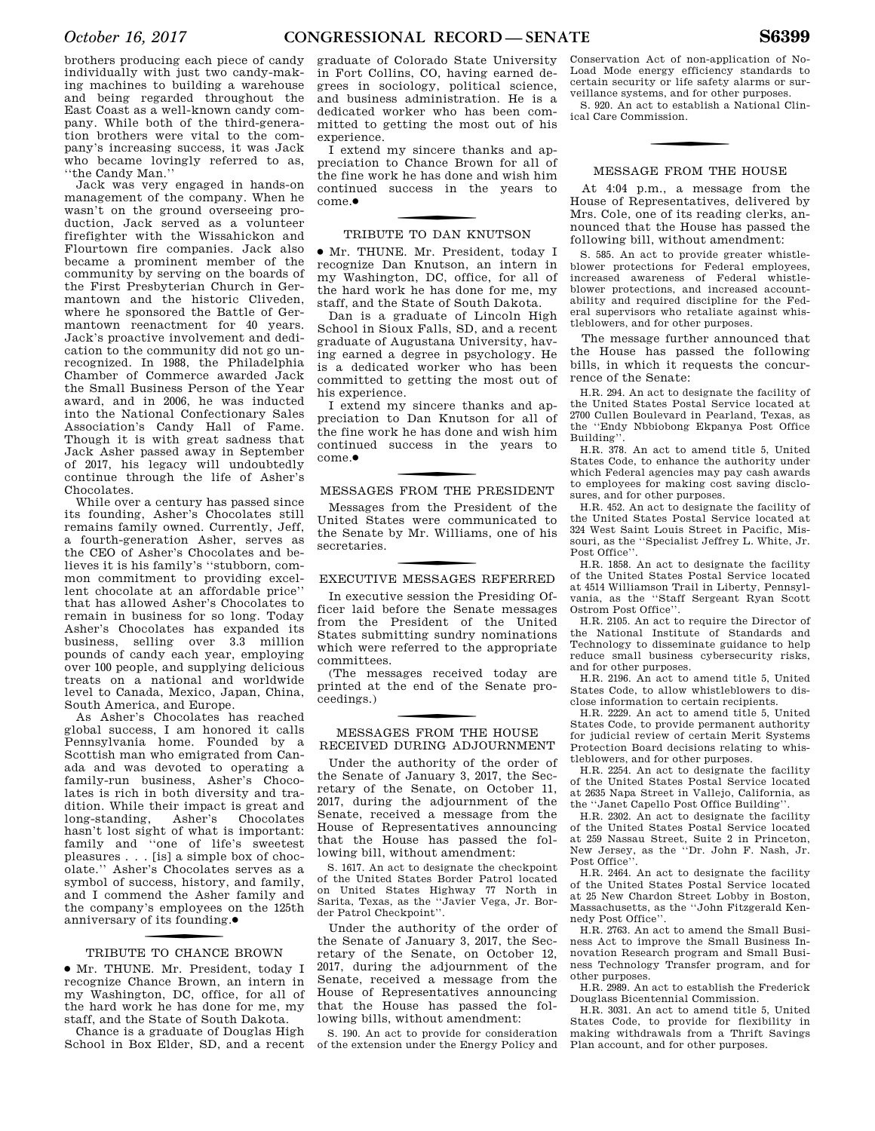brothers producing each piece of candy individually with just two candy-making machines to building a warehouse and being regarded throughout the East Coast as a well-known candy company. While both of the third-generation brothers were vital to the company's increasing success, it was Jack who became lovingly referred to as, ''the Candy Man.''

Jack was very engaged in hands-on management of the company. When he wasn't on the ground overseeing production, Jack served as a volunteer firefighter with the Wissahickon and Flourtown fire companies. Jack also became a prominent member of the community by serving on the boards of the First Presbyterian Church in Germantown and the historic Cliveden, where he sponsored the Battle of Germantown reenactment for 40 years. Jack's proactive involvement and dedication to the community did not go unrecognized. In 1988, the Philadelphia Chamber of Commerce awarded Jack the Small Business Person of the Year award, and in 2006, he was inducted into the National Confectionary Sales Association's Candy Hall of Fame. Though it is with great sadness that Jack Asher passed away in September of 2017, his legacy will undoubtedly continue through the life of Asher's Chocolates.

While over a century has passed since its founding, Asher's Chocolates still remains family owned. Currently, Jeff, a fourth-generation Asher, serves as the CEO of Asher's Chocolates and believes it is his family's ''stubborn, common commitment to providing excellent chocolate at an affordable price'' that has allowed Asher's Chocolates to remain in business for so long. Today Asher's Chocolates has expanded its business, selling over 3.3 million pounds of candy each year, employing over 100 people, and supplying delicious treats on a national and worldwide level to Canada, Mexico, Japan, China, South America, and Europe.

As Asher's Chocolates has reached global success, I am honored it calls Pennsylvania home. Founded by a Scottish man who emigrated from Canada and was devoted to operating a family-run business, Asher's Chocolates is rich in both diversity and tradition. While their impact is great and<br>long-standing, Asher's Chocolates long-standing, Asher's hasn't lost sight of what is important: family and ''one of life's sweetest pleasures . . . [is] a simple box of chocolate.'' Asher's Chocolates serves as a symbol of success, history, and family, and I commend the Asher family and the company's employees on the 125th anniversary of its founding. ∑

### f TRIBUTE TO CHANCE BROWN

∑ Mr. THUNE. Mr. President, today I recognize Chance Brown, an intern in my Washington, DC, office, for all of the hard work he has done for me, my staff, and the State of South Dakota.

Chance is a graduate of Douglas High School in Box Elder, SD, and a recent graduate of Colorado State University in Fort Collins, CO, having earned degrees in sociology, political science, and business administration. He is a dedicated worker who has been committed to getting the most out of his experience.

I extend my sincere thanks and appreciation to Chance Brown for all of the fine work he has done and wish him continued success in the years to come ●

### f TRIBUTE TO DAN KNUTSON

∑ Mr. THUNE. Mr. President, today I recognize Dan Knutson, an intern in my Washington, DC, office, for all of the hard work he has done for me, my staff, and the State of South Dakota.

Dan is a graduate of Lincoln High School in Sioux Falls, SD, and a recent graduate of Augustana University, having earned a degree in psychology. He is a dedicated worker who has been committed to getting the most out of his experience.

I extend my sincere thanks and appreciation to Dan Knutson for all of the fine work he has done and wish him continued success in the years to come.∑

### f MESSAGES FROM THE PRESIDENT

Messages from the President of the United States were communicated to the Senate by Mr. Williams, one of his secretaries.

### f EXECUTIVE MESSAGES REFERRED

In executive session the Presiding Officer laid before the Senate messages from the President of the United States submitting sundry nominations which were referred to the appropriate committees.

(The messages received today are printed at the end of the Senate proceedings.)

### f MESSAGES FROM THE HOUSE RECEIVED DURING ADJOURNMENT

Under the authority of the order of the Senate of January 3, 2017, the Secretary of the Senate, on October 11, 2017, during the adjournment of the Senate, received a message from the House of Representatives announcing that the House has passed the following bill, without amendment:

S. 1617. An act to designate the checkpoint of the United States Border Patrol located on United States Highway 77 North in Sarita, Texas, as the ''Javier Vega, Jr. Border Patrol Checkpoint''.

Under the authority of the order of the Senate of January 3, 2017, the Secretary of the Senate, on October 12, 2017, during the adjournment of the Senate, received a message from the House of Representatives announcing that the House has passed the following bills, without amendment:

S. 190. An act to provide for consideration of the extension under the Energy Policy and

Conservation Act of non-application of No-Load Mode energy efficiency standards to certain security or life safety alarms or surveillance systems, and for other purposes.

S. 920. An act to establish a National Clinical Care Commission.

### MESSAGE FROM THE HOUSE

At 4:04 p.m., a message from the House of Representatives, delivered by Mrs. Cole, one of its reading clerks, announced that the House has passed the following bill, without amendment:

S. 585. An act to provide greater whistleblower protections for Federal employees, increased awareness of Federal whistleblower protections, and increased accountability and required discipline for the Federal supervisors who retaliate against whistleblowers, and for other purposes.

The message further announced that the House has passed the following bills, in which it requests the concurrence of the Senate:

H.R. 294. An act to designate the facility of the United States Postal Service located at 2700 Cullen Boulevard in Pearland, Texas, as the ''Endy Nbbiobong Ekpanya Post Office Building''.

H.R. 378. An act to amend title 5, United States Code, to enhance the authority under which Federal agencies may pay cash awards to employees for making cost saving disclosures, and for other purposes.

H.R. 452. An act to designate the facility of the United States Postal Service located at 324 West Saint Louis Street in Pacific, Missouri, as the ''Specialist Jeffrey L. White, Jr. Post Office''.

H.R. 1858. An act to designate the facility of the United States Postal Service located at 4514 Williamson Trail in Liberty, Pennsylvania, as the ''Staff Sergeant Ryan Scott Ostrom Post Office''.

H.R. 2105. An act to require the Director of the National Institute of Standards and Technology to disseminate guidance to help reduce small business cybersecurity risks, and for other purposes.

H.R. 2196. An act to amend title 5, United States Code, to allow whistleblowers to disclose information to certain recipients.

H.R. 2229. An act to amend title 5, United States Code, to provide permanent authority for judicial review of certain Merit Systems Protection Board decisions relating to whistleblowers, and for other purposes.

H.R. 2254. An act to designate the facility of the United States Postal Service located at 2635 Napa Street in Vallejo, California, as the ''Janet Capello Post Office Building''.

H.R. 2302. An act to designate the facility of the United States Postal Service located at 259 Nassau Street, Suite 2 in Princeton, New Jersey, as the ''Dr. John F. Nash, Jr. Post Office"

H.R. 2464. An act to designate the facility of the United States Postal Service located at 25 New Chardon Street Lobby in Boston, Massachusetts, as the ''John Fitzgerald Kennedy Post Office''.

H.R. 2763. An act to amend the Small Business Act to improve the Small Business Innovation Research program and Small Business Technology Transfer program, and for other purposes.

H.R. 2989. An act to establish the Frederick Douglass Bicentennial Commission.

H.R. 3031. An act to amend title 5, United States Code, to provide for flexibility in making withdrawals from a Thrift Savings Plan account, and for other purposes.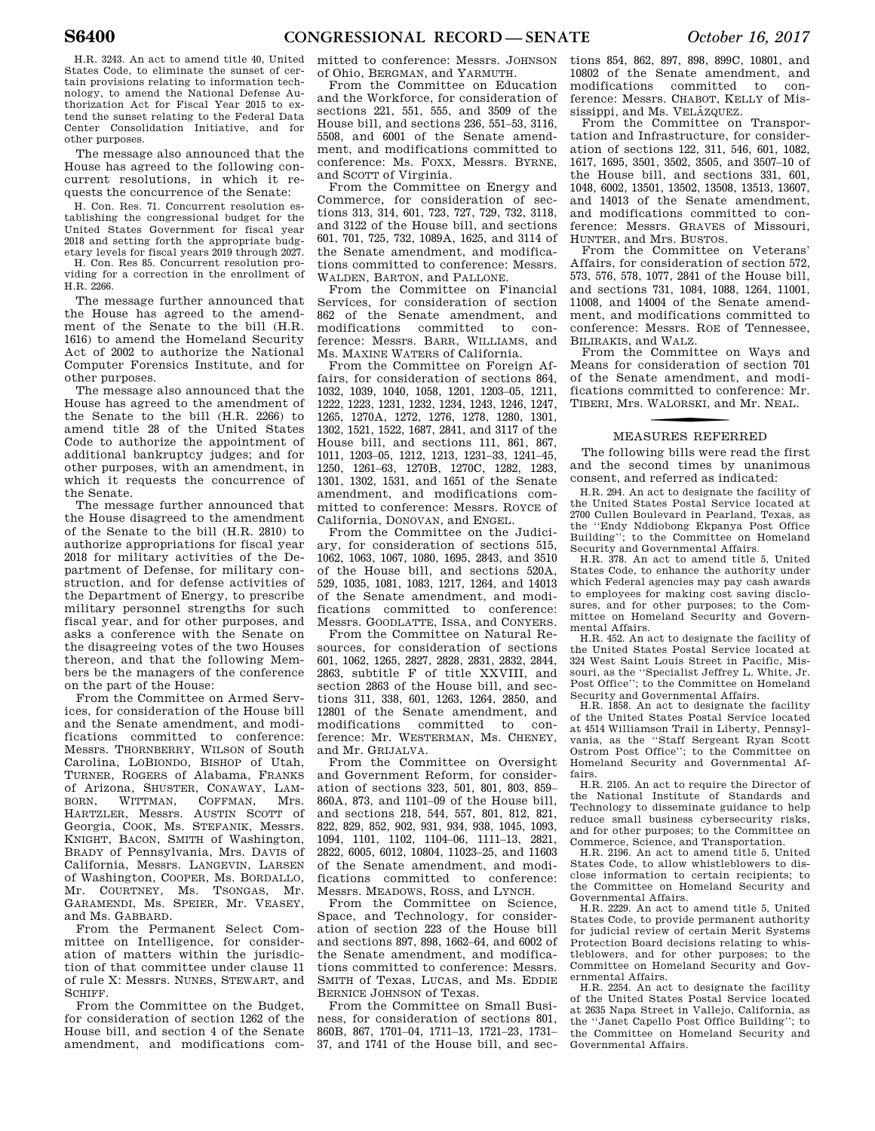H.R. 3243. An act to amend title 40, United States Code, to eliminate the sunset of certain provisions relating to information technology, to amend the National Defense Authorization Act for Fiscal Year 2015 to extend the sunset relating to the Federal Data Center Consolidation Initiative, and for other purposes.

The message also announced that the House has agreed to the following concurrent resolutions, in which it requests the concurrence of the Senate:

H. Con. Res. 71. Concurrent resolution establishing the congressional budget for the United States Government for fiscal year 2018 and setting forth the appropriate budgetary levels for fiscal years 2019 through 2027.

H. Con. Res 85. Concurrent resolution providing for a correction in the enrollment of H.R. 2266.

The message further announced that the House has agreed to the amendment of the Senate to the bill (H.R. 1616) to amend the Homeland Security Act of 2002 to authorize the National Computer Forensics Institute, and for other purposes.

The message also announced that the House has agreed to the amendment of the Senate to the bill (H.R. 2266) to amend title 28 of the United States Code to authorize the appointment of additional bankruptcy judges; and for other purposes, with an amendment, in which it requests the concurrence of the Senate.

The message further announced that the House disagreed to the amendment of the Senate to the bill (H.R. 2810) to authorize appropriations for fiscal year 2018 for military activities of the Department of Defense, for military construction, and for defense activities of the Department of Energy, to prescribe military personnel strengths for such fiscal year, and for other purposes, and asks a conference with the Senate on the disagreeing votes of the two Houses thereon, and that the following Members be the managers of the conference on the part of the House:

From the Committee on Armed Services, for consideration of the House bill and the Senate amendment, and modifications committed to conference: Messrs. THORNBERRY, WILSON of South Carolina, LOBIONDO, BISHOP of Utah, TURNER, ROGERS of Alabama, FRANKS of Arizona, SHUSTER, CONAWAY, LAM-<br>RORN WITTMAN COEEMAN Mrs BORN, WITTMAN, COFFMAN HARTZLER, Messrs. AUSTIN SCOTT of Georgia, COOK, Ms. STEFANIK, Messrs. KNIGHT, BACON, SMITH of Washington, BRADY of Pennsylvania, Mrs. DAVIS of California, Messrs. LANGEVIN, LARSEN of Washington, COOPER, Ms. BORDALLO, Mr. COURTNEY, Ms. TSONGAS, Mr. GARAMENDI, Ms. SPEIER, Mr. VEASEY, and Ms. GABBARD.

From the Permanent Select Committee on Intelligence, for consideration of matters within the jurisdiction of that committee under clause 11 of rule X: Messrs. NUNES, STEWART, and SCHIFF.

From the Committee on the Budget, for consideration of section 1262 of the House bill, and section 4 of the Senate amendment, and modifications com-

mitted to conference: Messrs. JOHNSON of Ohio, BERGMAN, and YARMUTH.

From the Committee on Education and the Workforce, for consideration of sections 221, 551, 555, and 3509 of the House bill, and sections 236, 551–53, 3116, 5508, and 6001 of the Senate amendment, and modifications committed to conference: Ms. FOXX, Messrs. BYRNE, and SCOTT of Virginia.

From the Committee on Energy and Commerce, for consideration of sections 313, 314, 601, 723, 727, 729, 732, 3118, and 3122 of the House bill, and sections 601, 701, 725, 732, 1089A, 1625, and 3114 of the Senate amendment, and modifications committed to conference: Messrs. WALDEN, BARTON, and PALLONE.

From the Committee on Financial Services, for consideration of section 862 of the Senate amendment, and modifications committed to conference: Messrs. BARR, WILLIAMS, and Ms. MAXINE WATERS of California.

From the Committee on Foreign Affairs, for consideration of sections 864, 1032, 1039, 1040, 1058, 1201, 1203–05, 1211, 1222, 1223, 1231, 1232, 1234, 1243, 1246, 1247, 1265, 1270A, 1272, 1276, 1278, 1280, 1301, 1302, 1521, 1522, 1687, 2841, and 3117 of the House bill, and sections 111, 861, 867, 1011, 1203–05, 1212, 1213, 1231–33, 1241–45, 1250, 1261–63, 1270B, 1270C, 1282, 1283, 1301, 1302, 1531, and 1651 of the Senate amendment, and modifications committed to conference: Messrs. ROYCE of California, DONOVAN, and ENGEL.

From the Committee on the Judiciary, for consideration of sections 515, 1062, 1063, 1067, 1080, 1695, 2843, and 3510 of the House bill, and sections 520A, 529, 1035, 1081, 1083, 1217, 1264, and 14013 of the Senate amendment, and modifications committed to conference: Messrs. GOODLATTE, ISSA, and CONYERS.

From the Committee on Natural Resources, for consideration of sections 601, 1062, 1265, 2827, 2828, 2831, 2832, 2844, 2863, subtitle F of title XXVIII, and section 2863 of the House bill, and sections 311, 338, 601, 1263, 1264, 2850, and 12801 of the Senate amendment, and modifications committed to conference: Mr. WESTERMAN, Ms. CHENEY, and Mr. GRIJALVA.

From the Committee on Oversight and Government Reform, for consideration of sections 323, 501, 801, 803, 859– 860A, 873, and 1101–09 of the House bill, and sections 218, 544, 557, 801, 812, 821, 822, 829, 852, 902, 931, 934, 938, 1045, 1093, 1094, 1101, 1102, 1104–06, 1111–13, 2821, 2822, 6005, 6012, 10804, 11023–25, and 11603 of the Senate amendment, and modifications committed to conference: Messrs. MEADOWS, ROSS, and LYNCH.

From the Committee on Science, Space, and Technology, for consideration of section 223 of the House bill and sections 897, 898, 1662–64, and 6002 of the Senate amendment, and modifications committed to conference: Messrs. SMITH of Texas, LUCAS, and Ms. EDDIE BERNICE JOHNSON of Texas.

From the Committee on Small Business, for consideration of sections 801, 860B, 867, 1701–04, 1711–13, 1721–23, 1731– 37, and 1741 of the House bill, and sec-

tions 854, 862, 897, 898, 899C, 10801, and 10802 of the Senate amendment, and modifications committed to conference: Messrs. CHABOT, KELLY of Mississippi, and Ms. VELÁZQUEZ.

From the Committee on Transportation and Infrastructure, for consideration of sections 122, 311, 546, 601, 1082, 1617, 1695, 3501, 3502, 3505, and 3507–10 of the House bill, and sections 331, 601, 1048, 6002, 13501, 13502, 13508, 13513, 13607, and 14013 of the Senate amendment, and modifications committed to conference: Messrs. GRAVES of Missouri, HUNTER, and Mrs. BUSTOS.

From the Committee on Veterans' Affairs, for consideration of section 572, 573, 576, 578, 1077, 2841 of the House bill, and sections 731, 1084, 1088, 1264, 11001, 11008, and 14004 of the Senate amendment, and modifications committed to conference: Messrs. ROE of Tennessee, BILIRAKIS, and WALZ.

From the Committee on Ways and Means for consideration of section 701 of the Senate amendment, and modifications committed to conference: Mr. TIBERI, Mrs. W ALORSKI, and Mr. NEAL.

### f MEASURES REFERRED

The following bills were read the first and the second times by unanimous consent, and referred as indicated:

H.R. 294. An act to designate the facility of the United States Postal Service located at 2700 Cullen Boulevard in Pearland, Texas, as the ''Endy Nddiobong Ekpanya Post Office Building''; to the Committee on Homeland Security and Governmental Affairs.

H.R. 378. An act to amend title 5, United States Code, to enhance the authority under which Federal agencies may pay cash awards to employees for making cost saving disclosures, and for other purposes; to the Committee on Homeland Security and Governmental Affairs.

H.R. 452. An act to designate the facility of the United States Postal Service located at 324 West Saint Louis Street in Pacific, Missouri, as the ''Specialist Jeffrey L. White, Jr. Post Office"; to the Committee on Homeland Security and Governmental Affairs. H.R. 1858. An act to designate the facility

of the United States Postal Service located at 4514 Williamson Trail in Liberty, Pennsylvania, as the ''Staff Sergeant Ryan Scott Ostrom Post Office''; to the Committee on Homeland Security and Governmental Affairs.

H.R. 2105. An act to require the Director of the National Institute of Standards and Technology to disseminate guidance to help reduce small business cybersecurity risks, and for other purposes; to the Committee on Commerce, Science, and Transportation.

H.R. 2196. An act to amend title 5, United States Code, to allow whistleblowers to disclose information to certain recipients; to the Committee on Homeland Security and Governmental Affairs.

H.R. 2229. An act to amend title 5, United States Code, to provide permanent authority for judicial review of certain Merit Systems Protection Board decisions relating to whistleblowers, and for other purposes; to the Committee on Homeland Security and Governmental Affairs.

H.R. 2254. An act to designate the facility of the United States Postal Service located at 2635 Napa Street in Vallejo, California, as the ''Janet Capello Post Office Building''; to the Committee on Homeland Security and Governmental Affairs.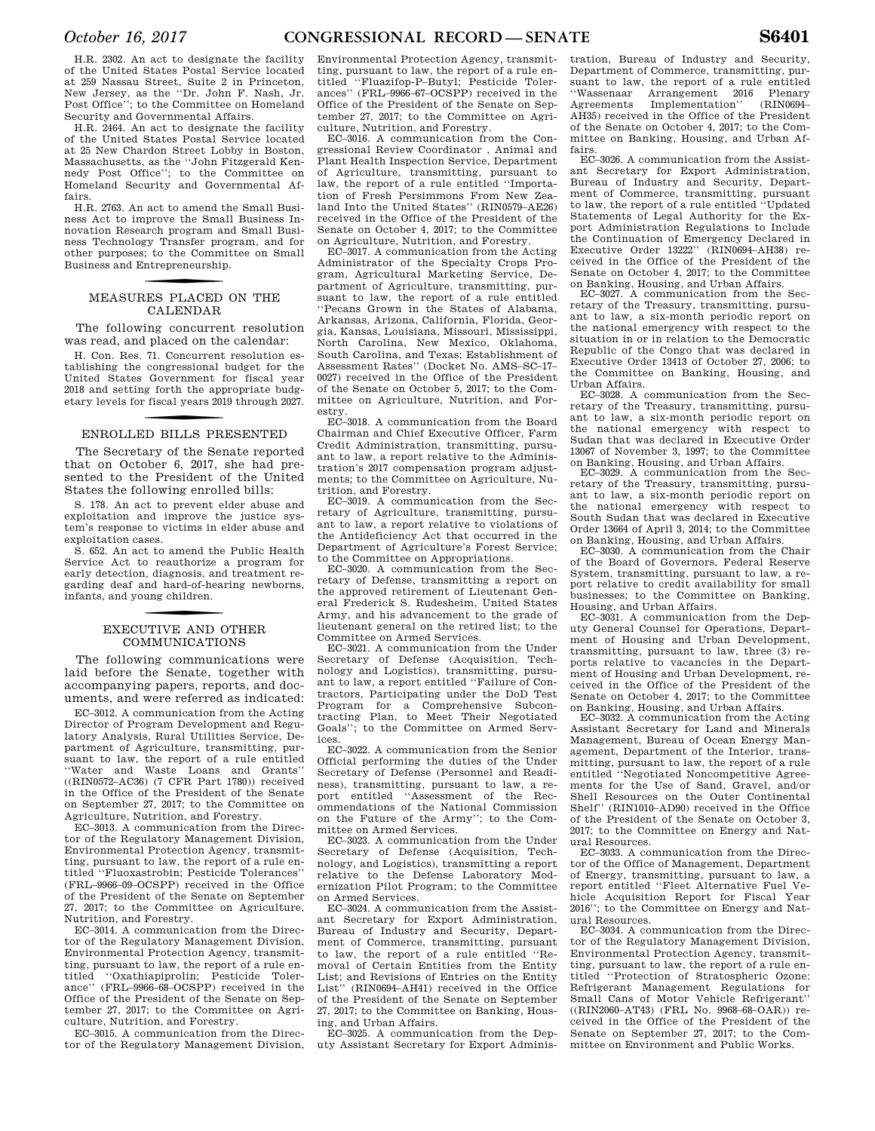H.R. 2302. An act to designate the facility of the United States Postal Service located at 259 Nassau Street, Suite 2 in Princeton, New Jersey, as the ''Dr. John F. Nash, Jr. Post Office''; to the Committee on Homeland Security and Governmental Affairs.

H.R. 2464. An act to designate the facility of the United States Postal Service located at 25 New Chardon Street Lobby in Boston, Massachusetts, as the ''John Fitzgerald Kennedy Post Office''; to the Committee on Homeland Security and Governmental Affairs.

H.R. 2763. An act to amend the Small Business Act to improve the Small Business Innovation Research program and Small Business Technology Transfer program, and for other purposes; to the Committee on Small Business and Entrepreneurship.

### f MEASURES PLACED ON THE CALENDAR

The following concurrent resolution was read, and placed on the calendar:

H. Con. Res. 71. Concurrent resolution establishing the congressional budget for the United States Government for fiscal year 2018 and setting forth the appropriate budgetary levels for fiscal years 2019 through 2027.

### f ENROLLED BILLS PRESENTED

The Secretary of the Senate reported that on October 6, 2017, she had presented to the President of the United States the following enrolled bills:

S. 178. An act to prevent elder abuse and exploitation and improve the justice system's response to victims in elder abuse and exploitation cases.

S. 652. An act to amend the Public Health Service Act to reauthorize a program for early detection, diagnosis, and treatment regarding deaf and hard-of-hearing newborns, infants, and young children.

### f EXECUTIVE AND OTHER COMMUNICATIONS

The following communications were laid before the Senate, together with accompanying papers, reports, and documents, and were referred as indicated:

EC–3012. A communication from the Acting Director of Program Development and Regulatory Analysis, Rural Utilities Service, Department of Agriculture, transmitting, pursuant to law, the report of a rule entitled ''Water and Waste Loans and Grants'' ((RIN0572–AC36) (7 CFR Part 1780)) received in the Office of the President of the Senate on September 27, 2017; to the Committee on Agriculture, Nutrition, and Forestry.

EC–3013. A communication from the Director of the Regulatory Management Division, Environmental Protection Agency, transmitting, pursuant to law, the report of a rule entitled ''Fluoxastrobin; Pesticide Tolerances'' (FRL–9966–09–OCSPP) received in the Office of the President of the Senate on September 27, 2017; to the Committee on Agriculture, Nutrition, and Forestry.

EC–3014. A communication from the Director of the Regulatory Management Division, Environmental Protection Agency, transmitting, pursuant to law, the report of a rule entitled ''Oxathiapiprolin; Pesticide Tolerance'' (FRL–9966–68–OCSPP) received in the Office of the President of the Senate on September 27, 2017; to the Committee on Agriculture, Nutrition, and Forestry.

EC–3015. A communication from the Director of the Regulatory Management Division,

Environmental Protection Agency, transmitting, pursuant to law, the report of a rule entitled ''Fluazifop-P–Butyl; Pesticide Tolerances'' (FRL–9966–67–OCSPP) received in the Office of the President of the Senate on September 27, 2017; to the Committee on Agriculture, Nutrition, and Forestry.

EC–3016. A communication from the Congressional Review Coordinator , Animal and Plant Health Inspection Service, Department of Agriculture, transmitting, pursuant to law, the report of a rule entitled ''Importation of Fresh Persimmons From New Zealand Into the United States'' (RIN0579–AE26) received in the Office of the President of the Senate on October 4, 2017; to the Committee on Agriculture, Nutrition, and Forestry.

EC–3017. A communication from the Acting Administrator of the Specialty Crops Program, Agricultural Marketing Service, Department of Agriculture, transmitting, pursuant to law, the report of a rule entitled ''Pecans Grown in the States of Alabama, Arkansas, Arizona, California, Florida, Georgia, Kansas, Louisiana, Missouri, Mississippi, North Carolina, New Mexico, Oklahoma, South Carolina, and Texas; Establishment of Assessment Rates'' (Docket No. AMS–SC–17– 0027) received in the Office of the President of the Senate on October 5, 2017; to the Committee on Agriculture, Nutrition, and Forestry.

EC–3018. A communication from the Board Chairman and Chief Executive Officer, Farm Credit Administration, transmitting, pursuant to law, a report relative to the Administration's 2017 compensation program adjustments; to the Committee on Agriculture, Nutrition, and Forestry.

EC–3019. A communication from the Secretary of Agriculture, transmitting, pursuant to law, a report relative to violations of the Antideficiency Act that occurred in the Department of Agriculture's Forest Service; to the Committee on Appropriations.

EC–3020. A communication from the Secretary of Defense, transmitting a report on the approved retirement of Lieutenant General Frederick S. Rudesheim, United States Army, and his advancement to the grade of lieutenant general on the retired list; to the Committee on Armed Services.

EC–3021. A communication from the Under Secretary of Defense (Acquisition, Technology and Logistics), transmitting, pursuant to law, a report entitled ''Failure of Contractors, Participating under the DoD Test Program for a Comprehensive Subcontracting Plan, to Meet Their Negotiated Goals''; to the Committee on Armed Services.

EC–3022. A communication from the Senior Official performing the duties of the Under Secretary of Defense (Personnel and Readiness), transmitting, pursuant to law, a report entitled ''Assessment of the Recommendations of the National Commission on the Future of the Army''; to the Committee on Armed Services.

EC–3023. A communication from the Under Secretary of Defense (Acquisition, Technology, and Logistics), transmitting a report relative to the Defense Laboratory Modernization Pilot Program; to the Committee on Armed Services.

EC–3024. A communication from the Assistant Secretary for Export Administration, Bureau of Industry and Security, Department of Commerce, transmitting, pursuant to law, the report of a rule entitled ''Removal of Certain Entities from the Entity List; and Revisions of Entries on the Entity List'' (RIN0694–AH41) received in the Office of the President of the Senate on September 27, 2017; to the Committee on Banking, Housing, and Urban Affairs.

EC–3025. A communication from the Deputy Assistant Secretary for Export Adminis-

tration, Bureau of Industry and Security, Department of Commerce, transmitting, pursuant to law, the report of a rule entitled<br>
"Wassenaar Arrangement 2016 Plenary Arrangement 2016 Agreements Implementation'' (RIN0694– AH35) received in the Office of the President of the Senate on October 4, 2017; to the Committee on Banking, Housing, and Urban Affairs.

EC–3026. A communication from the Assistant Secretary for Export Administration, Bureau of Industry and Security, Depart-ment of Commerce, transmitting, pursuant to law, the report of a rule entitled ''Updated Statements of Legal Authority for the Export Administration Regulations to Include the Continuation of Emergency Declared in Executive Order 13222'' (RIN0694–AH38) received in the Office of the President of the Senate on October 4, 2017; to the Committee on Banking, Housing, and Urban Affairs.

EC–3027. A communication from the Secretary of the Treasury, transmitting, pursuant to law, a six-month periodic report on the national emergency with respect to the situation in or in relation to the Democratic Republic of the Congo that was declared in Executive Order 13413 of October 27, 2006; to the Committee on Banking, Housing, and Urban Affairs.

EC–3028. A communication from the Secretary of the Treasury, transmitting, pursuant to law, a six-month periodic report on the national emergency with respect to Sudan that was declared in Executive Order 13067 of November 3, 1997; to the Committee on Banking, Housing, and Urban Affairs.

EC–3029. A communication from the Secretary of the Treasury, transmitting, pursuant to law, a six-month periodic report on the national emergency with respect to South Sudan that was declared in Executive Order 13664 of April 3, 2014; to the Committee on Banking, Housing, and Urban Affairs.

EC–3030. A communication from the Chair of the Board of Governors, Federal Reserve System, transmitting, pursuant to law, a report relative to credit availability for small businesses; to the Committee on Banking, Housing, and Urban Affairs.

EC–3031. A communication from the Deputy General Counsel for Operations, Department of Housing and Urban Development, transmitting, pursuant to law, three (3) reports relative to vacancies in the Department of Housing and Urban Development, received in the Office of the President of the Senate on October 4, 2017; to the Committee on Banking, Housing, and Urban Affairs.

EC–3032. A communication from the Acting Assistant Secretary for Land and Minerals Management, Bureau of Ocean Energy Management, Department of the Interior, transmitting, pursuant to law, the report of a rule entitled ''Negotiated Noncompetitive Agreements for the Use of Sand, Gravel, and/or Shell Resources on the Outer Continental Shelf'' (RIN1010–AD90) received in the Office of the President of the Senate on October 3, 2017; to the Committee on Energy and Natural Resources.

EC–3033. A communication from the Director of the Office of Management, Department of Energy, transmitting, pursuant to law, a report entitled ''Fleet Alternative Fuel Vehicle Acquisition Report for Fiscal Year 2016''; to the Committee on Energy and Natural Resources.

EC–3034. A communication from the Director of the Regulatory Management Division, Environmental Protection Agency, transmitting, pursuant to law, the report of a rule entitled ''Protection of Stratospheric Ozone: Refrigerant Management Regulations for Small Cans of Motor Vehicle Refrigerant'' ((RIN2060–AT43) (FRL No. 9968–68–OAR)) received in the Office of the President of the Senate on September 27, 2017; to the Committee on Environment and Public Works.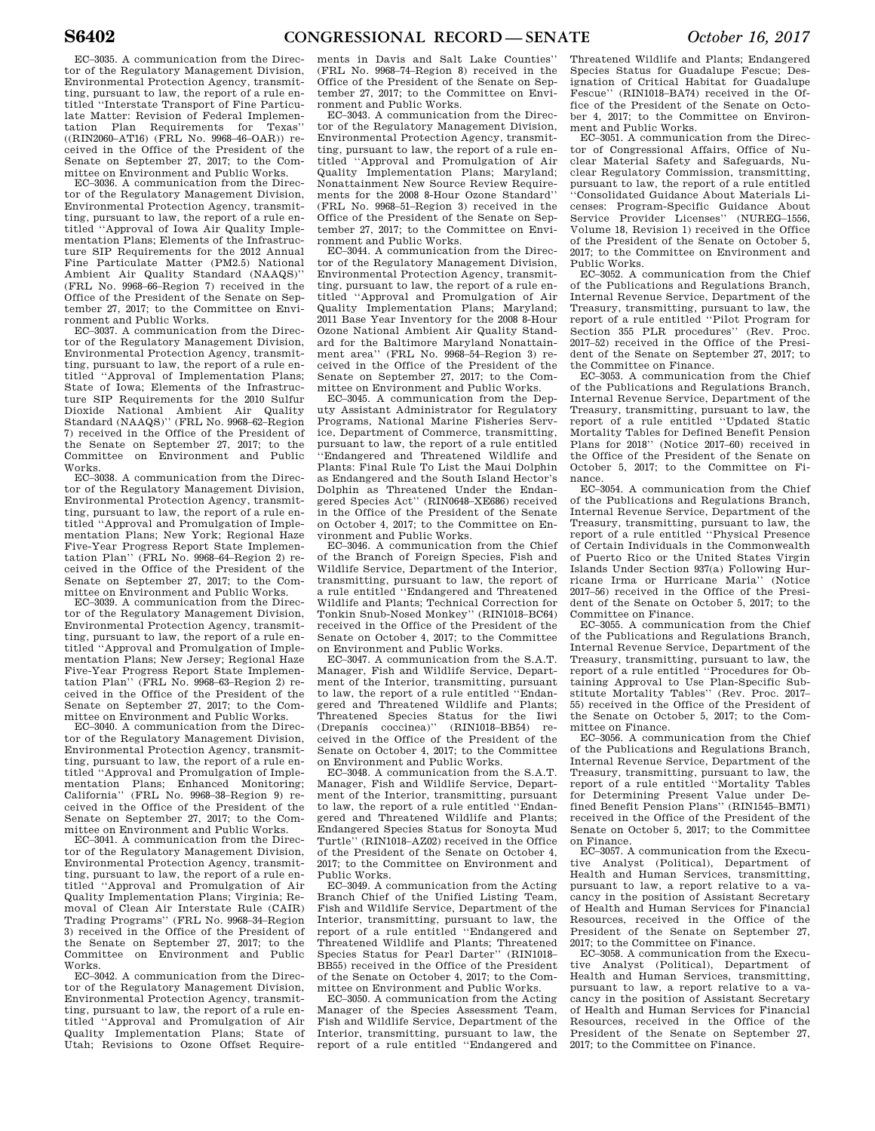EC–3035. A communication from the Director of the Regulatory Management Division, Environmental Protection Agency, transmitting, pursuant to law, the report of a rule entitled ''Interstate Transport of Fine Particulate Matter: Revision of Federal Implemen-<br>tation Plan Requirements for Texas" tation Plan Requirements for ((RIN2060–AT16) (FRL No. 9968–46–OAR)) received in the Office of the President of the Senate on September 27, 2017; to the Committee on Environment and Public Works.

EC–3036. A communication from the Director of the Regulatory Management Division, Environmental Protection Agency, transmitting, pursuant to law, the report of a rule entitled ''Approval of Iowa Air Quality Implementation Plans; Elements of the Infrastructure SIP Requirements for the 2012 Annual Fine Particulate Matter (PM2.5) National Ambient Air Quality Standard (NAAQS)'' (FRL No. 9968–66–Region 7) received in the Office of the President of the Senate on September 27, 2017; to the Committee on Environment and Public Works.

EC–3037. A communication from the Director of the Regulatory Management Division, Environmental Protection Agency, transmitting, pursuant to law, the report of a rule entitled ''Approval of Implementation Plans; State of Iowa; Elements of the Infrastructure SIP Requirements for the 2010 Sulfur Dioxide National Ambient Air Quality Standard (NAAQS)'' (FRL No. 9968–62–Region 7) received in the Office of the President of the Senate on September 27, 2017; to the Committee on Environment and Public Works.

EC–3038. A communication from the Director of the Regulatory Management Division, Environmental Protection Agency, transmitting, pursuant to law, the report of a rule entitled ''Approval and Promulgation of Implementation Plans; New York; Regional Haze Five-Year Progress Report State Implementation Plan'' (FRL No. 9968–64–Region 2) received in the Office of the President of the Senate on September 27, 2017; to the Committee on Environment and Public Works.

EC–3039. A communication from the Director of the Regulatory Management Division, Environmental Protection Agency, transmitting, pursuant to law, the report of a rule entitled ''Approval and Promulgation of Implementation Plans; New Jersey; Regional Haze Five-Year Progress Report State Implementation Plan'' (FRL No. 9968–63–Region 2) received in the Office of the President of the Senate on September 27, 2017; to the Committee on Environment and Public Works.

EC–3040. A communication from the Director of the Regulatory Management Division, Environmental Protection Agency, transmitting, pursuant to law, the report of a rule entitled ''Approval and Promulgation of Implementation Plans; Enhanced Monitoring; California'' (FRL No. 9968–38–Region 9) received in the Office of the President of the Senate on September 27, 2017; to the Committee on Environment and Public Works.

EC–3041. A communication from the Director of the Regulatory Management Division, Environmental Protection Agency, transmitting, pursuant to law, the report of a rule entitled ''Approval and Promulgation of Air Quality Implementation Plans; Virginia; Removal of Clean Air Interstate Rule (CAIR) Trading Programs'' (FRL No. 9968–34–Region 3) received in the Office of the President of the Senate on September 27, 2017; to the Committee on Environment and Public Works.

EC–3042. A communication from the Director of the Regulatory Management Division, Environmental Protection Agency, transmitting, pursuant to law, the report of a rule entitled ''Approval and Promulgation of Air Quality Implementation Plans; State of Utah; Revisions to Ozone Offset Require-

ments in Davis and Salt Lake Counties'' (FRL No. 9968–74–Region 8) received in the Office of the President of the Senate on September 27, 2017; to the Committee on Environment and Public Works.

EC–3043. A communication from the Director of the Regulatory Management Division, Environmental Protection Agency, transmitting, pursuant to law, the report of a rule entitled ''Approval and Promulgation of Air Quality Implementation Plans; Maryland; Nonattainment New Source Review Requirements for the 2008 8-Hour Ozone Standard'' (FRL No. 9968–51–Region 3) received in the Office of the President of the Senate on September 27, 2017; to the Committee on Environment and Public Works.

EC–3044. A communication from the Director of the Regulatory Management Division, Environmental Protection Agency, transmitting, pursuant to law, the report of a rule entitled ''Approval and Promulgation of Air Quality Implementation Plans; Maryland; 2011 Base Year Inventory for the 2008 8-Hour Ozone National Ambient Air Quality Standard for the Baltimore Maryland Nonattainment area'' (FRL No. 9968–54–Region 3) received in the Office of the President of the Senate on September 27, 2017; to the Committee on Environment and Public Works.

EC–3045. A communication from the Deputy Assistant Administrator for Regulatory Programs, National Marine Fisheries Service, Department of Commerce, transmitting, pursuant to law, the report of a rule entitled ''Endangered and Threatened Wildlife and Plants: Final Rule To List the Maui Dolphin as Endangered and the South Island Hector's Dolphin as Threatened Under the Endangered Species Act'' (RIN0648–XE686) received in the Office of the President of the Senate on October 4, 2017; to the Committee on Environment and Public Works.

EC–3046. A communication from the Chief of the Branch of Foreign Species, Fish and Wildlife Service, Department of the Interior, transmitting, pursuant to law, the report of a rule entitled ''Endangered and Threatened Wildlife and Plants; Technical Correction for Tonkin Snub-Nosed Monkey'' (RIN1018–BC64) received in the Office of the President of the Senate on October 4, 2017; to the Committee on Environment and Public Works.

EC–3047. A communication from the S.A.T. Manager, Fish and Wildlife Service, Department of the Interior, transmitting, pursuant to law, the report of a rule entitled ''Endangered and Threatened Wildlife and Plants; Threatened Species Status for the Iiwi (Drepanis coccinea)'' (RIN1018–BB54) received in the Office of the President of the Senate on October 4, 2017; to the Committee on Environment and Public Works.

EC–3048. A communication from the S.A.T. Manager, Fish and Wildlife Service, Department of the Interior, transmitting, pursuant to law, the report of a rule entitled ''Endangered and Threatened Wildlife and Plants; Endangered Species Status for Sonoyta Mud Turtle'' (RIN1018–AZ02) received in the Office of the President of the Senate on October 4, 2017; to the Committee on Environment and Public Works.

EC–3049. A communication from the Acting Branch Chief of the Unified Listing Team, Fish and Wildlife Service, Department of the Interior, transmitting, pursuant to law, the report of a rule entitled ''Endangered and Threatened Wildlife and Plants; Threatened Species Status for Pearl Darter'' (RIN1018– BB55) received in the Office of the President of the Senate on October 4, 2017; to the Committee on Environment and Public Works.

EC–3050. A communication from the Acting Manager of the Species Assessment Team, Fish and Wildlife Service, Department of the Interior, transmitting, pursuant to law, the report of a rule entitled ''Endangered and Threatened Wildlife and Plants; Endangered Species Status for Guadalupe Fescue; Designation of Critical Habitat for Guadalupe Fescue'' (RIN1018–BA74) received in the Office of the President of the Senate on October 4, 2017; to the Committee on Environment and Public Works.

EC–3051. A communication from the Director of Congressional Affairs, Office of Nuclear Material Safety and Safeguards, Nuclear Regulatory Commission, transmitting, pursuant to law, the report of a rule entitled ''Consolidated Guidance About Materials Licenses: Program-Specific Guidance About Service Provider Licenses'' (NUREG–1556, Volume 18, Revision 1) received in the Office of the President of the Senate on October 5, 2017; to the Committee on Environment and Public Works.

EC–3052. A communication from the Chief of the Publications and Regulations Branch, Internal Revenue Service, Department of the Treasury, transmitting, pursuant to law, the report of a rule entitled ''Pilot Program for Section 355 PLR procedures'' (Rev. Proc. 2017–52) received in the Office of the President of the Senate on September 27, 2017; to the Committee on Finance.

EC–3053. A communication from the Chief of the Publications and Regulations Branch, Internal Revenue Service, Department of the Treasury, transmitting, pursuant to law, the report of a rule entitled ''Updated Static Mortality Tables for Defined Benefit Pension Plans for 2018'' (Notice 2017–60) received in the Office of the President of the Senate on October 5, 2017; to the Committee on Finance.

EC–3054. A communication from the Chief of the Publications and Regulations Branch, Internal Revenue Service, Department of the Treasury, transmitting, pursuant to law, the report of a rule entitled ''Physical Presence of Certain Individuals in the Commonwealth of Puerto Rico or the United States Virgin Islands Under Section 937(a) Following Hurricane Irma or Hurricane Maria'' (Notice 2017–56) received in the Office of the President of the Senate on October 5, 2017; to the Committee on Finance.

EC–3055. A communication from the Chief of the Publications and Regulations Branch, Internal Revenue Service, Department of the Treasury, transmitting, pursuant to law, the report of a rule entitled ''Procedures for Obtaining Approval to Use Plan-Specific Substitute Mortality Tables'' (Rev. Proc. 2017– 55) received in the Office of the President of the Senate on October 5, 2017; to the Committee on Finance.

EC–3056. A communication from the Chief of the Publications and Regulations Branch, Internal Revenue Service, Department of the Treasury, transmitting, pursuant to law, the report of a rule entitled ''Mortality Tables for Determining Present Value under Defined Benefit Pension Plans'' (RIN1545–BM71) received in the Office of the President of the Senate on October 5, 2017; to the Committee on Finance.

EC–3057. A communication from the Executive Analyst (Political), Department of Health and Human Services, transmitting, pursuant to law, a report relative to a vacancy in the position of Assistant Secretary of Health and Human Services for Financial Resources, received in the Office of the President of the Senate on September 27, 2017; to the Committee on Finance.

EC–3058. A communication from the Executive Analyst (Political), Department of Health and Human Services, transmitting, pursuant to law, a report relative to a vacancy in the position of Assistant Secretary of Health and Human Services for Financial Resources, received in the Office of the President of the Senate on September 27, 2017; to the Committee on Finance.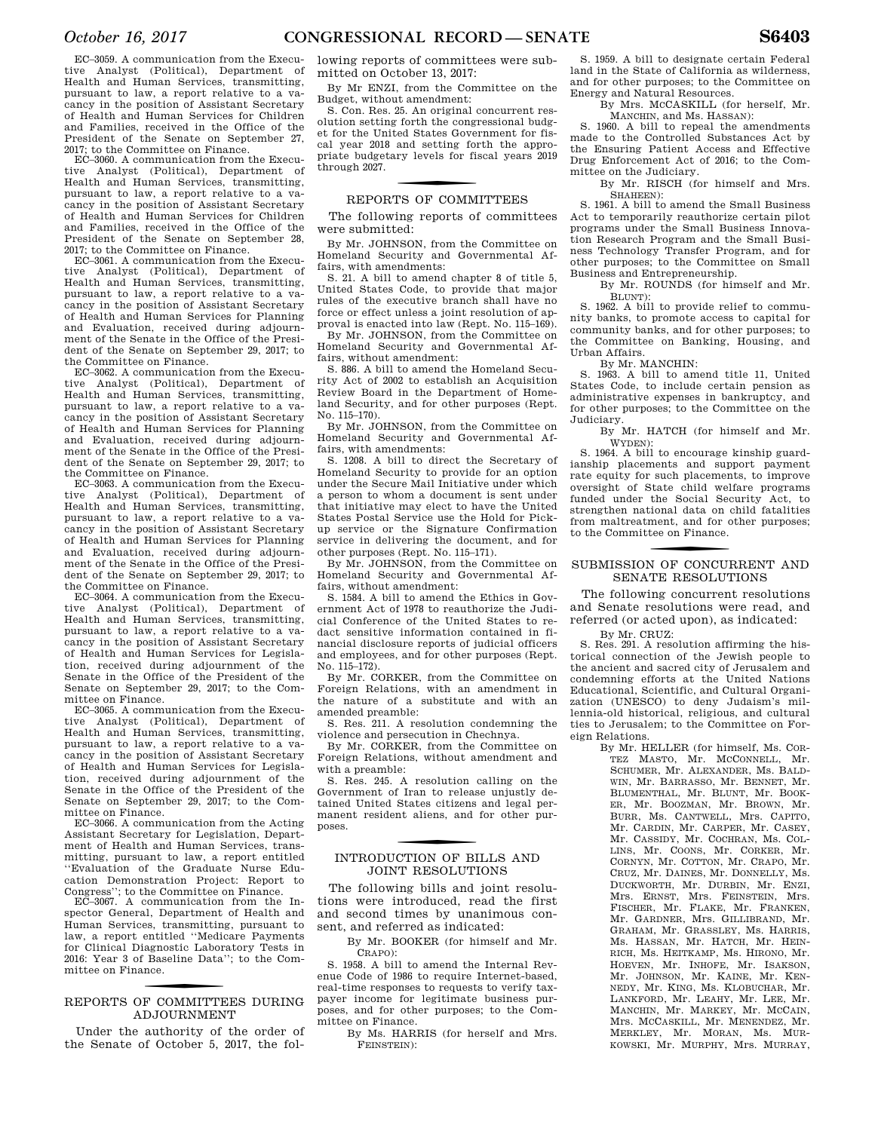EC–3059. A communication from the Executive Analyst (Political), Department of Health and Human Services, transmitting, pursuant to law, a report relative to a vacancy in the position of Assistant Secretary of Health and Human Services for Children and Families, received in the Office of the President of the Senate on September 27, 2017; to the Committee on Finance.

EC–3060. A communication from the Executive Analyst (Political), Department of Health and Human Services, transmitting, pursuant to law, a report relative to a vacancy in the position of Assistant Secretary of Health and Human Services for Children and Families, received in the Office of the President of the Senate on September 28, 2017; to the Committee on Finance.

EC–3061. A communication from the Execu-<br>tive Analyst (Political) Department of Analyst (Political), Department of Health and Human Services, transmitting, pursuant to law, a report relative to a vacancy in the position of Assistant Secretary of Health and Human Services for Planning and Evaluation, received during adjournment of the Senate in the Office of the President of the Senate on September 29, 2017; to the Committee on Finance.

EC–3062. A communication from the Executive Analyst (Political), Department of Health and Human Services, transmitting, pursuant to law, a report relative to a vacancy in the position of Assistant Secretary of Health and Human Services for Planning and Evaluation, received during adjournment of the Senate in the Office of the President of the Senate on September 29, 2017; to the Committee on Finance.

EC–3063. A communication from the Executive Analyst (Political), Department of Health and Human Services, transmitting, pursuant to law, a report relative to a vacancy in the position of Assistant Secretary of Health and Human Services for Planning and Evaluation, received during adjournment of the Senate in the Office of the President of the Senate on September 29, 2017; to the Committee on Finance.

EC–3064. A communication from the Executive Analyst (Political), Department of Health and Human Services, transmitting, pursuant to law, a report relative to a vacancy in the position of Assistant Secretary of Health and Human Services for Legislation, received during adjournment of the Senate in the Office of the President of the Senate on September 29, 2017; to the Committee on Finance.

EC–3065. A communication from the Executive Analyst (Political), Department of Health and Human Services, transmitting, pursuant to law, a report relative to a vacancy in the position of Assistant Secretary of Health and Human Services for Legislation, received during adjournment of the Senate in the Office of the President of the Senate on September 29, 2017; to the Committee on Finance.

EC–3066. A communication from the Acting Assistant Secretary for Legislation, Department of Health and Human Services, transmitting, pursuant to law, a report entitled ''Evaluation of the Graduate Nurse Education Demonstration Project: Report to

Congress''; to the Committee on Finance. EC–3067. A communication from the Inspector General, Department of Health and Human Services, transmitting, pursuant to law, a report entitled ''Medicare Payments for Clinical Diagnostic Laboratory Tests in 2016: Year 3 of Baseline Data''; to the Committee on Finance.

### f REPORTS OF COMMITTEES DURING ADJOURNMENT

Under the authority of the order of the Senate of October 5, 2017, the fol-

lowing reports of committees were submitted on October 13, 2017:

By Mr ENZI, from the Committee on the Budget, without amendment:

S. Con. Res. 25. An original concurrent resolution setting forth the congressional budget for the United States Government for fiscal year 2018 and setting forth the appropriate budgetary levels for fiscal years 2019 through 2027.

### f REPORTS OF COMMITTEES

The following reports of committees were submitted:

By Mr. JOHNSON, from the Committee on Homeland Security and Governmental Affairs, with amendments:

S. 21. A bill to amend chapter 8 of title 5, United States Code, to provide that major rules of the executive branch shall have no force or effect unless a joint resolution of approval is enacted into law (Rept. No. 115–169).

By Mr. JOHNSON, from the Committee on Homeland Security and Governmental Affairs, without amendment:

S. 886. A bill to amend the Homeland Security Act of 2002 to establish an Acquisition Review Board in the Department of Homeland Security, and for other purposes (Rept. No. 115–170).

By Mr. JOHNSON, from the Committee on Homeland Security and Governmental Affairs, with amendments:

S. 1208. A bill to direct the Secretary of Homeland Security to provide for an option under the Secure Mail Initiative under which a person to whom a document is sent under that initiative may elect to have the United States Postal Service use the Hold for Pickup service or the Signature Confirmation service in delivering the document, and for other purposes (Rept. No. 115–171).

By Mr. JOHNSON, from the Committee on Homeland Security and Governmental Affairs, without amendment:

S. 1584. A bill to amend the Ethics in Government Act of 1978 to reauthorize the Judicial Conference of the United States to redact sensitive information contained in financial disclosure reports of judicial officers and employees, and for other purposes (Rept. No. 115–172).

By Mr. CORKER, from the Committee on Foreign Relations, with an amendment in the nature of a substitute and with an amended preamble:

S. Res. 211. A resolution condemning the violence and persecution in Chechnya.

By Mr. CORKER, from the Committee on Foreign Relations, without amendment and with a preamble:

S. Res. 245. A resolution calling on the Government of Iran to release unjustly detained United States citizens and legal permanent resident aliens, and for other purposes.

### f INTRODUCTION OF BILLS AND JOINT RESOLUTIONS

The following bills and joint resolutions were introduced, read the first and second times by unanimous consent, and referred as indicated:

By Mr. BOOKER (for himself and Mr. CRAPO):

S. 1958. A bill to amend the Internal Revenue Code of 1986 to require Internet-based, real-time responses to requests to verify taxpayer income for legitimate business purposes, and for other purposes; to the Committee on Finance.

By Ms. HARRIS (for herself and Mrs. FEINSTEIN):

S. 1959. A bill to designate certain Federal land in the State of California as wilderness, and for other purposes; to the Committee on Energy and Natural Resources.

By Mrs. MCCASKILL (for herself, Mr. MANCHIN, and Ms. HASSAN):

S. 1960. A bill to repeal the amendments made to the Controlled Substances Act by the Ensuring Patient Access and Effective Drug Enforcement Act of 2016; to the Committee on the Judiciary.

By Mr. RISCH (for himself and Mrs. SHAHEEN):

S. 1961. A bill to amend the Small Business Act to temporarily reauthorize certain pilot programs under the Small Business Innovation Research Program and the Small Business Technology Transfer Program, and for other purposes; to the Committee on Small Business and Entrepreneurship.

By Mr. ROUNDS (for himself and Mr.  $\text{R}$ LUNT):

S. 1962. A bill to provide relief to community banks, to promote access to capital for community banks, and for other purposes; to the Committee on Banking, Housing, and Urban Affairs.

By Mr. MANCHIN:

S. 1963. A bill to amend title 11, United States Code, to include certain pension as administrative expenses in bankruptcy, and for other purposes; to the Committee on the Judiciary.

By Mr. HATCH (for himself and Mr. WYDEN):

S. 1964. A bill to encourage kinship guardianship placements and support payment rate equity for such placements, to improve oversight of State child welfare programs funded under the Social Security Act, to strengthen national data on child fatalities from maltreatment, and for other purposes; to the Committee on Finance.

### SUBMISSION OF CONCURRENT AND SENATE RESOLUTIONS

The following concurrent resolutions and Senate resolutions were read, and referred (or acted upon), as indicated:

By Mr. CRUZ:

S. Res. 291. A resolution affirming the historical connection of the Jewish people to the ancient and sacred city of Jerusalem and condemning efforts at the United Nations Educational, Scientific, and Cultural Organization (UNESCO) to deny Judaism's millennia-old historical, religious, and cultural ties to Jerusalem; to the Committee on Foreign Relations.

By Mr. HELLER (for himself, Ms. COR-TEZ MASTO, Mr. MCCONNELL, Mr. SCHUMER, Mr. ALEXANDER, Ms. BALD-WIN, Mr. BARRASSO, Mr. BENNET, Mr. BLUMENTHAL, Mr. BLUNT, Mr. BOOK-ER, Mr. BOOZMAN, Mr. BROWN, Mr. BURR, Ms. CANTWELL, Mrs. CAPITO, Mr. CARDIN, Mr. CARPER, Mr. CASEY, Mr. CASSIDY, Mr. COCHRAN, Ms. COL-LINS, Mr. COONS, Mr. CORKER, Mr. CORNYN, Mr. COTTON, Mr. CRAPO, Mr. CRUZ, Mr. DAINES, Mr. DONNELLY, Ms. DUCKWORTH, Mr. DURBIN, Mr. ENZI, Mrs. ERNST, Mrs. FEINSTEIN, Mrs. FISCHER, Mr. FLAKE, Mr. FRANKEN, Mr. GARDNER, Mrs. GILLIBRAND, Mr. GRAHAM, Mr. GRASSLEY, Ms. HARRIS, Ms. HASSAN, Mr. HATCH, Mr. HEIN-RICH, Ms. HEITKAMP, Ms. HIRONO, Mr. HOEVEN, Mr. INHOFE, Mr. ISAKSON, Mr. JOHNSON, Mr. KAINE, Mr. KEN-NEDY, Mr. KING, Ms. KLOBUCHAR, Mr. LANKFORD, Mr. LEAHY, Mr. LEE, Mr. MANCHIN, Mr. MARKEY, Mr. MCCAIN, Mrs. MCCASKILL, Mr. MENENDEZ, Mr. MERKLEY, Mr. MORAN, Ms. MUR-KOWSKI, Mr. MURPHY, Mrs. MURRAY,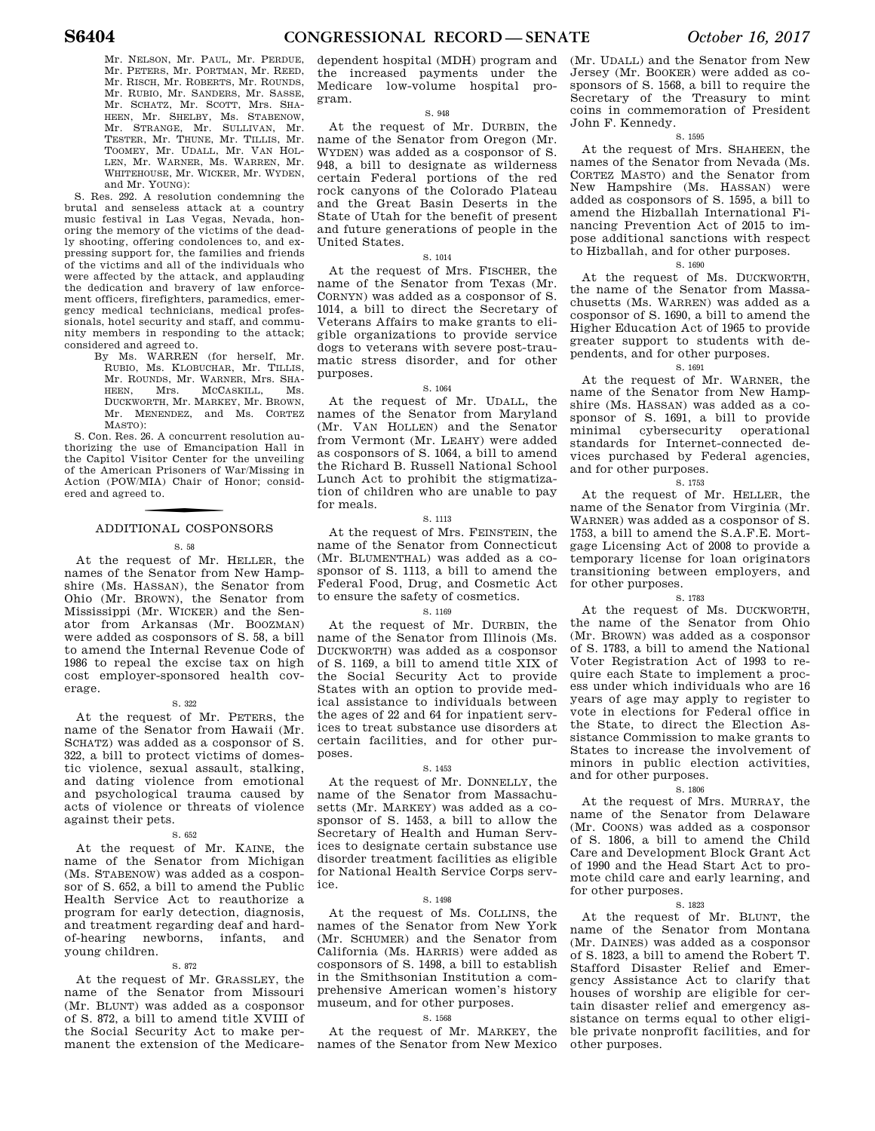Mr. NELSON, Mr. PAUL, Mr. PERDUE, Mr. PETERS, Mr. PORTMAN, Mr. REED, Mr. RISCH, Mr. ROBERTS, Mr. ROUNDS, Mr. RUBIO, Mr. SANDERS, Mr. SASSE, Mr. SCHATZ, Mr. SCOTT, Mrs. SHA-HEEN, Mr. SHELBY, Ms. STABENOW, Mr. STRANGE, Mr. SULLIVAN, Mr. TESTER, Mr. THUNE, Mr. TILLIS, Mr. TOOMEY, Mr. UDALL, Mr. VAN HOL-LEN, Mr. WARNER, Ms. WARREN, Mr. WHITEHOUSE, Mr. WICKER, Mr. WYDEN, and Mr. YOUNG):

S. Res. 292. A resolution condemning the brutal and senseless attack at a country music festival in Las Vegas, Nevada, honoring the memory of the victims of the deadly shooting, offering condolences to, and expressing support for, the families and friends of the victims and all of the individuals who were affected by the attack, and applauding the dedication and bravery of law enforcement officers, firefighters, paramedics, emergency medical technicians, medical professionals, hotel security and staff, and community members in responding to the attack; considered and agreed to.

By Ms. WARREN (for herself, Mr. RUBIO, Ms. KLOBUCHAR, Mr. TILLIS, Mr. ROUNDS, Mr. WARNER, Mrs. SHA-Mrs. McCaskill, Ms. DUCKWORTH, Mr. MARKEY, Mr. BROWN, Mr. MENENDEZ, and Ms. CORTEZ MASTO):

S. Con. Res. 26. A concurrent resolution authorizing the use of Emancipation Hall in the Capitol Visitor Center for the unveiling of the American Prisoners of War/Missing in Action (POW/MIA) Chair of Honor; considered and agreed to.

# f ADDITIONAL COSPONSORS

S. 58

At the request of Mr. HELLER, the names of the Senator from New Hampshire (Ms. HASSAN), the Senator from Ohio (Mr. BROWN), the Senator from Mississippi (Mr. WICKER) and the Senator from Arkansas (Mr. BOOZMAN) were added as cosponsors of S. 58, a bill to amend the Internal Revenue Code of 1986 to repeal the excise tax on high cost employer-sponsored health coverage.

### S. 322

At the request of Mr. PETERS, the name of the Senator from Hawaii (Mr. SCHATZ) was added as a cosponsor of S. 322, a bill to protect victims of domestic violence, sexual assault, stalking, and dating violence from emotional and psychological trauma caused by acts of violence or threats of violence against their pets.

#### S. 652

At the request of Mr. KAINE, the name of the Senator from Michigan (Ms. STABENOW) was added as a cosponsor of S. 652, a bill to amend the Public Health Service Act to reauthorize a program for early detection, diagnosis, and treatment regarding deaf and hardof-hearing newborns, infants, and young children.

#### S. 872

At the request of Mr. GRASSLEY, the name of the Senator from Missouri (Mr. BLUNT) was added as a cosponsor of S. 872, a bill to amend title XVIII of the Social Security Act to make permanent the extension of the Medicaredependent hospital (MDH) program and the increased payments under the Medicare low-volume hospital program.

#### S. 948

At the request of Mr. DURBIN, the name of the Senator from Oregon (Mr. WYDEN) was added as a cosponsor of S. 948, a bill to designate as wilderness certain Federal portions of the red rock canyons of the Colorado Plateau and the Great Basin Deserts in the State of Utah for the benefit of present and future generations of people in the United States.

### S. 1014

At the request of Mrs. FISCHER, the name of the Senator from Texas (Mr. CORNYN) was added as a cosponsor of S. 1014, a bill to direct the Secretary of Veterans Affairs to make grants to eligible organizations to provide service dogs to veterans with severe post-traumatic stress disorder, and for other purposes.

#### S. 1064

At the request of Mr. UDALL, the names of the Senator from Maryland (Mr. VAN HOLLEN) and the Senator from Vermont (Mr. LEAHY) were added as cosponsors of S. 1064, a bill to amend the Richard B. Russell National School Lunch Act to prohibit the stigmatization of children who are unable to pay for meals.

#### S. 1113

At the request of Mrs. FEINSTEIN, the name of the Senator from Connecticut (Mr. BLUMENTHAL) was added as a cosponsor of S. 1113, a bill to amend the Federal Food, Drug, and Cosmetic Act to ensure the safety of cosmetics.

### S. 1169

At the request of Mr. DURBIN, the name of the Senator from Illinois (Ms. DUCKWORTH) was added as a cosponsor of S. 1169, a bill to amend title XIX of the Social Security Act to provide States with an option to provide medical assistance to individuals between the ages of 22 and 64 for inpatient services to treat substance use disorders at certain facilities, and for other purposes.

#### S. 1453

At the request of Mr. DONNELLY, the name of the Senator from Massachusetts (Mr. MARKEY) was added as a cosponsor of S. 1453, a bill to allow the Secretary of Health and Human Services to designate certain substance use disorder treatment facilities as eligible for National Health Service Corps service.

#### S. 1498

At the request of Ms. COLLINS, the names of the Senator from New York (Mr. SCHUMER) and the Senator from California (Ms. HARRIS) were added as cosponsors of S. 1498, a bill to establish in the Smithsonian Institution a comprehensive American women's history museum, and for other purposes.

#### S. 1568

At the request of Mr. MARKEY, the names of the Senator from New Mexico

(Mr. UDALL) and the Senator from New Jersey (Mr. BOOKER) were added as cosponsors of S. 1568, a bill to require the Secretary of the Treasury to mint coins in commemoration of President John F. Kennedy.

#### S. 1595

At the request of Mrs. SHAHEEN, the names of the Senator from Nevada (Ms. CORTEZ MASTO) and the Senator from New Hampshire (Ms. HASSAN) were added as cosponsors of S. 1595, a bill to amend the Hizballah International Financing Prevention Act of 2015 to impose additional sanctions with respect to Hizballah, and for other purposes.

### S. 1690

At the request of Ms. DUCKWORTH, the name of the Senator from Massachusetts (Ms. WARREN) was added as a cosponsor of S. 1690, a bill to amend the Higher Education Act of 1965 to provide greater support to students with dependents, and for other purposes.

### S. 1691

At the request of Mr. WARNER, the name of the Senator from New Hampshire (Ms. HASSAN) was added as a cosponsor of S. 1691, a bill to provide minimal cybersecurity operational standards for Internet-connected devices purchased by Federal agencies, and for other purposes.

### S. 1753

At the request of Mr. HELLER, the name of the Senator from Virginia (Mr. WARNER) was added as a cosponsor of S. 1753, a bill to amend the S.A.F.E. Mortgage Licensing Act of 2008 to provide a temporary license for loan originators transitioning between employers, and for other purposes.

#### S. 1783

At the request of Ms. DUCKWORTH, the name of the Senator from Ohio (Mr. BROWN) was added as a cosponsor of S. 1783, a bill to amend the National Voter Registration Act of 1993 to require each State to implement a process under which individuals who are 16 years of age may apply to register to vote in elections for Federal office in the State, to direct the Election Assistance Commission to make grants to States to increase the involvement of minors in public election activities, and for other purposes.

#### S. 1806

At the request of Mrs. MURRAY, the name of the Senator from Delaware (Mr. COONS) was added as a cosponsor of S. 1806, a bill to amend the Child Care and Development Block Grant Act of 1990 and the Head Start Act to promote child care and early learning, and for other purposes.

### S. 1823

At the request of Mr. BLUNT, the name of the Senator from Montana (Mr. DAINES) was added as a cosponsor of S. 1823, a bill to amend the Robert T. Stafford Disaster Relief and Emergency Assistance Act to clarify that houses of worship are eligible for certain disaster relief and emergency assistance on terms equal to other eligible private nonprofit facilities, and for other purposes.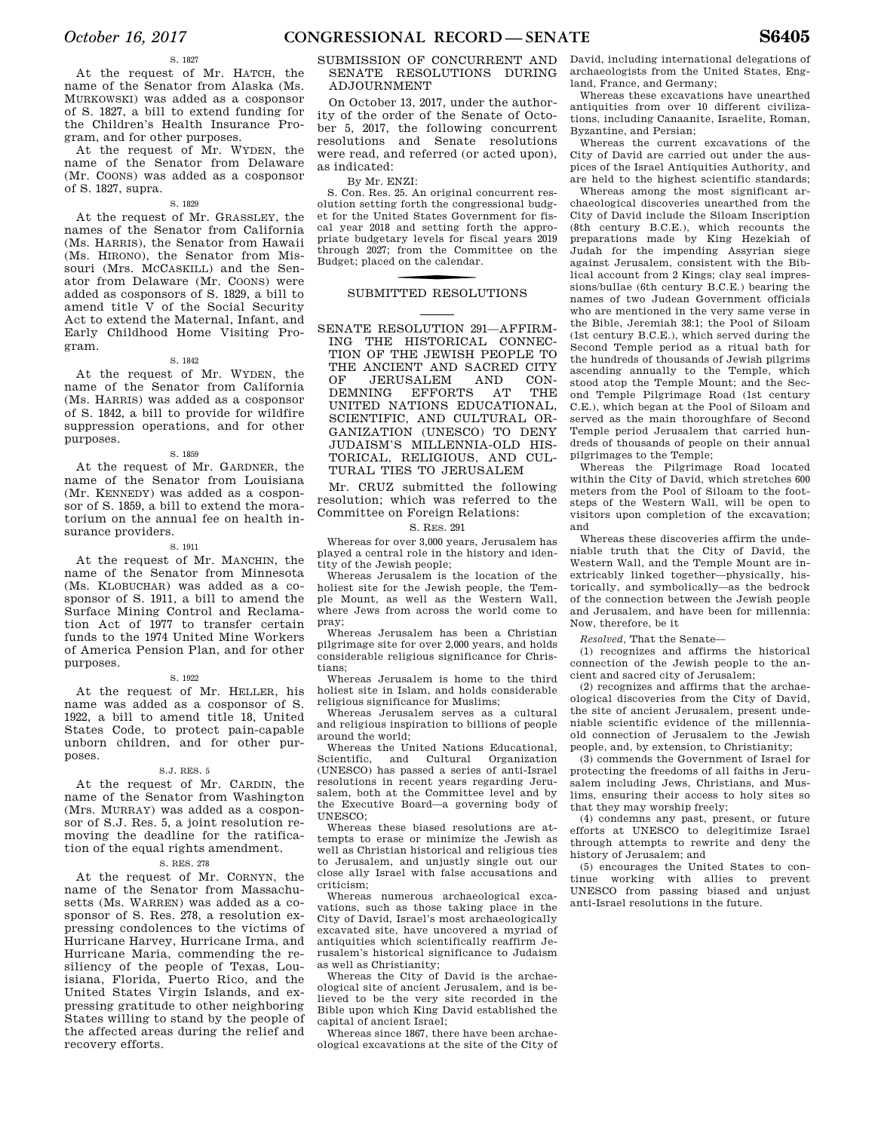At the request of Mr. HATCH, the name of the Senator from Alaska (Ms. MURKOWSKI) was added as a cosponsor of S. 1827, a bill to extend funding for the Children's Health Insurance Program, and for other purposes.

At the request of Mr. WYDEN, the name of the Senator from Delaware (Mr. COONS) was added as a cosponsor of S. 1827, supra.

### S. 1829

At the request of Mr. GRASSLEY, the names of the Senator from California (Ms. HARRIS), the Senator from Hawaii (Ms. HIRONO), the Senator from Missouri (Mrs. MCCASKILL) and the Senator from Delaware (Mr. COONS) were added as cosponsors of S. 1829, a bill to amend title V of the Social Security Act to extend the Maternal, Infant, and Early Childhood Home Visiting Program.

### S. 1842

At the request of Mr. WYDEN, the name of the Senator from California (Ms. HARRIS) was added as a cosponsor of S. 1842, a bill to provide for wildfire suppression operations, and for other purposes.

#### S. 1859

At the request of Mr. GARDNER, the name of the Senator from Louisiana (Mr. KENNEDY) was added as a cosponsor of S. 1859, a bill to extend the moratorium on the annual fee on health insurance providers.

#### S. 1911

At the request of Mr. MANCHIN, the name of the Senator from Minnesota (Ms. KLOBUCHAR) was added as a cosponsor of S. 1911, a bill to amend the Surface Mining Control and Reclamation Act of 1977 to transfer certain funds to the 1974 United Mine Workers of America Pension Plan, and for other purposes.

### S. 1922

At the request of Mr. HELLER, his name was added as a cosponsor of S. 1922, a bill to amend title 18, United States Code, to protect pain-capable unborn children, and for other purposes.

### S.J. RES. 5

At the request of Mr. CARDIN, the name of the Senator from Washington (Mrs. MURRAY) was added as a cosponsor of S.J. Res. 5, a joint resolution removing the deadline for the ratification of the equal rights amendment.

### S. RES. 278

At the request of Mr. CORNYN, the name of the Senator from Massachusetts (Ms. WARREN) was added as a cosponsor of S. Res. 278, a resolution expressing condolences to the victims of Hurricane Harvey, Hurricane Irma, and Hurricane Maria, commending the resiliency of the people of Texas, Louisiana, Florida, Puerto Rico, and the United States Virgin Islands, and expressing gratitude to other neighboring States willing to stand by the people of the affected areas during the relief and recovery efforts.

### SUBMISSION OF CONCURRENT AND SENATE RESOLUTIONS DURING ADJOURNMENT

On October 13, 2017, under the authority of the order of the Senate of October 5, 2017, the following concurrent resolutions and Senate resolutions were read, and referred (or acted upon), as indicated:

By Mr. ENZI:

S. Con. Res. 25. An original concurrent resolution setting forth the congressional budget for the United States Government for fiscal year 2018 and setting forth the appropriate budgetary levels for fiscal years 2019 through 2027; from the Committee on the Budget; placed on the calendar.

### SUBMITTED RESOLUTIONS

SENATE RESOLUTION 291—AFFIRM-ING THE HISTORICAL CONNEC-TION OF THE JEWISH PEOPLE TO THE ANCIENT AND SACRED CITY OF JERUSALEM AND CON-<br>DEMNING EFFORTS AT THE DEMNING EFFORTS AT UNITED NATIONS EDUCATIONAL, SCIENTIFIC, AND CULTURAL OR-GANIZATION (UNESCO) TO DENY JUDAISM'S MILLENNIA-OLD HIS-TORICAL, RELIGIOUS, AND CUL-TURAL TIES TO JERUSALEM

Mr. CRUZ submitted the following resolution; which was referred to the Committee on Foreign Relations:

### S. RES. 291

Whereas for over 3,000 years, Jerusalem has played a central role in the history and identity of the Jewish people;

Whereas Jerusalem is the location of the holiest site for the Jewish people, the Temple Mount, as well as the Western Wall, where Jews from across the world come to pray;

Whereas Jerusalem has been a Christian pilgrimage site for over 2,000 years, and holds considerable religious significance for Christians;

Whereas Jerusalem is home to the third holiest site in Islam, and holds considerable religious significance for Muslims;

Whereas Jerusalem serves as a cultural and religious inspiration to billions of people around the world;

Whereas the United Nations Educational, Scientific, and Cultural Organization (UNESCO) has passed a series of anti-Israel resolutions in recent years regarding Jerusalem, both at the Committee level and by the Executive Board—a governing body of UNESCO;

Whereas these biased resolutions are attempts to erase or minimize the Jewish as well as Christian historical and religious ties to Jerusalem, and unjustly single out our close ally Israel with false accusations and criticism;

Whereas numerous archaeological excavations, such as those taking place in the City of David, Israel's most archaeologically excavated site, have uncovered a myriad of antiquities which scientifically reaffirm Jerusalem's historical significance to Judaism as well as Christianity;

Whereas the City of David is the archaeological site of ancient Jerusalem, and is believed to be the very site recorded in the Bible upon which King David established the capital of ancient Israel;

Whereas since 1867, there have been archaeological excavations at the site of the City of David, including international delegations of archaeologists from the United States, England, France, and Germany;

Whereas these excavations have unearthed antiquities from over 10 different civilizations, including Canaanite, Israelite, Roman, Byzantine, and Persian;

Whereas the current excavations of the City of David are carried out under the auspices of the Israel Antiquities Authority, and are held to the highest scientific standards;

Whereas among the most significant archaeological discoveries unearthed from the City of David include the Siloam Inscription (8th century B.C.E.), which recounts the preparations made by King Hezekiah of Judah for the impending Assyrian siege against Jerusalem, consistent with the Biblical account from 2 Kings; clay seal impressions/bullae (6th century B.C.E.) bearing the names of two Judean Government officials who are mentioned in the very same verse in the Bible, Jeremiah 38:1; the Pool of Siloam (1st century B.C.E.), which served during the Second Temple period as a ritual bath for the hundreds of thousands of Jewish pilgrims ascending annually to the Temple, which stood atop the Temple Mount; and the Second Temple Pilgrimage Road (1st century C.E.), which began at the Pool of Siloam and served as the main thoroughfare of Second Temple period Jerusalem that carried hundreds of thousands of people on their annual pilgrimages to the Temple;

Whereas the Pilgrimage Road located within the City of David, which stretches 600 meters from the Pool of Siloam to the footsteps of the Western Wall, will be open to visitors upon completion of the excavation; and

Whereas these discoveries affirm the undeniable truth that the City of David, the Western Wall, and the Temple Mount are inextricably linked together—physically, historically, and symbolically—as the bedrock of the connection between the Jewish people and Jerusalem, and have been for millennia: Now, therefore, be it

*Resolved,* That the Senate—

(1) recognizes and affirms the historical connection of the Jewish people to the ancient and sacred city of Jerusalem;

(2) recognizes and affirms that the archaeological discoveries from the City of David, the site of ancient Jerusalem, present undeniable scientific evidence of the millenniaold connection of Jerusalem to the Jewish people, and, by extension, to Christianity;

(3) commends the Government of Israel for protecting the freedoms of all faiths in Jerusalem including Jews, Christians, and Muslims, ensuring their access to holy sites so that they may worship freely;

(4) condemns any past, present, or future efforts at UNESCO to delegitimize Israel through attempts to rewrite and deny the history of Jerusalem; and

(5) encourages the United States to continue working with allies to prevent UNESCO from passing biased and unjust anti-Israel resolutions in the future.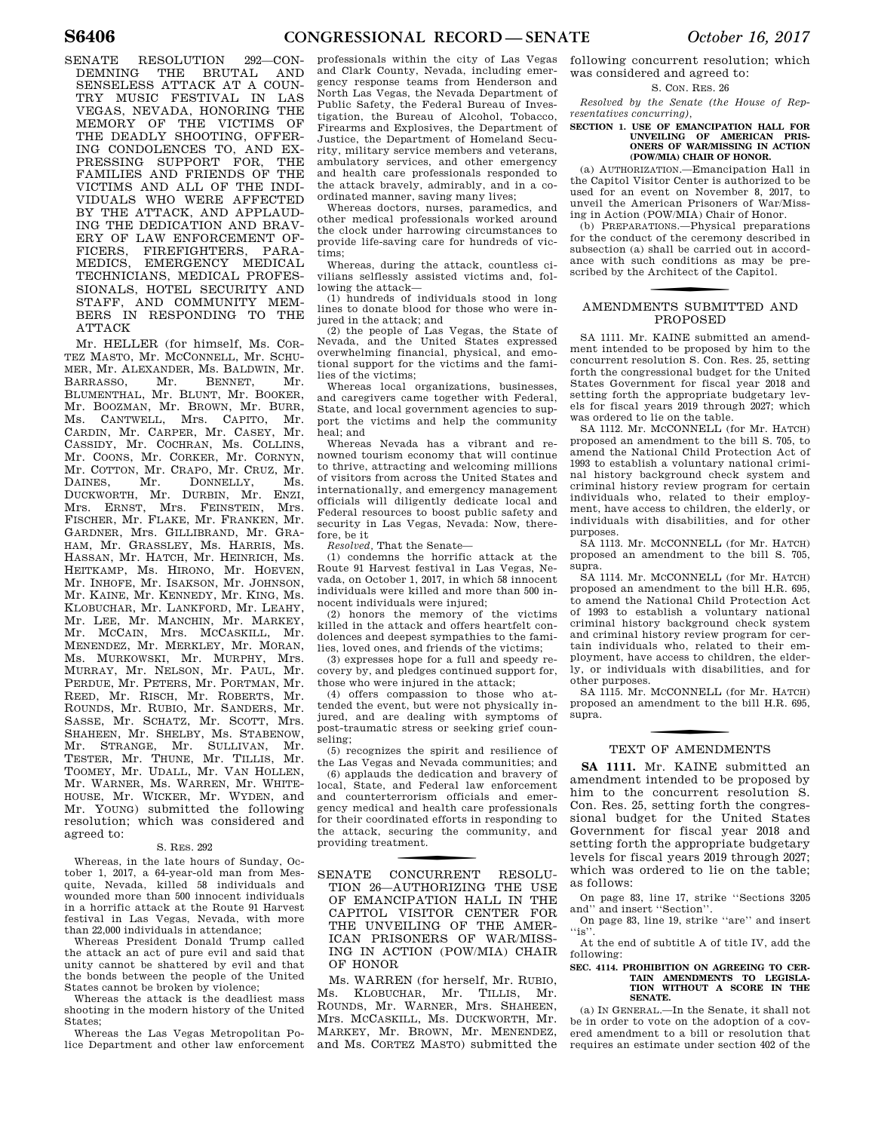SENATE RESOLUTION 292—CON-DEMNING THE BRUTAL AND SENSELESS ATTACK AT A COUN-TRY MUSIC FESTIVAL IN LAS VEGAS, NEVADA, HONORING THE MEMORY OF THE VICTIMS OF THE DEADLY SHOOTING, OFFER-ING CONDOLENCES TO, AND EX-PRESSING SUPPORT FOR, THE FAMILIES AND FRIENDS OF THE VICTIMS AND ALL OF THE INDI-VIDUALS WHO WERE AFFECTED BY THE ATTACK, AND APPLAUD-ING THE DEDICATION AND BRAV-ERY OF LAW ENFORCEMENT OF-FICERS, FIREFIGHTERS, PARA-MEDICS, EMERGENCY MEDICAL TECHNICIANS, MEDICAL PROFES-SIONALS, HOTEL SECURITY AND STAFF, AND COMMUNITY MEM-BERS IN RESPONDING TO THE ATTACK

Mr. HELLER (for himself, Ms. COR-TEZ MASTO, Mr. MCCONNELL, Mr. SCHU-MER, Mr. ALEXANDER, Ms. BALDWIN, Mr.<br>BARRASSO. Mr. BENNET. Mr. BARRASSO, Mr. BENNET, Mr. BLUMENTHAL, Mr. BLUNT, Mr. BOOKER, Mr. BOOZMAN, Mr. BROWN, Mr. BURR, Ms. CANTWELL, Mrs. CAPITO, Mr. CARDIN, Mr. CARPER, Mr. CASEY, Mr. CASSIDY, Mr. COCHRAN, Ms. COLLINS, Mr. COONS, Mr. CORKER, Mr. CORNYN, Mr. COTTON, Mr. CRAPO, Mr. CRUZ, Mr.<br>DAINES. Mr. DONNELLY. Ms. DAINES, Mr. DONNELLY, Ms. DUCKWORTH, Mr. DURBIN, Mr. ENZI, Mrs. ERNST, Mrs. FEINSTEIN, Mrs. FISCHER, Mr. FLAKE, Mr. FRANKEN, Mr. GARDNER, Mrs. GILLIBRAND, Mr. GRA-HAM, Mr. GRASSLEY, Ms. HARRIS, Ms. HASSAN, Mr. HATCH, Mr. HEINRICH, Ms. HEITKAMP, Ms. HIRONO, Mr. HOEVEN, Mr. INHOFE, Mr. ISAKSON, Mr. JOHNSON, Mr. KAINE, Mr. KENNEDY, Mr. KING, Ms. KLOBUCHAR, Mr. LANKFORD, Mr. LEAHY, Mr. LEE, Mr. MANCHIN, Mr. MARKEY, Mr. MCCAIN, Mrs. MCCASKILL, Mr. MENENDEZ, Mr. MERKLEY, Mr. MORAN, Ms. MURKOWSKI, Mr. MURPHY, Mrs. MURRAY, Mr. NELSON, Mr. PAUL, Mr. PERDUE, Mr. PETERS, Mr. PORTMAN, Mr. REED, Mr. RISCH, Mr. ROBERTS, Mr. ROUNDS, Mr. RUBIO, Mr. SANDERS, Mr. SASSE, Mr. SCHATZ, Mr. SCOTT, Mrs. SHAHEEN, Mr. SHELBY, Ms. STABENOW, Mr. STRANGE, Mr. SULLIVAN, Mr. TESTER, Mr. THUNE, Mr. TILLIS, Mr. TOOMEY, Mr. UDALL, Mr. VAN HOLLEN, Mr. WARNER, Ms. WARREN, Mr. WHITE-HOUSE, Mr. WICKER, Mr. WYDEN, and Mr. YOUNG) submitted the following resolution; which was considered and agreed to:

#### S. RES. 292

Whereas, in the late hours of Sunday, October 1, 2017, a 64-year-old man from Mesquite, Nevada, killed 58 individuals and wounded more than 500 innocent individuals in a horrific attack at the Route 91 Harvest festival in Las Vegas, Nevada, with more than 22,000 individuals in attendance;

Whereas President Donald Trump called the attack an act of pure evil and said that unity cannot be shattered by evil and that the bonds between the people of the United States cannot be broken by violence;

Whereas the attack is the deadliest mass shooting in the modern history of the United States;

Whereas the Las Vegas Metropolitan Police Department and other law enforcement

professionals within the city of Las Vegas and Clark County, Nevada, including emergency response teams from Henderson and North Las Vegas, the Nevada Department of Public Safety, the Federal Bureau of Investigation, the Bureau of Alcohol, Tobacco, Firearms and Explosives, the Department of Justice, the Department of Homeland Security, military service members and veterans, ambulatory services, and other emergency and health care professionals responded to the attack bravely, admirably, and in a coordinated manner, saving many lives;

Whereas doctors, nurses, paramedics, and other medical professionals worked around the clock under harrowing circumstances to provide life-saving care for hundreds of victims;

Whereas, during the attack, countless civilians selflessly assisted victims and, following the attack—

(1) hundreds of individuals stood in long lines to donate blood for those who were injured in the attack; and

(2) the people of Las Vegas, the State of Nevada, and the United States expressed overwhelming financial, physical, and emotional support for the victims and the families of the victims;

Whereas local organizations, businesses, and caregivers came together with Federal, State, and local government agencies to support the victims and help the community heal; and

Whereas Nevada has a vibrant and renowned tourism economy that will continue to thrive, attracting and welcoming millions of visitors from across the United States and internationally, and emergency management officials will diligently dedicate local and Federal resources to boost public safety and security in Las Vegas, Nevada: Now, therefore, be it

*Resolved,* That the Senate—

(1) condemns the horrific attack at the Route 91 Harvest festival in Las Vegas, Nevada, on October 1, 2017, in which 58 innocent individuals were killed and more than 500 innocent individuals were injured;

(2) honors the memory of the victims killed in the attack and offers heartfelt condolences and deepest sympathies to the families, loved ones, and friends of the victims;

(3) expresses hope for a full and speedy recovery by, and pledges continued support for, those who were injured in the attack;

(4) offers compassion to those who attended the event, but were not physically injured, and are dealing with symptoms of post-traumatic stress or seeking grief counseling;

(5) recognizes the spirit and resilience of the Las Vegas and Nevada communities; and

(6) applauds the dedication and bravery of local, State, and Federal law enforcement and counterterrorism officials and emergency medical and health care professionals for their coordinated efforts in responding to the attack, securing the community, and providing treatment.

f SENATE CONCURRENT RESOLU-TION 26—AUTHORIZING THE USE OF EMANCIPATION HALL IN THE CAPITOL VISITOR CENTER FOR THE UNVEILING OF THE AMER-ICAN PRISONERS OF WAR/MISS-ING IN ACTION (POW/MIA) CHAIR OF HONOR

Ms. WARREN (for herself, Mr. RUBIO, Ms. KLOBUCHAR, Mr. TILLIS, Mr. ROUNDS, Mr. WARNER, Mrs. SHAHEEN, Mrs. MCCASKILL, Ms. DUCKWORTH, Mr. MARKEY, Mr. BROWN, Mr. MENENDEZ, and Ms. CORTEZ MASTO) submitted the following concurrent resolution; which was considered and agreed to:

S. CON. RES. 26

*Resolved by the Senate (the House of Representatives concurring),* 

### **SECTION 1. USE OF EMANCIPATION HALL FOR UNVEILING OF AMERICAN PRIS-ONERS OF WAR/MISSING IN ACTION (POW/MIA) CHAIR OF HONOR.**

(a) AUTHORIZATION.—Emancipation Hall in the Capitol Visitor Center is authorized to be used for an event on November 8, 2017, to unveil the American Prisoners of War/Missing in Action (POW/MIA) Chair of Honor.

(b) PREPARATIONS.—Physical preparations for the conduct of the ceremony described in subsection (a) shall be carried out in accordance with such conditions as may be prescribed by the Architect of the Capitol.

### f AMENDMENTS SUBMITTED AND PROPOSED

SA 1111. Mr. KAINE submitted an amendment intended to be proposed by him to the concurrent resolution S. Con. Res. 25, setting forth the congressional budget for the United States Government for fiscal year 2018 and setting forth the appropriate budgetary levels for fiscal years 2019 through 2027; which was ordered to lie on the table.

SA 1112. Mr. MCCONNELL (for Mr. HATCH) proposed an amendment to the bill S. 705, to amend the National Child Protection Act of 1993 to establish a voluntary national criminal history background check system and criminal history review program for certain individuals who, related to their employment, have access to children, the elderly, or individuals with disabilities, and for other purposes.

SA 1113. Mr. MCCONNELL (for Mr. HATCH) proposed an amendment to the bill S. 705, supra.

SA 1114. Mr. MCCONNELL (for Mr. HATCH) proposed an amendment to the bill H.R. 695, to amend the National Child Protection Act of 1993 to establish a voluntary national criminal history background check system and criminal history review program for certain individuals who, related to their employment, have access to children, the elderly, or individuals with disabilities, and for other purposes.

SA 1115. Mr. MCCONNELL (for Mr. HATCH) proposed an amendment to the bill H.R. 695, supra.

# TEXT OF AMENDMENTS

**SA 1111.** Mr. KAINE submitted an amendment intended to be proposed by him to the concurrent resolution S. Con. Res. 25, setting forth the congressional budget for the United States Government for fiscal year 2018 and setting forth the appropriate budgetary levels for fiscal years 2019 through 2027; which was ordered to lie on the table; as follows:

On page 83, line 17, strike ''Sections 3205 and'' and insert ''Section''.

On page 83, line 19, strike ''are'' and insert  $``i<sub>S</sub>$ '

At the end of subtitle A of title IV, add the following:

### **SEC. 4114. PROHIBITION ON AGREEING TO CER-TAIN AMENDMENTS TO LEGISLA-TION WITHOUT A SCORE IN THE SENATE.**

(a) IN GENERAL.—In the Senate, it shall not be in order to vote on the adoption of a covered amendment to a bill or resolution that requires an estimate under section 402 of the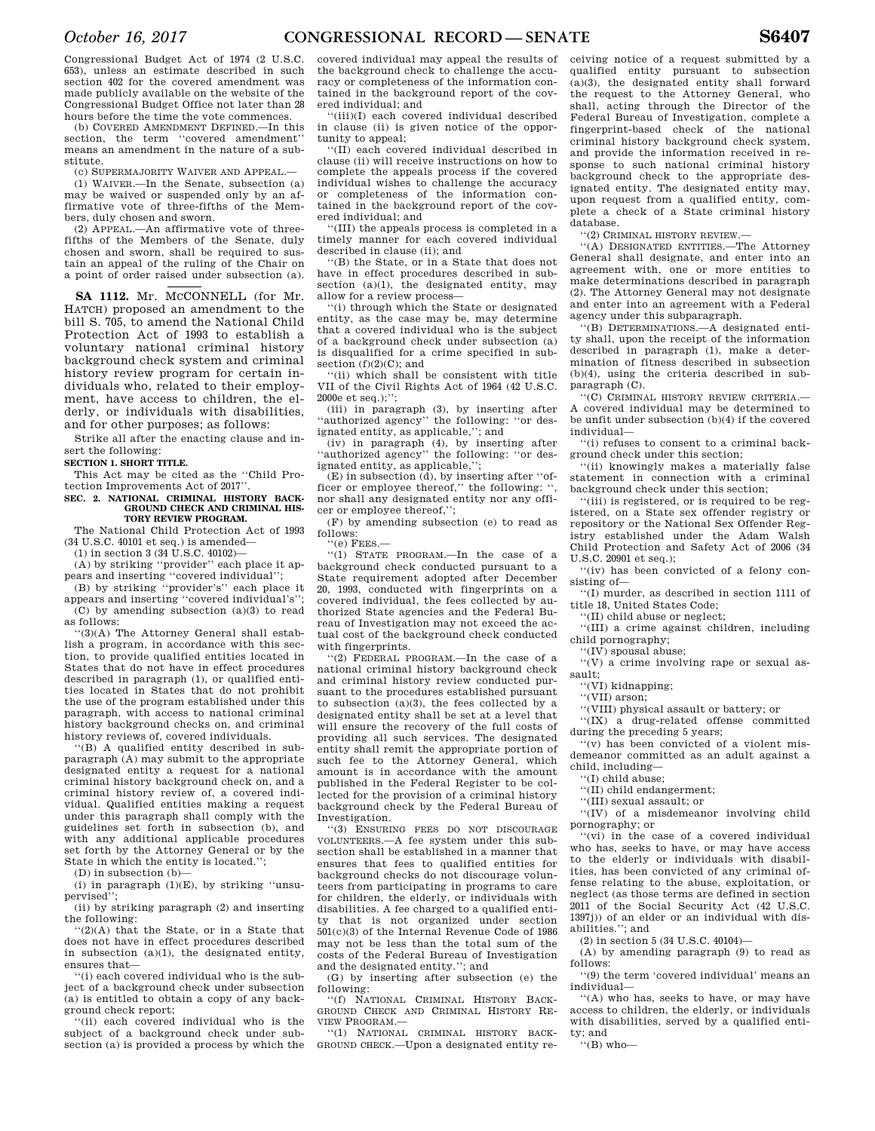Congressional Budget Act of 1974 (2 U.S.C. 653), unless an estimate described in such section 402 for the covered amendment was made publicly available on the website of the Congressional Budget Office not later than 28 hours before the time the vote commences.

(b) COVERED AMENDMENT DEFINED.—In this section, the term ''covered amendment'' means an amendment in the nature of a substitute.

(c) SUPERMAJORITY WAIVER AND APPEAL.—

(1) WAIVER.—In the Senate, subsection (a) may be waived or suspended only by an affirmative vote of three-fifths of the Members, duly chosen and sworn.

(2) APPEAL.—An affirmative vote of threefifths of the Members of the Senate, duly chosen and sworn, shall be required to sustain an appeal of the ruling of the Chair on a point of order raised under subsection (a).

SA 1112. Mr. McCONNELL (for Mr. HATCH) proposed an amendment to the bill S. 705, to amend the National Child Protection Act of 1993 to establish a voluntary national criminal history background check system and criminal history review program for certain individuals who, related to their employment, have access to children, the elderly, or individuals with disabilities, and for other purposes; as follows:

Strike all after the enacting clause and insert the following:

**SECTION 1. SHORT TITLE.** 

This Act may be cited as the ''Child Protection Improvements Act of 2017''.

**SEC. 2. NATIONAL CRIMINAL HISTORY BACK-GROUND CHECK AND CRIMINAL HIS-TORY REVIEW PROGRAM.** 

The National Child Protection Act of 1993 (34 U.S.C. 40101 et seq.) is amended—

(1) in section 3 (34 U.S.C. 40102)—

(A) by striking ''provider'' each place it appears and inserting ''covered individual'';

(B) by striking ''provider's'' each place it appears and inserting ''covered individual's'';  $(C)$  by amending subsection (a)(3) to read as follows:

''(3)(A) The Attorney General shall establish a program, in accordance with this section, to provide qualified entities located in States that do not have in effect procedures described in paragraph (1), or qualified entities located in States that do not prohibit the use of the program established under this paragraph, with access to national criminal history background checks on, and criminal history reviews of, covered individuals.

''(B) A qualified entity described in subparagraph (A) may submit to the appropriate designated entity a request for a national criminal history background check on, and a criminal history review of, a covered individual. Qualified entities making a request under this paragraph shall comply with the guidelines set forth in subsection (b), and with any additional applicable procedures set forth by the Attorney General or by the State in which the entity is located.'';

(D) in subsection (b)—

(i) in paragraph  $(1)(E)$ , by striking "unsupervised'';

(ii) by striking paragraph (2) and inserting the following:

''(2)(A) that the State, or in a State that does not have in effect procedures described in subsection (a)(1), the designated entity, ensures that—

''(i) each covered individual who is the subject of a background check under subsection (a) is entitled to obtain a copy of any background check report;

''(ii) each covered individual who is the subject of a background check under subsection (a) is provided a process by which the

covered individual may appeal the results of the background check to challenge the accuracy or completeness of the information contained in the background report of the covered individual; and

''(iii)(I) each covered individual described in clause (ii) is given notice of the opportunity to appeal;

''(II) each covered individual described in clause (ii) will receive instructions on how to complete the appeals process if the covered individual wishes to challenge the accuracy or completeness of the information contained in the background report of the covered individual; and

''(III) the appeals process is completed in a timely manner for each covered individual described in clause (ii); and

''(B) the State, or in a State that does not have in effect procedures described in subsection  $(a)(1)$ , the designated entity, may allow for a review process—

''(i) through which the State or designated entity, as the case may be, may determine that a covered individual who is the subject of a background check under subsection (a) is disqualified for a crime specified in subsection  $(f)(2)(C)$ ; and

''(ii) which shall be consistent with title VII of the Civil Rights Act of 1964 (42 U.S.C. 2000e et seq.);'';

(iii) in paragraph (3), by inserting after 'authorized agency'' the following: "or designated entity, as applicable,''; and

(iv) in paragraph (4), by inserting after ''authorized agency'' the following: ''or designated entity, as applicable,'';

(E) in subsection (d), by inserting after ''officer or employee thereof," the following: nor shall any designated entity nor any officer or employee thereof,'';

(F) by amending subsection (e) to read as follows:

''(e) FEES.—

''(1) STATE PROGRAM.—In the case of a background check conducted pursuant to a State requirement adopted after December 20, 1993, conducted with fingerprints on a covered individual, the fees collected by authorized State agencies and the Federal Bureau of Investigation may not exceed the actual cost of the background check conducted with fingerprints.

''(2) FEDERAL PROGRAM.—In the case of a national criminal history background check and criminal history review conducted pursuant to the procedures established pursuant to subsection (a)(3), the fees collected by a designated entity shall be set at a level that will ensure the recovery of the full costs of providing all such services. The designated entity shall remit the appropriate portion of such fee to the Attorney General, which amount is in accordance with the amount published in the Federal Register to be collected for the provision of a criminal history background check by the Federal Bureau of Investigation.

''(3) ENSURING FEES DO NOT DISCOURAGE VOLUNTEERS.—A fee system under this subsection shall be established in a manner that ensures that fees to qualified entities for background checks do not discourage volunteers from participating in programs to care for children, the elderly, or individuals with disabilities. A fee charged to a qualified entity that is not organized under section 501(c)(3) of the Internal Revenue Code of 1986 may not be less than the total sum of the costs of the Federal Bureau of Investigation and the designated entity.''; and

(G) by inserting after subsection (e) the following:

''(f) NATIONAL CRIMINAL HISTORY BACK-GROUND CHECK AND CRIMINAL HISTORY RE-VIEW PROGRAM.—

''(1) NATIONAL CRIMINAL HISTORY BACK-GROUND CHECK.—Upon a designated entity receiving notice of a request submitted by a qualified entity pursuant to subsection (a)(3), the designated entity shall forward the request to the Attorney General, who shall, acting through the Director of the Federal Bureau of Investigation, complete a fingerprint-based check of the national criminal history background check system, and provide the information received in response to such national criminal history background check to the appropriate designated entity. The designated entity may, upon request from a qualified entity, complete a check of a State criminal history database.

''(2) CRIMINAL HISTORY REVIEW.—

''(A) DESIGNATED ENTITIES.—The Attorney General shall designate, and enter into an agreement with, one or more entities to make determinations described in paragraph (2). The Attorney General may not designate and enter into an agreement with a Federal agency under this subparagraph.

''(B) DETERMINATIONS.—A designated entity shall, upon the receipt of the information described in paragraph (1), make a determination of fitness described in subsection (b)(4), using the criteria described in subparagraph (C).

''(C) CRIMINAL HISTORY REVIEW CRITERIA.— A covered individual may be determined to be unfit under subsection (b)(4) if the covered individual—

''(i) refuses to consent to a criminal background check under this section;

''(ii) knowingly makes a materially false statement in connection with a criminal background check under this section;

''(iii) is registered, or is required to be registered, on a State sex offender registry or repository or the National Sex Offender Registry established under the Adam Walsh Child Protection and Safety Act of 2006 (34 U.S.C. 20901 et seq.);

''(iv) has been convicted of a felony consisting of—

''(I) murder, as described in section 1111 of title 18, United States Code;

''(II) child abuse or neglect;

''(III) a crime against children, including child pornography;

''(IV) spousal abuse;

''(V) a crime involving rape or sexual assault;

''(VI) kidnapping;

''(VII) arson;

''(VIII) physical assault or battery; or

''(IX) a drug-related offense committed during the preceding 5 years;

''(v) has been convicted of a violent misdemeanor committed as an adult against a child, including—

''(I) child abuse;

''(II) child endangerment;

''(III) sexual assault; or

''(IV) of a misdemeanor involving child pornography; or

''(vi) in the case of a covered individual who has, seeks to have, or may have access to the elderly or individuals with disabilities, has been convicted of any criminal offense relating to the abuse, exploitation, or neglect (as those terms are defined in section 2011 of the Social Security Act (42 U.S.C. 1397j)) of an elder or an individual with disabilities.''; and

 $(2)$  in section 5 (34 U.S.C. 40104)—

(A) by amending paragraph (9) to read as follows:

''(9) the term 'covered individual' means an individual—

''(A) who has, seeks to have, or may have access to children, the elderly, or individuals with disabilities, served by a qualified entity; and

''(B) who—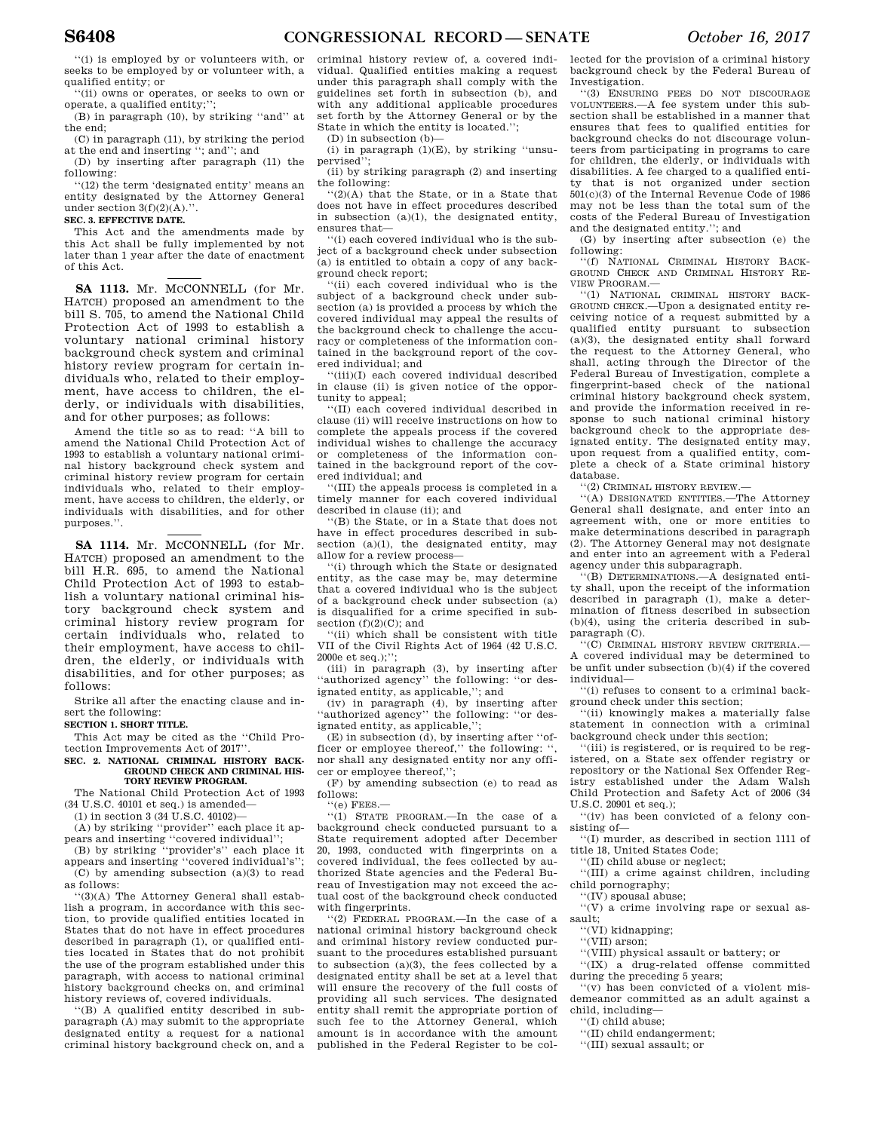''(i) is employed by or volunteers with, or seeks to be employed by or volunteer with, a qualified entity; or

''(ii) owns or operates, or seeks to own or operate, a qualified entity;'';

(B) in paragraph (10), by striking ''and'' at the end;

(C) in paragraph (11), by striking the period at the end and inserting ''; and''; and

(D) by inserting after paragraph (11) the following:

''(12) the term 'designated entity' means an entity designated by the Attorney General under section  $3(f)(2)(A)$ .".

#### **SEC. 3. EFFECTIVE DATE.**

This Act and the amendments made by this Act shall be fully implemented by not later than 1 year after the date of enactment of this Act.

SA 1113. Mr. MCCONNELL (for Mr. HATCH) proposed an amendment to the bill S. 705, to amend the National Child Protection Act of 1993 to establish a voluntary national criminal history background check system and criminal history review program for certain individuals who, related to their employment, have access to children, the elderly, or individuals with disabilities, and for other purposes; as follows:

Amend the title so as to read: ''A bill to amend the National Child Protection Act of 1993 to establish a voluntary national criminal history background check system and criminal history review program for certain individuals who, related to their employment, have access to children, the elderly, or individuals with disabilities, and for other purposes.''.

SA 1114. Mr. McCONNELL (for Mr. HATCH) proposed an amendment to the bill H.R. 695, to amend the National Child Protection Act of 1993 to establish a voluntary national criminal history background check system and criminal history review program for certain individuals who, related to their employment, have access to children, the elderly, or individuals with disabilities, and for other purposes; as follows:

Strike all after the enacting clause and insert the following:

### **SECTION 1. SHORT TITLE.**

This Act may be cited as the ''Child Protection Improvements Act of 2017''.

#### **SEC. 2. NATIONAL CRIMINAL HISTORY BACK-GROUND CHECK AND CRIMINAL HIS-TORY REVIEW PROGRAM.**

The National Child Protection Act of 1993 (34 U.S.C. 40101 et seq.) is amended—

 $(1)$  in section 3 (34 U.S.C. 40102)—

(A) by striking ''provider'' each place it appears and inserting ''covered individual'';

(B) by striking ''provider's'' each place it appears and inserting ''covered individual's''; (C) by amending subsection (a)(3) to read

as follows: ''(3)(A) The Attorney General shall establish a program, in accordance with this section, to provide qualified entities located in States that do not have in effect procedures described in paragraph (1), or qualified entities located in States that do not prohibit the use of the program established under this paragraph, with access to national criminal history background checks on, and criminal history reviews of, covered individuals.

''(B) A qualified entity described in subparagraph (A) may submit to the appropriate designated entity a request for a national criminal history background check on, and a

criminal history review of, a covered individual. Qualified entities making a request under this paragraph shall comply with the guidelines set forth in subsection (b), and with any additional applicable procedures set forth by the Attorney General or by the State in which the entity is located.'';

(D) in subsection (b)—

(i) in paragraph (1)(E), by striking ''unsupervised<sup>1</sup>

(ii) by striking paragraph (2) and inserting the following:

''(2)(A) that the State, or in a State that does not have in effect procedures described in subsection (a)(1), the designated entity, ensures that—

''(i) each covered individual who is the subject of a background check under subsection (a) is entitled to obtain a copy of any background check report;

''(ii) each covered individual who is the subject of a background check under subsection (a) is provided a process by which the covered individual may appeal the results of the background check to challenge the accuracy or completeness of the information contained in the background report of the covered individual; and

''(iii)(I) each covered individual described in clause (ii) is given notice of the opportunity to appeal;

''(II) each covered individual described in clause (ii) will receive instructions on how to complete the appeals process if the covered individual wishes to challenge the accuracy or completeness of the information contained in the background report of the covered individual; and

''(III) the appeals process is completed in a timely manner for each covered individual described in clause (ii); and

''(B) the State, or in a State that does not have in effect procedures described in subsection  $(a)(1)$ , the designated entity, may allow for a review process—

''(i) through which the State or designated entity, as the case may be, may determine that a covered individual who is the subject of a background check under subsection (a) is disqualified for a crime specified in subsection  $(f)(2)(C)$ ; and

''(ii) which shall be consistent with title VII of the Civil Rights Act of 1964 (42 U.S.C. 2000e et seq.);'';

(iii) in paragraph (3), by inserting after ''authorized agency'' the following: ''or designated entity, as applicable,''; and

(iv) in paragraph (4), by inserting after ''authorized agency'' the following: ''or designated entity, as applicable,'';

(E) in subsection (d), by inserting after ''officer or employee thereof," the following: nor shall any designated entity nor any officer or employee thereof,'';

(F) by amending subsection (e) to read as follows:

 $"$ (e) FEES.-

''(1) STATE PROGRAM.—In the case of a background check conducted pursuant to a State requirement adopted after December 20, 1993, conducted with fingerprints on a covered individual, the fees collected by authorized State agencies and the Federal Bureau of Investigation may not exceed the actual cost of the background check conducted with fingerprints.

''(2) FEDERAL PROGRAM.—In the case of a national criminal history background check and criminal history review conducted pursuant to the procedures established pursuant to subsection (a)(3), the fees collected by a designated entity shall be set at a level that will ensure the recovery of the full costs of providing all such services. The designated entity shall remit the appropriate portion of such fee to the Attorney General, which amount is in accordance with the amount published in the Federal Register to be collected for the provision of a criminal history background check by the Federal Bureau of Investigation.

''(3) ENSURING FEES DO NOT DISCOURAGE VOLUNTEERS.—A fee system under this subsection shall be established in a manner that ensures that fees to qualified entities for background checks do not discourage volunteers from participating in programs to care for children, the elderly, or individuals with disabilities. A fee charged to a qualified entity that is not organized under section 501(c)(3) of the Internal Revenue Code of 1986 may not be less than the total sum of the costs of the Federal Bureau of Investigation and the designated entity.''; and

(G) by inserting after subsection (e) the following: ''(f) NATIONAL CRIMINAL HISTORY BACK-

GROUND CHECK AND CRIMINAL HISTORY RE-VIEW PROGRAM.—

''(1) NATIONAL CRIMINAL HISTORY BACK-GROUND CHECK.—Upon a designated entity receiving notice of a request submitted by a qualified entity pursuant to subsection (a)(3), the designated entity shall forward the request to the Attorney General, who shall, acting through the Director of the Federal Bureau of Investigation, complete a fingerprint-based check of the national criminal history background check system, and provide the information received in response to such national criminal history background check to the appropriate designated entity. The designated entity may, upon request from a qualified entity, complete a check of a State criminal history database.

''(2) CRIMINAL HISTORY REVIEW.—

''(A) DESIGNATED ENTITIES.—The Attorney General shall designate, and enter into an agreement with, one or more entities to make determinations described in paragraph (2). The Attorney General may not designate and enter into an agreement with a Federal agency under this subparagraph.

''(B) DETERMINATIONS.—A designated entity shall, upon the receipt of the information described in paragraph (1), make a determination of fitness described in subsection (b)(4), using the criteria described in subparagraph (C).

''(C) CRIMINAL HISTORY REVIEW CRITERIA.— A covered individual may be determined to be unfit under subsection (b)(4) if the covered individual—

''(i) refuses to consent to a criminal background check under this section;

''(ii) knowingly makes a materially false statement in connection with a criminal background check under this section;

'(iii) is registered, or is required to be registered, on a State sex offender registry or repository or the National Sex Offender Registry established under the Adam Walsh Child Protection and Safety Act of 2006 (34 U.S.C. 20901 et seq.);

''(iv) has been convicted of a felony consisting of—

''(I) murder, as described in section 1111 of title 18, United States Code;

''(II) child abuse or neglect;

''(III) a crime against children, including child pornography;

''(IV) spousal abuse;

''(V) a crime involving rape or sexual assault;

''(VI) kidnapping;

''(VII) arson;

''(VIII) physical assault or battery; or

''(IX) a drug-related offense committed during the preceding 5 years;

''(v) has been convicted of a violent misdemeanor committed as an adult against a child, including—

''(I) child abuse;

''(II) child endangerment;

''(III) sexual assault; or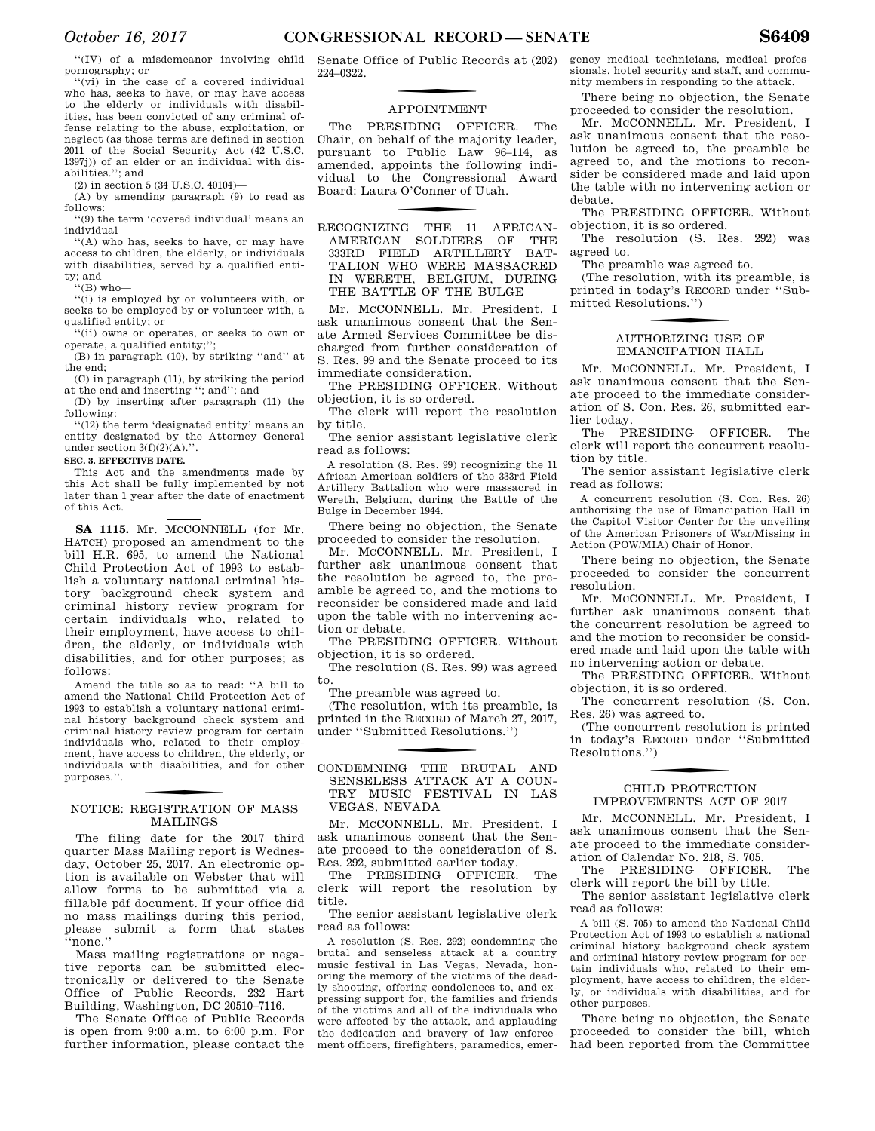''(IV) of a misdemeanor involving child pornography; or

''(vi) in the case of a covered individual who has, seeks to have, or may have access to the elderly or individuals with disabilities, has been convicted of any criminal offense relating to the abuse, exploitation, or neglect (as those terms are defined in section 2011 of the Social Security Act (42 U.S.C. 1397j)) of an elder or an individual with disabilities.''; and

(2) in section 5 (34 U.S.C. 40104)—

(A) by amending paragraph (9) to read as follows:

''(9) the term 'covered individual' means an individual—

''(A) who has, seeks to have, or may have access to children, the elderly, or individuals with disabilities, served by a qualified entity; and

 $'(B)$  who-

'(i) is employed by or volunteers with, or seeks to be employed by or volunteer with, a qualified entity; or

''(ii) owns or operates, or seeks to own or operate, a qualified entity;'';

(B) in paragraph (10), by striking ''and'' at the end;

(C) in paragraph (11), by striking the period at the end and inserting ''; and''; and

(D) by inserting after paragraph (11) the following:

''(12) the term 'designated entity' means an entity designated by the Attorney General under section  $3(f)(2)(A)$ .".

### **SEC. 3. EFFECTIVE DATE.**

This Act and the amendments made by this Act shall be fully implemented by not later than 1 year after the date of enactment of this Act.

SA 1115. Mr. MCCONNELL (for Mr. HATCH) proposed an amendment to the bill H.R. 695, to amend the National Child Protection Act of 1993 to establish a voluntary national criminal history background check system and criminal history review program for certain individuals who, related to their employment, have access to children, the elderly, or individuals with disabilities, and for other purposes; as follows:

Amend the title so as to read: ''A bill to amend the National Child Protection Act of 1993 to establish a voluntary national criminal history background check system and criminal history review program for certain individuals who, related to their employment, have access to children, the elderly, or individuals with disabilities, and for other purposes.''.

### f NOTICE: REGISTRATION OF MASS MAILINGS

The filing date for the 2017 third quarter Mass Mailing report is Wednesday, October 25, 2017. An electronic option is available on Webster that will allow forms to be submitted via a fillable pdf document. If your office did no mass mailings during this period, please submit a form that states ''none.''

Mass mailing registrations or negative reports can be submitted electronically or delivered to the Senate Office of Public Records, 232 Hart Building, Washington, DC 20510–7116.

The Senate Office of Public Records is open from 9:00 a.m. to 6:00 p.m. For further information, please contact the Senate Office of Public Records at (202) 224–0322.

# **APPOINTMENT**

The PRESIDING OFFICER. The Chair, on behalf of the majority leader, pursuant to Public Law 96–114, as amended, appoints the following individual to the Congressional Award Board: Laura O'Conner of Utah.

f RECOGNIZING THE 11 AFRICAN-AMERICAN SOLDIERS OF THE 333RD FIELD ARTILLERY BAT-TALION WHO WERE MASSACRED IN WERETH, BELGIUM, DURING THE BATTLE OF THE BULGE

Mr. McCONNELL. Mr. President, I ask unanimous consent that the Senate Armed Services Committee be discharged from further consideration of S. Res. 99 and the Senate proceed to its immediate consideration.

The PRESIDING OFFICER. Without objection, it is so ordered.

The clerk will report the resolution by title.

The senior assistant legislative clerk read as follows:

A resolution (S. Res. 99) recognizing the 11 African-American soldiers of the 333rd Field Artillery Battalion who were massacred in Wereth, Belgium, during the Battle of the Bulge in December 1944.

There being no objection, the Senate proceeded to consider the resolution.

Mr. MCCONNELL. Mr. President, I further ask unanimous consent that the resolution be agreed to, the preamble be agreed to, and the motions to reconsider be considered made and laid upon the table with no intervening action or debate.

The PRESIDING OFFICER. Without objection, it is so ordered.

The resolution (S. Res. 99) was agreed to.

The preamble was agreed to.

(The resolution, with its preamble, is printed in the RECORD of March 27, 2017, under ''Submitted Resolutions.'')

CONDEMNING THE BRUTAL AND SENSELESS ATTACK AT A COUN-TRY MUSIC FESTIVAL IN LAS VEGAS NEVADA

Mr. McCONNELL. Mr. President, I ask unanimous consent that the Senate proceed to the consideration of S. Res. 292, submitted earlier today.

The PRESIDING OFFICER. The clerk will report the resolution by title.

The senior assistant legislative clerk read as follows:

A resolution (S. Res. 292) condemning the brutal and senseless attack at a country music festival in Las Vegas, Nevada, honoring the memory of the victims of the deadly shooting, offering condolences to, and expressing support for, the families and friends of the victims and all of the individuals who were affected by the attack, and applauding the dedication and bravery of law enforcement officers, firefighters, paramedics, emergency medical technicians, medical professionals, hotel security and staff, and community members in responding to the attack.

There being no objection, the Senate proceeded to consider the resolution.

Mr. MCCONNELL. Mr. President, I ask unanimous consent that the resolution be agreed to, the preamble be agreed to, and the motions to reconsider be considered made and laid upon the table with no intervening action or debate.

The PRESIDING OFFICER. Without objection, it is so ordered.

The resolution (S. Res. 292) was agreed to.

The preamble was agreed to.

(The resolution, with its preamble, is printed in today's RECORD under ''Submitted Resolutions.'')

### f AUTHORIZING USE OF EMANCIPATION HALL

Mr. MCCONNELL. Mr. President, I ask unanimous consent that the Senate proceed to the immediate consideration of S. Con. Res. 26, submitted earlier today.

The PRESIDING OFFICER. The clerk will report the concurrent resolution by title.

The senior assistant legislative clerk read as follows:

A concurrent resolution (S. Con. Res. 26) authorizing the use of Emancipation Hall in the Capitol Visitor Center for the unveiling of the American Prisoners of War/Missing in Action (POW/MIA) Chair of Honor.

There being no objection, the Senate proceeded to consider the concurrent resolution.

Mr. MCCONNELL. Mr. President, I further ask unanimous consent that the concurrent resolution be agreed to and the motion to reconsider be considered made and laid upon the table with no intervening action or debate.

The PRESIDING OFFICER. Without objection, it is so ordered.

The concurrent resolution (S. Con. Res. 26) was agreed to.

(The concurrent resolution is printed in today's RECORD under ''Submitted Resolutions.'')

### CHILD PROTECTION IMPROVEMENTS ACT OF 2017

Mr. MCCONNELL. Mr. President, I ask unanimous consent that the Senate proceed to the immediate consideration of Calendar No. 218, S. 705.

The PRESIDING OFFICER. The clerk will report the bill by title.

The senior assistant legislative clerk read as follows:

A bill (S. 705) to amend the National Child Protection Act of 1993 to establish a national criminal history background check system and criminal history review program for certain individuals who, related to their employment, have access to children, the elderly, or individuals with disabilities, and for other purposes.

There being no objection, the Senate proceeded to consider the bill, which had been reported from the Committee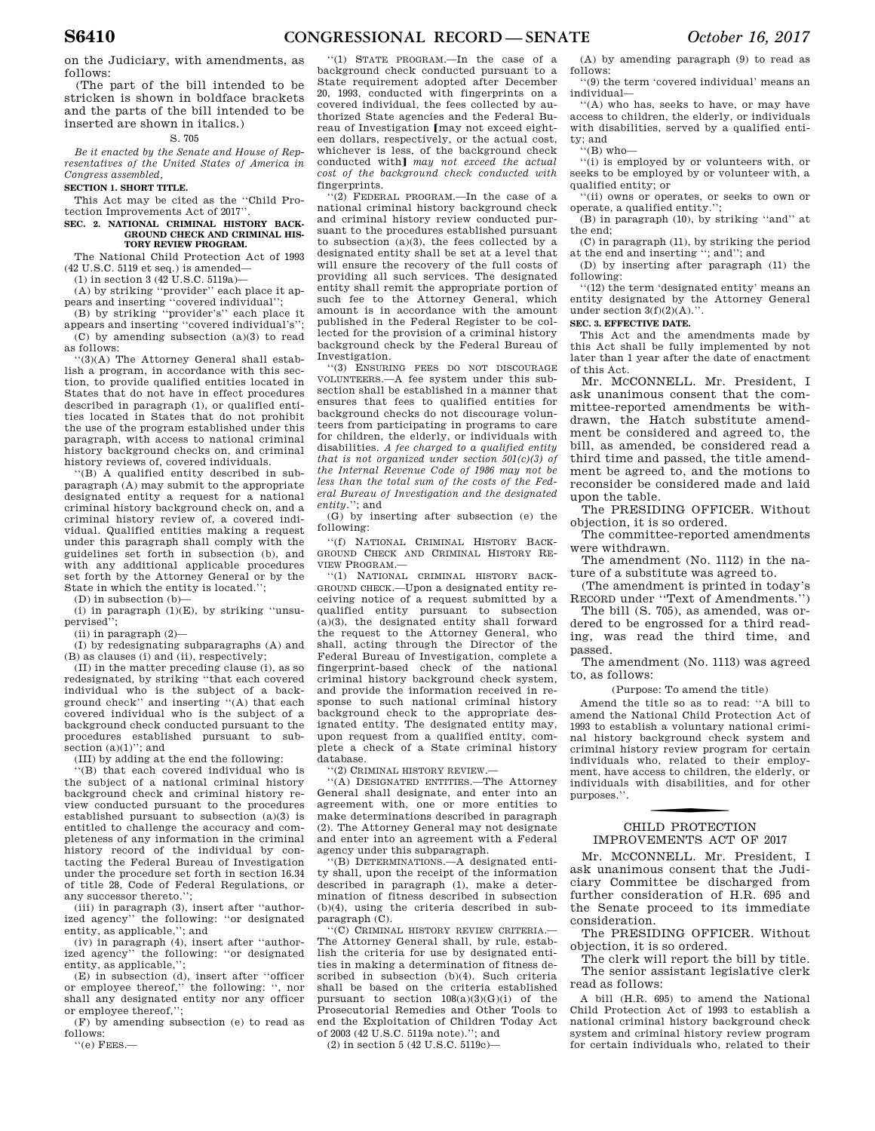on the Judiciary, with amendments, as follows:

(The part of the bill intended to be stricken is shown in boldface brackets and the parts of the bill intended to be inserted are shown in italics.)

### S. 705

*Be it enacted by the Senate and House of Representatives of the United States of America in Congress assembled,* 

### **SECTION 1. SHORT TITLE.**

This Act may be cited as the ''Child Protection Improvements Act of 2017''.

#### **SEC. 2. NATIONAL CRIMINAL HISTORY BACK-GROUND CHECK AND CRIMINAL HIS-TORY REVIEW PROGRAM.**

The National Child Protection Act of 1993 (42 U.S.C. 5119 et seq.) is amended—

(1) in section 3 (42 U.S.C. 5119a)— (A) by striking ''provider'' each place it ap-

pears and inserting ''covered individual''; (B) by striking ''provider's'' each place it

appears and inserting ''covered individual's''; (C) by amending subsection (a)(3) to read as follows:

''(3)(A) The Attorney General shall establish a program, in accordance with this section, to provide qualified entities located in States that do not have in effect procedures described in paragraph (1), or qualified entities located in States that do not prohibit the use of the program established under this paragraph, with access to national criminal history background checks on, and criminal history reviews of, covered individuals.

''(B) A qualified entity described in subparagraph (A) may submit to the appropriate designated entity a request for a national criminal history background check on, and a criminal history review of, a covered individual. Qualified entities making a request under this paragraph shall comply with the guidelines set forth in subsection (b), and with any additional applicable procedures set forth by the Attorney General or by the State in which the entity is located.'';

(D) in subsection (b)—

(i) in paragraph  $(1)(E)$ , by striking "unsupervised'';

(ii) in paragraph (2)—

(I) by redesignating subparagraphs (A) and (B) as clauses (i) and (ii), respectively;

(II) in the matter preceding clause (i), as so redesignated, by striking ''that each covered individual who is the subject of a background check'' and inserting ''(A) that each covered individual who is the subject of a background check conducted pursuant to the procedures established pursuant to subsection  $(a)(1)$ "; and

(III) by adding at the end the following:

''(B) that each covered individual who is the subject of a national criminal history background check and criminal history review conducted pursuant to the procedures established pursuant to subsection (a)(3) is entitled to challenge the accuracy and completeness of any information in the criminal history record of the individual by contacting the Federal Bureau of Investigation under the procedure set forth in section 16.34 of title 28, Code of Federal Regulations, or any successor thereto.'';

(iii) in paragraph (3), insert after ''authorized agency'' the following: ''or designated entity, as applicable,''; and

(iv) in paragraph (4), insert after ''authorized agency'' the following: ''or designated entity, as applicable,'';

(E) in subsection (d), insert after ''officer or employee thereof,'' the following: '', nor shall any designated entity nor any officer or employee thereof,'';

(F) by amending subsection (e) to read as follows:

''(e) FEES.—

''(1) STATE PROGRAM.—In the case of a background check conducted pursuant to a State requirement adopted after December 20, 1993, conducted with fingerprints on a covered individual, the fees collected by authorized State agencies and the Federal Bureau of Investigation [may not exceed eighteen dollars, respectively, or the actual cost, whichever is less, of the background check conducted with] may not exceed the actual *cost of the background check conducted with*  fingerprints.

''(2) FEDERAL PROGRAM.—In the case of a national criminal history background check and criminal history review conducted pursuant to the procedures established pursuant to subsection  $(a)(3)$ , the fees collected by a designated entity shall be set at a level that will ensure the recovery of the full costs of providing all such services. The designated entity shall remit the appropriate portion of such fee to the Attorney General, which amount is in accordance with the amount published in the Federal Register to be collected for the provision of a criminal history background check by the Federal Bureau of Investigation.

''(3) ENSURING FEES DO NOT DISCOURAGE VOLUNTEERS.—A fee system under this subsection shall be established in a manner that ensures that fees to qualified entities for background checks do not discourage volunteers from participating in programs to care for children, the elderly, or individuals with disabilities. *A fee charged to a qualified entity that is not organized under section 501(c)(3) of the Internal Revenue Code of 1986 may not be less than the total sum of the costs of the Federal Bureau of Investigation and the designated entity.*''; and

(G) by inserting after subsection (e) the following:

''(f) NATIONAL CRIMINAL HISTORY BACK-GROUND CHECK AND CRIMINAL HISTORY RE-VIEW PROGRAM.—

''(1) NATIONAL CRIMINAL HISTORY BACK-GROUND CHECK.—Upon a designated entity receiving notice of a request submitted by a qualified entity pursuant to subsection (a)(3), the designated entity shall forward the request to the Attorney General, who shall, acting through the Director of the Federal Bureau of Investigation, complete a fingerprint-based check of the national criminal history background check system, and provide the information received in response to such national criminal history background check to the appropriate designated entity. The designated entity may, upon request from a qualified entity, complete a check of a State criminal history database.

''(2) CRIMINAL HISTORY REVIEW.—

''(A) DESIGNATED ENTITIES.—The Attorney General shall designate, and enter into an agreement with, one or more entities to make determinations described in paragraph (2). The Attorney General may not designate and enter into an agreement with a Federal agency under this subparagraph.

''(B) DETERMINATIONS.—A designated entity shall, upon the receipt of the information described in paragraph (1), make a determination of fitness described in subsection (b)(4), using the criteria described in subparagraph (C).

''(C) CRIMINAL HISTORY REVIEW CRITERIA.— The Attorney General shall, by rule, establish the criteria for use by designated entities in making a determination of fitness described in subsection (b)(4). Such criteria shall be based on the criteria established pursuant to section 108(a)(3)(G)(i) of the Prosecutorial Remedies and Other Tools to end the Exploitation of Children Today Act of 2003 (42 U.S.C. 5119a note).''; and

(2) in section 5 (42 U.S.C. 5119c)—

(A) by amending paragraph (9) to read as follows:

''(9) the term 'covered individual' means an individual—

''(A) who has, seeks to have, or may have access to children, the elderly, or individuals with disabilities, served by a qualified entity; and

''(B) who—

''(i) is employed by or volunteers with, or seeks to be employed by or volunteer with, a qualified entity; or

''(ii) owns or operates, or seeks to own or operate, a qualified entity.'';

(B) in paragraph (10), by striking ''and'' at the end;

(C) in paragraph (11), by striking the period at the end and inserting "; and"; and

(D) by inserting after paragraph (11) the following:

''(12) the term 'designated entity' means an entity designated by the Attorney General under section 3(f)(2)(A).''.

### **SEC. 3. EFFECTIVE DATE.**

This Act and the amendments made by this Act shall be fully implemented by not later than 1 year after the date of enactment of this Act.

Mr. MCCONNELL. Mr. President, I ask unanimous consent that the committee-reported amendments be withdrawn, the Hatch substitute amendment be considered and agreed to, the bill, as amended, be considered read a third time and passed, the title amendment be agreed to, and the motions to reconsider be considered made and laid upon the table.

The PRESIDING OFFICER. Without objection, it is so ordered.

The committee-reported amendments were withdrawn.

The amendment (No. 1112) in the nature of a substitute was agreed to.

(The amendment is printed in today's RECORD under ''Text of Amendments.'')

The bill (S. 705), as amended, was ordered to be engrossed for a third reading, was read the third time, and passed.

The amendment (No. 1113) was agreed to, as follows:

(Purpose: To amend the title)

Amend the title so as to read: ''A bill to amend the National Child Protection Act of 1993 to establish a voluntary national criminal history background check system and criminal history review program for certain individuals who, related to their employment, have access to children, the elderly, or individuals with disabilities, and for other purposes.''.

### CHILD PROTECTION IMPROVEMENTS ACT OF 2017

Mr. MCCONNELL. Mr. President, I ask unanimous consent that the Judiciary Committee be discharged from further consideration of H.R. 695 and the Senate proceed to its immediate consideration.

The PRESIDING OFFICER. Without objection, it is so ordered.

The clerk will report the bill by title. The senior assistant legislative clerk read as follows:

A bill (H.R. 695) to amend the National Child Protection Act of 1993 to establish a national criminal history background check system and criminal history review program for certain individuals who, related to their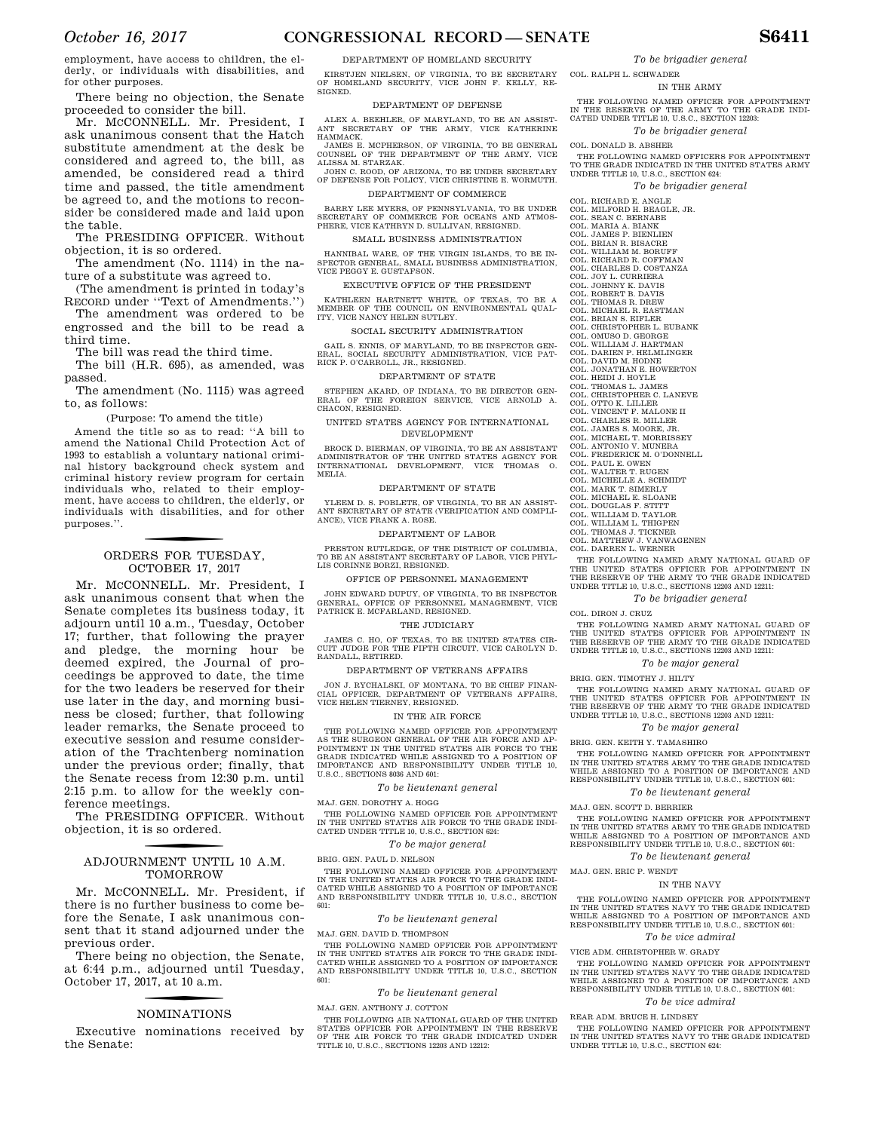*October 16, 2017* **CONGRESSIONAL RECORD — SENATE S6411** 

employment, have access to children, the elderly, or individuals with disabilities, and for other purposes.

There being no objection, the Senate proceeded to consider the bill.

Mr. MCCONNELL. Mr. President, I ask unanimous consent that the Hatch substitute amendment at the desk be considered and agreed to, the bill, as amended, be considered read a third time and passed, the title amendment be agreed to, and the motions to reconsider be considered made and laid upon the table.

The PRESIDING OFFICER. Without objection, it is so ordered.

The amendment (No. 1114) in the nature of a substitute was agreed to.

(The amendment is printed in today's RECORD under ''Text of Amendments.'')

The amendment was ordered to be engrossed and the bill to be read a third time.

The bill was read the third time.

The bill (H.R. 695), as amended, was passed.

The amendment (No. 1115) was agreed to, as follows:

(Purpose: To amend the title)

Amend the title so as to read: ''A bill to amend the National Child Protection Act of 1993 to establish a voluntary national criminal history background check system and criminal history review program for certain individuals who, related to their employment, have access to children, the elderly, or individuals with disabilities, and for other purposes.''.

### ORDERS FOR TUESDAY, OCTOBER 17, 2017

Mr. MCCONNELL. Mr. President, I ask unanimous consent that when the Senate completes its business today, it adjourn until 10 a.m., Tuesday, October 17; further, that following the prayer and pledge, the morning hour be deemed expired, the Journal of proceedings be approved to date, the time for the two leaders be reserved for their use later in the day, and morning business be closed; further, that following leader remarks, the Senate proceed to executive session and resume consideration of the Trachtenberg nomination under the previous order; finally, that the Senate recess from 12:30 p.m. until 2:15 p.m. to allow for the weekly conference meetings.

The PRESIDING OFFICER. Without objection, it is so ordered.

### f ADJOURNMENT UNTIL 10 A.M. TOMORROW

Mr. MCCONNELL. Mr. President, if there is no further business to come before the Senate, I ask unanimous consent that it stand adjourned under the previous order.

There being no objection, the Senate, at 6:44 p.m., adjourned until Tuesday, October 17, 2017, at 10 a.m.

### f NOMINATIONS

Executive nominations received by the Senate:

DEPARTMENT OF HOMELAND SECURITY

KIRSTJEN NIELSEN, OF VIRGINIA, TO BE SECRETARY OF HOMELAND SECURITY, VICE JOHN F. KELLY, RE-SIGNED.

#### DEPARTMENT OF DEFENSE

ALEX A. BEEHLER, OF MARYLAND, TO BE AN ASSIST-ANT SECRETARY OF THE ARMY, VICE KATHERINE HAMMACK.

JAMES E. MCPHERSON, OF VIRGINIA, TO BE GENERAL COUNSEL OF THE DEPARTMENT OF THE ARMY, VICE COUNSEL OF THE DEPARTMENT OF ALISSA M. STARZAK.

JOHN C. ROOD, OF ARIZONA, TO BE UNDER SECRETARY OF DEFENSE FOR POLICY, VICE CHRISTINE E. WORMUTH. DEPARTMENT OF COMMERCE

BARRY LEE MYERS, OF PENNSYLVANIA, TO BE UNDER SECRETARY OF COMMERCE FOR OCEANS AND ATMOS-PHERE, VICE KATHRYN D. SULLIVAN, RESIGNED.

SMALL BUSINESS ADMINISTRATION

HANNIBAL WARE, OF THE VIRGIN ISLANDS, TO BE IN-SPECTOR GENERAL, SMALL BUSINESS ADMINISTRATION, VICE PEGGY E. GUSTAFSON.

EXECUTIVE OFFICE OF THE PRESIDENT

KATHLEEN HARTNETT WHITE, OF TEXAS, TO BE A MEMBER OF THE COUNCIL ON ENVIRONMENTAL QUAL-ITY, VICE NANCY HELEN SUTLEY.

### SOCIAL SECURITY ADMINISTRATION

GAIL S. ENNIS, OF MARYLAND, TO BE INSPECTOR GEN-ERAL, SOCIAL SECURITY ADMINISTRATION, VICE PAT-RICK P. O'CARROLL, JR., RESIGNED.

#### DEPARTMENT OF STATE

STEPHEN AKARD, OF INDIANA, TO BE DIRECTOR GEN-ERAL OF THE FOREIGN SERVICE, VICE ARNOLD A. CHACON, RESIGNED.

UNITED STATES AGENCY FOR INTERNATIONAL DEVELOPMENT

BROCK D. BIERMAN, OF VIRGINIA, TO BE AN ASSISTANT ADMINISTRATOR OF THE UNITED STATES AGENCY FOR INTERNATIONAL DEVELOPMENT, VICE THOMAS O. MELIA.

#### DEPARTMENT OF STATE

YLEEM D. S. POBLETE, OF VIRGINIA, TO BE AN ASSIST-ANT SECRETARY OF STATE (VERIFICATION AND COMPLI-ANCE), VICE FRANK A. ROSE.

#### DEPARTMENT OF LABOR

PRESTON RUTLEDGE, OF THE DISTRICT OF COLUMBIA, TO BE AN ASSISTANT SECRETARY OF LABOR, VICE PHYL-LIS CORINNE BORZI, RESIGNED.

OFFICE OF PERSONNEL MANAGEMENT

JOHN EDWARD DUPUY, OF VIRGINIA, TO BE INSPECTOR GENERAL, OFFICE OF PERSONNEL MANAGEMENT, VICE PATRICK E. MCFARLAND, RESIGNED.

#### THE JUDICIARY

JAMES C. HO, OF TEXAS, TO BE UNITED STATES CIR-JUDGE FOR THE FIFTH CIRCUIT, VICE CAROLYN D. RANDALL, RETIRED.

DEPARTMENT OF VETERANS AFFAIRS

JON J. RYCHALSKI, OF MONTANA, TO BE CHIEF FINAN-CIAL OFFICER, DEPARTMENT OF VETERANS AFFAIRS, VICE HELEN TIERNEY, RESIGNED.

#### IN THE AIR FORCE

THE FOLLOWING NAMED OFFICER FOR APPOINTMENT AS THE SURGEON GENERAL OF THE AIR FORCE AND AP-POINTMENT IN THE UNITED STATES AIR FORCE TO THE GRADE INDICATED WHILE ASSIGNED TO A POSITION OF IMPORTANCE AND RESPONSIBILITY UNDER TITLE 10, U.S.C., SECTIONS 8036 AND 601:

### *To be lieutenant general*

### MAJ. GEN. DOROTHY A. HOGG

THE FOLLOWING NAMED OFFICER FOR APPOINTMENT IN THE UNITED STATES AIR FORCE TO THE GRADE INDI-CATED UNDER TITLE 10, U.S.C., SECTION 624:

*To be major general* 

#### BRIG. GEN. PAUL D. NELSON

THE FOLLOWING NAMED OFFICER FOR APPOINTMENT IN THE UNITED STATES AIR FORCE TO THE GRADE INDI-CATED WHILE ASSIGNED TO A POSITION OF IMPORTANCE AND RESPONSIBILITY UNDER TITLE 10, U.S.C., SECTION 601:

#### *To be lieutenant general*

MAJ. GEN. DAVID D. THOMPSON THE FOLLOWING NAMED OFFICER FOR APPOINTMENT THE UNITED STATES AIR FORCE TO THE GRADE INDI-CATED WHILE ASSIGNED TO A POSITION OF IMPORTANCE AND RESPONSIBILITY UNDER TITLE 10, U.S.C., SECTION  $601$ 

#### *To be lieutenant general*

MAJ. GEN. ANTHONY J. COTTON

THE FOLLOWING AIR NATIONAL GUARD OF THE UNITED STATES OFFICER FOR APPOINTMENT IN THE RESERVE OF THE AIR FORCE TO THE GRADE INDICATED UNDER TITLE 10, U.S.C., SECTIONS 12203 AND 12212:

#### *To be brigadier general*

COL. RALPH L. SCHWADER

IN THE ARMY

THE FOLLOWING NAMED OFFICER FOR APPOINTMENT IN THE RESERVE OF THE ARMY TO THE GRADE INDI-CATED UNDER TITLE 10, U.S.C., SECTION 12203:

### *To be brigadier general*

COL. DONALD B. ABSHER

THE FOLLOWING NAMED OFFICERS FOR APPOINTMENT TO THE GRADE INDICATED IN THE UNITED STATES ARMY UNDER TITLE 10, U.S.C., SECTION 624:

*To be brigadier general*  COL. RICHARD E. ANGLE COL. MILFORD H. BEAGLE, JR. COL. SEAN C. BERNABE COL. MARIA A. BIANK COL. JAMES P. BIENLIEN COL. BRIAN R. BISACRE COL. WILLIAM M. BORUFF COL. RICHARD R. COFFMAN COL. CHARLES D. COSTANZA COL. JOY L. CURRIERA COL. JOHNNY K. DAVIS COL. ROBERT B. DAVIS COL. THOMAS R. DREW COL. MICHAEL R. EASTMAN COL. BRIAN S. EIFLER COL. CHRISTOPHER L. EUBANK COL. OMUSO D. GEORGE COL. WILLIAM J. HARTMAN COL. DARIEN P. HELMLINGER COL. DAVID M. HODNE COL. JONATHAN E. HOWERTON COL. HEIDI J. HOYLE COL. THOMAS L. JAMES COL. CHRISTOPHER C. LANEVE COL. OTTO K. LILLER COL. VINCENT F. MALONE II COL. CHARLES R. MILLER COL. JAMES S. MOORE, JR. COL. MICHAEL T. MORRISSEY COL. ANTONIO V. MUNERA COL. FREDERICK M. O'DONNELL COL. PAUL E. OWEN COL. WALTER T. RUGEN COL. MICHELLE A. SCHMIDT COL. MARK T. SIMERLY COL. MICHAEL E. SLOANE COL. DOUGLAS F. STITT

COL. WILLIAM D. TAYLOR

- 
- 
- COL. WILLIAM L. THIGPEN COL. THOMAS J. TICKNER COL. MATTHEW J. VANWAGENEN COL. DARREN L. WERNER

THE FOLLOWING NAMED ARMY NATIONAL GUARD OF THE UNITED STATES OFFICER FOR APPOINTMENT IN THE RESERVE OF THE ARMY TO THE GRADE INDICATED

### *To be brigadier general*

UNDER TITLE 10, U.S.C., SECTIONS 12203 AND 12211:

COL. DIRON J. CRUZ

THE FOLLOWING NAMED ARMY NATIONAL GUARD OF<br>THE UNITED STATES OFFICER FOR APPOINTMENT IN<br>THE RESERVE OF THE ARMY TO THE GRADE INDICATED UNDER TITLE 10, U.S.C., SECTIONS 12203 AND 12211:

### *To be major general*

BRIG. GEN. TIMOTHY J. HILTY

THE FOLLOWING NAMED ARMY NATIONAL GUARD OF<br>THE UNITED STATES OFFICER FOR APPOINTMENT IN<br>THE RESERVE OF THE ARMY TO THE GRADE INDICATED UNDER TITLE 10, U.S.C., SECTIONS 12203 AND 12211:

### *To be major general*

BRIG. GEN. KEITH Y. TAMASHIRO

THE FOLLOWING NAMED OFFICER FOR APPOINTMENT IN THE UNITED STATES ARMY TO THE GRADE INDICATED WHILE ASSIGNED TO A POSITION OF IMPORTANCE AND RESPONSIBILITY UNDER TITLE 10, U.S.C., SECTION 601:

#### *To be lieutenant general*

MAJ. GEN. SCOTT D. BERRIER

THE FOLLOWING NAMED OFFICER FOR APPOINTMENT IN THE UNITED STATES ARMY TO THE GRADE INDICATED WHILE ASSIGNED TO A POSITION OF IMPORTANCE AND RESPONSIBILITY UNDER TITLE 10, U.S.C., SECTION 601:

### *To be lieutenant general*

MAJ. GEN. ERIC P. WENDT

#### IN THE NAVY

THE FOLLOWING NAMED OFFICER FOR APPOINTMENT IN THE UNITED STATES NAVY TO THE GRADE INDICATED WHILE ASSIGNED TO A POSITION OF IMPORTANCE AND RESPONSIBILITY UNDER TITLE 10, U.S.C., SECTION 601:

#### *To be vice admiral*

#### VICE ADM. CHRISTOPHER W. GRADY

THE FOLLOWING NAMED OFFICER FOR APPOINTMENT IN THE UNITED STATES NAVY TO THE GRADE INDICATED<br>WHILE ASSIGNED TO A POSITION OF IMPORTANCE AND<br>RESPONSIBILITY UNDER TITLE 10, U.S.C., SECTION 601:

#### *To be vice admiral*

REAR ADM. BRUCE H. LINDSEY

THE FOLLOWING NAMED OFFICER FOR APPOINTMENT IN THE UNITED STATES NAVY TO THE GRADE INDICATED UNDER TITLE 10, U.S.C., SECTION 624: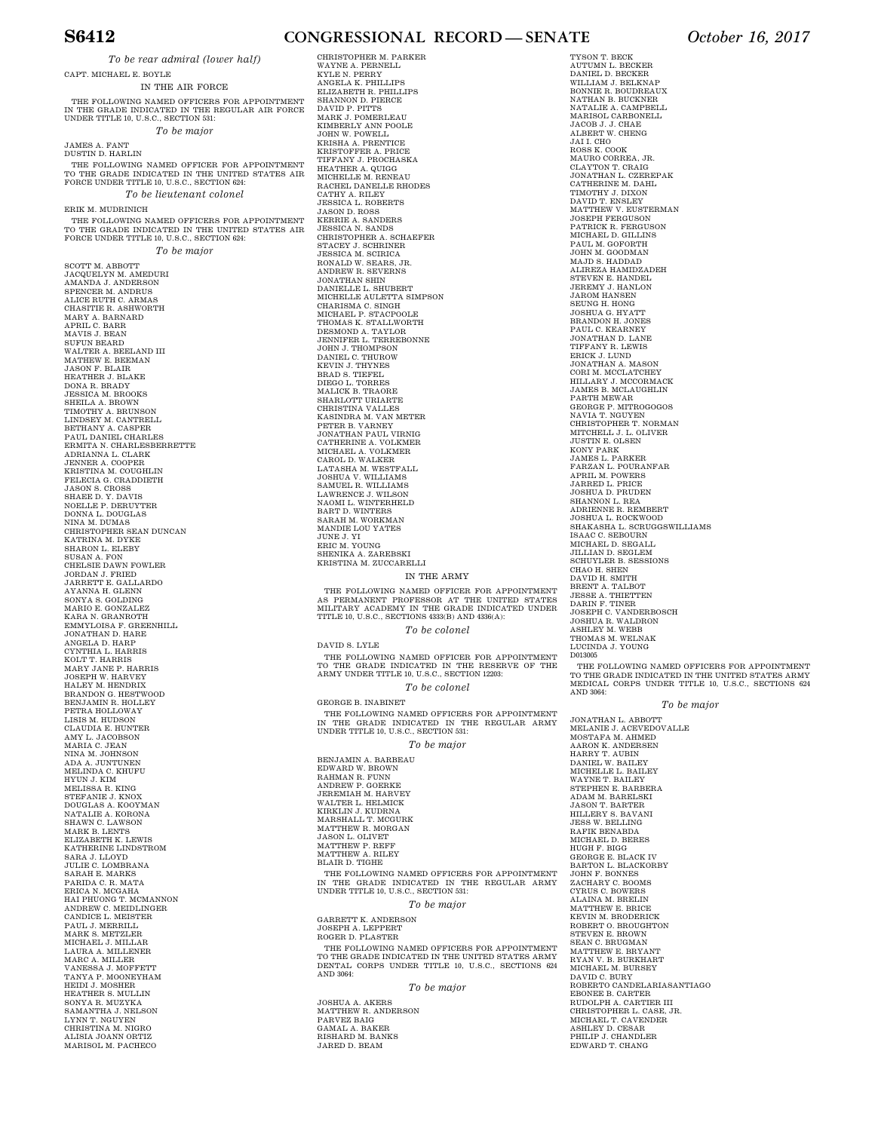### **S6412 CONGRESSIONAL RECORD — SENATE** *October 16, 2017*

*To be rear admiral (lower half)*  IN THE AIR FORCE

CAPT. MICHAEL E. BOYLE THE FOLLOWING NAMED OFFICERS FOR APPOINTMENT<br>IN THE GRADE INDICATED IN THE REGULAR AIR FORCE<br>UNDER TITLE 10, U.S.C., SECTION 531: *To be major*  JAMES A. FANT DUSTIN D. HARLIN THE FOLLOWING NAMED OFFICER FOR APPOINTMENT<br>TO THE GRADE INDICATED IN THE UNITED STATES AIR<br>FORCE UNDER TITLE 10, U.S.C., SECTION 624: *To be lieutenant colonel*  ERIK M. MUDRINICH THE FOLLOWING NAMED OFFICERS FOR APPOINTMENT TO THE GRADE INDICATED IN THE UNITED STATES AIR FORCE UNDER TITLE 10, U.S.C., SECTION 624: *To be major*  SCOTT M. ABBOTT<br>JACQUELYN M. AMEDURI<br>AMANDA J. ANDERSON<br>SPENCER M. ANDRUS<br>ALICE RUTH C. ARMAS<br>CHASITIE R. ASHWORTH<br>MARY A. BARNARD<br>APRIL C. BARR MAVIS J. BEAN<br>MICTOR AREND<br>WALTER A. BEELAND III<br>MATHEW E. BEEMAN<br>JASON F. BLAIR<br>DASON F. BLAIR<br>DONA R. BRADY<br>DONA R. BRON<br>JESSICA M. BRONN<br>TIMOTHY A. GRONN<br>TIMOTHY A. CASPER<br>BEELANY A. CASPER<br>PAUL DANIEL CHARLES<br>BRITHANY JENNER A. COOPER KRISTINA M. COUGHLIN FELECIA G. CRADDIETH JASON S. CROSS SHAEE D. Y. DAVIS NOELLE P. DERUYTER DONNA L. DOUGLAS NINA M. DUMAS CHRISTOPHER SEAN DUNCAN KATRINA M. DYKE SHARON L. ELEBY SUSAN A. FON CHELSIE DAWN FOWLER JORDAN J. FRIED<br>JARRETT E. GALLARDO<br>AYANNA H. GLENN<br>SONYA S. GOLDING<br>MARIO E. GONZALEZ KARA N. GRANROTH<br>EMMYLOISA F. GREENHILL<br>JONATHAN D. HARE ANGELA D. HARP CYNTHIA L. HARRIS KOLT T. HARRIS MARY JANE P. HARRIS JOSEPH W. HARVEY HALEY M. HENDRIX BRANDON G. HESTWOOD BENJAMIN R. HOLLEY PETRA HOLLOWAY LISIS M. HUDSON CLAUDIA E. HUNTER AMY L. JACOBSON<br>MARIA C. JEAN<br>NINA M. JOHNSON<br>ADA A. JUNTUNEN MELINDA C. KHUFU HYUN J. KIM MELISSA R. KING STEFANIE J. KNOX DOUGLAS A. KOOYMAN NATALIE A. KORONA SHAWN C. LAWSON MARK B. LENTS ELIZABETH K. LEWIS KATHERINE LINDSTROM SARA J. LLOYD JULIE C. LOMBRANA SARAH E. MARKS PARIDA C. R. MATA ERICA N. MCGAHA HAI PHUONG T. MCMANNON ANDREW C. MEIDLINGER CANDICE L. MEISTER CHRISTOPHER M. PARKER DAVID S. LYLE GEORGE B. INABINET

PAUL J. MERRILL<br>MARK S. METZLER<br>MICHAEL J. MILLAR<br>LAURA A. MILLENER<br>MARC A. MILLER<br>VANESSA J. MOONEYHAM<br>TANYA P. MOONEYHAM HEIDI J. MOSHER HEATHER S. MULLIN SONYA R. MUZYKA SAMANTHA J. NELSON

LYNN T. NGUYEN CHRISTINA M. NIGRO ALISIA JOANN ORTIZ MARISOL M. PACHECO WAYNE A. PERNELL<br>KYLE N. PERRY<br>ANGELA K. PHILLIPS<br>ELIZABETH R. PHILLIPS SHANNON D. PIERCE<br>DAVID P. PITTS<br>MARK J. POMERLEAU<br>KIMBERLY ANN POOLE<br>JOHN W. POWELL<br>KRISHA A. PRENTICE<br>KRISHA A. PRENTICE<br>TIFFANY J. PROCHASKA<br>HEATHER A. QUIGG<br>MACHELLE M. RENEAU<br>NACHEL DANELLE RHODES CATHY A. RILEY<br>JASON D. ROSS<br>KERRIE A. SANDERS<br>JESSICA N. SANDERS<br>JESSICA N. SANDS<br>CHRISTOPHER A. SCHAEFER<br>STACEY J. SCHRINER<br>JESSICA M. SCIRICA<br>RONALD W. SEARS, JR.<br>ANDREW R. SEVERNS<br>JONATHAN SHIN DANIELLE L. SHUBERT<br>MCHELLE L. SHUBERT<br>MICHELLE AULETTA SIMPSON<br>MICHAEL P. STACPOOLE<br>MICHAEL P. STALLWORTH<br>DESMOND A. TAYLOR<br>JEMNIFER L. TERREBONNE<br>JEMNIFER L. TERREBONNE<br>JOHN J. THOMPSON<br>KEVIN J. THYNES<br>BRAD S. TIEFEL<br>DIE KASINDRA M. VAN METER PETER B. VARNEY JONATHAN PAUL VIRNIG CATHERINE A. VOLKMER<br>MICHAEL A. VOLKMER<br>CAROL D. WALKER<br>LATASHA M. WESTFALL<br>JOSHUA V. WILLIAMS<br>SAMUEL R. WILLIAMS<br>SAMUEL R. WILLIAMS<br>LAWRENCE J. WILSON<br>NAOMI L. WINTERHELD BART D. WINTERS SARAH M. WORKMAN MANDIE LOU YATES JUNE J. YI ERIC M. YOUNG SHENIKA A. ZAREBSKI KRISTINA M. ZUCCARELLI

IN THE ARMY

THE FOLLOWING NAMED OFFICER FOR APPOINTMENT<br>AS PERMANENT PROFESSOR AT THE UNITED STATES<br>MILITARY ACADEMY IN THE GRADE INDICATED UNDER TITLE 10, U.S.C., SECTIONS 4333(B) AND 4336(A): *To be colonel* 

THE FOLLOWING NAMED OFFICER FOR APPOINTMENT TO THE GRADE INDICATED IN THE RESERVE OF THE ARMY UNDER TITLE 10, U.S.C., SECTION 12203: *To be colonel* 

THE FOLLOWING NAMED OFFICERS FOR APPOINTMENT IN THE GRADE INDICATED IN THE REGULAR ARMY UNDER TITLE 10, U.S.C., SECTION 531:

*To be major* 

BENJAMIN A. BARBEAU<br>EDWARD W. BROWN<br>RAHMAN R. FUNN<br>ANDREW P. GOERKE<br>JEREMIAH M. HARVEY<br>WALTER L. HELMICK<br>KIRKLIN J. KUDRNA MARSHALL T. MCGURK MATTHEW R. MORGAN<br>JASON L. OLIVET<br>MATTHEW P. REFF<br>MATTHEW A. RILEY BLAIR D. TIGHE THE FOLLOWING NAMED OFFICERS FOR APPOINTMENT<br>IN THE GRADE INDICATED IN THE REGULAR ARMY<br>UNDER TITLE 10, U.S.C., SECTION 531:

*To be major* 

GARRETT K. ANDERSON JOSEPH A. LEPPERT ROGER D. PLASTER THE FOLLOWING NAMED OFFICERS FOR APPOINTMENT TO THE GRADE INDICATED IN THE UNITED STATES ARMY DENTAL CORPS UNDER TITLE 10, U.S.C., SECTIONS 624 AND 3064:

*To be major* 

JOSHUA A. AKERS MATTHEW R. ANDERSON PARVEZ BAIG GAMAL A. BAKER RISHARD M. BANKS JARED D. BEAM

TYSON T. BECK AUTUMN L. BECKER DANIEL D. BECKER WILLIAM J. BELKNAP BONNIE R. BOUDREAUX NATHAN B. BUCKNER NATALIE A. CAMPBELL MARISOL CARBONELL JACOB J. J. CHAE ALBERT W. CHENG JAI I. CHO<br>ROSS K. COOK<br>MAURO CORREA, JR.<br>CLAYTON T. CRAIG<br>JONATHAN L. CZEREPAK<br>CATHERINE M. DAHL<br>TIMOTHY J. ENSLEY<br>DAVID T. ENSLEY MATTHEW V. EUSTERMAN JOSEPH FERGUSON PATRICK R. FERGUSON MICHAEL D. GILLINS PAUL M. GOFORTH JOHN M. GOODMAN MAJD S. HADDAD ALIREZA HAMIDZADEH STEVEN E. HANDEL JEREMY J. HANLON JAROM HANSEN SEUNG H. HONG<br>JOSHUA G. HYATT<br>BRANDON H. JONES<br>PAUL C. KEARNEY JONATHAN D. LANE TIFFANY R. LEWIS ERICK J. LUND JONATHAN A. MASON CORI M. MCCLATCHEY HILLARY J. MCCORMACK JAMES B. MCLAUGHLIN PARTH MEWAR<br>GEORGE P. MITROGOGOS<br>NAVIA T. NGUYEN<br>CHRISTOPHER T. NORMAN<br>MITCHELL J. L. OLIVER<br>JUSTIN E. OLSEN<br>WONY PARK JAMES L. PARKER FARZAN L. POURANFAR APRIL M. POWERS JARRED L. PRICE JOSHUA D. PRUDEN SHANNON L. REA ADRIENNE R. REMBERT JOSHUA L. ROCKWOOD SHAKASHA L. SCRUGGSWILLIAMS ISAAC C. SEBOURN MICHAEL D. SEGALL JILLIAN D. SEGLEM SCHUYLER B. SESSIONS CHAO H. SHEN<br>DAVID H. SMITH BRENT A. TALBOT<br>JESSE A. THIETTEN<br>DARIN F. TINER<br>JOSEPH C. VANDERBOSCH<br>JOSHUA R. WALDRON<br>ASHLEY M. WEBB<br>THOMAS M. WELNAK<br>TUCINDA J. YOUNG

D013005 THE FOLLOWING NAMED OFFICERS FOR APPOINTMENT TO THE GRADE INDICATED IN THE UNITED STATES ARMY MEDICAL CORPS UNDER TITLE 10, U.S.C., SECTIONS 624 AND 3064:

*To be major* 

JONATHAN L. ABBOTT<br>MELANIE J. ACEVEDOVALLE<br>MOSTAFA M. AHMED<br>AARON K. ANDERSEN<br>HARRY T. AUBIN<br>DANIEL W. BAILEY MICHELLE L. BAILEY WAYNE T. BAILEY STEPHEN E. BARBERA ADAM M. BARELSKI JASON T. BARTER HILLERY S. BAVANI JESS W. BELLING RAFIK BENABDA MICHAEL D. BERES HUGH F. BIGG GEORGE E. BLACK IV BARTON L. BLACKORBY JOHN F. BONNES ZACHARY C. BOOMS CYRUS C. BOWERS ALAINA M. BRELIN MATTHEW E. BRICE KEVIN M. BRODERICK ROBERT O. BROUGHTON STEVEN E. BROWN SEAN C. BRUGMAN MATTHEW E. BRYANT RYAN V. B. BURKHART MICHAEL M. BURSEY DAVID C. BURY ROBERTO CANDELARIASANTIAGO EBONEE B. CARTER<br>RUDOLPH A. CARTIER III<br>CHRISTOPHER L. CASE, JR.<br>MICHAEL T. CAVENDER<br>ASHLEY D. CESAR<br>PHILIP J. CHANDLER EDWARD T. CHANG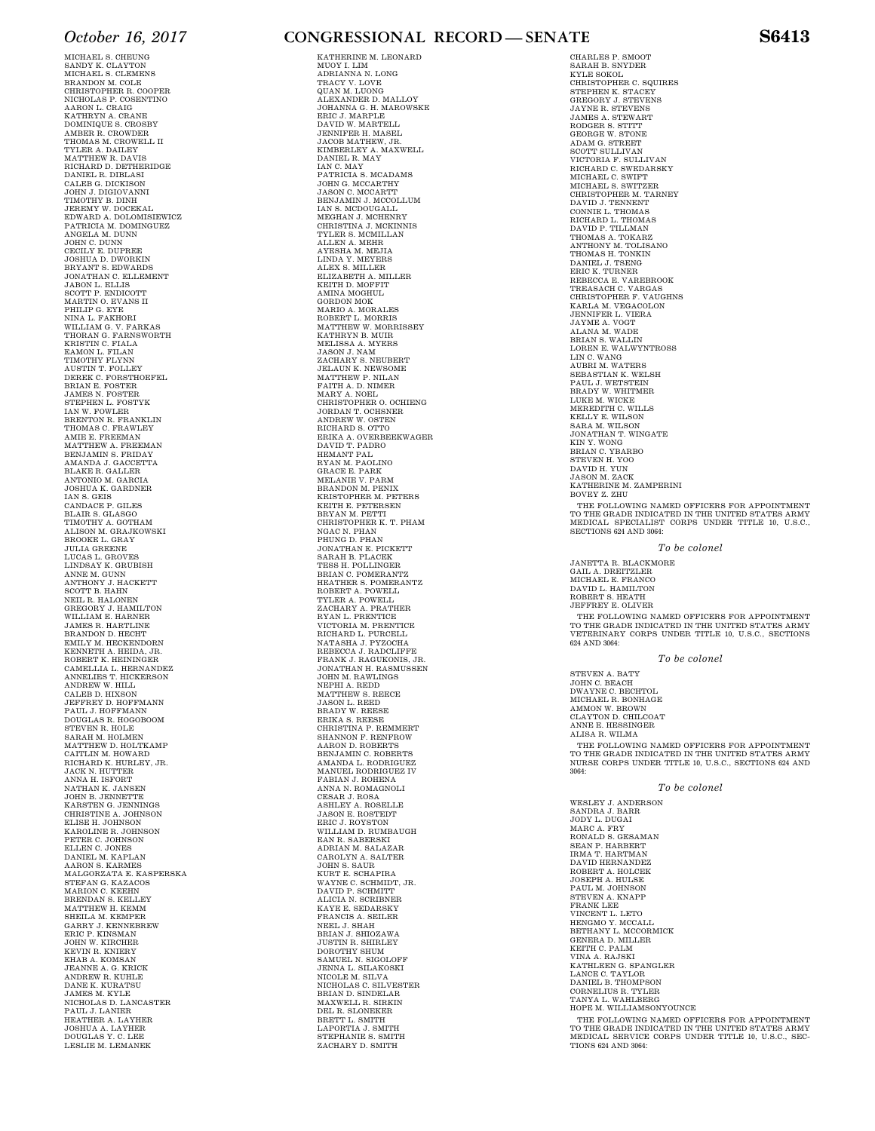MICHAEL S. CHEUNG SANDY K. CLAYTON<br>MICHAEL S. CLEMENS<br>BRANDON M. COLE<br>CHRISTOPHER R. COOPER<br>NICHOLAS P. COSENTINO AARON L. CRAIG KATHRYN A. CRANE DOMINIQUE S. CROSBY AMBER R. CROWDER THOMAS M. CROWELL II<br>TYLER A. DAILEY<br>MATTHEW R. DAVIS<br>RICHARD D. DETHERIDGE DANIEL R. DIBLASI CALEB G. DICKISON JOHN J. DIGIOVANNI TIMOTHY B. DINH JEREMY W. DOCEKAL<br>EDWARD A. DOLOMISIEWICZ EDWARD A. DOLOMISIEWICZ<br>PATRICIA M. DOMINGUEZ<br>ANGELA M. DUNN<br>JOHN C. DUNN<br>CECILY E. DUPREE<br>JOSHUA D. DWORKIN<br>BRYANT S. EDWARDS JONATHAN C. ELLEMENT<br>JABON L. ELLIS<br>SCOTT P. ENDICOTT<br>MARTIN O. EVANS II<br>PHILIP G. EYE NINA L. FAKHORI WILLIAM G. V. FARKAS<br>THORAN G. FARNSWORTH<br>KRISTIN C. FIALA<br>EAMON L. FILAN TIMOTHY FLYNN<br>AUSTIN T. FOLLEY<br>DEREK C. FORSTHOEFEL<br>BRIAN E. FOSTER<br>JAMES N. FOSTER<br>STEPHEN L. FOSTYK<br>IAN W. FOWLER BRENTON R. FRANKLIN THOMAS C. FRAWLEY<br>AMIE E. FREEMAN<br>MATTHEW A. FREEMAN<br>BENJAMIN S. FRIDAY<br>AMANDA J. GACCETTA<br>BLAKE R. GALLER<br>ANTONIO M. GARCIA JOSHUA K. GARDNER IAN S. GEIS CANDACE P. GILES BLAIR S. GLASGO TIMOTHY A. GOTHAM ALISON M. GRAJKOWSKI BROOKE L. GRAY JULIA GREENE<br>LUCAS L. GROVES<br>LINDSAY K. GRUBISH<br>ANNE M. GUNN ANTHONY J. HACKETT<br>SCOTT B. HAHN<br>NEIL R. HALONEN<br>GREGORY J. HAMILTON<br>WILLIAM E. HARNER<br>JAMES R. HARTLINE<br>BRANDON D. HECHT EMILY M. HECKENDORN<br>KENNETH A. HEIDA, JR.<br>ROBERT K. HEININGER<br>CAMELLIA L. HERNANDEZ<br>ANNELIES T. HICKERSON<br>ANDREW W. HILL<br>CALEB D. HIXSON JEFFREY D. HOFFMANN PAUL J. HOFFMANN DOUGLAS R. HOGOBOOM STEVEN R. HOLE SARAH M. HOLMEN MATTHEW D. HOLTKAMP CAITLIN M. HOWARD RICHARD K. HURLEY, JR. JACK N. HUTTER ANNA H. ISFORT NATHAN K. JANSEN JOHN B. JENNETTE KARSTEN G. JENNINGS CHRISTINE A. JOHNSON ELISE H. JOHNSON KAROLINE R. JOHNSON PETER C. JOHNSON ELLEN C. JONES DANIEL M. KAPLAN AARON S. KARMES MALGORZATA E. KASPERSKA STEFAN G. KAZACOS MARION C. KEEHN BRENDAN S. KELLEY MATTHEW H. KEMM SHEILA M. KEMPER GARRY J. KENNEBREW ERIC P. KINSMAN JOHN W. KIRCHER KEVIN R. KNIERY EHAB A. KOMSAN<br>JEANNE A. G. KRICK<br>ANDREW R. KUHLE DANE K. KURATSU JAMES M. KYLE NICHOLAS D. LANCASTER PAUL J. LANIER HEATHER A. LAYHER JOSHUA A. LAYHER DOUGLAS Y. C. LEE LESLIE M. LEMANEK

### *October 16, 2017* **CONGRESSIONAL RECORD — SENATE S6413**

KATHERINE M. LEONARD MUOY I. LIM ADRIANNA N. LONG<br>TRACY V. LOVE<br>QUAN M. LUONG<br>ALEXANDER D. MALLOY JOHANNA G. H. MAROWSKE ERIC J. MARPLE<br>DAVID W. MARTELL<br>JENNIFER H. MASEL JACOB MATHEW, JR. KIMBERLEY A. MAXWELL DANIEL R. MAY IAN C. MAY PATRICIA S. MCADAMS JOHN G. MCCARTHY JASON C. MCCARTT BENJAMIN J. MCCOLLUM IAN S. MCDOUGALL MEGHAN J. MCHENRY CHRISTINA J. MCKINNIS TYLER S. MCMILLAN ALLEN A. MEHR AYESHA M. MEJIA LINDA Y. MEYERS ALEX S. MILLER ELIZABETH A. MILLER KEITH D. MOFFIT AMINA MOGHUL GORDON MOK<br>GORDON MOK<br>MARIO A. MORALES MARIO A. MORALES<br>ROBERT L. MORRIS<br>BABIO A. MORRIS<br>MATTHEW W. MORRISSEY<br>KATHEW W. MORRISSEY<br>MELISSA A. MYERS<br>MELISSA A. MYERS<br>JASON J. NAM<br>JELAUN K. NEWSOME<br>FALLAUN K. NEWSOME<br>FATTH A. D. NIMER<br>MARY A. NOEL.<br>JORDAN T. OCHEN RYAN M. PAOLINO<br>GRACE E. PARK<br>MELANIE V. PARM BRANDON M. PENIX<br>KRISTOPHER M. PETERS<br>KEITH E. PETERSEN BRYAN M. PETTI CHRISTOPHER K. T. PHAM<br>NGAC N. PHAN<br>PHUNG D. PHAN JONATHAN E. PICKETT SARAH B. PLACEK TESS H. POLLINGER BRIAN C. POMERANTZ HEATHER S. POMERANTZ ROBERT A. POWELL TYLER A. POWELL ZACHARY A. PRATHER RYAN L. PRENTICE<br>VICTORIA M. PRENTICE<br>RICHARD L. PURCELL<br>NATASHA J. PYZOCHA<br>REBECCA J. RAGUKONIS, JR.<br>FRANK J. RAGUKONIS, JR.<br>JONATHAN H. RASMUSSEN JOHN M. RAWLINGS NEPHI A. REDD MATTHEW S. REECE JASON L. REED BRADY W. REESE ERIKA S. REESE CHRISTINA P. REMMERT SHANNON F. RENFROW AARON D. ROBERTS BENJAMIN C. ROBERTS AMANDA L. RODRIGUEZ MANUEL RODRIGUEZ IV FABIAN J. ROHENA ANNA N. ROMAGNOLI CESAR J. ROSA ASHLEY A. ROSELLE JASON E. ROSTEDT ERIC J. ROYSTON WILLIAM D. RUMBAUGH EAN R. SABERSKI<br>ADRIAN M. SALAZAR<br>CAROLYN A. SALTER JOHN S. SAUR<br>KURT E. SCHAPIRA<br>WAYNE C. SCHMIDT, JR.<br>DAVID P. SCHMITT<br>ALICIA N. SCRIBNER<br>KAYE E. SEDARSKY FRANCIS A. SEILER NEEL J. SHAH BRIAN J. SHIOZAWA JUSTIN R. SHIRLEY DOROTHY SHUM SAMUEL N. SIGOLOFF JENNA L. SILAKOSKI NICOLE M. SILVA NICHOLAS C. SILVESTER<br>BRIAN D. SINDELAR<br>MAXWELL R. SIRKIN<br>DEL R. SLONEKER BRETT L. SMITH<br>LAPORTIA J. SMITH<br>STEPHANIE S. SMITH ZACHARY D. SMITH

CHARLES P. SMOOT SARAH B. SNYDER KYLE SOKOL CHRISTOPHER C. SQUIRES STEPHEN K. STACEY GREGORY J. STEVENS JAYNE R. STEVENS JAMES A. STEWART RODGER S. STITT GEORGE W. STONE ADAM G. STREET SCOTT SULLIVAN VICTORIA F. SULLIVAN RICHARD C. SWEDARSKY MICHAEL C. SWIFT MICHAEL S. SWITZER CHRISTOPHER M. TARNEY DAVID J. TENNENT CONNIE L. THOMAS RICHARD L. THOMAS DAVID P. TILLMAN THOMAS A. TOKARZ ANTHONY M. TOLISANO THOMAS H. TONKIN DANIEL J. TSENG<br>ERIC K. TURNER<br>REBECCA E. VAREBROOK<br>TREASACH C. VARGAS<br>CHRISTOPHER F. VAUGHNS<br>KARLA M. VEGACOLON<br>JENNIFER L. VIERA JAYME A. VOGT ALANA M. WADE BRIAN S. WALLIN LOREN E. WALWYNTROSS LIN C. WANG<br>AUBRI M. WATERS<br>SEBASTIAN K. WELSH PAUL J. WETSTEIN<br>BRADY W. WHITMER<br>LUKE M. WICKE<br>MEREDITH C. WILLS KELLY E. WILSON SARA M. WILSON JONATHAN T. WINGATE KIN Y. WONG BRIAN C. YBARBO STEVEN H. YOO DAVID H. YUN JASON M. ZACK KATHERINE M. ZAMPERINI BOVEY Z. ZHU

THE FOLLOWING NAMED OFFICERS FOR APPOINTMENT TO THE GRADE INDICATED IN THE UNITED STATES ARMY MEDICAL SPECIALIST CORPS UNDER TITLE 10, U.S.C., SECTIONS 624 AND 3064:

*To be colonel* 

JANETTA R. BLACKMORE GAIL A. DREITZLER MICHAEL E. FRANCO DAVID L. HAMILTON ROBERT S. HEATH JEFFREY E. OLIVER

THE FOLLOWING NAMED OFFICERS FOR APPOINTMENT<br>TO THE GRADE INDICATED IN THE UNITED STATES ARMY<br>VETERINARY CORPS UNDER TITLE 10, U.S.C., SECTIONS 624 AND 3064:

#### *To be colonel*

STEVEN A. BATY JOHN C. BEACH DWAYNE C. BECHTOL MICHAEL R. BONHAGE AMMON W. BROWN CLAYTON D. CHILCOAT ANNE E. HESSINGER ALISA R. WILMA

THE FOLLOWING NAMED OFFICERS FOR APPOINTMENT TO THE GRADE INDICATED IN THE UNITED STATES ARMY NURSE CORPS UNDER TITLE 10, U.S.C., SECTIONS 624 AND 3064:

#### *To be colonel*

WESLEY J. ANDERSON SANDRA J. BARR JODY L. DUGAI MARC A. FRY RONALD S. GESAMAN SEAN P. HARBERT IRMA T. HARTMAN DAVID HERNANDEZ<br>ROBERT A. HOLCEK<br>JOSEPH A. HULSE<br>SOUL M. JOHNSON<br>STEVEN A. KNAPP<br>STEVEN A. KNAPP<br>FRANK LEE<br>HERNAN L. MCORMICK<br>HERNAN L. MCORMICK<br>GENERAD D. MILLER<br>KETTH C. PALM<br>KATHLEEN G. SPANGLER<br>DANIEL B. THOMPSON<br>CORNE THE FOLLOWING NAMED OFFICERS FOR APPOINTMENT

TO THE GRADE INDICATED IN THE UNITED STATES ARMY MEDICAL SERVICE CORPS UNDER TITLE 10, U.S.C., SEC-TIONS 624 AND 3064: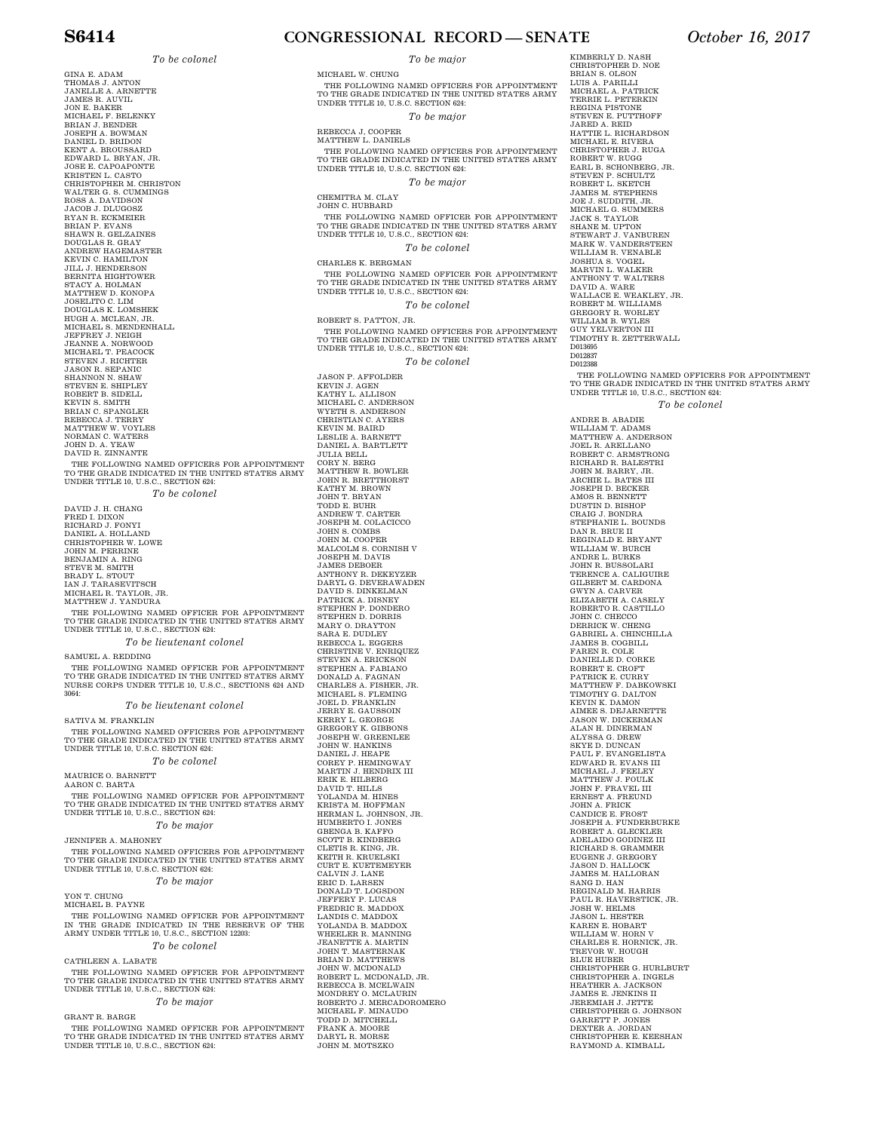*To be colonel* 

GINA E. ADAM THOMAS J. ANTON<br>JANELLE A. ARNETTE<br>JAMES R. AUVIL JON E. BAKER MICHAEL F. BELENKY BRIAN J. BENDER JOSEPH A. BOWMAN DANIEL D. BRIDON KENT A. BROUSSARD EDWARD L. BRYAN, JR. JOSE E. CAPOAPONTE KRISTEN L. CASTO CHRISTOPHER M. CHRISTON WALTER G. S. CUMMINGS ROSS A. DAVIDSON JACOB J. DLUGOSZ RYAN R. ECKMEIER BRIAN P. EVANS SHAWN R. GELZAINES DOUGLAS R. GRAY ANDREW HAGEMASTER KEVIN C. HAMILTON JILL J. HENDERSON BERNITA HIGHTOWER STACY A. HOLMAN MATTHEW D. KONOPA JOSELITO C. LIM DOUGLAS K. LOMSHEK HUGH A. MCLEAN, JR. MICHAEL S. MENDENHALL JEFFREY J. NEIGH JEANNE A. NORWOOD MICHAEL T. PEACOCK STEVEN J. RICHTER JASON R. SEPANIC SHANNON N. SHAW STEVEN E. SHIPLEY<br>ROBERT B. SIMITH<br>KEVIN S. SMITH<br>BRIAN C. SPANGLER<br>REBECCA J. TERRY<br>MATTHEW W. VOYLES NORMAN C. WATERS JOHN D. A. YEAW DAVID R. ZINNANTE THE FOLLOWING NAMED OFFICERS FOR APPOINTMENT TO THE GRADE INDICATED IN THE UNITED STATES ARMY UNDER TITLE 10, U.S.C., SECTION 624: *To be colonel*  DAVID J. H. CHANG<br>FRED I. DIXON<br>RICHARD J. FONYI

DANIEL A. HOLLAND CHRISTOPHER W. LOWE JOHN M. PERRINE BENJAMIN A. RING STEVE M. SMITH BRADY L. STOUT IAN J. TARASEVITSCH MICHAEL R. TAYLOR, JR. MATTHEW J. YANDURA

THE FOLLOWING NAMED OFFICER FOR APPOINTMENT TO THE GRADE INDICATED IN THE UNITED STATES ARMY UNDER TITLE 10, U.S.C., SECTION 624:

*To be lieutenant colonel* 

SAMUEL A. REDDING

THE FOLLOWING NAMED OFFICER FOR APPOINTMENT TO THE GRADE INDICATED IN THE UNITED STATES ARMY NURSE CORPS UNDER TITLE 10, U.S.C., SECTIONS 624 AND 3064:

*To be lieutenant colonel* 

SATIVA M. FRANKLIN THE FOLLOWING NAMED OFFICERS FOR APPOINTMENT TO THE GRADE INDICATED IN THE UNITED STATES ARMY UNDER TITLE 10, U.S.C. SECTION 624:

*To be colonel* 

MAURICE O. BARNETT AARON C. BARTA

THE FOLLOWING NAMED OFFICER FOR APPOINTMENT TO THE GRADE INDICATED IN THE UNITED STATES ARMY UNDER TITLE 10, U.S.C., SECTION 624:

*To be major* 

JENNIFER A. MAHONEY

THE FOLLOWING NAMED OFFICERS FOR APPOINTMENT TO THE GRADE INDICATED IN THE UNITED STATES ARMY UNDER TITLE 10, U.S.C. SECTION 624:

*To be major* 

YON T. CHUNG MICHAEL B. PAYNE

THE FOLLOWING NAMED OFFICER FOR APPOINTMENT<br>IN THE GRADE INDICATED IN THE RESERVE OF THE<br>ARMY UNDER TITLE 10, U.S.C., SECTION 12203: *To be colonel* 

### CATHLEEN A. LABATE

THE FOLLOWING NAMED OFFICER FOR APPOINTMENT<br>TO THE GRADE INDICATED IN THE UNITED STATES ARMY<br>UNDER TITLE 10, U.S.C., SECTION 624:

### *To be major*

GRANT R. BARGE

THE FOLLOWING NAMED OFFICER FOR APPOINTMENT TO THE GRADE INDICATED IN THE UNITED STATES ARMY UNDER TITLE 10, U.S.C., SECTION 624:

**S6414 CONGRESSIONAL RECORD — SENATE** *October 16, 2017* 

*To be major* 

MICHAEL W. CHUNG THE FOLLOWING NAMED OFFICERS FOR APPOINTMENT TO THE GRADE INDICATED IN THE UNITED STATES ARMY UNDER TITLE 10, U.S.C. SECTION 624:

*To be major* 

REBECCA J, COOPER MATTHEW L. DANIELS THE FOLLOWING NAMED OFFICERS FOR APPOINTMENT TO THE GRADE INDICATED IN THE UNITED STATES ARMY

UNDER TITLE 10, U.S.C. SECTION 624: *To be major* 

CHEMITRA M. CLAY JOHN C. HUBBARD

THE FOLLOWING NAMED OFFICER FOR APPOINTMENT TO THE GRADE INDICATED IN THE UNITED STATES ARMY UNDER TITLE 10, U.S.C., SECTION 624:

*To be colonel* 

CHARLES K. BERGMAN

THE FOLLOWING NAMED OFFICER FOR APPOINTMENT TO THE GRADE INDICATED IN THE UNITED STATES ARMY UNDER TITLE 10, U.S.C., SECTION 624:

*To be colonel* 

ROBERT S. PATTON, JR. THE FOLLOWING NAMED OFFICERS FOR APPOINTMENT TO THE GRADE INDICATED IN THE UNITED STATES ARMY UNDER TITLE 10, U.S.C., SECTION 624:

*To be colonel* 

JASON P. AFFOLDER KEVIN J. AGEN KATHY L. ALLISON MICHAEL C. ANDERSON WYETH S. ANDERSON CHRISTIAN C. AYERS KEVIN M. BAIRD<br>LESLIE A. BARNETT<br>DANIEL A. BARTLETT JULIA BELL CORY N. BERG<br>MATTHEW R. BOWLER JOHN R. BRETTHORST KATHY M. BROWN JOHN T. BRYAN TODD E. BUHR ANDREW T. CARTER<br>JOSEPH M. COLACICCO<br>JOHN S. COMBS<br>JOHN M. COOPER<br>MALCOLM S. CORNISH V<br>JOSEPH M. DAVIS<br>JAMES DEBOER ANTHONY R. DEKEYZER DARYL G. DEVERAWADEN<br>DAVID S. DINKELMAN<br>PATRICK A. DISNEY<br>STEPHEN P. DONDERO<br>STEPHEN D. DORRIS<br>MARY O. DRAYTON<br>SARA E. DUDLEY REBECCA L. EGGERS<br>CHRISTINE V. ENRIQUEZ<br>STEVEN A. ERICKSON<br>STEPHEN A. FABIANO<br>DONALD A. FAGNAN<br>CHARLES A. FISHER, JR.<br>MICHAEL S. FLEMING JOEL D. FRANKLIN JERRY E. GAUSSOIN KERRY L. GEORGE GREGORY K. GIBBONS JOSEPH W. GREENLEE JOHN W. HANKINS DANIEL J. HEAPE COREY P. HEMINGWAY MARTIN J. HENDRIX III ERIK E. HILBERG DAVID T. HILLS YOLANDA M. HINES KRISTA M. HOFFMAN HERMAN L. JOHNSON, JR. HUMBERTO I. JONES GBENGA B. KAFFO SCOTT B. KINDBERG CLETIS R. KING, JR. KEITH R. KRUELSKI CURT E. KUETEMEYER CALVIN J. LANE ERIC D. LARSEN DONALD T. LOGSDON JEFFERY P. LUCAS FREDRIC R. MADDOX LANDIS C. MADDOX YOLANDA B. MADDOX WHEELER R. MANNING JEANETTE A. MARTIN JOHN T. MASTERNAK BRIAN D. MATTHEWS JOHN W. MCDONALD ROBERT L. MCDONALD, JR. REBECCA B. MCELWAIN MONDREY O. MCLAURIN ROBERTO J. MERCADOROMERO MICHAEL F. MINAUDO TODD D. MITCHELL FRANK A. MOORE DARYL R. MORSE JOHN M. MOTSZKO

KIMBERLY D. NASH CHRISTOPHER D. NOE BRIAN S. OLSON LUIS A. PARILLI MICHAEL A. PATRICK TERRIE L. PETERKIN REGINA PISTONE STEVEN E. PUTTHOFF JARED A. REID HATTIE L. RICHARDSON<br>MICHAEL E. RIVERA<br>CHRISTOPHER J. RUGA<br>ROBERT W. RUGG<br>STEVEN P. SCHONBERG, JR.<br>STEVEN P. SCHULTZ<br>ROBERT L. SKETCH<br>JAMES M. STEPHENS<br>JOE J. SUDDITH, JR.<br>JOE J. SUDDITH, JR. MICHAEL G. SUMMERS JACK S. TAYLOR SHANE M. UPTON STEWART J. VANBUREN MARK W. VANDERSTEEN WILLIAM R. VENABLE JOSHUA S. VOGEL MARVIN L. WALKER ANTHONY T. WALTERS DAVID A. WARE WALLACE E. WEAKLEY, JR. ROBERT M. WILLIAMS GREGORY R. WORLEY WILLIAM B. WYLES GUY YELVERTON III TIMOTHY R. ZETTERWALL D013695 D012837 D012388 THE FOLLOWING NAMED OFFICERS FOR APPOINTMENT TO THE GRADE INDICATED IN THE UNITED STATES ARMY UNDER TITLE 10, U.S.C., SECTION 624: *To be colonel*  ANDRE B. ABADIE WILLIAM T. ADAMS<br>MATTHEW A. ANDERSON<br>JOEL R. ARELLANO ROBERT C. ARMSTRONG<br>JOHN M. BARRY, JR.<br>JOHN M. BARRY, JR.<br>ARCHIE L. BATES III<br>JOSEPH D. BECKER AMOS R. BENNETT DUSTIN D. BISHOP CRAIG J. BONDRA STEPHANIE L. BOUNDS DAN R. BRUE II REGINALD E. BRYANT WILLIAM W. BURCH ANDRE L. BURKS JOHN R. BUSSOLARI TERENCE A. CALIGUIRE GILBERT M. CARDONA GWYN A. CARVER ELIZABETH A. CASELY ROBERTO R. CASTILLO JOHN C. CHECCO<br>DERRICK W. CHENG<br>GABRIEL A. CHINCHILLA<br>JAMES B. COGBILL<br>FAREN R. COLE<br>DANIELLE D. CORKE ROBERT E. CROFT PATRICK E. CURRY MATTHEW F. DABKOWSKI TIMOTHY G. DALTON KEVIN K. DAMON<br>AIMEE S. DEJARNETTE<br>JASON W. DICKERMAN<br>ALAN H. DINERMAN ALYSSA G. DREW<br>SKYE D. DUNCAN<br>PAUL F. EVANGELISTA<br>EDWARD R. EVANS III<br>MICHAEL J. FEELEY<br>MATTHEW J. FOULK<br>JOHN F. FRAVEL III ERNEST A. FREUND<br>JOHN A. FRICK<br>CANDICE E. FROST<br>JOSEPH A. FUNDERBURKE<br>ROBERT A. GLECKLER ADELAIDO GODINEZ III RICHARD S. GRAMMER EUGENE J. GREGORY JASON D. HALLOCK JAMES M. HALLORAN SANG D. HAN REGINALD M. HARRIS PAUL R. HAVERSTICK, JR.<br>JOSH W. HELMS<br>JASON L. HESTER<br>KAREN E. HOBART<br>WILLIAM W. HORN V<br>CHARLES E. HORNICK, JR. TREVOR W. HOUGH BLUE HUBER CHRISTOPHER G. HURLBURT CHRISTOPHER A. INGELS HEATHER A. JACKSON JAMES E. JENKINS II JEREMIAH J. JETTE CHRISTOPHER G. JOHNSON GARRETT P. JONES DEXTER A. JORDAN CHRISTOPHER E. KEESHAN

RAYMOND A. KIMBALL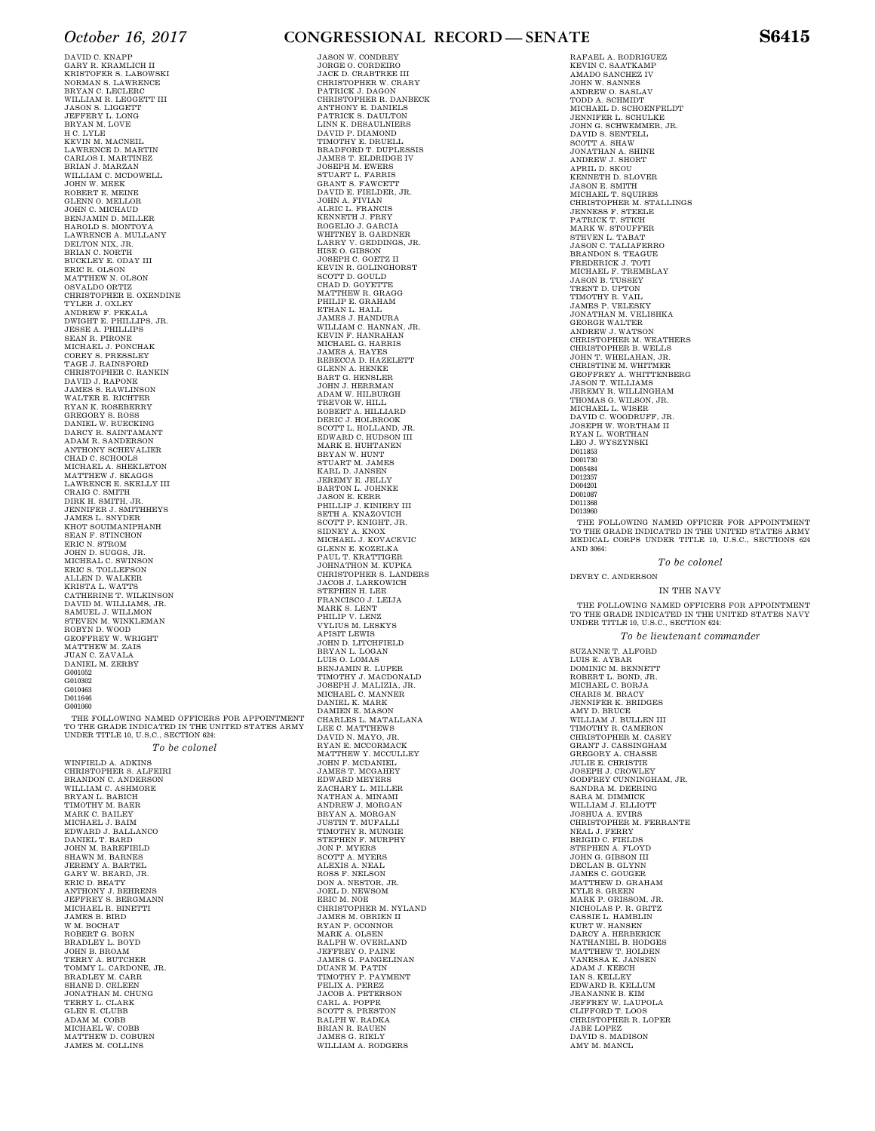DAVID C. KNAPP GARY R. KRAMLICH II KRISTOFER S. LABOWSKI NORMAN S. LAWRENCE BRYAN C. LECLERC WILLIAM R. LEGGETT III JASON S. LIGGETT JEFFERY L. LONG BRYAN M. LOVE H C. LYLE<br>KEVIN M. MACNEIL<br>LAWRENCE D. MARTINEZ<br>CARLOS I. MARTINEZ<br>BRIAN J. MARZAN<br>WILLIAM C. MCDOWELL JOHN W. MEEK ROBERT E. MEINE GLENN O. MELLOR JOHN C. MICHAUD BENJAMIN D. MILLER HAROLD S. MONTOYA LAWRENCE A. MULLANY DELTON NIX, JR. BRIAN C. NORTH BUCKLEY E. ODAY III ERIC R. OLSON MATTHEW N. OLSON OSVALDO ORTIZ CHRISTOPHER E. OXENDINE TYLER J. OXLEY ANDREW F. PEKALA DWIGHT E. PHILLIPS, JR. JESSE A. PHILLIPS SEAN R. PIRONE<br>MICHAEL J. PONCHAK<br>COREY S. PRESSLEY<br>TAGE J. RAINSFORD CHRISTOPHER C. RANKIN DAVID J. RAPONE JAMES S. RAWLINSON WALTER E. RICHTER RYAN K. ROSEBERRY GREGORY S. ROSS DANIEL W. RUECKING DARCY R. SAINTAMANT ADAM R. SANDERSON ANTHONY SCHEVALIER CHAD C. SCHOOLS MICHAEL A. SHEKLETON MATTHEW J. SKAGGS LAWRENCE E. SKELLY III CRAIG C. SMITH DIRK H. SMITH, JR. JENNIFER J. SMITHHEYS JAMES L. SNYDER KHOT SOUIMANIPHANH SEAN F. STINCHON ERIC N. STROM JOHN D. SUGGS, JR. MICHEAL C. SWINSON ERIC S. TOLLEFSON ALLEN D. WALKER KRISTA L. WATTS CATHERINE T. WILKINSON DAVID M. WILLIAMS, JR. SAMUEL J. WILLMON STEVEN M. WINKLEMAN ROBYN D. WOOD GEOFFREY W. WRIGHT MATTHEW M. ZAIS JUAN C. ZAVALA DANIEL M. ZERBY G001052 G010302 G010002 D011646 G001060 THE FOLLOWING NAMED OFFICERS FOR APPOINTMENT

TO THE GRADE INDICATED IN THE UNITED STATES ARMY UNDER TITLE 10, U.S.C., SECTION 624: *To be colonel* 

WINFIELD A. ADKINS CHRISTOPHER S. ALFEIRI<br>BRANDON C. ANDERSON<br>WILLIAM C. ASHMORE<br>BRYAN L. BABICH TIMOTHY M. BAER MARK C. BAILEY MICHAEL J. BAIM EDWARD J. BALLANCO DANIEL T. BARD<br>JOHN M. BAREFIELD<br>SHAWN M. BARFEL<br>JEREMY A. BARTEL<br>GARY W. BEARD, JR.<br>ERIC D. BEATY<br>ANTHONY J. BEHRENS JEFFREY S. BERGMANN MICHAEL R. BINETTI JAMES B. BIRD W M. BOCHAT ROBERT G. BORN BRADLEY L. BOYD JOHN B. BROAM TERRY A. BUTCHER TOMMY L. CARDONE, JR. BRADLEY M. CARR SHANE D. CELEEN JONATHAN M. CHUNG TERRY L. CLARK GLEN E. CLUBB ADAM M. COBB MICHAEL W. COBB MATTHEW D. COBURN JAMES M. COLLINS

### *October 16, 2017* **CONGRESSIONAL RECORD — SENATE S6415**

JASON W. CONDREY JORGE O. CORDEIRO JACK D. CRABTREE III CHRISTOPHER W. CRARY PATRICK J. DAGON CHRISTOPHER R. DANBECK ANTHONY E. DANIELS<br>PATRICK S. DAULTON<br>LINN K. DESAULNIERS<br>DAVID P. DIAMOND<br>TIMOTHY E. DRUELL<br>BRADFORD T. DUPLESSIS<br>BRADFORD T. DUPLESSIS<br>JOSEPH M. EWERS STUART L. FARRIS GRANT S. FAWCETT DAVID E. FIELDER, JR. JOHN A. FIVIAN ALRIC L. FRANCIS KENNETH J. FREY ROGELIO J. GARCIA WHITNEY B. GARDNER LARRY V. GEDDINGS, JR. HISE O. GIBSON JOSEPH C. GOETZ II KEVIN R. GOLINGHORST SCOTT D. GOULD CHAD D. GOYETTE MATTHEW R. GRAGG PHILIP E. GRAHAM ETHAN L. HALL JAMES J. HANDURA WILLIAM C. HANNAN, JR.<br>KEVIN F. HANRAHAN<br>MICHAEL G. HARRIS<br>JAMES A. HAYES REBECCA D. HAZELETT GLENN A. HENKE BART G. HENSLER JOHN J. HERRMAN ADAM W. HILBURGH TREVOR W. HILL ROBERT A. HILLIARD DERIC J. HOLBROOK SCOTT L. HOLLAND, JR. EDWARD C. HUDSON III MARK E. HUHTANEN BRYAN W. HUNT<br>STUART M. JAMES<br>KARL D. JANSEN<br>JEREMY E. JELLY<br>BARTON L. JOHNKE<br>JASON E. KERR<br>PHILLIP J. KINIERY III SETH A. KNAZOVICH SCOTT P. KNIGHT, JR. SIDNEY A. KNOX MICHAEL J. KOVACEVIC GLENN E. KOZELKA PAUL T. KRATTIGER JOHNATHON M. KUPKA CHRISTOPHER S. LANDERS JACOB J. LARKOWICH STEPHEN H. LEE FRANCISCO J. LEIJA MARK S. LENT PHILIP V. LENZ VYLIUS M. LESKYS APISIT LEWIS JOHN D. LITCHFIELD BRYAN L. LOGAN LUIS O. LOMAS BENJAMIN R. LUPER TIMOTHY J. MACDONALD JOSEPH J. MALIZIA, JR. MICHAEL C. MANNER DANIEL K. MARK DAMIEN E. MASON CHARLES L. MATALLANA LEE C. MATTHEWS DAVID N. MAYO, JR. RYAN E. MCCORMACK MATTHEW Y. MCCULLEY JOHN F. MCDANIEL JAMES T. MCGAHEY EDWARD MEYERS ZACHARY L. MILLER NATHAN A. MINAMI<br>ANDREW J. MORGAN<br>BRYAN A. MORGAN<br>JUSTIN T. MUFALLI<br>TIMOTHY R. MURPHY<br>STEPHEN F. MURPHY<br>JON P. MYERS<br>SCOTT A. MYERS ALEXIS A. NEAL ROSS F. NELSON DON A. NESTOR, JR. JOEL D. NEWSOM ERIC M. NOE CHRISTOPHER M. NYLAND JAMES M. OBRIEN II RYAN P. OCONNOR MARK A. OLSEN RALPH W. OVERLAND JEFFREY O. PAINE JAMES G. PANGELINAN DUANE M. PATIN TIMOTHY P. PAYMENT FELIX A. PEREZ JACOB A. PETERSON CARL A. POPPE SCOTT S. PRESTON RALPH W. RADKA BRIAN R. RAUEN JAMES G. RIELY WILLIAM A. RODGERS

RAFAEL A. RODRIGUEZ KEVIN C. SAATKAMP AMADO SANCHEZ IV JOHN W. SANNES ANDREW O. SASLAV TODD A. SCHMIDT MICHAEL D. SCHOENFELDT JENNIFER L. SCHULKE JOHN G. SCHWEMMER, JR.<br>BOOTT A. SHAW<br>SOOTT A. SHAW<br>JONATHAN A. SHINE<br>ANDREW J. SHORT<br>ANDREW J. SHOUT<br>KENNETH D. SLOVER<br>MAGNET T. SQUIRES<br>OHRISTOPHER M. STALLINGS<br>JENNESS F. STEELE<br>PATRICK T. STICH MARK W. STOUFFER STEVEN L. TABAT JASON C. TALIAFERRO BRANDON S. TEAGUE<br>FREDERICK J. TOTI<br>MICHAEL F. TREMBLAY<br>JASON B. TUSSEY<br>TRENT D. UPTON TIMOTHY R. VAIL JAMES P. VELESKY JONATHAN M. VELISHKA GEORGE WALTER ANDREW J. WATSON CHRISTOPHER M. WEATHERS CHRISTOPHER B. WELLS JOHN T. WHELAHAN, JR. CHRISTINE M. WHITMER GEOFFREY A. WHITTENBERG JASON T. WILLIAMS JEREMY R. WILLINGHAM THOMAS G. WILSON, JR. MICHAEL L. WISER DAVID C. WOODRUFF, JR. JOSEPH W. WORTHAM II RYAN L. WORTHAN LEO J. WYSZYNSKI D011853 D001730 D005484 D012357 D004201 D001087 D011368 D013960 THE FOLLOWING NAMED OFFICER FOR APPOINTMENT

TO THE GRADE INDICATED IN THE UNITED STATES ARMY MEDICAL CORPS UNDER TITLE 10, U.S.C., SECTIONS 624 AND 3064:

*To be colonel* 

DEVRY C. ANDERSON

#### IN THE NAVY

THE FOLLOWING NAMED OFFICERS FOR APPOINTMENT TO THE GRADE INDICATED IN THE UNITED STATES NAVY UNDER TITLE 10, U.S.C., SECTION 624:

*To be lieutenant commander* 

SUZANNE T. ALFORD<br>LUIS E. AYBAR<br>DOMINIC M. BENNETT<br>ROBERT L. BOND, JR.<br>MICHAEL C. BORJA<br>CHARIS M. BRACY JENNIFER K. BRIDGES AMY D. BRUCE WILLIAM J. BULLEN III TIMOTHY R. CAMERON CHRISTOPHER M. CASEY GRANT J. CASSINGHAM GREGORY A. CHASSE JULIE E. CHRISTIE JOSEPH J. CROWLEY GODFREY CUNNINGHAM, JR. SANDRA M. DEERING SARA M. DIMMICK WILLIAM J. ELLIOTT JOSHUA A. EVIRS CHRISTOPHER M. FERRANTE NEAL J. FERRY BRIGID C. FIELDS STEPHEN A. FLOYD JOHN G. GIBSON III DECLAN B. GLYNN JAMES C. GOUGER MATTHEW D. GRAHAM KYLE S. GREEN MARK P. GRISSOM, JR. NICHOLAS P. R. GRITZ CASSIE L. HAMBLIN KURT W. HANSEN<br>DARCY A. HERBERICK<br>NATHANIEL B. HODGES<br>MATTHEW T. HOLDEN<br>VANESSA K. JANSEN<br>ADAM J. KELLEY<br>AN S. KELLEY EDWARD R. KELLUM JEANANNE B. KIM JEFFREY W. LAUPOLA CLIFFORD T. LOOS CHRISTOPHER R. LOPER JABE LOPEZ DAVID S. MADISON AMY M. MANCL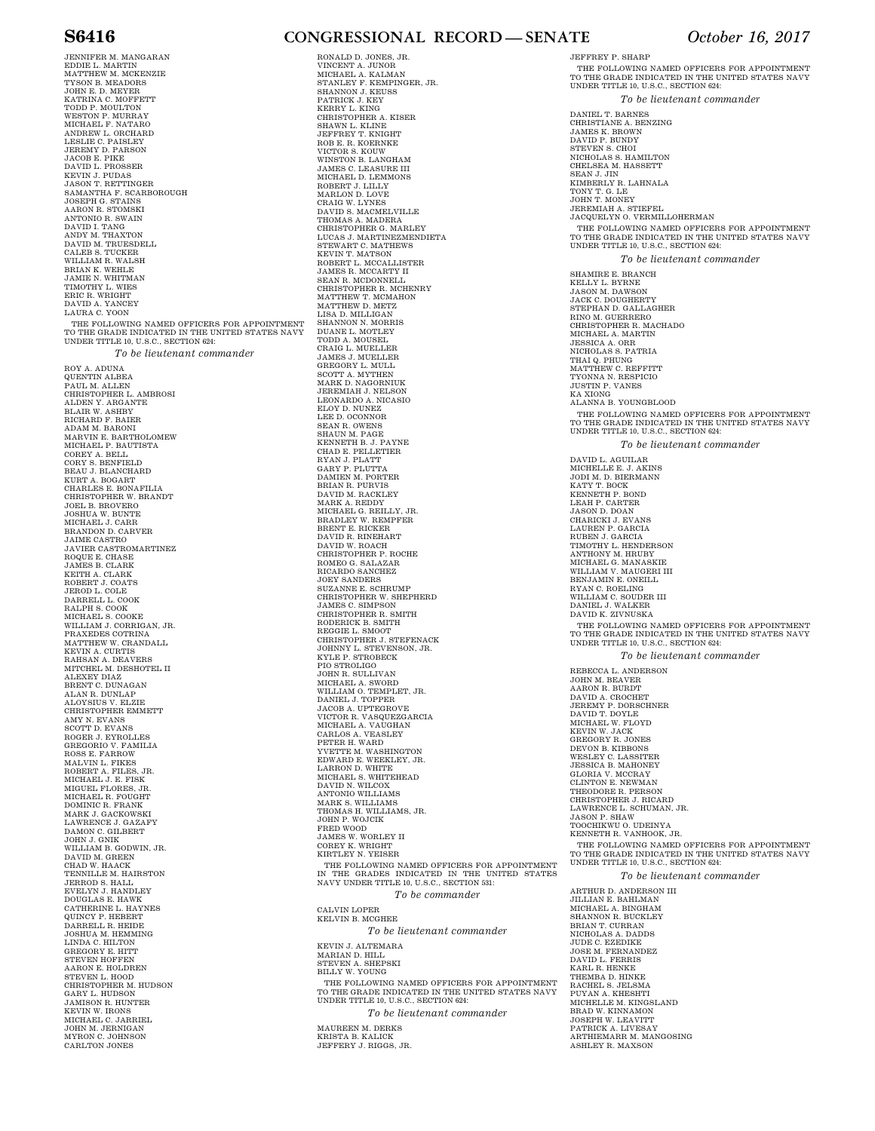JENNIFER M. MANGARAN EDDIE L. MARTIN MATTHEW M. MCKENZIE TYSON B. MEADORS JOHN E. D. MEYER KATRINA C. MOFFETT TODD P. MOULTON WESTON P. MURRAY MICHAEL F. NATARO ANDREW L. ORCHARD<br>JEREMY D. PAISLEY<br>JEREMY D. PARSON<br>JACOB E. PIKE<br>KEVIN J. PUDAS<br>KEVIN J. PUDAS<br>JASON T. RETTINGER<br>JASON T. RETTINGER<br>SAMANTHA F. SCARBOROUGH<br>JOSEPH G. STAINS AARON R. STOMSKI<br>ANTONIO R. SWAIN<br>DAVID I. TANG<br>ANDY M. TRUESDELL<br>CALEB S. TUCKER<br>CALEB S. TUCKER<br>WILLIAM R. WALSH BRIAN K. WEHLE<br>JAMIE N. WHITMAN<br>TIMOTHY L. WIES<br>ERIC R. WRIGHT<br>DAVID A. YANCEY<br>LAURA C. YOON THE FOLLOWING NAMED OFFICERS FOR APPOINTMENT TO THE GRADE INDICATED IN THE UNITED STATES NAVY UNDER TITLE 10, U.S.C., SECTION 624: *To be lieutenant commander*  ROY A. ADUNA<br>QUENTIN ALBEA<br>PAUL M. ALLEN CHRISTOPHER L. AMBROSI ALDEN Y. ARGANTE BLAIR W. ASHBY RICHARD F. BAIER ADAM M. BARONI<br>MARVIN E. BARTHOLOMEW<br>MICHAEL P. BAUTISTA COREY A. BELL CORY S. BENFIELD BEAU J. BLANCHARD KURT A. BOGART CHARLES E. BONAFILIA CHRISTOPHER W. BRANDT JOEL B. BROVERO JOSHUA W. BUNTE MICHAEL J. CARR BRANDON D. CARVER JAIME CASTRO JAVIER CASTROMARTINEZ ROQUE E. CHASE JAMES B. CLARK KEITH A. CLARK ROBERT J. COATS JEROD L. COLE DARRELL L. COOK RALPH S. COOK MICHAEL S. COOKE WILLIAM J. CORRIGAN, JR. PRAXEDES COTRINA MATTHEW W. CRANDALL KEVIN A. CURTIS RAHSAN A. DEAVERS MITCHEL M. DESHOTEL II ALEXEY DIAZ<br>BRENT C. DUNAGAN<br>ALAN R. DUNLAP<br>ALOYSIUS V. ELZIE CHRISTOPHER EMMETT<br>AMY N. EVANS<br>SCOTT D. EVANS<br>GREGORIO V. FAMILIA<br>GREGORIO V. FAMILIA<br>MOSS E. FARROW<br>MOSERT A. FILES, JR.<br>MOBERT A. FILES, JR.<br>MICHEL FLORES, JR.<br>MICHEL FLORES, JR. MICHAEL R. FOUGHT DOMINIC R. FRANK MARK J. GACKOWSKI LAWRENCE J. GAZAFY DAMON C. GILBERT JOHN J. GNIK WILLIAM B. GODWIN, JR. DAVID M. GREEN CHAD W. HAACK TENNILLE M. HAIRSTON JERROD S. HALL EVELYN J. HANDLEY DOUGLAS E. HAWK<br>CATHERINE L. HAYNES<br>QUINCY P. HEBERT<br>DARRELL R. HEIDE<br>JOSHUA M. HEMMING<br>LINDA C. HILTON<br>GREGORY E. HITT STEVEN HOFFEN AARON E. HOLDREN STEVEN L. HOOD CHRISTOPHER M. HUDSON GARY L. HUDSON JAMISON R. HUNTER KEVIN W. IRONS MICHAEL C. JARRIEL JOHN M. JERNIGAN MYRON C. JOHNSON CARLTON JONES

### **S6416 CONGRESSIONAL RECORD — SENATE** *October 16, 2017*

RONALD D. JONES, JR. VINCENT A. JUNOR MICHAEL A. KALMAN STANLEY F. KEMPINGER, JR. SHANNON J. KEUSS PATRICK J. KEY KERRY L. KING CHRISTOPHER A. KISER SHAWN L. KLINE JEFFREY T. KNIGHT ROB E. R. KOERNKE VICTOR S. KOUW WINSTON B. LANGHAM JAMES C. LEASURE III MICHAEL D. LEMMONS ROBERT J. LILLY MARLON D. LOVE CRAIG W. LYNES DAVID S. MACMELVILLE THOMAS A. MADERA CHRISTOPHER G. MARLEY LUCAS J. MARTINEZMENDIETA STEWART C. MATHEWS KEVIN T. MATSON ROBERT L. MCCALLISTER JAMES R. MCCARTY II SEAN R. MCDONNELL CHRISTOPHER R. MCHENRY MATTHEW T. MCMAHON MATTHEW D. METZ LISA D. MILLIGAN SHANNON N. MORRIS<br>DUANE L. MOTLEY<br>TODD A. MOUSEL<br>CRAIG L. MUELLER<br>JAMES J. MUELLER<br>GREGORY L. MUTLEN<br>SCOTT A. MYTHEN<br>MARK D. NAGORNIUK JEREMIAH J. NELSON LEONARDO A. NICASIO ELOY D. NUNEZ LEE D. OCONNOR SEAN R. OWENS SHAUN M. PAGE KENNETH B. J. PAYNE CHAD E. PELLETIER RYAN J. PLATT GARY P. PLUTTA DAMIEN M. PORTER BRIAN R. PURVIS<br>DAVID M. RACKLEY MARK A. REDDY MICHAEL G. REILLY, JR. BRADLEY W. REMPFER BRENT E. RICKER DAVID R. RINEHART DAVID W. ROACH CHRISTOPHER P. ROCHE ROMEO G. SALAZAR RICARDO SANCHEZ JOEY SANDERS SUZANNE E. SCHRUMP CHRISTOPHER W. SHEPHERD JAMES C. SIMPSON CHRISTOPHER R. SMITH RODERICK B. SMITH REGGIE L. SMOOT CHRISTOPHER J. STEFENACK JOHNNY L. STEVENSON, JR. KYLE P. STROBECK PIO STROLIGO JOHN R. SULLIVAN MICHAEL A. SWORD WILLIAM O. TEMPLET, JR. DANIEL J. TOPPER JACOB A. UPTEGROVE VICTOR R. VASQUEZGARCIA MICHAEL A. VAUGHAN<br>CARLOS A. VEASLEY<br>PETER H. WARD<br>YVETTE M. WASHINGTON<br>EDWARD E. WEEKLEY, JR.<br>LARRON D. WHITEHEAD<br>MICHAEL S. WHITEHEAD<br>DAVID N. WILCOX ANTONIO WILLIAMS MARK S. WILLIAMS THOMAS H. WILLIAMS, JR. JOHN P. WOJCIK FRED WOOD JAMES W. WORLEY II COREY K. WRIGHT KIRTLEY N. YEISER THE FOLLOWING NAMED OFFICERS FOR APPOINTMENT<br>IN THE GRADES INDICATED IN THE UNITED STATES<br>NAVY UNDER TITLE 10, U.S.C., SECTION 531: *To be commander*  CALVIN LOPER KELVIN B. MCGHEE *To be lieutenant commander*  KEVIN J. ALTEMARA MARIAN D. HILL STEVEN A. SHEPSKI BILLY W. YOUNG THE FOLLOWING NAMED OFFICERS FOR APPOINTMENT TO THE GRADE INDICATED IN THE UNITED STATES NAVY UNDER TITLE 10, U.S.C., SECTION 624: *To be lieutenant commander* 

MAUREEN M. DERKS KRISTA B. KALICK JEFFERY J. RIGGS, JR.

JEFFREY P. SHARP THE FOLLOWING NAMED OFFICERS FOR APPOINTMENT TO THE GRADE INDICATED IN THE UNITED STATES NAVY UNDER TITLE 10, U.S.C., SECTION 624: *To be lieutenant commander*  DANIEL T. BARNES CHRISTIANE A. BENZING JAMES K. BROWN DAVID P. BUNDY STEVEN S. CHOI NICHOLAS S. HAMILTON CHELSEA M. HASSETT SEAN J. JIN KIMBERLY R. LAHNALA<br>TONY T. G. LE<br>JOHN T. MONEY<br>JEREMIAH A. STIEFEL<br>JACQUELYN O. VERMILLOHERMAN THE FOLLOWING NAMED OFFICERS FOR APPOINTMENT TO THE GRADE INDICATED IN THE UNITED STATES NAVY UNDER TITLE 10, U.S.C., SECTION 624: *To be lieutenant commander*  SHAMIRE E. BRANCH KELLY L. BYRNE JASON M. DAWSON JACK C. DOUGHERTY STEPHAN D. GALLAGHER RINO M. GUERRERO CHRISTOPHER R. MACHADO MICHAEL A. MARTIN JESSICA A. ORR NICHOLAS S. PATRIA THAI Q. PHUNG<br>MATTHEW C. REFFITT<br>TYONNA N. RESPICIO<br>JUSTIN P. VANES KA XIONG ALANNA B. YOUNGBLOOD THE FOLLOWING NAMED OFFICERS FOR APPOINTMENT<br>TO THE GRADE INDICATED IN THE UNITED STATES NAVY<br>UNDER TITLE 10, U.S.C., SECTION 624: *To be lieutenant commander*  DAVID L. AGUILAR MICHELLE E. J. AKINS JODI M. D. BIERMANN KATY T. BOCK KENNETH P. BOND LEAH P. CARTER JASON D. DOAN<br>CHARICKI J. EVANS<br>LAUREN P. GARCIA<br>RUBEN J. GARCIA<br>TIMOTHY L. HENDERSON<br>ANTHONY M. HRUBY<br>MULLIAM V. MAUGERI III<br>WILLIAM V. MAUGERI III BENJAMIN E. ONEILL RYAN C. ROELING WILLIAM C. SOUDER III DANIEL J. WALKER DAVID K. ZIVNUSKA THE FOLLOWING NAMED OFFICERS FOR APPOINTMENT TO THE GRADE INDICATED IN THE UNITED STATES NAVY UNDER TITLE 10, U.S.C., SECTION 624: *To be lieutenant commander*  REBECCA L. ANDERSON<br>JOHN M. BEAVER JOHN M. BEAVER<br>AARON R. BURDT<br>DAVID A. CROCHET<br>JEREMY P. DORSCHNER<br>MICHAEL W. FLOYD<br>MUTHAEL W. FLOYD<br>KEVIN W. JACK<br>CREGORY R. JONES<br>DEVON B. KIBBONS<br>DEVON B. KIBBONS WESLEY C. LASSITER JESSICA B. MAHONEY GLORIA V. MCCRAY CLINTON E. NEWMAN THEODORE R. PERSON CHRISTOPHER J. RICARD LAWRENCE L. SCHUMAN, JR. JASON P. SHAW TOOCHIKWU O. UDEINYA KENNETH R. VANHOOK, JR. THE FOLLOWING NAMED OFFICERS FOR APPOINTMENT TO THE GRADE INDICATED IN THE UNITED STATES NAVY UNDER TITLE 10, U.S.C., SECTION 624: *To be lieutenant commander*  ARTHUR D. ANDERSON III JILLIAN E. BAHLMAN<br>MICHAEL A. BINGHAM<br>SHANNON R. BUCKLEY BRIAN T. CURRAN NICHOLAS A. DADDS JUDE C. EZEDIKE JOSE M. FERNANDEZ DAVID L. FERRIS<br>KARL R. HENKE<br>THEMBA D. HINKE RACHEL S. JELSMA<br>PUYAN A. KHESHTI<br>MICHELLE M. KINGSLAND<br>BRAD W. KINNAMON JOSEPH W. LEAVITT PATRICK A. LIVESAY ARTHIEMARR M. MANGOSING

ASHLEY R. MAXSON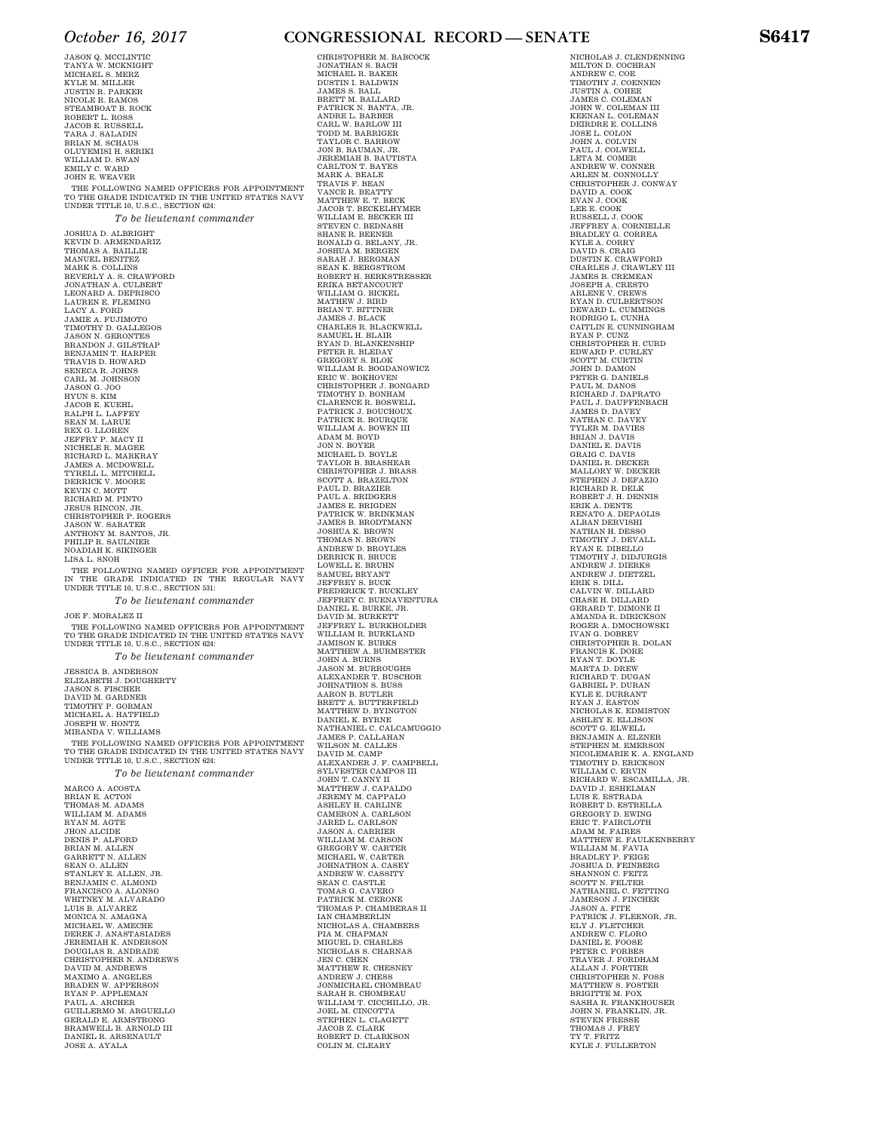JASON Q. MCCLINTIC TANYA W. MCKNIGHT MICHAEL S. MERZ KYLE M. MILLER JUSTIN R. PARKER NICOLE R. RAMOS STEAMBOAT B. ROCK ROBERT L. ROSS JACOB E. RUSSELL TARA J. SALADIN<br>BRIAN M. SCHAUS<br>OLUYEMISI H. SERIKI WILLIAM D. SWAN EMILY C. WARD<br>JOHN E. WEAVER THE FOLLOWING NAMED OFFICERS FOR APPOINTMENT TO THE GRADE INDICATED IN THE UNITED STATES NAVY UNDER TITLE 10, U.S.C., SECTION 624: *To be lieutenant commander*  JOSHUA D. ALBRIGHT<br>KEVIN D. ARMENDARIZ<br>THOMAS A. BAILLIE<br>MANUEL BENITEZ<br>MARK S. COLLINS<br>BEVERLY A. S. CRAWFORD<br>JONATHAN A. CULBERT<br>JONATHAN A. CULBERT<br>LAUREN E. FLEMING<br>LAUREN E. FLEMING LACY A. FORD<br>JAMIE A. FUJIMOTO<br>TIMOTHY D. GALLEGOS<br>JASON N. GERONTES BRANDON J. GILSTRAP BENJAMIN T. HARPER TRAVIS D. HOWARD SENECA R. JOHNS CARL M. JOHNSON<br>JASON G. JOO<br>HYUN S. KIM<br>JACOB E. KUEHL<br>RALPH L. LAFFEY<br>SEAN M. LARUE<br>REX G. LLOREN JEFFRY P. MACY II NICHELE R. MAGEE RICHARD L. MARKRAY JAMES A. MCDOWELL TYRELL L. MITCHELL DERRICK V. MOORE KEVIN C. MOTT RICHARD M. PINTO JESUS RINCON, JR. CHRISTOPHER P. ROGERS JASON W. SABATER ANTHONY M. SANTOS, JR. PHILIP R. SAULNIER NOADIAH K. SIKINGER

THE FOLLOWING NAMED OFFICER FOR APPOINTMENT IN THE GRADE INDICATED IN THE REGULAR NAVY UNDER TITLE 10, U.S.C., SECTION 531:

*To be lieutenant commander* 

JOE F. MORALEZ II

LISA L. SNOH

THE FOLLOWING NAMED OFFICERS FOR APPOINTMENT TO THE GRADE INDICATED IN THE UNITED STATES NAVY UNDER TITLE 10, U.S.C., SECTION 624:

*To be lieutenant commander* 

JESSICA B. ANDERSON ELIZABETH J. DOUGHERTY JASON S. FISCHER DAVID M. GARDNER TIMOTHY P. GORMAN MICHAEL A. HATFIELD JOSEPH W. HONTZ MIRANDA V. WILLIAMS THE FOLLOWING NAMED OFFICERS FOR APPOINTMENT TO THE GRADE INDICATED IN THE UNITED STATES NAVY UNDER TITLE 10, U.S.C., SECTION 624: *To be lieutenant commander* 

MARCO A. ACOSTA BRIAN E. ACTON THOMAS M. ADAMS WILLIAM M. ADAMS RYAN M. AGTE JHON ALCIDE DENIS P. ALFORD<br>BRIAN M. ALLEN<br>GARRETT N. ALLEN SEAN O. ALLEN<br>STANLEY E. ALLEN, JR.<br>BENJAMIN C. ALMOND<br>FRANCISCO A. ALONSO<br>WHITNEY M. ALVARADO<br>LUIS B. ALVAREZ<br>MONICA N. AMAGNA MICHAEL W. AMECHE DEREK J. ANASTASIADES JEREMIAH K. ANDERSON DOUGLAS R. ANDRADE CHRISTOPHER N. ANDREWS<br>DAVID M. ANDREWS<br>MAXIMO A. ANGELES<br>BRADEN W. APPERSON<br>RYAN P. APPLEMAN<br>PAUL A. ARGUER<br>GUILLERMO M. ARGUELLO GERALD E. ARMSTRONG BRAMWELL B. ARNOLD III DANIEL R. ARSENAULT JOSE A. AYALA

### *October 16, 2017* **CONGRESSIONAL RECORD — SENATE S6417**

CHRISTOPHER M. BABCOCK

JONATHAN S. BACH MICHAEL R. BAKER DUSTIN I. BALDWIN JAMES S. BALL BRETT M. BALLARD PATRICK N. BANTA, JR.<br>ANDRE L. BARBER<br>CARL W. BARLOW III<br>TODD M. BARRIGER<br>TAYLOR C. BARROW<br>JON B. BAUMAN, JR.<br>JEREMIAH B. BAUTISTA<br>JEREMIAH B. BAUTISTA<br>CARLTON T. BAYES MARK A. BEALE TRAVIS F. BEAN VANCE R. BEATTY MATTHEW E. T. BECK JACOB T. BECKELHYMER WILLIAM E. BECKER III<br>STEVEN C. BEDNASH<br>SHANE R. BEENER<br>RONALD G. BELANY, JR.<br>JOSHUA M. BERGEN<br>SEAN K. BERGSTROM<br>SEAN K. BERGSTROM ROBERT H. BERKSTRESSER ERIKA BETANCOURT WILLIAM G. BICKEL<br>MATHEW J. BIRD<br>BRIAN T. BITTNER JAMES J. BLACK CHARLES R. BLACKWELL SAMUEL H. BLAIR RYAN D. BLANKENSHIP PETER R. BLEDAY GREGORY S. BLOK WILLIAM R. BOGDANOWICZ ERIC W. BOKHOVEN CHRISTOPHER J. BONGARD TIMOTHY D. BONHAM CLARENCE R. BOSWELL PATRICK J. BOUCHOUX PATRICK R. BOURQUE WILLIAM A. BOWEN III ADAM M. BOYD JON N. BOYER MICHAEL D. BOYLE TAYLOR B. BRASHEAR CHRISTOPHER J. BRASS SCOTT A. BRAZELTON PAUL D. BRAZIER PAUL A. BRIDGERS JAMES E. BRIGDEN PATRICK W. BRINKMAN JAMES B. BRODTMANN JOSHUA K. BROWN THOMAS N. BROWN ANDREW D. BROYLES DERRICK R. BRUCE LOWELL E. BRUHN SAMUEL BRYANT JEFFREY S. BUCK FREDERICK T. BUCKLEY JEFFREY C. BUENAVENTURA DANIEL E. BURKE, JR. DAVID M. BURKETT<br>JEFFREY L. BURKHOLDER<br>WILLIAM R. BURKLAND<br>JAMISON K. BURKS MATTHEW A. BURMESTER JOHN A. BURNS JASON M. BURROUGHS ALEXANDER T. BUSCHOR JOHNATHON S. BUSS AARON B. BUTLER BRETT A. BUTTERFIELD MATTHEW D. BYINGTON<br>DANIEL K. BYRNE<br>NATHANIEL C. CALCAMUGGIO<br>JAMES P. CALLAHAN<br>WILSON M. CALLES<br>DAVID M. CAMP<br>DAVID M. CAMP<br>ALEXANDER J. F. CAMPBELL SYLVESTER CAMPOS III JOHN T. CANNY II MATTHEW J. CAPALDO JEREMY M. CAPPALO ASHLEY H. CARLISON<br>JARED L. CARLSON<br>JARED L. CARLSON<br>WILLIAM M. CARSON<br>WILLIAM M. CARTER<br>MEGHAEL W. CARTER<br>MOHNATHON A. CASEY<br>JOHNATHON A. CASEY<br>ANDREW W. CASSITY<br>SEAN C. CASTLE<br>SEAN C. CASTLE TOMAS G. CAVERO<br>PATRICK M. CERONE<br>THOMAS P. CHAMBERAS II<br>IAN CHAMBERLIN NICHOLAS A. CHAMBERS PIA M. CHAPMAN MIGUEL D. CHARLES NICHOLAS S. CHARNAS JEN C. CHEN MATTHEW R. CHESNEY ANDREW J. CHESS JONMICHAEL CHOMBEAU SARAH R. CHOMBEAU WILLIAM T. CICCHILLO, JR. JOEL M. CINCOTTA STEPHEN L. CLAGETT JACOB Z. CLARK ROBERT D. CLARKSON COLIN M. CLEARY

NICHOLAS J. CLENDENNING MILTON D. COCHRAN ANDREW C. COE TIMOTHY J. COENNEN JUSTIN A. COHEE JAMES C. COLEMAN JOHN W. COLEMAN III KEENAN L. COLEMAN DEIRDRE E. COLLINS JOSE L. COLON JOHN A. COLVIN PAUL J. COLWELL LETA M. COMER ANDREW W. CONNER ARLEN M. CONNOLLY CHRISTOPHER J. CONWAY DAVID A. COOK EVAN J. COOK LEE E. COOK<br>JEFFREY A. CORNIELLE<br>BRADLEY G. CORREA<br>KYLE A. CORRY<br>KYLE A. CORRY<br>DAVID S. CRAIG<br>DUSTIN K. CRAWLEY III<br>CHARLES J. CRAWLEY III JAMES B. CREMEAN JOSEPH A. CRESTO ARLENE V. CREWS RYAN D. CULBERTSON DEWARD L. CUMMINGS RODRIGO L. CUNHA CAITLIN E. CUNNINGHAM RYAN P. CUNZ CHRISTOPHER H. CURD EDWARD P. CURLEY SCOTT M. CURTIN JOHN D. DAMON PETER G. DANIELS PAUL M. DANOS RICHARD J. DAPRATO PAUL J. DAUFFENBACH JAMES D. DAVEY NATHAN C. DAVEY TYLER M. DAVIES BRIAN J. DAVIS DANIEL E. DAVIS GRAIG C. DAVIS DANIEL R. DECKER MALLORY W. DECKER STEPHEN J. DEFAZIO RICHARD R. DELK ROBERT J. H. DENNIS ERIK A. DENTE RENATO A. DEPAOLIS ALBAN DERVISHI<br>NATHAN H. DESSO<br>TIMOTHY J. DEVALL RYAN E. DIBELLO TIMOTHY J. DIDJURGIS ANDREW J. DIERKS ANDREW J. DIETZEL ERIK S. DILL CALVIN W. DILLARD CHASE H. DILLARD GERARD T. DIMONE II AMANDA R. DIRICKSON ROGER A. DMOCHOWSKI IVAN G. DOBREV CHRISTOPHER R. DOLAN FRANCIS K. DORE RYAN T. DOYLE MARTA D. DREW RICHARD T. DUGAN GABRIEL P. DURAN KYLE E. DURRANT RYAN J. EASTON NICHOLAS K. EDMISTON ASHLEY E. ELLISON SCOTT G. ELWELL BENJAMIN A. ELZNER STEPHEN M. EMERSON NICOLEMARIE K. A. ENGLAND TIMOTHY D. ERICKSON WILLIAM C. ERVIN RICHARD W. ESCAMILLA, JR. DAVID J. ESHELMAN LUIS E. ESTRADA ROBERT D. ESTRELLA GREGORY D. EWING ERIC T. FAIRCLOTH ADAM M. FAIRES MATTHEW E. FAULKENBERRY WILLIAM M. FAVIA BRADLEY P. FEIGE JOSHUA D. FEINBERG SHANNON C. FEITZ SCOTT N. FELTER NATHANIEL C. FETTING JAMESON J. FINCHER JASON A. FITE PATRICK J. FLEENOR, JR. ELY J. FLETCHER ANDREW C. FLORO DANIEL E. FOOSE PETER C. FORBES TRAVER J. FORDHAM ALLAN J. FORTIER CHRISTOPHER N. FOSS MATTHEW S. FOSTER BRIGITTE M. FOX SASHA R. FRANKHOUSER JOHN N. FRANKLIN, JR. STEVEN FRESSE THOMAS J. FREY TY T. FRITZ KYLE J. FULLERTON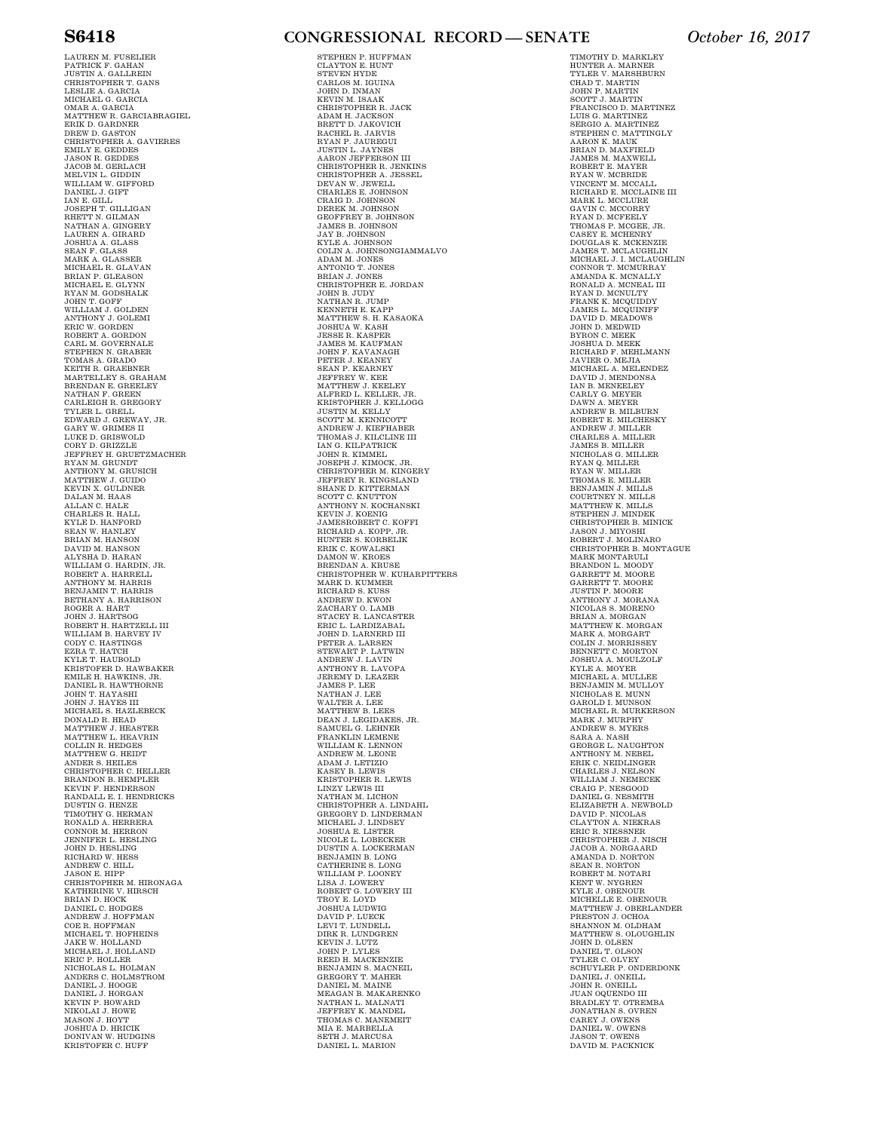LAUREN M. FUSELIER<br>PATRICK F. GAHAN<br>JUSTIN A. GALLREIN<br>CHRISTOPHER T. GANS<br>LESLIE A. GARCIA<br>MICHAEL G. GARCIA OMAR A. GARCIA MATTHEW R. GARCIABRAGIEL ERIK D. GARDNER DREW D. GASTON CHRISTOPHER A. GAVIERES EMILY E. GEDDES JASON R. GEDDES JACOB M. GERLACH MELVIN L. GIDDIN<br>WILLIAM W. GIFT<br>DANIEL J. GIFT<br>IAN E. GILL<br>JOSEPH T. GILLIGAN<br>RHETT N. GILMAN<br>NATHAN A. GINGERY<br>LAUREN A. GIRARD<br>JOSHUA A. GLASS SEAN F. GLASS MARK A. GLASSER MICHAEL R. GLAVAN BRIAN P. GLEASON MICHAEL E. GLYNN RYAN M. GODSHALK JOHN T. GOFF WILLIAM J. GOLDEN ANTHONY J. GOLEMI<br>ERIC W. GORDEN<br>ROBERT A. GOVERNALE<br>STEPHEN N. GRABER<br>TOMAS A. GRABENER<br>TOMAS A. GRAEBNER<br>KEITH R. GRAEBNER<br>MARTELLEY S. GRAEBLEY<br>BRENDAN E. GREELEY NATHAN F. GREEN CARLEIGH R. GREGORY TYLER L. GRELL EDWARD J. GREWAY, JR. GARY W. GRIMES II LUKE D. GRISWOLD CORY D. GRIZZLE JEFFREY H. GRUETZMACHER RYAN M. GRUNDT ANTHONY M. GRUSICH MATTHEW J. GUIDO KEVIN X. GULDNER DALAN M. HAAS ALLAN C. HALE CHARLES R. HALL KYLE D. HANFORD<br>SEAN W. HANLEY<br>BRIAN M. HANSON<br>DAVID M. HANSON<br>ALYSHA D. HARAN<br>WILLIAM G. HARDIN, JR. ROBERT A. HARRELL<br>ANTHONY M. HARRIS<br>BENJAMIN T. HARRIS<br>BETHANY A. HARRISON<br>ROGER A. HART JOHN J. HARTSOG ROBERT H. HARTZELL III WILLIAM B. HARVEY IV CODY C. HASTINGS EZRA T. HATCH KYLE T. HAUBOLD KRISTOFER D. HAWBAKER EMILE H. HAWKINS, JR. DANIEL R. HAWTHORNE JOHN T. HAYASHI JOHN J. HAYES III MICHAEL S. HAZLEBECK<br>DONALD R. HEAD<br>MATTHEW J. HEASTER<br>MATTHEW L. HEAVRIN<br>COLLIN R. HEDGES<br>MATTHEW G. HEIDT<br>ANDER S. HEILES CHRISTOPHER C. HELLER BRANDON B. HEMPLER KEVIN F. HENDERSON RANDALL E. I. HENDRICKS DUSTIN G. HENZE TIMOTHY G. HERMAN RONALD A. HERRERA CONNOR M. HERRON JENNIFER L. HESLING JOHN D. HESLING RICHARD W. HESS ANDREW C. HILL JASON E. HIPP CHRISTOPHER M. HIRONAGA KATHERINE V. HIRSCH BRIAN D. HOCK DANIEL C. HODGES ANDREW J. HOFFMAN COE R. HOFFMAN<br>MICHAEL T. HOFHEINS<br>JAKE W. HOLLAND<br>MICHAEL J. HOLLAND ERIC P. HOLLER<br>NICHOLAS L. HOLMAN<br>ANDERS C. HOLMSTROM<br>DANIEL J. HORGAN<br>DANIEL J. HORGAN<br>KEVIN P. HOWARD<br>NIKOLAI J. HOWE MASON J. HOYT JOSHUA D. HRICIK DONIVAN W. HUDGINS KRISTOFER C. HUFF

### **S6418 CONGRESSIONAL RECORD — SENATE** *October 16, 2017*

STEPHEN P. HUFFMAN CLAYTON E. HUNT STEVEN HYDE CARLOS M. IGUINA JOHN D. INMAN KEVIN M. ISAAK CHRISTOPHER R. JACK<br>ADAM H. JACKSON<br>BRETT D. JAKOVICH<br>RYAN P. JAUREGUI<br>RYAN P. JAUREGUI<br>JUSTIN L. JAYNES<br>JUSTIN L. JAYNES<br>CHRISTOPHER R. JENKINS<br>CHRISTOPHER R. JENKINS CHRISTOPHER A. JESSEL DEVAN W. JEWELL CHARLES E. JOHNSON CRAIG D. JOHNSON DEREK M. JOHNSON GEOFFREY B. JOHNSON JAMES B. JOHNSON JAY B. JOHNSON KYLE A. JOHNSON<br>COLIN A. JOHNSONGIAMMALVO<br>ADAM M. JONES<br>ANTONIO T. JONES BRIAN J. JONES CHRISTOPHER E. JORDAN JOHN B. JUDY NATHAN R. JUMP KENNETH E. KAPP MATTHEW S. H. KASH<br>JOSHUA W. KASH<br>JESSE R. KASPER<br>JOHN F. KAVANAGH<br>JOHN F. KAVANAGH<br>PETER J. KEARNEY<br>SEAN P. KEARNEY<br>JEFFREY W. KEE<br>JEFFREY W. KEE<br>MATTHEW J. KEELEY ALFRED L. KELLER, JR. KRISTOPHER J. KELLOGG JUSTIN M. KELLY SCOTT M. KENNICOTT ANDREW J. KIEFHABER THOMAS J. KILCLINE III IAN G. KILPATRICK JOHN R. KIMMEL<br>JOSEPH J. KIMOCK, JR.<br>CHRISTOPHER M. KINGERY<br>JEFFREY R. KINGSLAND<br>SHANE D. KITTERMAN<br>SCOTT C. KNUTTON N. KOCHANSKI<br>ANTHONY N. KOCHANSKI KEVIN J. KOENIG JAMESROBERT C. KOFFI RICHARD A. KOPP, JR. HUNTER S. KORBELIK ERIK C. KOWALSKI<br>DAMON W. KROES<br>BRENDAN A. KRUSE<br>CHRISTOPHER W. KUHARPITTERS MARK D. KUMMER RICHARD S. KUSS ANDREW D. KWON ZACHARY O. LAMB<br>STACERY R. LANCASTER<br>STACEY R. LANCASTER<br>DOMN D. LARDIZABAL<br>JOHN D. LARDIZABAL<br>PETER A. LARSEN<br>PETER A. LARSEN<br>ANNE R. LAVIV<br>ANTHONY R. LAVOPA<br>JAMES P. LEE<br>NATHAN J. LEE<br>NATHAN J. LEE<br>NATHAN J. LEE<br>MATTER R ANDREW M. LEONE ADAM J. LETIZIO KASEY B. LEWIS KRISTOPHER R. LEWIS LINZY LEWIS III NATHAN M. LICHON CHRISTOPHER A. LINDAHL GREGORY D. LINDERMAN MICHAEL J. LINDSEY JOSHUA E. LISTER NICOLE L. LOBECKER DUSTIN A. LOCKERMAN BENJAMIN B. LONG CATHERINE S. LONG WILLIAM P. LOONEY LISA J. LOWERY ROBERT G. LOWERY III TROY E. LOYD JOSHUA LUDWIG DAVID P. LUECK LEVI T. LUNDELL DIRK R. LUNDGREN KEVIN J. LUTZ JOHN P. LYLES REED H. MACKENZIE<br>BENJAMIN S. MACNEIL<br>GREGORY T. MAHER<br>DANIEL M. MAINE MEAGAN B. MAKARENKO<br>NATHAN L. MALNATI<br>JEFFREY K. MANDEL THOMAS C. MANEMEIT MIA E. MARBELLA SETH J. MARCUSA DANIEL L. MARION

TIMOTHY D. MARKLEY HUNTER A. MARNER<br>TYLER V. MARSHBURN<br>CHAD T. MARTIN<br>JOHN P. MARTIN<br>SCOTT J. MARTIN FRANCISCO D. MARTINEZ LUIS G. MARTINEZ<br>SERGIO A. MARTINEZ<br>STEPHEN C. MATTINGLY AARON K. MAUK BRIAN D. MAXFIELD JAMES M. MAXWELL ROBERT E. MAYER RYAN W. MCBRIDE VINCENT M. MCCALL RICHARD E. MCCLAINE III MARK L. MCCLURE GAVIN C. MCCORRY RYAN D. MCFEELY THOMAS P. MCGEE, JR. CASEY E. MCHENRY DOUGLAS K. MCKENZIE<br>MAMES T. MCLAUGHLIN<br>MICHAEL J. I. MCURRAY<br>CONNOR T. MCNURRAY<br>AMANDA K. MCNALLY<br>RONALD A. MCNUTY<br>FRANK K. MCQUIDDY<br>PRANK K. MCQUIDIFF<br>JAMES L. MCQUIDIFF<br>DAVID D. MEADOWS JOHN D. MEDWID<br>BYRON C. MEEK<br>JOSHUA D. MEEK<br>RICHARD F. MEHLMANN JAVIER O. MEJIA MICHAEL A. MELENDEZ DAVID J. MENDONSA IAN B. MENEELEY CARLY G. MEYER DAWN A. MEYER ANDREW B. MILBURN ROBERT E. MILCHESKY ANDREW J. MILLER CHARLES A. MILLER JAMES B. MILLER NICHOLAS G. MILLER<br>RYAN Q. MILLER<br>RYAN W. MILLER<br>THOMAS E. MILLER<br>BENJAMIN J. MILLS<br>COURTNEW K. MILLS<br>MATTHEW K. MILLS STEPHEN J. MINDEK CHRISTOPHER B. MINICK JASON J. MIYOSHI ROBERT J. MOLINARO CHRISTOPHER B. MONTAGUE MARK MONTARULI<br>BRANDON L. MOODY<br>GARRETT M. MOORE GARRETT T. MOORE JUSTIN P. MOORE ANTHONY J. MORANA NICOLAS S. MORENO<br>BRIAN A. MORGAN<br>MATTHEW K. MORGAN<br>MARK A. MORGART<br>COLIN J. MORRISSEY<br>BENNETT C. MOVLZOLF<br>JOSHUA A. MOVLZOLF<br>KYLE A. MOVER MICHAEL A. MULLEE BENJAMIN M. MULLOY NICHOLAS E. MUNN GAROLD I. MUNSON MICHAEL R. MURKERSON MARK J. MURPHY ANDREW S. MYERS SARA A. NASH<br>GEORGE L. NAUGHTON<br>ANTHONY M. NEBEL<br>ERIK C. NEIDLINGER CHARLES J. NELSON WILLIAM J. NEMECEK CRAIG P. NESGOOD DANIEL G. NESMITH ELIZABETH A. NEWBOLD DAVID P. NICOLAS CLAYTON A. NIEKRAS ERIC R. NIESSNER CHRISTOPHER J. NISCH JACOB A. NORGAARD AMANDA D. NORTON SEAN R. NORTON<br>ROBERT M. NOTARI<br>KENT W. NYGREN<br>KYLE J. OBENOUR MICHELLE E. OBENOUR<br>NATTHEW J. OBERLANDER<br>PRESTON J. OCHOA<br>SHANNON M. OLDHAM<br>MATTHEW S. OLOUGHLIN<br>JOHN D. OLSEN<br>TYLER C. OLVEY<br>SCHUYLER P. ONDERDONK<br>SCHUYLER P. ONEILL<br>JOHN R. ONEILL<br>JOHN R. ONEILL JUAN OQUENDO III BRADLEY T. OTREMBA JONATHAN S. OVREN CAREY J. OWENS<br>DANIEL W. OWENS<br>JASON T. OWENS<br>DAVID M. PACKNICK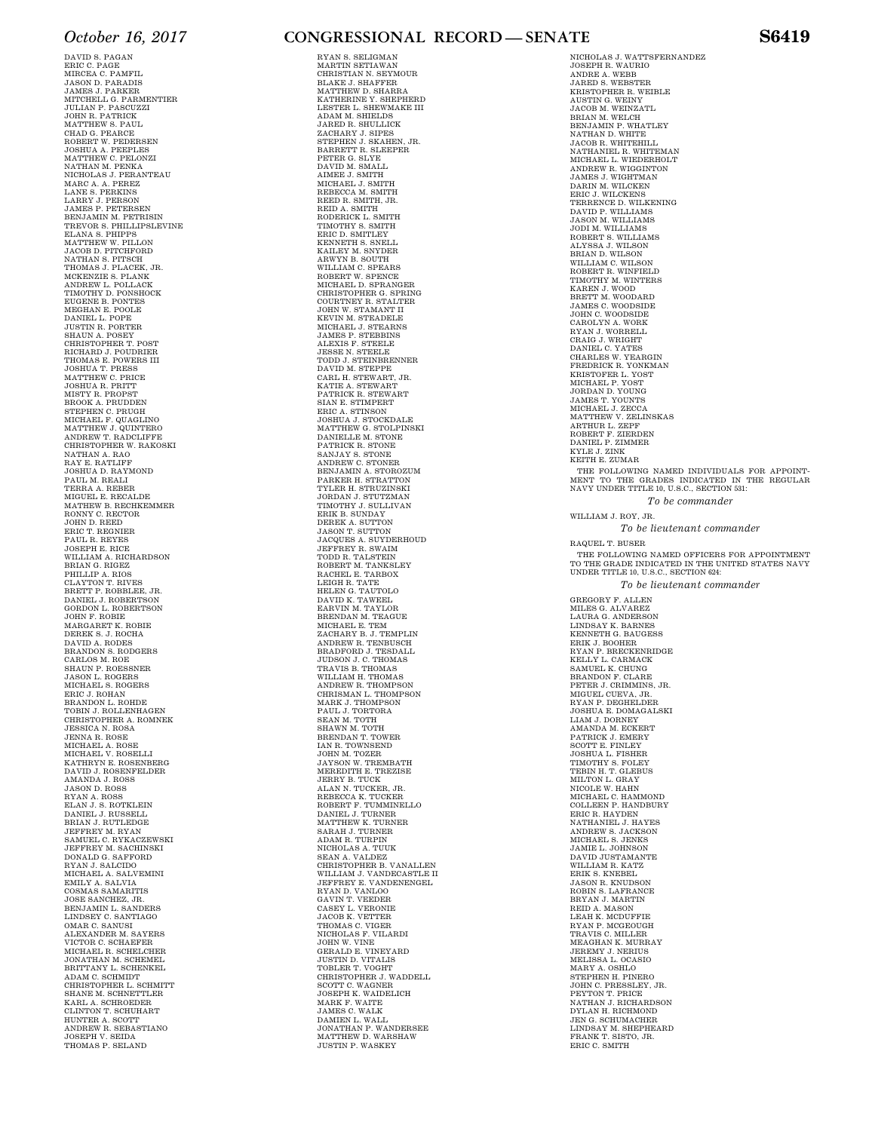DAVID S. PAGAN ERIC C. PAGE MIRCEA C. PAMFIL JASON D. PARADIS JAMES J. PARKER MITCHELL G. PARMENTIER JULIAN P. PASCUZZI JOHN R. PATRICK MATTHEW S. PAUL CHAD G. PEARCE ROBERT W. PEDERSEN JOSHUA A. PEEPLES MATTHEW C. PELONZI NATHAN M. PENKA NATHAN M. PENKA<br>NICHOLAS J. PERANTEAU MARC A. A. PEREZ<br>LANE S. PERKINS<br>LARRY J. PERSON<br>JAMES P. PETERSEN<br>BENJAMIN M. PETRISIN TREVOR S. PHILLIPSLEVINE ELANA S. PHIPPS MATTHEW W. PILLON JACOB D. PITCHFORD NATHAN S. PITSCH THOMAS J. PLACEK, JR. MCKENZIE S. PLANK ANDREW L. POLLACK TIMOTHY D. PONSHOCK EUGENE B. PONTES MEGHAN E. POOLE DANIEL L. POPE JUSTIN R. PORTER SHAUN A. POSEY CHRISTOPHER T. POST RICHARD J. POUDRIER THOMAS E. POWERS III JOSHUA T. PRESS MATTHEW C. PRICE JOSHUA R. PRITT MISTY R. PROPST<br>BROOK A. PRUDDEN<br>STEPHEN C. PRUDEN<br>MICHAEL F. QUAGLINO<br>MATTHEW J. QUINTERO<br>ANDREW T. RADCLIFFE<br>CHRISTOPHER W. RAKOSKI NATHAN A. RAO<br>RAY E. RATLIFF<br>JOSHUA D. RAYMOND<br>PAUL M. REALI TERRA A. REBER MIGUEL E. RECALDE MATHEW B. RECHKEMMER RONNY C. RECTOR JOHN D. REED ERIC T. REGNIER PAUL R. REYES JOSEPH E. RICE<br>BRIAN A. RIGEZ<br>BRIAN G. RIGEZ<br>PHILLIP A. RIOS<br>CLAYTON T. RIVES<br>BRETT P. ROBBLEE, JR.<br>DANIEL J. ROBERTSON GORDON L. ROBERTSON<br>MARGARET K. ROBIE<br>DEREK S. J. ROCHA<br>DAVID A. RODES<br>BANDON S. RODGERS<br>CARLOS M. ROE<br>CARLOS M. ROE<br>JASON L. ROGERS<br>MICHAEL S. ROGERS<br>ERIC J. ROHAN<br>BRANDON L. ROHDE<br>ERRANDON L. ROHDE TOBIN J. ROLLENHAGEN CHRISTOPHER A. ROMNEK JESSICA N. ROSA JENNA R. ROSE MICHAEL A. ROSE MICHAEL V. ROSELLI KATHRYN E. ROSENBERG DAVID J. ROSENFELDER AMANDA J. ROSS JASON D. ROSS RYAN A. ROSS ELAN J. S. ROTKLEIN DANIEL J. RUSSELL BRIAN J. RUTLEDGE JEFFREY M. RYAN SAMUEL C. RYKACZEWSKI JEFFREY M. SACHINSKI DONALD G. SAFFORD RYAN J. SALCIDO MICHAEL A. SALVEMINI EMILY A. SALVIA COSMAS SAMARITIS JOSE SANCHEZ, JR. BENJAMIN L. SANDERS LINDSEY C. SANTIAGO OMAR C. SANUSI<br>ALEXANDER M. SAYERS<br>VICTOR C. SCHAEFER<br>MICHAEL R. SCHELCHER<br>JONATHAN M. SCHEMEL<br>BRITTANY L. SCHENKEL<br>BRITTANY L. SCHMIDT<br>CHRISTOPHER L. SCHMITT SHANE M. SCHNETTLER KARL A. SCHROEDER CLINTON T. SCHUHART HUNTER A. SCOTT ANDREW R. SEBASTIANO JOSEPH V. SEIDA THOMAS P. SELAND

### *October 16, 2017* **CONGRESSIONAL RECORD — SENATE S6419**

RYAN S. SELIGMAN MARTIN SETIAWAN CHRISTIAN N. SEYMOUR BLAKE J. SHAFFER MATTHEW D. SHARRA KATHERINE Y. SHEPHERD<br>LESTER L. SHEVHAKE III<br>JAARD R. SHULLICK<br>ZACHARY J. SIPES<br>ZACHARY J. SIPES<br>STEPHEN J. SKAHEN, JR.<br>BARRETT R. SLEEPER<br>DAVID M. SMALL<br>MICHAEL J. SMITH<br>MECLO M. SMITH<br>REBECCA M. SMITH<br>REBECCA M. SMITH<br>RE RODERICK L. SMITH TIMOTHY S. SMITH ERIC D. SMITLEY KENNETH S. SNELL KAILEY M. SNYDER ARWYN B. SOUTH WILLIAM C. SPEARS ROBERT W. SPENCE MICHAEL D. SPRANGER<br>COURTNEY R. STALTER<br>COURTNEY R. STALTER<br>JOHN W. STAMANT II<br>KEVIN M. STEADELE<br>MICHAEL J. STEABNS<br>JAMES P. STEEBENS<br>JAMES P. STEELE<br>JESSE N. STEELE<br>JESSE N. STEELE TODD J. STEINBRENNER DAVID M. STEPPE CARL H. STEWART, JR. KATIE A. STEWART<br>PATRICK R. STEWART<br>SIAN E. STIMPERT<br>ERIC A. STINSON<br>JOSHUA J. STOCKDALE MATTHEW G. STOLPINSKI DANIELLE M. STONE PATRICK R. STONE SANJAY S. STONE ANDREW C. STONER BENJAMIN A. STOROZUM PARKER H. STRATTON TYLER H. STRUZINSKI JORDAN J. STUTZMAN TIMOTHY J. SULLIVAN ERIK B. SUNDAY DEREK A. SUTTON<br>JASON T. SUTTON<br>JACQUES A. SUYDERHOUD<br>JEFFREY R. SWAIM<br>TODD R. TALSTEIN<br>ROBERT M. TANKSLEY<br>RACHEL E. TARBOX LEIGH R. TATE<br>HELEN G. TAUTOLO<br>DAVID K. TAWEEL<br>EARVIN M. TAYLOR<br>BRENDAN M. TEAGUE<br>MICHAEL E. TEMPLIN<br>ZACHARY B. J. TEMPLIN ANDREW R. TENBUSCH BRADFORD J. TESDALL JUDSON J. C. THOMAS TRAVIS B. THOMAS WILLIAM H. THOMAS<br>ANDREW R. THOMPSON<br>CHRISMAN L. THOMPSON<br>MARK J. THOMPSON<br>PAUL J. TORTORA<br>SEAN M. TOTH<br>SHAWN M. TOTH<br>BRENDAN T. TOWER IAN R. TOWNSEND JOHN M. TOZER JAYSON W. TREMBATH MEREDITH E. TREZISE JERRY B. TUCK ALAN N. TUCKER, JR. REBECCA K. TUCKER ROBERT F. TUMMINELLO DANIEL J. TURNER MATTHEW K. TURNER SARAH J. TURNER ADAM R. TURPIN NICHOLAS A. TUUK SEAN A. VALDEZ CHRISTOPHER B. VANALLEN WILLIAM J. VANDECASTLE II JEFFREY E. VANDENENGEL RYAN D. VANLOO GAVIN T. VEEDER CASEY L. VERONIE JACOB K. VETTER THOMAS C. VIGER<br>NICHOLAS F. VILARDI<br>JOHN W. VINE<br>GERALD E. VINEYARD JUSTIN D. VITALIS TOBLER T. VOGHT CHRISTOPHER J. WADDELL SCOTT C. WAGNER JOSEPH K. WAIDELICH MARK F. WAITE JAMES C. WALK DAMIEN L. WALL JONATHAN P. WANDERSEE MATTHEW D. WARSHAW JUSTIN P. WASKEY

NICHOLAS J. WATTSFERNANDEZ JOSEPH R. WAURIO ANDRE A. WEBB JARED S. WEBSTER KRISTOPHER R. WEIBLE AUSTIN G. WEINY<br>JACOB M. WEINZATL<br>BRIAN M. WELCH<br>BENJAMIN P. WHATLEY NATHAN D. WHITEHILL<br>JACOB R. WHITEHILL<br>NATHANIEL R. WHITEMAN<br>MICHAEL L. WIEDERHOLT<br>ANDREW R. WIGGINTON<br>JAMES J. WIGHTMAN<br>DARIN M. WILCKEN ERIC J. WILCKENS TERRENCE D. WILKENING DAVID P. WILLIAMS JASON M. WILLIAMS JODI M. WILLIAMS ROBERT S. WILLIAMS ALYSSA J. WILSON BRIAN D. WILSON WILLIAM C. WILSON ROBERT R. WINFIELD TIMOTHY M. WINTERS KAREN J. WOOD BRETT M. WOODARD JAMES C. WOODSIDE JOHN C. WOODSIDE CAROLYN A. WORK<br>EYAN J. WORRELL<br>CRAIG J. WRIGHT<br>DANIEL C. YATES<br>CHARLES W. YEARGIN<br>FREDRICK R. YONKMAN<br>KRISTOFER L. YOST MICHAEL P. YOST JORDAN D. YOUNG JAMES T. YOUNTS MICHAEL J. ZECCA MATTHEW V. ZELINSKAS ARTHUR L. ZEPF ROBERT F. ZIERDEN DANIEL P. ZIMMER KYLE J. ZINK KEITH E. ZUMAR THE FOLLOWING NAMED INDIVIDUALS FOR APPOINT-MENT TO THE GRADES INDICATED IN THE REGULAR NAVY UNDER TITLE 10, U.S.C., SECTION 531: *To be commander*  WILLIAM J. ROY, JR. *To be lieutenant commander*  RAQUEL T. BUSER THE FOLLOWING NAMED OFFICERS FOR APPOINTMENT TO THE GRADE INDICATED IN THE UNITED STATES NAVY UNDER TITLE 10, U.S.C., SECTION 624: *To be lieutenant commander*  GREGORY F. ALLEN MILES G. ALVAREZ<br>LAURA G. ANDERSON<br>LINDSAY K. BARNES<br>KENNETH G. BAUGESS ERIK J. BOOHER<br>RYAN P. BRECKENRIDGE<br>KELLY L. CARMACK<br>BRANDON F. CLARE<br>BRANDON F. CLARE<br>PETER J. CRIMMINS, JR.<br>MIGUEL CUEVA, JR.<br>MIGUEL CUEVA, JR.<br>RYAN P. DEGHELDER JOSHUA E. DOMAGALSKI<br>LIAM J. DORNEY<br>AMANDA M. ECKERT<br>PATRICK J. EMERY SCOTT E. FINLEY JOSHUA L. FISHER TIMOTHY S. FOLEY TEBIN H. T. GLEBUS MILTON L. GRAY NICOLE W. HAHN MICHAEL C. HAMMOND COLLEEN P. HANDBURY ERIC R. HAYDEN NATHANIEL J. HAYES ANDREW S. JACKSON MICHAEL S. JENKS JAMIE L. JOHNSON DAVID JUSTAMANTE WILLIAM R. KATZ ERIK S. KNEBEL JASON R. KNUDSON ROBIN S. LAFRANCE<br>BRYAN J. MASON<br>LEAH K. MCDUFFIE<br>LYAN P. MCGEOUGH<br>TRAVIS C. MILLER<br>NEAGHAN K. MURRAY<br>JEREMY J. NERIUS<br>JEREMY J. NERIUS<br>MELISSA L. OCASIO<br>NTRIPHEN H. PINERO<br>STEPHEN H. PINERO JOHN C. PRESSLEY, JR. PEYTON T. PRICE NATHAN J. RICHARDSON DYLAN H. RICHMOND JEN G. SCHUMACHER LINDSAY M. SHEPHEARD FRANK T. SISTO, JR.

ERIC C. SMITH